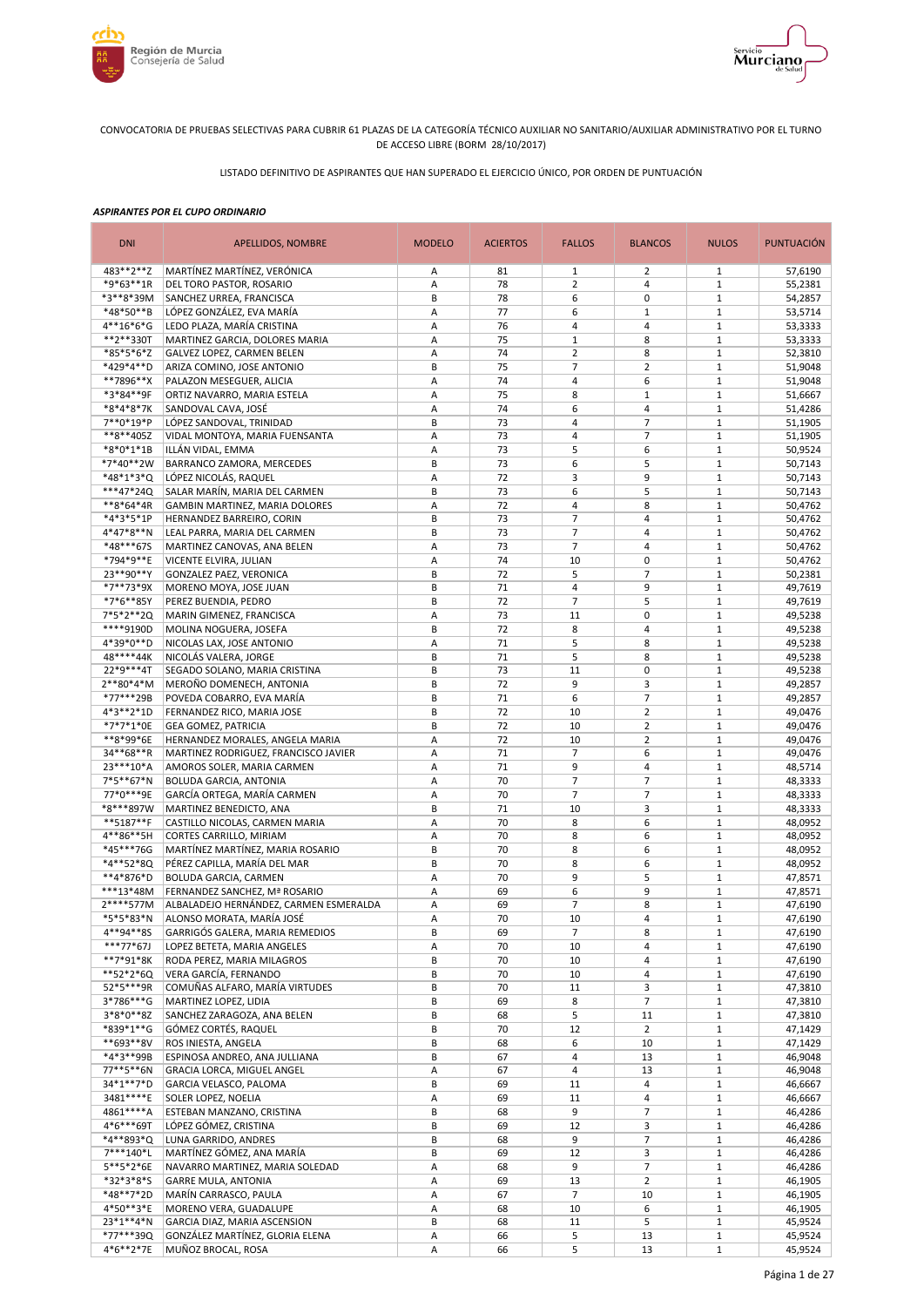



LISTADO DEFINITIVO DE ASPIRANTES QUE HAN SUPERADO EL EJERCICIO ÚNICO, POR ORDEN DE PUNTUACIÓN

| <b>DNI</b>               | APELLIDOS, NOMBRE                                                       | <b>MODELO</b> | <b>ACIERTOS</b> | <b>FALLOS</b>                    | <b>BLANCOS</b>                | <b>NULOS</b>                 | <b>PUNTUACIÓN</b>  |
|--------------------------|-------------------------------------------------------------------------|---------------|-----------------|----------------------------------|-------------------------------|------------------------------|--------------------|
| 483**2**Z                | MARTÍNEZ MARTÍNEZ, VERÓNICA                                             | Α             | 81              | $\mathbf{1}$                     | 2                             | 1                            | 57,6190            |
| *9*63**1R                | DEL TORO PASTOR, ROSARIO                                                | Α             | 78              | $\overline{2}$                   | $\overline{4}$                | $\mathbf{1}$                 | 55,2381            |
| *3**8*39M                | SANCHEZ URREA, FRANCISCA                                                | B             | 78              | 6                                | 0                             | $\mathbf{1}$                 | 54,2857            |
| *48*50**B                | LÓPEZ GONZÁLEZ. EVA MARÍA                                               | Α             | 77              | 6                                | $\mathbf{1}$                  | $1\,$                        | 53,5714            |
| $4**16*6*G$<br>**2**330T | LEDO PLAZA, MARÍA CRISTINA<br>MARTINEZ GARCIA, DOLORES MARIA            | Α<br>Α        | 76<br>75        | $\overline{4}$<br>$\mathbf{1}$   | $\overline{4}$<br>8           | $1\,$<br>$\mathbf{1}$        | 53,3333            |
| *85*5*6*Z                | GALVEZ LOPEZ, CARMEN BELEN                                              | Α             | 74              | $\overline{2}$                   | 8                             | $1\,$                        | 53,3333<br>52,3810 |
| *429*4**D                | ARIZA COMINO, JOSE ANTONIO                                              | B             | 75              | $\overline{7}$                   | $\overline{2}$                | $\mathbf{1}$                 | 51,9048            |
| **7896**X                | PALAZON MESEGUER, ALICIA                                                | А             | 74              | $\overline{4}$                   | 6                             | $\mathbf{1}$                 | 51,9048            |
| *3*84**9F                | ORTIZ NAVARRO, MARIA ESTELA                                             | Α             | 75              | 8                                | $\mathbf{1}$                  | $1\,$                        | 51,6667            |
| *8*4*8*7K                | SANDOVAL CAVA, JOSÉ                                                     | Α             | 74              | 6                                | $\overline{4}$                | $\mathbf{1}$                 | 51,4286            |
| 7**0*19*P                | LÓPEZ SANDOVAL, TRINIDAD                                                | B             | 73              | $\overline{4}$                   | $\overline{7}$                | $\mathbf{1}$                 | 51,1905            |
| **8**405Z                | VIDAL MONTOYA, MARIA FUENSANTA                                          | Α             | 73              | $\overline{4}$                   | $\overline{7}$                | $\mathbf{1}$                 | 51,1905            |
| *8*0*1*1B                | ILLÁN VIDAL, EMMA                                                       | Α             | 73              | 5                                | 6                             | $\mathbf{1}$                 | 50,9524            |
| *7*40**2W                | BARRANCO ZAMORA, MERCEDES                                               | B             | 73              | 6                                | 5                             | $\mathbf{1}$                 | 50,7143            |
| *48*1*3*Q                | LÓPEZ NICOLÁS, RAQUEL                                                   | Α             | 72              | 3                                | 9                             | $\mathbf{1}$                 | 50,7143            |
| ***47*24Q                | SALAR MARÍN, MARIA DEL CARMEN                                           | B             | 73              | 6                                | 5                             | $1\,$                        | 50,7143            |
| **8*64*4R                | GAMBIN MARTINEZ, MARIA DOLORES                                          | Α             | 72              | $\overline{4}$                   | 8                             | $\mathbf{1}$                 | 50,4762            |
| *4*3*5*1P<br>$4*47*8**N$ | HERNANDEZ BARREIRO, CORIN                                               | B<br>B        | 73<br>73        | $\overline{7}$<br>$\overline{7}$ | $\overline{4}$<br>4           | $\mathbf{1}$<br>$\mathbf{1}$ | 50,4762            |
| *48***675                | LEAL PARRA, MARIA DEL CARMEN<br>MARTINEZ CANOVAS, ANA BELEN             | А             | 73              | $\overline{7}$                   | 4                             | $1\,$                        | 50,4762<br>50,4762 |
| *794*9**E                | VICENTE ELVIRA, JULIAN                                                  | A             | 74              | 10                               | $\mathbf 0$                   | $\mathbf{1}$                 | 50,4762            |
| 23**90**Y                | GONZALEZ PAEZ, VERONICA                                                 | B             | 72              | 5                                | $\overline{7}$                | $\mathbf{1}$                 | 50,2381            |
| *7**73*9X                | MORENO MOYA, JOSE JUAN                                                  | B             | 71              | $\overline{4}$                   | 9                             | $\mathbf{1}$                 | 49,7619            |
| *7*6**85Y                | PEREZ BUENDIA, PEDRO                                                    | B             | 72              | $\overline{7}$                   | 5                             | $\mathbf{1}$                 | 49,7619            |
| 7*5*2**2Q                | MARIN GIMENEZ, FRANCISCA                                                | A             | 73              | 11                               | 0                             | $1\,$                        | 49,5238            |
| ****9190D                | MOLINA NOGUERA, JOSEFA                                                  | B             | 72              | 8                                | 4                             | $1\,$                        | 49,5238            |
| 4*39*0**D                | NICOLAS LAX, JOSE ANTONIO                                               | Α             | 71              | 5                                | 8                             | $1\,$                        | 49,5238            |
| 48****44K                | NICOLÁS VALERA, JORGE                                                   | B             | 71              | 5                                | 8                             | $1\,$                        | 49,5238            |
| 22*9***4T                | SEGADO SOLANO, MARIA CRISTINA                                           | B             | 73              | 11                               | 0                             | $1\,$                        | 49,5238            |
| $2**80*4*M$              | MEROÑO DOMENECH, ANTONIA                                                | B             | 72              | 9                                | 3                             | $\mathbf{1}$                 | 49,2857            |
| *77***29B                | POVEDA COBARRO, EVA MARÍA                                               | B             | 71              | 6                                | $\overline{7}$                | $\mathbf{1}$                 | 49,2857            |
| 4*3**2*1D                | FERNANDEZ RICO, MARIA JOSE                                              | B             | 72              | 10                               | $\overline{2}$                | $\mathbf{1}$                 | 49,0476            |
| *7*7*1*0E<br>**8*99*6E   | <b>GEA GOMEZ, PATRICIA</b>                                              | B<br>A        | 72<br>72        | 10<br>10                         | $\mathbf 2$<br>$\overline{2}$ | $1\,$<br>$\mathbf{1}$        | 49,0476            |
| 34**68**R                | HERNANDEZ MORALES, ANGELA MARIA<br>MARTINEZ RODRIGUEZ, FRANCISCO JAVIER | Α             | 71              | $\overline{7}$                   | 6                             | $1\,$                        | 49,0476<br>49,0476 |
| 23 *** 10 * A            | AMOROS SOLER, MARIA CARMEN                                              | Α             | 71              | 9                                | $\overline{4}$                | $\mathbf{1}$                 | 48,5714            |
| 7*5**67*N                | BOLUDA GARCIA, ANTONIA                                                  | Α             | 70              | $\overline{7}$                   | $\overline{7}$                | $\mathbf{1}$                 | 48,3333            |
| 77*0***9E                | GARCÍA ORTEGA, MARÍA CARMEN                                             | Α             | 70              | $\overline{7}$                   | $\overline{7}$                | $\mathbf{1}$                 | 48,3333            |
| *8***897W                | MARTINEZ BENEDICTO, ANA                                                 | B             | 71              | 10                               | 3                             | $1\,$                        | 48,3333            |
| **5187**F                | CASTILLO NICOLAS, CARMEN MARIA                                          | Α             | 70              | 8                                | 6                             | $\mathbf{1}$                 | 48,0952            |
| 4**86**5H                | CORTES CARRILLO, MIRIAM                                                 | Α             | 70              | 8                                | 6                             | $1\,$                        | 48,0952            |
| *45***76G                | MARTÍNEZ MARTÍNEZ, MARIA ROSARIO                                        | B             | 70              | 8                                | 6                             | $\mathbf{1}$                 | 48,0952            |
| *4**52*8Q                | PÉREZ CAPILLA, MARÍA DEL MAR                                            | B             | 70              | 8                                | 6                             | $\mathbf{1}$                 | 48,0952            |
| **4*876*D                | <b>BOLUDA GARCIA, CARMEN</b>                                            | Α             | 70              | 9                                | 5                             | $\mathbf{1}$                 | 47,8571            |
| ***13*48M                | FERNANDEZ SANCHEZ, Mª ROSARIO                                           | Α             | 69              | 6                                | 9                             | $\mathbf{1}$                 | 47,8571            |
| 2****577M                | ALBALADEJO HERNÁNDEZ, CARMEN ESMERALDA                                  | A             | 69              | $\overline{7}$                   | 8<br>$\overline{\mathbf{4}}$  | $1\,$                        | 47,6190            |
| *5*5*83*N                | ALONSO MORATA, MARÍA JOSÉ                                               | A             | 70              | 10<br>$\overline{7}$             |                               | $\mathbf{1}$                 | 47,6190            |
| 4**94**8S<br>$***77*67J$ | GARRIGÓS GALERA, MARIA REMEDIOS<br>LOPEZ BETETA, MARIA ANGELES          | В<br>Α        | 69<br>70        | 10                               | 8<br>4                        | $\mathbf{1}$<br>$\mathbf{1}$ | 47,6190<br>47,6190 |
| $**7*91*8K$              | RODA PEREZ, MARIA MILAGROS                                              | B             | 70              | 10                               | 4                             | $\mathbf{1}$                 | 47,6190            |
| **52*2*6Q                | VERA GARCÍA, FERNANDO                                                   | B             | 70              | 10                               | 4                             | $\mathbf{1}$                 | 47,6190            |
| 52*5***9R                | COMUÑAS ALFARO, MARÍA VIRTUDES                                          | B             | 70              | 11                               | 3                             | $\mathbf 1$                  | 47,3810            |
| 3*786***G                | MARTINEZ LOPEZ, LIDIA                                                   | B             | 69              | 8                                | $\overline{7}$                | $\mathbf{1}$                 | 47,3810            |
| $3*8*0**8Z$              | SANCHEZ ZARAGOZA, ANA BELEN                                             | B             | 68              | 5                                | 11                            | $\mathbf{1}$                 | 47,3810            |
| *839*1**G                | GÓMEZ CORTÉS, RAQUEL                                                    | В             | 70              | 12                               | $\overline{2}$                | $\mathbf{1}$                 | 47,1429            |
| **693**8V                | ROS INIESTA, ANGELA                                                     | В             | 68              | 6                                | 10                            | $\mathbf{1}$                 | 47,1429            |
| *4*3**99B                | ESPINOSA ANDREO, ANA JULLIANA                                           | В             | 67              | 4                                | 13                            | $\mathbf{1}$                 | 46,9048            |
| 77**5**6N                | GRACIA LORCA, MIGUEL ANGEL                                              | Α             | 67              | 4                                | 13                            | $\mathbf{1}$                 | 46,9048            |
| 34*1**7*D                | GARCIA VELASCO, PALOMA                                                  | B             | 69              | 11                               | 4                             | $\mathbf{1}$                 | 46,6667            |
| 3481****E<br>4861****A   | SOLER LOPEZ, NOELIA<br>ESTEBAN MANZANO, CRISTINA                        | Α<br>В        | 69<br>68        | 11<br>9                          | 4<br>$\overline{\phantom{a}}$ | $\mathbf 1$<br>$\mathbf{1}$  | 46,6667<br>46,4286 |
| 4*6***69T                | LÓPEZ GÓMEZ, CRISTINA                                                   | В             | 69              | 12                               | 3                             | $\mathbf{1}$                 | 46,4286            |
| *4**893*Q                | LUNA GARRIDO, ANDRES                                                    | B             | 68              | 9                                | $\overline{\phantom{a}}$      | $\mathbf{1}$                 | 46,4286            |
| 7***140*L                | MARTÍNEZ GÓMEZ, ANA MARÍA                                               | В             | 69              | 12                               | 3                             | $\mathbf{1}$                 | 46,4286            |
| 5**5*2*6E                | NAVARRO MARTINEZ, MARIA SOLEDAD                                         | Α             | 68              | 9                                | $\overline{7}$                | $\mathbf{1}$                 | 46,4286            |
| *32*3*8*S                | <b>GARRE MULA, ANTONIA</b>                                              | Α             | 69              | 13                               | $\overline{2}$                | $\mathbf{1}$                 | 46,1905            |
| *48**7*2D                | MARÍN CARRASCO, PAULA                                                   | Α             | 67              | $\overline{7}$                   | 10                            | $\mathbf{1}$                 | 46,1905            |
| 4*50**3*E                | MORENO VERA, GUADALUPE                                                  | Α             | 68              | 10                               | 6                             | $\mathbf{1}$                 | 46,1905            |
| 23*1**4*N                | GARCIA DIAZ, MARIA ASCENSION                                            | B             | 68              | 11                               | 5                             | $\mathbf{1}$                 | 45,9524            |
| *77***39Q                | GONZÁLEZ MARTÍNEZ, GLORIA ELENA                                         | А             | 66              | 5                                | 13                            | $1\,$                        | 45,9524            |
| 4*6**2*7E                | MUÑOZ BROCAL, ROSA                                                      | Α             | 66              | 5                                | 13                            | $1\,$                        | 45,9524            |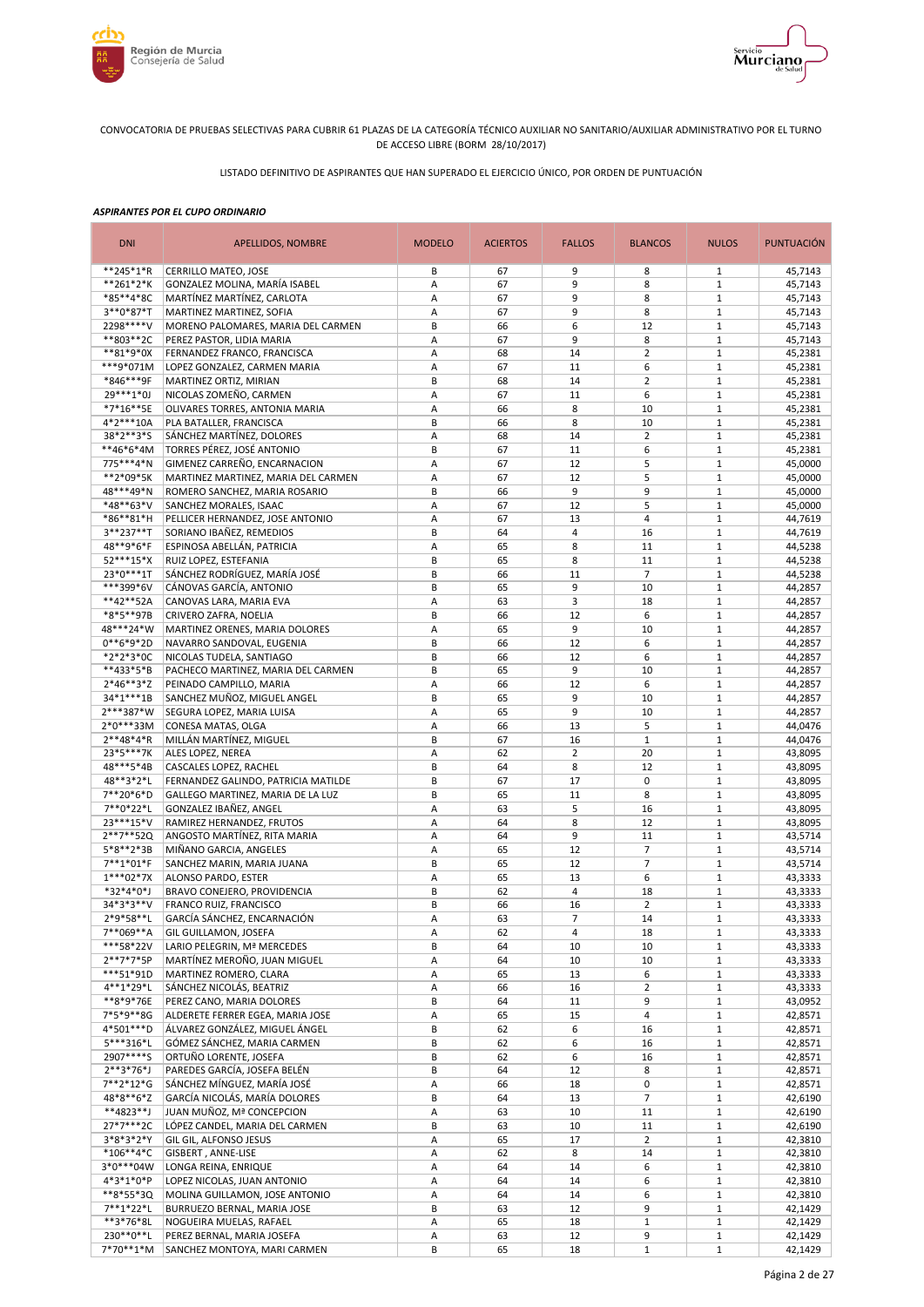



LISTADO DEFINITIVO DE ASPIRANTES QUE HAN SUPERADO EL EJERCICIO ÚNICO, POR ORDEN DE PUNTUACIÓN

| <b>DNI</b>             | APELLIDOS, NOMBRE                                                        | <b>MODELO</b> | <b>ACIERTOS</b> | <b>FALLOS</b>  | <b>BLANCOS</b>                 | <b>NULOS</b>                 | <b>PUNTUACIÓN</b>  |
|------------------------|--------------------------------------------------------------------------|---------------|-----------------|----------------|--------------------------------|------------------------------|--------------------|
| **245*1*R              | CERRILLO MATEO, JOSE                                                     | В             | 67              | 9              | 8                              | 1                            | 45,7143            |
| **261*2*K              | GONZALEZ MOLINA, MARÍA ISABEL                                            | Α             | 67              | 9              | 8                              | $\mathbf{1}$                 | 45,7143            |
| *85**4*8C              | MARTÍNEZ MARTÍNEZ, CARLOTA                                               | A             | 67              | 9              | 8                              | $\mathbf{1}$                 | 45,7143            |
| 3**0*87*T<br>2298****V | MARTINEZ MARTINEZ, SOFIA<br>MORENO PALOMARES, MARIA DEL CARMEN           | Α<br>B        | 67<br>66        | 9<br>6         | 8<br>12                        | $1\,$<br>$1\,$               | 45,7143<br>45,7143 |
| **803**2C              | PEREZ PASTOR, LIDIA MARIA                                                | Α             | 67              | 9              | 8                              | $\mathbf{1}$                 | 45,7143            |
| **81*9*0X              | FERNANDEZ FRANCO, FRANCISCA                                              | A             | 68              | 14             | $\overline{2}$                 | $1\,$                        | 45,2381            |
| ***9*071M              | LOPEZ GONZALEZ, CARMEN MARIA                                             | Α             | 67              | 11             | 6                              | $\mathbf{1}$                 | 45,2381            |
| *846***9F              | MARTINEZ ORTIZ, MIRIAN                                                   | B             | 68              | 14             | $\overline{2}$                 | $\mathbf{1}$                 | 45,2381            |
| 29 *** 1* 0J           | NICOLAS ZOMEÑO, CARMEN                                                   | Α             | 67              | 11             | 6                              | $1\,$                        | 45,2381            |
| *7*16**5E              | OLIVARES TORRES, ANTONIA MARIA                                           | Α             | 66              | 8              | 10                             | $\mathbf{1}$                 | 45,2381            |
| 4*2***10A              | PLA BATALLER, FRANCISCA                                                  | B             | 66              | 8              | 10                             | $\mathbf{1}$                 | 45,2381            |
| 38*2**3*S              | SÁNCHEZ MARTÍNEZ. DOLORES                                                | Α             | 68              | 14             | $\overline{2}$                 | $\mathbf{1}$                 | 45,2381            |
| **46*6*4M<br>775***4*N | TORRES PÉREZ, JOSÉ ANTONIO<br>GIMENEZ CARREÑO, ENCARNACION               | B             | 67<br>67        | 11<br>12       | 6<br>5                         | $\mathbf{1}$<br>$\mathbf{1}$ | 45,2381<br>45,0000 |
| **2*09*5K              | MARTINEZ MARTINEZ, MARIA DEL CARMEN                                      | Α<br>Α        | 67              | 12             | 5                              | $\mathbf{1}$                 | 45,0000            |
| 48***49*N              | ROMERO SANCHEZ, MARIA ROSARIO                                            | B             | 66              | 9              | 9                              | $1\,$                        | 45,0000            |
| *48**63*V              | SANCHEZ MORALES, ISAAC                                                   | Α             | 67              | 12             | 5                              | $\mathbf{1}$                 | 45,0000            |
| *86**81*H              | PELLICER HERNANDEZ, JOSE ANTONIO                                         | Α             | 67              | 13             | $\overline{4}$                 | $\mathbf{1}$                 | 44,7619            |
| 3**237**T              | SORIANO IBAÑEZ, REMEDIOS                                                 | B             | 64              | $\overline{4}$ | 16                             | $\mathbf{1}$                 | 44,7619            |
| 48**9*6*F              | ESPINOSA ABELLÁN, PATRICIA                                               | A             | 65              | 8              | 11                             | $1\,$                        | 44,5238            |
| 52***15*X              | RUIZ LOPEZ, ESTEFANIA                                                    | B             | 65              | 8              | 11                             | $\mathbf{1}$                 | 44,5238            |
| 23*0***1T              | SÁNCHEZ RODRÍGUEZ, MARÍA JOSÉ                                            | B             | 66              | 11             | $\overline{7}$                 | $1\,$                        | 44,5238            |
| ***399*6V              | CÁNOVAS GARCÍA, ANTONIO                                                  | B             | 65              | 9              | 10                             | $\mathbf{1}$                 | 44,2857            |
| **42**52A              | CANOVAS LARA, MARIA EVA                                                  | Α             | 63              | 3              | 18                             | $\mathbf{1}$                 | 44,2857            |
| *8*5**97B<br>48***24*W | CRIVERO ZAFRA, NOELIA<br>MARTINEZ ORENES, MARIA DOLORES                  | B             | 66<br>65        | 12<br>9        | 6<br>10                        | $1\,$<br>$1\,$               | 44,2857            |
| $0**6*9*2D$            | NAVARRO SANDOVAL, EUGENIA                                                | Α<br>B        | 66              | 12             | 6                              | $1\,$                        | 44,2857<br>44,2857 |
| *2*2*3*0C              | NICOLAS TUDELA, SANTIAGO                                                 | B             | 66              | 12             | 6                              | $1\,$                        | 44,2857            |
| **433*5*B              | PACHECO MARTINEZ, MARIA DEL CARMEN                                       | B             | 65              | 9              | 10                             | $1\,$                        | 44,2857            |
| $2*46**3*Z$            | PEINADO CAMPILLO, MARIA                                                  | Α             | 66              | 12             | 6                              | $1\,$                        | 44,2857            |
| 34*1***1B              | SANCHEZ MUÑOZ, MIGUEL ANGEL                                              | B             | 65              | 9              | 10                             | $1\,$                        | 44,2857            |
| 2***387*W              | SEGURA LOPEZ, MARIA LUISA                                                | Α             | 65              | 9              | 10                             | $\mathbf{1}$                 | 44,2857            |
| $2*0***33M$            | CONESA MATAS, OLGA                                                       | Α             | 66              | 13             | 5                              | $1\,$                        | 44,0476            |
| $2**48*4*R$            | MILLÁN MARTÍNEZ, MIGUEL                                                  | B             | 67              | 16             | $\mathbf{1}$                   | $\mathbf{1}$                 | 44,0476            |
| 23*5***7K              | ALES LOPEZ, NEREA                                                        | Α             | 62              | $\overline{2}$ | 20                             | $1\,$                        | 43,8095            |
| 48***5*4B              | CASCALES LOPEZ, RACHEL                                                   | B<br>B        | 64              | 8<br>17        | 12                             | $\mathbf{1}$<br>$\mathbf{1}$ | 43,8095            |
| 48**3*2*L<br>7**20*6*D | FERNANDEZ GALINDO, PATRICIA MATILDE<br>GALLEGO MARTINEZ, MARIA DE LA LUZ | B             | 67<br>65        | 11             | 0<br>8                         | $\mathbf{1}$                 | 43,8095<br>43,8095 |
| 7**0*22*L              | GONZALEZ IBAÑEZ, ANGEL                                                   | Α             | 63              | 5              | 16                             | $1\,$                        | 43,8095            |
| 23 *** 15 * V          | RAMIREZ HERNANDEZ, FRUTOS                                                | Α             | 64              | 8              | 12                             | $\mathbf{1}$                 | 43,8095            |
| 2**7**52Q              | ANGOSTO MARTÍNEZ, RITA MARIA                                             | Α             | 64              | 9              | 11                             | $1\,$                        | 43,5714            |
| 5*8**2*3B              | MIÑANO GARCIA, ANGELES                                                   | Α             | 65              | 12             | $\overline{7}$                 | $\mathbf{1}$                 | 43,5714            |
| 7**1*01*F              | SANCHEZ MARIN, MARIA JUANA                                               | B             | 65              | 12             | $\overline{7}$                 | $\mathbf{1}$                 | 43,5714            |
| $1***02*7X$            | ALONSO PARDO, ESTER                                                      | Α             | 65              | 13             | 6                              | $\mathbf{1}$                 | 43,3333            |
| *32*4*0*J              | BRAVO CONEJERO, PROVIDENCIA                                              | B             | 62              | 4              | 18                             | $\mathbf{1}$                 | 43,3333            |
| 34*3*3**V              | FRANCO RUIZ, FRANCISCO                                                   | B             | 66              | 16             | $\overline{2}$                 | $\mathbf{1}$                 | 43,3333            |
| 2*9*58**L              | GARCÍA SÁNCHEZ, ENCARNACIÓN                                              | A             | 63              | $\overline{7}$ | 14                             | $\mathbf{1}$                 | 43,3333            |
| 7**069**A<br>***58*22V | GIL GUILLAMON, JOSEFA<br>LARIO PELEGRIN, Mª MERCEDES                     | Α<br>B        | 62<br>64        | 4<br>10        | 18<br>10                       | $\mathbf{1}$<br>$\mathbf{1}$ | 43,3333<br>43,3333 |
| 2**7*7*5P              | MARTÍNEZ MEROÑO, JUAN MIGUEL                                             | Α             | 64              | 10             | 10                             | $\mathbf{1}$                 | 43,3333            |
| ***51*91D              | MARTINEZ ROMERO, CLARA                                                   | Α             | 65              | 13             | 6                              | $\mathbf{1}$                 | 43,3333            |
| 4**1*29*L              | SÁNCHEZ NICOLÁS, BEATRIZ                                                 | Α             | 66              | 16             | $\overline{2}$                 | $\mathbf 1$                  | 43,3333            |
| **8*9*76E              | PEREZ CANO, MARIA DOLORES                                                | B             | 64              | 11             | 9                              | $\mathbf{1}$                 | 43,0952            |
| 7*5*9**8G              | ALDERETE FERRER EGEA, MARIA JOSE                                         | Α             | 65              | 15             | 4                              | $\mathbf{1}$                 | 42,8571            |
| 4*501***D              | ÁLVAREZ GONZÁLEZ, MIGUEL ÁNGEL                                           | В             | 62              | 6              | 16                             | $\mathbf{1}$                 | 42,8571            |
| 5***316*L              | GÓMEZ SÁNCHEZ, MARIA CARMEN                                              | B             | 62              | 6              | 16                             | $\mathbf{1}$                 | 42,8571            |
| 2907****S              | ORTUÑO LORENTE. JOSEFA                                                   | В             | 62              | 6              | 16                             | $\mathbf{1}$                 | 42,8571            |
| $2***3*76*J$           | PAREDES GARCÍA, JOSEFA BELÉN                                             | В             | 64              | 12             | 8                              | $\mathbf{1}$                 | 42,8571            |
| 7**2*12*G              | SÁNCHEZ MÍNGUEZ, MARÍA JOSÉ                                              | A             | 66              | 18             | 0                              | $\mathbf{1}$                 | 42,8571            |
| 48*8**6*Z<br>**4823**J | GARCÍA NICOLÁS, MARÍA DOLORES<br>JUAN MUÑOZ, Mª CONCEPCION               | B<br>Α        | 64<br>63        | 13<br>10       | $\overline{\phantom{a}}$<br>11 | $\mathbf 1$<br>$\mathbf{1}$  | 42,6190<br>42,6190 |
| 27*7***2C              | LÓPEZ CANDEL, MARIA DEL CARMEN                                           | B             | 63              | 10             | 11                             | $\mathbf{1}$                 | 42,6190            |
| 3*8*3*2*Y              | GIL GIL, ALFONSO JESUS                                                   | Α             | 65              | 17             | $\overline{2}$                 | $\mathbf{1}$                 | 42,3810            |
| $*106**4*C$            | GISBERT, ANNE-LISE                                                       | Α             | 62              | 8              | 14                             | $1\,$                        | 42,3810            |
| 3*0***04W              | LONGA REINA, ENRIQUE                                                     | Α             | 64              | 14             | 6                              | $\mathbf{1}$                 | 42,3810            |
| 4*3*1*0*P              | LOPEZ NICOLAS, JUAN ANTONIO                                              | Α             | 64              | 14             | 6                              | $1\,$                        | 42,3810            |
| **8*55*3Q              | MOLINA GUILLAMON, JOSE ANTONIO                                           | Α             | 64              | 14             | 6                              | $\mathbf{1}$                 | 42,3810            |
| 7**1*22*L              | BURRUEZO BERNAL, MARIA JOSE                                              | B             | 63              | 12             | 9                              | $1\,$                        | 42,1429            |
| **3*76*8L              | NOGUEIRA MUELAS, RAFAEL                                                  | Α             | 65              | 18             | $1\,$                          | $\mathbf{1}$                 | 42,1429            |
| 230**0**L              | PEREZ BERNAL, MARIA JOSEFA                                               | А             | 63              | 12             | 9                              | $\mathbf 1$                  | 42,1429            |
| $7*70**1*M$            | SANCHEZ MONTOYA, MARI CARMEN                                             | B             | 65              | 18             | $\mathbf 1$                    | $\mathbf 1$                  | 42,1429            |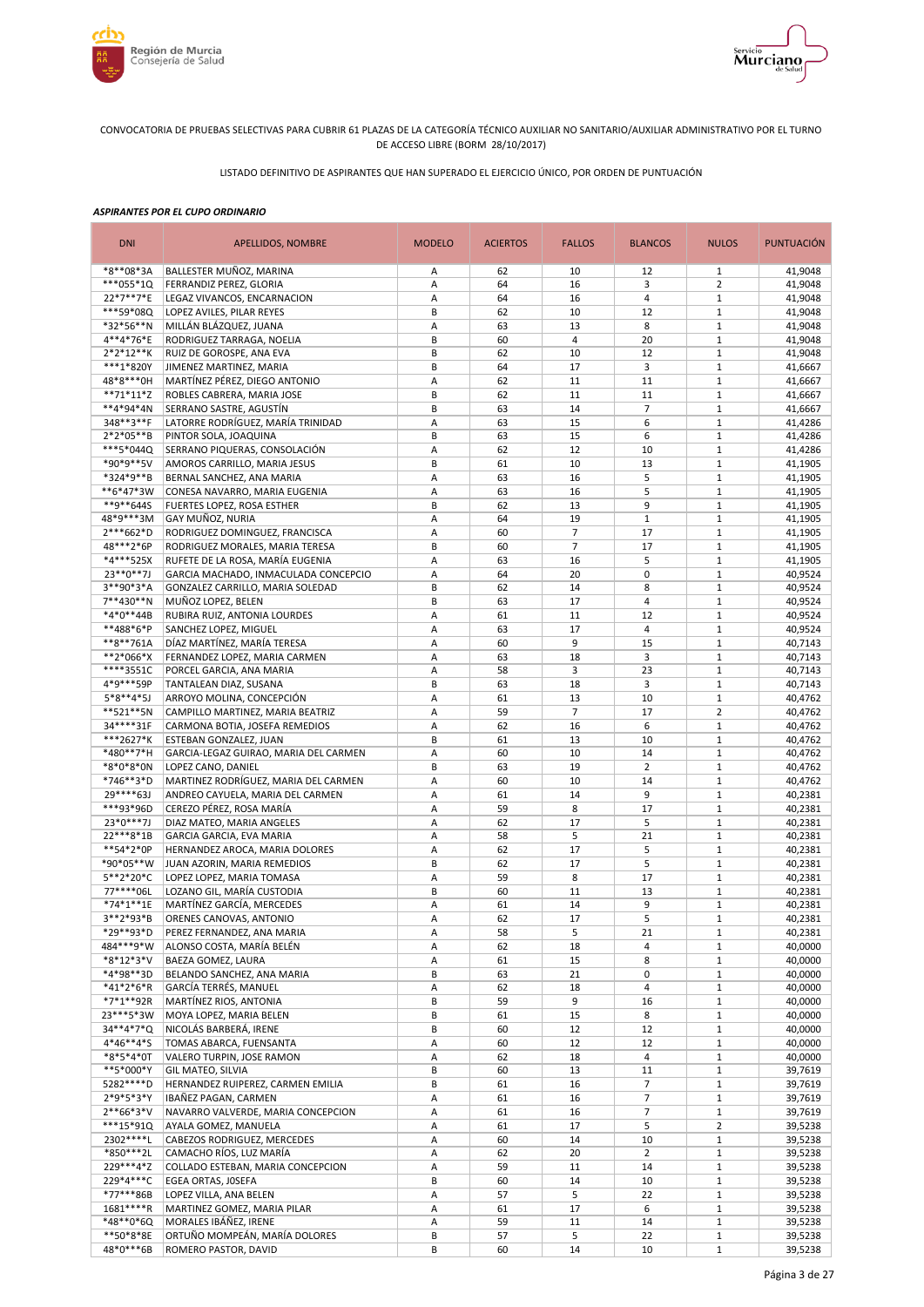



LISTADO DEFINITIVO DE ASPIRANTES QUE HAN SUPERADO EL EJERCICIO ÚNICO, POR ORDEN DE PUNTUACIÓN

| <b>DNI</b>                | APELLIDOS, NOMBRE                                          | <b>MODELO</b> | <b>ACIERTOS</b> | <b>FALLOS</b>        | <b>BLANCOS</b>           | <b>NULOS</b>                   | <b>PUNTUACIÓN</b>  |
|---------------------------|------------------------------------------------------------|---------------|-----------------|----------------------|--------------------------|--------------------------------|--------------------|
| *8**08*3A                 | BALLESTER MUÑOZ, MARINA                                    | Α             | 62              | 10                   | 12                       | 1                              | 41,9048            |
| ***055*10                 | FERRANDIZ PEREZ, GLORIA                                    | Α             | 64              | 16                   | 3                        | 2                              | 41,9048            |
| 22*7**7*E                 | LEGAZ VIVANCOS, ENCARNACION                                | Α             | 64              | 16                   | $\overline{4}$           | $1\,$                          | 41,9048            |
| ***59*08Q<br>*32*56**N    | LOPEZ AVILES, PILAR REYES<br>MILLÁN BLÁZQUEZ, JUANA        | B<br>Α        | 62<br>63        | 10<br>13             | 12<br>8                  | $\mathbf{1}$<br>$\mathbf{1}$   | 41,9048<br>41,9048 |
| 4**4*76*E                 | RODRIGUEZ TARRAGA, NOELIA                                  | B             | 60              | $\overline{4}$       | 20                       | $\mathbf{1}$                   | 41,9048            |
| $2*2*12**K$               | RUIZ DE GOROSPE, ANA EVA                                   | B             | 62              | 10                   | 12                       | $\mathbf{1}$                   | 41,9048            |
| ***1*820Y                 | JIMENEZ MARTINEZ, MARIA                                    | B             | 64              | 17                   | 3                        | $1\,$                          | 41,6667            |
| 48*8***0H                 | MARTÍNEZ PÉREZ, DIEGO ANTONIO                              | Α             | 62              | 11                   | 11                       | $\mathbf{1}$                   | 41,6667            |
| $**71*11*Z$               | ROBLES CABRERA, MARIA JOSE                                 | B             | 62              | 11                   | 11                       | $\mathbf{1}$                   | 41,6667            |
| **4*94*4N                 | SERRANO SASTRE, AGUSTÍN                                    | B             | 63              | 14                   | $\overline{7}$           | $\mathbf{1}$                   | 41,6667            |
| 348**3**F                 | LATORRE RODRÍGUEZ, MARÍA TRINIDAD                          | Α             | 63              | 15                   | 6                        | $\mathbf{1}$                   | 41,4286            |
| 2*2*05**B                 | PINTOR SOLA, JOAQUINA                                      | B             | 63              | 15                   | 6                        | $\mathbf{1}$                   | 41.4286            |
| ***5*044Q                 | SERRANO PIQUERAS, CONSOLACIÓN                              | Α             | 62              | 12                   | 10                       | $\mathbf{1}$                   | 41,4286            |
| *90*9**5V                 | AMOROS CARRILLO, MARIA JESUS                               | B             | 61              | 10                   | 13                       | $\mathbf{1}$                   | 41,1905            |
| *324*9**B<br>**6*47*3W    | BERNAL SANCHEZ, ANA MARIA<br>CONESA NAVARRO, MARIA EUGENIA | Α<br>Α        | 63<br>63        | 16<br>16             | 5<br>5                   | $\mathbf{1}$<br>$\mathbf{1}$   | 41,1905<br>41,1905 |
| **9**644S                 | FUERTES LOPEZ, ROSA ESTHER                                 | B             | 62              | 13                   | 9                        | $\mathbf{1}$                   | 41,1905            |
| 48*9***3M                 | GAY MUÑOZ, NURIA                                           | А             | 64              | 19                   | $\mathbf{1}$             | $1\,$                          | 41,1905            |
| 2***662*D                 | RODRIGUEZ DOMINGUEZ, FRANCISCA                             | A             | 60              | $\overline{7}$       | 17                       | $\mathbf{1}$                   | 41,1905            |
| 48***2*6P                 | RODRIGUEZ MORALES, MARIA TERESA                            | B             | 60              | $\overline{7}$       | 17                       | $\mathbf{1}$                   | 41,1905            |
| *4***525X                 | RUFETE DE LA ROSA, MARÍA EUGENIA                           | Α             | 63              | 16                   | 5                        | $\mathbf{1}$                   | 41,1905            |
| 23**0**7J                 | GARCIA MACHADO, INMACULADA CONCEPCIO                       | A             | 64              | 20                   | 0                        | $\mathbf{1}$                   | 40,9524            |
| 3**90*3*A                 | GONZALEZ CARRILLO, MARIA SOLEDAD                           | B             | 62              | 14                   | 8                        | $1\,$                          | 40,9524            |
| 7**430**N                 | MUÑOZ LOPEZ, BELEN                                         | B             | 63              | 17                   | 4                        | $\mathbf{1}$                   | 40,9524            |
| *4*0**44B                 | RUBIRA RUIZ, ANTONIA LOURDES                               | Α             | 61              | 11                   | 12                       | $\mathbf{1}$                   | 40.9524            |
| **488*6*P                 | SANCHEZ LOPEZ, MIGUEL                                      | Α             | 63              | 17                   | $\overline{4}$           | $\mathbf{1}$                   | 40,9524            |
| **8**761A                 | DÍAZ MARTÍNEZ, MARÍA TERESA                                | Α             | 60              | 9                    | 15                       | $\mathbf{1}$                   | 40,7143            |
| **2*066*X                 | FERNANDEZ LOPEZ, MARIA CARMEN                              | Α             | 63              | 18                   | 3                        | $\mathbf{1}$                   | 40,7143            |
| ****3551C                 | PORCEL GARCIA, ANA MARIA                                   | Α             | 58              | 3                    | 23                       | $1\,$                          | 40,7143            |
| 4*9***59P                 | TANTALEAN DIAZ, SUSANA                                     | B             | 63              | 18                   | 3                        | $\mathbf{1}$                   | 40,7143            |
| $5*8**4*5J$               | ARROYO MOLINA, CONCEPCIÓN                                  | Α             | 61              | 13<br>$\overline{7}$ | 10<br>17                 | $1\,$<br>$\overline{2}$        | 40,4762            |
| **521**5N<br>34****31F    | CAMPILLO MARTINEZ, MARIA BEATRIZ                           | Α<br>Α        | 59<br>62        | 16                   | 6                        | $1\,$                          | 40,4762<br>40,4762 |
| ***2627*K                 | CARMONA BOTIA, JOSEFA REMEDIOS<br>ESTEBAN GONZALEZ, JUAN   | B             | 61              | 13                   | 10                       | $\mathbf{1}$                   | 40,4762            |
| *480**7*H                 | GARCIA-LEGAZ GUIRAO, MARIA DEL CARMEN                      | Α             | 60              | 10                   | 14                       | $1\,$                          | 40,4762            |
| *8*0*8*0N                 | LOPEZ CANO, DANIEL                                         | B             | 63              | 19                   | $\overline{2}$           | $\mathbf{1}$                   | 40,4762            |
| *746**3*D                 | MARTINEZ RODRÍGUEZ, MARIA DEL CARMEN                       | Α             | 60              | 10                   | 14                       | $1\,$                          | 40,4762            |
| 29****63J                 | ANDREO CAYUELA, MARIA DEL CARMEN                           | Α             | 61              | 14                   | 9                        | $\mathbf{1}$                   | 40,2381            |
| ***93*96D                 | CEREZO PÉREZ, ROSA MARÍA                                   | Α             | 59              | 8                    | 17                       | $\mathbf{1}$                   | 40,2381            |
| 23*0***7J                 | DIAZ MATEO, MARIA ANGELES                                  | Α             | 62              | 17                   | 5                        | $\mathbf{1}$                   | 40,2381            |
| 22***8*1B                 | GARCIA GARCIA, EVA MARIA                                   | Α             | 58              | 5                    | 21                       | $\mathbf{1}$                   | 40,2381            |
| **54*2*0P                 | HERNANDEZ AROCA, MARIA DOLORES                             | A             | 62              | 17                   | 5                        | $\mathbf{1}$                   | 40,2381            |
| *90*05**W                 | JUAN AZORIN, MARIA REMEDIOS                                | B             | 62              | 17                   | 5                        | $1\,$                          | 40,2381            |
| 5**2*20*C                 | LOPEZ LOPEZ, MARIA TOMASA                                  | A             | 59              | 8                    | 17                       | $\mathbf{1}$                   | 40,2381            |
| 77****06L                 | LOZANO GIL, MARÍA CUSTODIA                                 | B             | 60              | 11                   | 13                       | $\mathbf{1}$                   | 40,2381            |
| *74*1**1E<br>$3***2*93*B$ | MARTÍNEZ GARCÍA, MERCEDES                                  | A             | 61              | 14                   | 9                        | $\mathbf{1}$                   | 40,2381            |
| *29**93*D                 | ORENES CANOVAS, ANTONIO<br>PEREZ FERNANDEZ, ANA MARIA      | A<br>Α        | 62<br>58        | 17<br>5              | 5<br>21                  | $\mathbf{1}$<br>$\mathbf{1}$   | 40.2381<br>40,2381 |
| 484***9*W                 | ALONSO COSTA, MARÍA BELÉN                                  | Α             | 62              | 18                   | 4                        | $\mathbf{1}$                   | 40,0000            |
| *8*12*3*V                 | BAEZA GOMEZ, LAURA                                         | Α             | 61              | 15                   | 8                        | $\mathbf{1}$                   | 40,0000            |
| *4*98**3D                 | BELANDO SANCHEZ, ANA MARIA                                 | В             | 63              | 21                   | 0                        | $\mathbf{1}$                   | 40,0000            |
| *41*2*6*R                 | GARCÍA TERRÉS, MANUEL                                      | Α             | 62              | 18                   | 4                        | $\mathbf{1}$                   | 40,0000            |
| *7*1**92R                 | MARTÍNEZ RIOS, ANTONIA                                     | В             | 59              | 9                    | 16                       | $\mathbf{1}$                   | 40,0000            |
| 23 *** 5 * 3 W            | MOYA LOPEZ, MARIA BELEN                                    | В             | 61              | 15                   | 8                        | $\mathbf{1}$                   | 40,0000            |
| 34**4*7*Q                 | NICOLÁS BARBERÁ, IRENE                                     | В             | 60              | 12                   | 12                       | $\mathbf{1}$                   | 40,0000            |
| 4*46**4*S                 | TOMAS ABARCA, FUENSANTA                                    | А             | 60              | 12                   | 12                       | $\mathbf 1$                    | 40,0000            |
| *8*5*4*0T                 | VALERO TURPIN, JOSE RAMON                                  | Α             | 62              | 18                   | 4                        | $\mathbf{1}$                   | 40,0000            |
| **5*000*Y                 | GIL MATEO, SILVIA                                          | B             | 60              | 13                   | 11                       | $\mathbf{1}$                   | 39,7619            |
| 5282 **** D               | HERNANDEZ RUIPEREZ, CARMEN EMILIA                          | B             | 61              | 16                   | 7                        | $\mathbf 1$                    | 39,7619            |
| 2*9*5*3*Y                 | IBAÑEZ PAGAN, CARMEN                                       | Α             | 61              | 16                   | $\overline{\phantom{a}}$ | $1\,$                          | 39,7619            |
| $2**66*3*V$<br>***15*910  | NAVARRO VALVERDE, MARIA CONCEPCION                         | Α             | 61              | 16                   | $\overline{7}$           | $\mathbf{1}$                   | 39,7619            |
| 2302 **** L               | AYALA GOMEZ, MANUELA<br>CABEZOS RODRIGUEZ, MERCEDES        | Α<br>Α        | 61<br>60        | 17<br>14             | 5<br>10                  | $\overline{2}$<br>$\mathbf{1}$ | 39,5238<br>39,5238 |
| *850***2L                 | CAMACHO RÍOS, LUZ MARÍA                                    | Α             | 62              | 20                   | $\overline{2}$           | $\mathbf{1}$                   | 39,5238            |
| 229***4*Z                 | COLLADO ESTEBAN, MARIA CONCEPCION                          | Α             | 59              | 11                   | 14                       | $\mathbf{1}$                   | 39,5238            |
| 229*4***C                 | EGEA ORTAS, JOSEFA                                         | B             | 60              | 14                   | 10                       | $\mathbf{1}$                   | 39,5238            |
| *77***86B                 | LOPEZ VILLA, ANA BELEN                                     | A             | 57              | 5                    | 22                       | $\mathbf{1}$                   | 39,5238            |
| $1681***R$                | MARTINEZ GOMEZ, MARIA PILAR                                | A             | 61              | 17                   | 6                        | $\mathbf 1$                    | 39,5238            |
| *48**0*6Q                 | MORALES IBÁÑEZ, IRENE                                      | A             | 59              | 11                   | 14                       | $\mathbf{1}$                   | 39,5238            |
| **50*8*8E                 | ORTUÑO MOMPEÁN, MARÍA DOLORES                              | B             | 57              | 5                    | 22                       | $\mathbf 1$                    | 39,5238            |
| 48*0***6B                 | ROMERO PASTOR, DAVID                                       | B             | 60              | 14                   | 10                       | $\mathbf 1$                    | 39,5238            |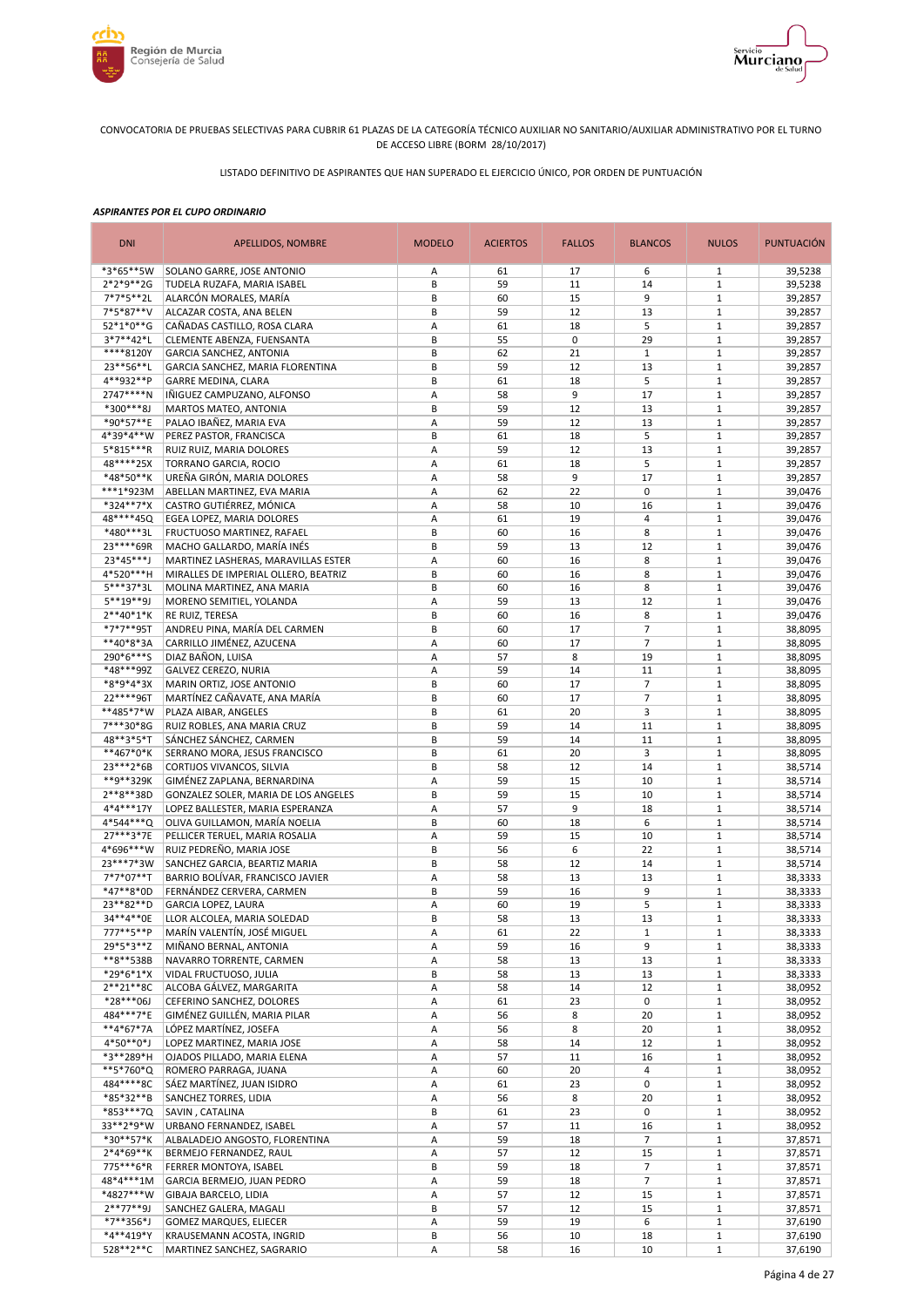



LISTADO DEFINITIVO DE ASPIRANTES QUE HAN SUPERADO EL EJERCICIO ÚNICO, POR ORDEN DE PUNTUACIÓN

| <b>DNI</b>               | <b>APELLIDOS, NOMBRE</b>                                          | <b>MODELO</b> | <b>ACIERTOS</b> | <b>FALLOS</b> | <b>BLANCOS</b>       | <b>NULOS</b>                | <b>PUNTUACIÓN</b>  |
|--------------------------|-------------------------------------------------------------------|---------------|-----------------|---------------|----------------------|-----------------------------|--------------------|
| *3*65**5W                | SOLANO GARRE, JOSE ANTONIO                                        | Α             | 61              | 17            | 6                    | $\mathbf{1}$                | 39,5238            |
| 2*2*9**2G                | TUDELA RUZAFA, MARIA ISABEL                                       | B             | 59              | 11            | 14                   | $1\,$                       | 39,5238            |
| 7*7*5**2L                | ALARCÓN MORALES, MARÍA                                            | В             | 60              | 15            | 9                    | $1\,$                       | 39,2857            |
| 7*5*87**V<br>52*1*0**G   | ALCAZAR COSTA, ANA BELEN<br>CAÑADAS CASTILLO, ROSA CLARA          | B<br>Α        | 59<br>61        | 12<br>18      | 13<br>5              | $1\,$<br>$1\,$              | 39,2857<br>39,2857 |
| 3*7**42*L                | CLEMENTE ABENZA, FUENSANTA                                        | B             | 55              | $\mathbf 0$   | 29                   | $\,1\,$                     | 39,2857            |
| ****8120Y                | GARCIA SANCHEZ, ANTONIA                                           | B             | 62              | 21            | $\mathbf{1}$         | $\,1\,$                     | 39,2857            |
| 23**56**L                | GARCIA SANCHEZ, MARIA FLORENTINA                                  | B             | 59              | 12            | 13                   | $1\,$                       | 39,2857            |
| 4**932**P                | <b>GARRE MEDINA, CLARA</b>                                        | B             | 61              | 18            | 5                    | $\mathbf 1$                 | 39,2857            |
| 2747****N                | IÑIGUEZ CAMPUZANO, ALFONSO                                        | A             | 58              | 9             | 17                   | $\mathbf{1}$                | 39,2857            |
| *300***8J                | MARTOS MATEO, ANTONIA                                             | B             | 59              | 12            | 13                   | $\mathbf 1$                 | 39,2857            |
| *90*57**E                | PALAO IBAÑEZ, MARIA EVA                                           | Α             | 59              | 12            | 13                   | $\mathbf{1}$                | 39,2857            |
| 4*39*4**W<br>5*815***R   | PEREZ PASTOR, FRANCISCA<br>RUIZ RUIZ, MARIA DOLORES               | B<br>Α        | 61<br>59        | 18<br>12      | 5<br>13              | $\mathbf 1$<br>$\mathbf{1}$ | 39,2857<br>39,2857 |
| 48****25X                | TORRANO GARCIA, ROCIO                                             | Α             | 61              | 18            | 5                    | $\mathbf 1$                 | 39,2857            |
| *48*50**K                | UREÑA GIRÓN, MARIA DOLORES                                        | Α             | 58              | 9             | 17                   | $\mathbf 1$                 | 39,2857            |
| ***1*923M                | ABELLAN MARTINEZ, EVA MARIA                                       | Α             | 62              | 22            | $\mathbf 0$          | $\mathbf 1$                 | 39,0476            |
| *324**7*X                | CASTRO GUTIÉRREZ, MÓNICA                                          | Α             | 58              | 10            | 16                   | $1\,$                       | 39,0476            |
| 48****45Q                | EGEA LOPEZ, MARIA DOLORES                                         | Α             | 61              | 19            | $\overline{4}$       | $\mathbf 1$                 | 39,0476            |
| *480***3L                | FRUCTUOSO MARTINEZ, RAFAEL                                        | B             | 60              | 16            | 8                    | $\mathbf{1}$                | 39,0476            |
| 23 **** 69R              | MACHO GALLARDO, MARÍA INÉS                                        | B             | 59              | 13            | 12                   | $1\,$                       | 39,0476            |
| 23*45***J                | MARTINEZ LASHERAS, MARAVILLAS ESTER                               | A             | 60              | 16            | 8                    | $\mathbf{1}$                | 39,0476            |
| 4*520***H<br>5***37*3L   | MIRALLES DE IMPERIAL OLLERO, BEATRIZ                              | B<br>B        | 60<br>60        | 16<br>16      | 8<br>8               | $1\,$<br>$1\,$              | 39,0476            |
| 5**19**9J                | MOLINA MARTINEZ, ANA MARIA<br>MORENO SEMITIEL, YOLANDA            | Α             | 59              | 13            | 12                   | $1\,$                       | 39,0476<br>39,0476 |
| $2**40*1*K$              | RE RUIZ, TERESA                                                   | B             | 60              | 16            | 8                    | $1\,$                       | 39,0476            |
| *7*7**95T                | ANDREU PINA, MARÍA DEL CARMEN                                     | B             | 60              | 17            | $\overline{7}$       | $1\,$                       | 38,8095            |
| **40*8*3A                | CARRILLO JIMÉNEZ, AZUCENA                                         | А             | 60              | 17            | $\overline{7}$       | $1\,$                       | 38,8095            |
| 290*6***S                | DIAZ BAÑON, LUISA                                                 | А             | 57              | 8             | 19                   | $1\,$                       | 38,8095            |
| *48***99Z                | GALVEZ CEREZO, NURIA                                              | Α             | 59              | 14            | 11                   | $1\,$                       | 38,8095            |
| *8*9*4*3X                | MARIN ORTIZ, JOSE ANTONIO                                         | B             | 60              | 17            | $\overline{7}$       | $\,1\,$                     | 38,8095            |
| 22****96T                | MARTÍNEZ CAÑAVATE, ANA MARÍA                                      | B             | 60              | 17            | $\overline{7}$       | $\mathbf{1}$                | 38,8095            |
| **485*7*W                | PLAZA AIBAR, ANGELES                                              | B             | 61              | 20            | 3                    | $1\,$<br>$\mathbf{1}$       | 38,8095            |
| 7***30*8G<br>48**3*5*T   | RUIZ ROBLES, ANA MARIA CRUZ<br>SÁNCHEZ SÁNCHEZ, CARMEN            | B<br>B        | 59<br>59        | 14<br>14      | 11<br>11             | $1\,$                       | 38,8095<br>38,8095 |
| **467*0*K                | SERRANO MORA, JESUS FRANCISCO                                     | B             | 61              | 20            | 3                    | $\mathbf 1$                 | 38,8095            |
| 23***2*6B                | CORTIJOS VIVANCOS, SILVIA                                         | B             | 58              | 12            | 14                   | $\mathbf{1}$                | 38,5714            |
| **9**329K                | GIMÉNEZ ZAPLANA, BERNARDINA                                       | Α             | 59              | 15            | 10                   | $\mathbf 1$                 | 38,5714            |
| 2**8**38D                | GONZALEZ SOLER, MARIA DE LOS ANGELES                              | B             | 59              | 15            | 10                   | $\mathbf{1}$                | 38,5714            |
| 4*4***17Y                | LOPEZ BALLESTER, MARIA ESPERANZA                                  | Α             | 57              | 9             | 18                   | $\mathbf 1$                 | 38,5714            |
| 4*544***Q                | OLIVA GUILLAMON, MARÍA NOELIA                                     | B             | 60              | 18            | 6                    | $1\,$                       | 38,5714            |
| 27***3*7E                | PELLICER TERUEL, MARIA ROSALIA                                    | Α             | 59              | 15            | 10                   | $\mathbf 1$                 | 38,5714            |
| 4*696***W<br>23***7*3W   | RUIZ PEDREÑO, MARIA JOSE                                          | B<br>B        | 56              | 6             | 22                   | $1\,$                       | 38,5714            |
| 7*7*07**T                | SANCHEZ GARCIA, BEARTIZ MARIA<br>BARRIO BOLÍVAR, FRANCISCO JAVIER | Α             | 58<br>58        | 12<br>13      | 14<br>13             | $\mathbf 1$<br>$\mathbf{1}$ | 38,5714<br>38,3333 |
| *47**8*0D                | FERNÁNDEZ CERVERA, CARMEN                                         | B             | 59              | 16            | 9                    | $\mathbf 1$                 | 38,3333            |
| 23**82**D                | <b>GARCIA LOPEZ. LAURA</b>                                        | A             | 60              | 19            | 5                    | $1\,$                       | 38,3333            |
| 34**4**0E                | LLOR ALCOLEA, MARIA SOLEDAD                                       | B             | 58              | 13            | 13                   | $\mathbf{1}$                | 38,3333            |
| 777**5**P                | MARÍN VALENTÍN, JOSÉ MIGUEL                                       | Α             | 61              | 22            | $\mathbf{1}$         | $\mathbf{1}$                | 38,3333            |
| 29*5*3**Z                | MIÑANO BERNAL, ANTONIA                                            | А             | 59              | 16            | 9                    | $\mathbf{1}$                | 38,3333            |
| **8**538B                | NAVARRO TORRENTE, CARMEN                                          | А             | 58              | 13            | 13                   | $\mathbf{1}$                | 38,3333            |
| *29*6*1*X                | VIDAL FRUCTUOSO, JULIA                                            | В             | 58              | 13            | 13                   | $\mathbf{1}$                | 38,3333            |
| 2**21**8C                | ALCOBA GÁLVEZ, MARGARITA                                          | Α             | 58              | 14            | 12                   | $1\,$                       | 38,0952            |
| *28***06J<br>484***7*E   | CEFERINO SANCHEZ, DOLORES<br>GIMÉNEZ GUILLÉN, MARIA PILAR         | Α<br>А        | 61<br>56        | 23<br>8       | 0<br>20              | $1\,$<br>$\mathbf{1}$       | 38,0952<br>38,0952 |
| **4*67*7A                | LÓPEZ MARTÍNEZ, JOSEFA                                            | Α             | 56              | 8             | 20                   | $1\,$                       | 38,0952            |
| 4*50**0*J                | LOPEZ MARTINEZ, MARIA JOSE                                        | А             | 58              | 14            | 12                   | $1\,$                       | 38,0952            |
| *3**289*H                | OJADOS PILLADO, MARIA ELENA                                       | А             | 57              | 11            | 16                   | $1\,$                       | 38,0952            |
| **5*760*Q                | ROMERO PARRAGA, JUANA                                             | А             | 60              | 20            | 4                    | $\mathbf 1$                 | 38,0952            |
| 484****8C                | SÁEZ MARTÍNEZ, JUAN ISIDRO                                        | А             | 61              | 23            | 0                    | $1\,$                       | 38,0952            |
| *85*32**B                | SANCHEZ TORRES, LIDIA                                             | А             | 56              | 8             | 20                   | $\mathbf 1$                 | 38,0952            |
| *853***7Q                | SAVIN, CATALINA                                                   | B             | 61              | 23            | 0                    | $\mathbf{1}$                | 38,0952            |
| 33**2*9*W                | URBANO FERNANDEZ, ISABEL                                          | Α             | 57              | 11            | 16                   | $\mathbf 1$                 | 38,0952            |
| *30**57*K                | ALBALADEJO ANGOSTO, FLORENTINA                                    | А             | 59              | 18            | $\overline{7}$       | $1\,$                       | 37,8571            |
| $2*4*69**K$<br>775***6*R | BERMEJO FERNANDEZ, RAUL<br>FERRER MONTOYA, ISABEL                 | Α<br>B        | 57<br>59        | 12<br>18      | 15<br>$\overline{7}$ | $1\,$<br>$1\,$              | 37,8571<br>37,8571 |
| 48*4***1M                | GARCIA BERMEJO, JUAN PEDRO                                        | Α             | 59              | 18            | $\overline{7}$       | $1\,$                       | 37,8571            |
| *4827***W                | GIBAJA BARCELO, LIDIA                                             | А             | 57              | 12            | 15                   | $\mathbf 1$                 | 37,8571            |
| $2***77**9J$             | SANCHEZ GALERA, MAGALI                                            | B             | 57              | 12            | 15                   | $\,1\,$                     | 37,8571            |
| *7**356*J                | <b>GOMEZ MARQUES, ELIECER</b>                                     | А             | 59              | 19            | 6                    | $1\,$                       | 37,6190            |
| *4**419*Y                | KRAUSEMANN ACOSTA, INGRID                                         | В             | 56              | 10            | 18                   | $\mathbf 1$                 | 37,6190            |
| 528**2**C                | MARTINEZ SANCHEZ, SAGRARIO                                        | А             | 58              | 16            | 10                   | $\mathbf{1}$                | 37,6190            |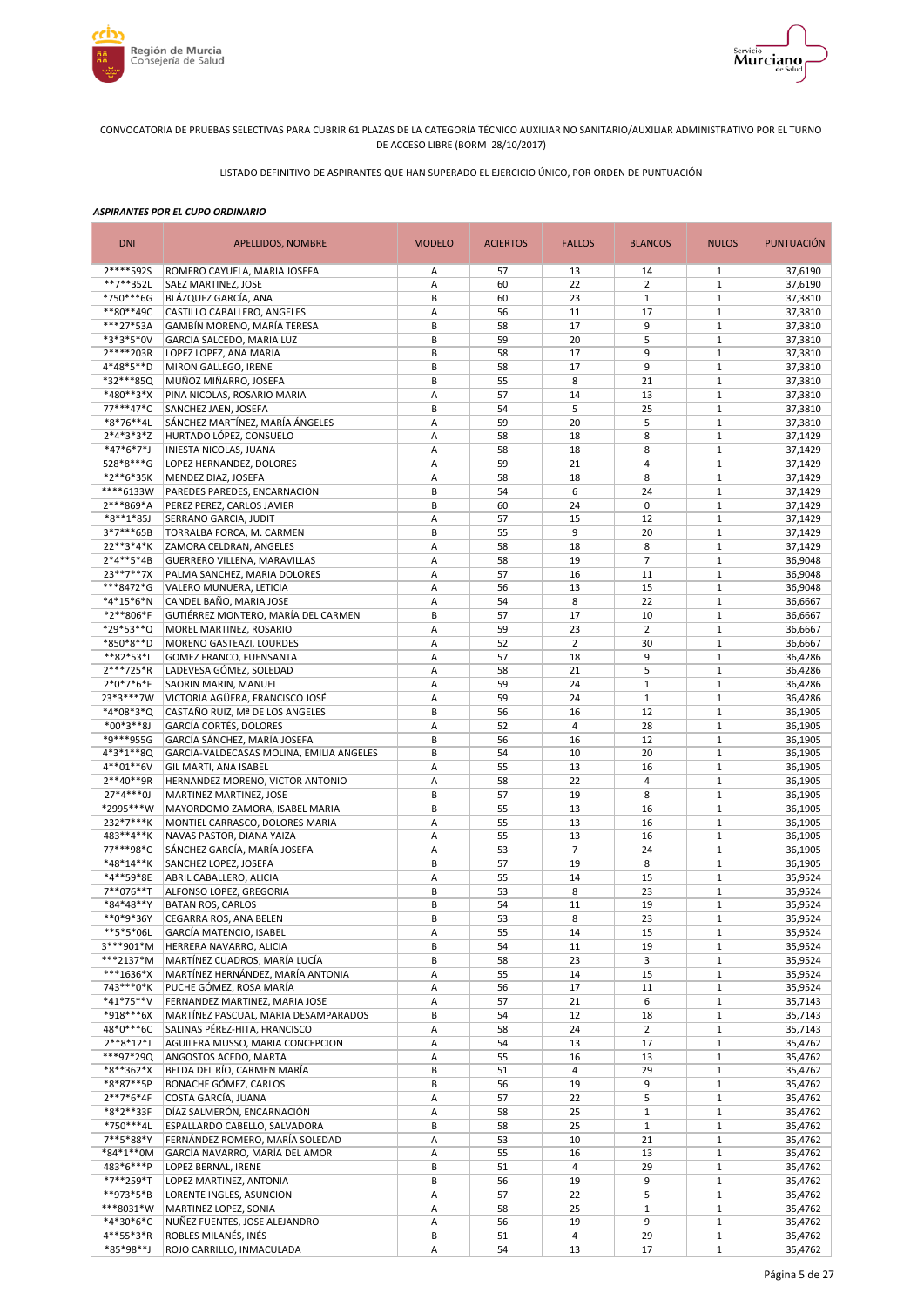



LISTADO DEFINITIVO DE ASPIRANTES QUE HAN SUPERADO EL EJERCICIO ÚNICO, POR ORDEN DE PUNTUACIÓN

| <b>DNI</b>               | APELLIDOS, NOMBRE                                          | <b>MODELO</b> | <b>ACIERTOS</b> | <b>FALLOS</b>           | <b>BLANCOS</b> | <b>NULOS</b>                 | <b>PUNTUACIÓN</b>  |
|--------------------------|------------------------------------------------------------|---------------|-----------------|-------------------------|----------------|------------------------------|--------------------|
| 2****592S                | ROMERO CAYUELA, MARIA JOSEFA                               | Α             | 57              | 13                      | 14             | 1                            | 37,6190            |
| **7**352L                | SAEZ MARTINEZ, JOSE                                        | Α             | 60              | 22                      | $\overline{2}$ | $1\,$                        | 37,6190            |
| *750***6G                | BLÁZQUEZ GARCÍA, ANA                                       | B             | 60              | 23                      | $\mathbf{1}$   | $\mathbf{1}$                 | 37,3810            |
| **80**49C<br>***27*53A   | CASTILLO CABALLERO, ANGELES                                | Α<br>B        | 56<br>58        | 11                      | 17<br>9        | $1\,$<br>$1\,$               | 37,3810            |
| *3*3*5*0V                | GAMBÍN MORENO, MARÍA TERESA<br>GARCIA SALCEDO, MARIA LUZ   | В             | 59              | 17<br>20                | 5              | $\mathbf{1}$                 | 37,3810<br>37,3810 |
| 2****203R                | LOPEZ LOPEZ, ANA MARIA                                     | B             | 58              | 17                      | 9              | $1\,$                        | 37,3810            |
| 4*48*5**D                | MIRON GALLEGO, IRENE                                       | B             | 58              | 17                      | 9              | $1\,$                        | 37,3810            |
| *32***85Q                | MUÑOZ MIÑARRO, JOSEFA                                      | B             | 55              | 8                       | 21             | $\mathbf 1$                  | 37,3810            |
| *480**3*X                | PINA NICOLAS, ROSARIO MARIA                                | Α             | 57              | 14                      | 13             | $1\,$                        | 37,3810            |
| 77***47*C                | SANCHEZ JAEN, JOSEFA                                       | B             | 54              | 5                       | 25             | $\mathbf{1}$                 | 37,3810            |
| *8*76**4L                | SÁNCHEZ MARTÍNEZ, MARÍA ÁNGELES                            | Α             | 59              | 20                      | 5              | $1\,$                        | 37,3810            |
| $2*4*3*3*Z$              | HURTADO LÓPEZ, CONSUELO                                    | A             | 58              | 18                      | 8              | $\mathbf{1}$                 | 37,1429            |
| *47*6*7*J                | INIESTA NICOLAS, JUANA                                     | Α             | 58              | 18                      | 8              | $\mathbf{1}$                 | 37,1429            |
| 528*8***G                | LOPEZ HERNANDEZ, DOLORES                                   | Α             | 59              | 21                      | 4              | $1\,$                        | 37,1429            |
| *2**6*35K<br>****6133W   | MENDEZ DIAZ, JOSEFA                                        | Α<br>B        | 58              | 18                      | 8<br>24        | $\mathbf{1}$<br>$1\,$        | 37,1429            |
| 2***869*A                | PAREDES PAREDES, ENCARNACION<br>PEREZ PEREZ, CARLOS JAVIER | B             | 54<br>60        | 6<br>24                 | 0              | $\mathbf{1}$                 | 37,1429<br>37,1429 |
| *8**1*85J                | SERRANO GARCIA, JUDIT                                      | Α             | 57              | 15                      | 12             | $\mathbf{1}$                 | 37,1429            |
| 3*7***65B                | TORRALBA FORCA, M. CARMEN                                  | B             | 55              | 9                       | 20             | $\mathbf{1}$                 | 37,1429            |
| 22**3*4*K                | ZAMORA CELDRAN, ANGELES                                    | А             | 58              | 18                      | 8              | $1\,$                        | 37,1429            |
| 2*4**5*4B                | GUERRERO VILLENA, MARAVILLAS                               | A             | 58              | 19                      | $\overline{7}$ | $\mathbf{1}$                 | 36,9048            |
| 23**7**7X                | PALMA SANCHEZ, MARIA DOLORES                               | А             | 57              | 16                      | 11             | $1\,$                        | 36,9048            |
| ***8472*G                | VALERO MUNUERA, LETICIA                                    | Α             | 56              | 13                      | 15             | $\mathbf{1}$                 | 36,9048            |
| *4*15*6*N                | CANDEL BAÑO, MARIA JOSE                                    | Α             | 54              | 8                       | 22             | $\mathbf{1}$                 | 36,6667            |
| *2**806*F                | GUTIÉRREZ MONTERO, MARÍA DEL CARMEN                        | B             | 57              | 17                      | 10             | $1\,$                        | 36,6667            |
| *29*53**Q                | MOREL MARTINEZ, ROSARIO                                    | Α             | 59              | 23                      | $\overline{2}$ | $1\,$                        | 36,6667            |
| *850*8**D                | MORENO GASTEAZI, LOURDES                                   | A             | 52              | $\overline{2}$          | 30             | $1\,$                        | 36,6667            |
| **82*53*L                | GOMEZ FRANCO, FUENSANTA                                    | Α             | 57              | 18                      | 9              | $1\,$                        | 36,4286            |
| 2***725*R                | LADEVESA GÓMEZ, SOLEDAD                                    | Α             | 58              | 21                      | 5              | $1\,$                        | 36,4286            |
| $2*0*7*6*F$              | SAORIN MARIN, MANUEL                                       | Α             | 59              | 24                      | $1\,$          | $\mathbf{1}$                 | 36,4286            |
| 23*3***7W                | VICTORIA AGÜERA, FRANCISCO JOSÉ                            | Α             | 59              | 24                      | $1\,$          | $\mathbf{1}$                 | 36,4286            |
| *4*08*3*Q<br>$*00*3**8J$ | CASTAÑO RUIZ, Mª DE LOS ANGELES<br>GARCÍA CORTÉS, DOLORES  | B             | 56<br>52        | 16<br>4                 | 12<br>28       | $\mathbf{1}$<br>$1\,$        | 36,1905            |
| *9***955G                | GARCÍA SÁNCHEZ, MARÍA JOSEFA                               | Α<br>B        | 56              | 16                      | 12             | $\mathbf{1}$                 | 36,1905<br>36,1905 |
| 4*3*1**8Q                | GARCIA-VALDECASAS MOLINA, EMILIA ANGELES                   | B             | 54              | 10                      | 20             | $1\,$                        | 36,1905            |
| 4**01**6V                | GIL MARTI, ANA ISABEL                                      | Α             | 55              | 13                      | 16             | $\mathbf{1}$                 | 36,1905            |
| $2**40**9R$              | HERNANDEZ MORENO, VICTOR ANTONIO                           | Α             | 58              | 22                      | 4              | $\mathbf{1}$                 | 36,1905            |
| $27*4***0J$              | MARTINEZ MARTINEZ, JOSE                                    | B             | 57              | 19                      | 8              | $\mathbf{1}$                 | 36,1905            |
| *2995***W                | MAYORDOMO ZAMORA, ISABEL MARIA                             | B             | 55              | 13                      | 16             | $1\,$                        | 36,1905            |
| 232*7***K                | MONTIEL CARRASCO, DOLORES MARIA                            | Α             | 55              | 13                      | 16             | $\mathbf{1}$                 | 36,1905            |
| 483**4**K                | NAVAS PASTOR, DIANA YAIZA                                  | Α             | 55              | 13                      | 16             | $1\,$                        | 36,1905            |
| 77***98*C                | SÁNCHEZ GARCÍA, MARÍA JOSEFA                               | Α             | 53              | $\overline{7}$          | 24             | $\mathbf{1}$                 | 36,1905            |
| *48*14**K                | SANCHEZ LOPEZ, JOSEFA                                      | B             | 57              | 19                      | 8              | $\mathbf{1}$                 | 36,1905            |
| *4**59*8E                | ABRIL CABALLERO, ALICIA                                    | Α             | 55              | 14                      | 15             | $\mathbf{1}$                 | 35,9524            |
| 7**076**T                | ALFONSO LOPEZ, GREGORIA                                    | B             | 53              | 8                       | 23             | $\mathbf{1}$                 | 35,9524            |
| *84*48**Y                | <b>BATAN ROS, CARLOS</b>                                   | B             | 54              | 11                      | 19             | $1\,$                        | 35,9524            |
| **0*9*36Y<br>**5*5*06L   | CEGARRA ROS, ANA BELEN<br>GARCÍA MATENCIO, ISABEL          | B<br>Α        | 53<br>55        | 8<br>14                 | 23<br>15       | $\mathbf{1}$<br>$\mathbf{1}$ | 35,9524<br>35,9524 |
| 3***901*M                | HERRERA NAVARRO, ALICIA                                    | B             | 54              | 11                      | 19             | $\mathbf{1}$                 | 35,9524            |
| ***2137*M                | MARTÍNEZ CUADROS, MARÍA LUCÍA                              | B             | 58              | 23                      | 3              | $\mathbf{1}$                 | 35,9524            |
| $***1636*X$              | MARTÍNEZ HERNÁNDEZ, MARÍA ANTONIA                          | А             | 55              | 14                      | 15             | $\mathbf{1}$                 | 35,9524            |
| 743***0*K                | PUCHE GÓMEZ, ROSA MARÍA                                    | Α             | 56              | 17                      | 11             | $\mathbf{1}$                 | 35,9524            |
| $*41*75**V$              | FERNANDEZ MARTINEZ, MARIA JOSE                             | Α             | 57              | 21                      | 6              | $\mathbf{1}$                 | 35,7143            |
| *918***6X                | MARTÍNEZ PASCUAL, MARIA DESAMPARADOS                       | B             | 54              | 12                      | 18             | $\mathbf{1}$                 | 35,7143            |
| 48*0***6C                | SALINAS PÉREZ-HITA, FRANCISCO                              | Α             | 58              | 24                      | $\overline{2}$ | $\mathbf{1}$                 | 35,7143            |
| $2***8*12*J$             | AGUILERA MUSSO, MARIA CONCEPCION                           | Α             | 54              | 13                      | 17             | $\mathbf{1}$                 | 35,4762            |
| ***97*29Q                | ANGOSTOS ACEDO, MARTA                                      | Α             | 55              | 16                      | 13             | $\mathbf{1}$                 | 35,4762            |
| *8**362*X                | BELDA DEL RÍO, CARMEN MARÍA                                | B             | 51              | $\overline{\mathbf{4}}$ | 29             | $\mathbf{1}$                 | 35,4762            |
| *8*87**5P                | BONACHE GÓMEZ, CARLOS                                      | B             | 56              | 19                      | 9              | $\mathbf{1}$                 | 35,4762            |
| $2**7*6*4F$<br>*8*2**33F | COSTA GARCÍA, JUANA<br>DÍAZ SALMERÓN, ENCARNACIÓN          | Α             | 57<br>58        | 22<br>25                | 5<br>$1\,$     | $\mathbf 1$<br>$\mathbf{1}$  | 35,4762            |
| *750***4L                | ESPALLARDO CABELLO, SALVADORA                              | Α<br>B        | 58              | 25                      | $1\,$          | $\mathbf{1}$                 | 35,4762<br>35,4762 |
| 7**5*88*Y                | FERNÁNDEZ ROMERO, MARÍA SOLEDAD                            | Α             | 53              | 10                      | 21             | $\mathbf{1}$                 | 35,4762            |
| *84*1**0M                | GARCÍA NAVARRO, MARÍA DEL AMOR                             | Α             | 55              | 16                      | 13             | $\mathbf{1}$                 | 35,4762            |
| 483*6***P                | LOPEZ BERNAL, IRENE                                        | B             | 51              | 4                       | 29             | $\mathbf{1}$                 | 35,4762            |
| *7**259*T                | LOPEZ MARTINEZ, ANTONIA                                    | B             | 56              | 19                      | 9              | $\mathbf{1}$                 | 35,4762            |
| **973*5*B                | LORENTE INGLES, ASUNCION                                   | Α             | 57              | 22                      | 5              | $\mathbf{1}$                 | 35,4762            |
| ***8031*W                | MARTINEZ LOPEZ, SONIA                                      | Α             | 58              | 25                      | $\mathbf 1$    | $\mathbf{1}$                 | 35,4762            |
| *4*30*6*C                | NUÑEZ FUENTES, JOSE ALEJANDRO                              | Α             | 56              | 19                      | 9              | $\mathbf{1}$                 | 35,4762            |
| 4**55*3*R                | ROBLES MILANÉS, INÉS                                       | B             | 51              | 4                       | 29             | $\mathbf{1}$                 | 35,4762            |
| *85*98**J                | ROJO CARRILLO, INMACULADA                                  | Α             | 54              | 13                      | 17             | $\mathbf{1}$                 | 35,4762            |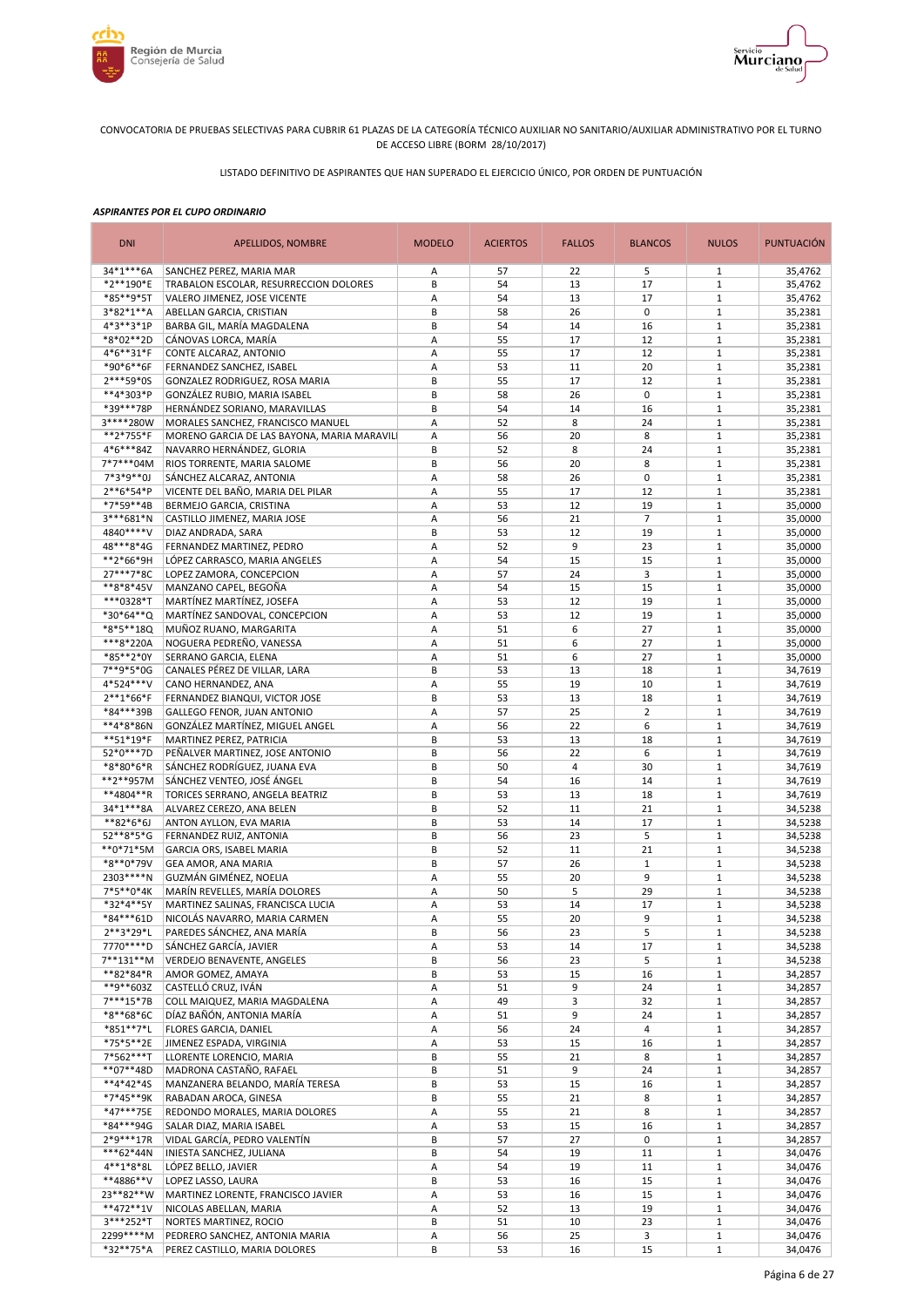



LISTADO DEFINITIVO DE ASPIRANTES QUE HAN SUPERADO EL EJERCICIO ÚNICO, POR ORDEN DE PUNTUACIÓN

| <b>DNI</b><br><b>MODELO</b><br><b>ACIERTOS</b><br><b>APELLIDOS, NOMBRE</b>                                               | <b>FALLOS</b><br><b>BLANCOS</b> | <b>NULOS</b>                | <b>PUNTUACIÓN</b>  |
|--------------------------------------------------------------------------------------------------------------------------|---------------------------------|-----------------------------|--------------------|
| 34*1***6A<br>SANCHEZ PEREZ, MARIA MAR<br>57<br>Α                                                                         | 22<br>5                         | $\mathbf{1}$                | 35,4762            |
| B<br>*2**190*E<br>TRABALON ESCOLAR, RESURRECCION DOLORES<br>54                                                           | 13<br>17                        | $1\,$                       | 35,4762            |
| *85**9*5T<br>VALERO JIMENEZ, JOSE VICENTE<br>А<br>54<br>3*82*1**A<br>ABELLAN GARCIA, CRISTIAN<br>B<br>58                 | 13<br>17<br>26<br>0             | $1\,$<br>$1\,$              | 35,4762<br>35,2381 |
| BARBA GIL, MARÍA MAGDALENA<br>B<br>4*3**3*1P<br>54                                                                       | 14<br>16                        | $1\,$                       | 35,2381            |
| CÁNOVAS LORCA, MARÍA<br>55<br>*8*02**2D<br>Α                                                                             | 12<br>17                        | $\,1\,$                     | 35,2381            |
| 4*6**31*F<br>CONTE ALCARAZ, ANTONIO<br>Α<br>55                                                                           | 17<br>12                        | $\mathbf 1$                 | 35,2381            |
| *90*6**6F<br>53<br>FERNANDEZ SANCHEZ, ISABEL<br>A                                                                        | 11<br>20                        | $\mathbf 1$                 | 35,2381            |
| 2***59*0S<br>B<br>GONZALEZ RODRIGUEZ, ROSA MARIA<br>55                                                                   | 17<br>12                        | $\mathbf 1$                 | 35,2381            |
| GONZÁLEZ RUBIO, MARIA ISABEL<br>B<br>58<br>**4*303*P                                                                     | $\mathbf 0$<br>26               | $1\,$                       | 35,2381            |
| *39***78P<br>HERNÁNDEZ SORIANO, MARAVILLAS<br>B<br>54                                                                    | 14<br>16                        | $\mathbf 1$                 | 35,2381            |
| 3****280W<br>MORALES SANCHEZ, FRANCISCO MANUEL<br>A<br>52                                                                | 8<br>24                         | $\mathbf{1}$                | 35,2381            |
| **2*755*F<br>Α<br>MORENO GARCIA DE LAS BAYONA, MARIA MARAVILI<br>56<br>4*6***84Z<br>NAVARRO HERNÁNDEZ, GLORIA<br>B<br>52 | 20<br>8<br>8<br>24              | $\mathbf 1$<br>$\mathbf{1}$ | 35,2381<br>35,2381 |
| 7*7***04M<br>RIOS TORRENTE, MARIA SALOME<br>В<br>56                                                                      | 20<br>8                         | $\mathbf 1$                 | 35,2381            |
| 7*3*9**0J<br>SÁNCHEZ ALCARAZ, ANTONIA<br>58<br>Α                                                                         | 26<br>$\mathbf 0$               | $\mathbf 1$                 | 35,2381            |
| VICENTE DEL BAÑO, MARIA DEL PILAR<br>55<br>2**6*54*P<br>Α                                                                | 12<br>17                        | $\mathbf 1$                 | 35,2381            |
| 53<br>*7*59**4B<br>BERMEJO GARCIA, CRISTINA<br>Α                                                                         | 12<br>19                        | $1\,$                       | 35,0000            |
| 56<br>3***681*N<br>CASTILLO JIMENEZ, MARIA JOSE<br>Α                                                                     | $\overline{7}$<br>21            | $\mathbf 1$                 | 35,0000            |
| 4840****V<br>B<br>53<br>DIAZ ANDRADA, SARA                                                                               | 12<br>19                        | $\mathbf{1}$                | 35,0000            |
| 48***8*4G<br>52<br>FERNANDEZ MARTINEZ, PEDRO<br>Α                                                                        | 9<br>23                         | $1\,$                       | 35,0000            |
| **2*66*9H<br>A<br>54<br>LÓPEZ CARRASCO, MARIA ANGELES                                                                    | 15<br>15                        | $\mathbf{1}$                | 35,0000            |
| 27***7*8C<br>LOPEZ ZAMORA, CONCEPCION<br>57<br>А                                                                         | 3<br>24                         | $1\,$                       | 35,0000            |
| **8*8*45V<br>MANZANO CAPEL, BEGOÑA<br>А<br>54<br>***0328*T<br>MARTÍNEZ MARTÍNEZ, JOSEFA<br>А<br>53                       | 15<br>15<br>12<br>19            | $1\,$<br>$1\,$              | 35,0000            |
| *30*64**Q<br>MARTÍNEZ SANDOVAL, CONCEPCION<br>А<br>53                                                                    | 12<br>19                        | $1\,$                       | 35,0000<br>35,0000 |
| *8*5**18Q<br>MUÑOZ RUANO, MARGARITA<br>51<br>А                                                                           | 6<br>27                         | $1\,$                       | 35,0000            |
| ***8*220A<br>NOGUERA PEDREÑO, VANESSA<br>А<br>51                                                                         | 6<br>27                         | $1\,$                       | 35,0000            |
| *85**2*0Y<br>SERRANO GARCIA, ELENA<br>А<br>51                                                                            | 6<br>27                         | $1\,$                       | 35,0000            |
| CANALES PÉREZ DE VILLAR, LARA<br>B<br>7**9*5*0G<br>53                                                                    | 13<br>18                        | $1\,$                       | 34,7619            |
| 4*524***V<br>CANO HERNANDEZ, ANA<br>Α<br>55                                                                              | 19<br>10                        | $\,1\,$                     | 34,7619            |
| B<br>53<br>$2**1*66*F$<br>FERNANDEZ BIANQUI, VICTOR JOSE                                                                 | 13<br>18                        | $\mathbf 1$                 | 34,7619            |
| *84***39B<br>57<br>GALLEGO FENOR, JUAN ANTONIO<br>A                                                                      | $\overline{2}$<br>25            | $1\,$                       | 34,7619            |
| **4*8*86N<br>A<br>GONZÁLEZ MARTÍNEZ, MIGUEL ANGEL<br>56                                                                  | 22<br>6                         | $\mathbf 1$                 | 34,7619            |
| **51*19*F<br>MARTINEZ PEREZ, PATRICIA<br>B<br>53<br>52*0***7D<br>PEÑALVER MARTINEZ, JOSE ANTONIO<br>B<br>56              | 13<br>18<br>22<br>6             | $1\,$<br>$\mathbf 1$        | 34,7619<br>34,7619 |
| SÁNCHEZ RODRÍGUEZ, JUANA EVA<br>B<br>50<br>*8*80*6*R                                                                     | $\overline{4}$<br>30            | $\mathbf{1}$                | 34,7619            |
| **2**957M<br>SÁNCHEZ VENTEO, JOSÉ ÁNGEL<br>B<br>54                                                                       | 16<br>14                        | $\mathbf 1$                 | 34,7619            |
| **4804**R<br>TORICES SERRANO, ANGELA BEATRIZ<br>B<br>53                                                                  | 13<br>18                        | $\mathbf{1}$                | 34,7619            |
| 52<br>34*1***8A<br>ALVAREZ CEREZO, ANA BELEN<br>В                                                                        | 11<br>21                        | $\mathbf 1$                 | 34,5238            |
| B<br>53<br>**82*6*6J<br>ANTON AYLLON, EVA MARIA                                                                          | 14<br>17                        | $1\,$                       | 34,5238            |
| 52**8*5*G<br>FERNANDEZ RUIZ, ANTONIA<br>56<br>В                                                                          | 23<br>5                         | $\mathbf 1$                 | 34,5238            |
| B<br>52<br>**0*71*5M<br>GARCIA ORS, ISABEL MARIA                                                                         | 11<br>21                        | $1\,$                       | 34,5238            |
| B<br><b>GEA AMOR, ANA MARIA</b><br>57<br>*8**0*79V                                                                       | $\mathbf 1$<br>26               | $\mathbf 1$                 | 34,5238            |
| 2303 **** N<br>GUZMÁN GIMÉNEZ, NOELIA<br>Α<br>55<br>7*5**0*4K<br>50<br>MARÍN REVELLES, MARÍA DOLORES<br>Α                | 20<br>9<br>5<br>29              | $\mathbf{1}$<br>$\mathbf 1$ | 34,5238<br>34,5238 |
| *32*4**5Y<br>A<br>53<br>MARTINEZ SALINAS, FRANCISCA LUCIA                                                                | 14<br>17                        | $1\,$                       | 34,5238            |
| *84***61D<br>NICOLÁS NAVARRO, MARIA CARMEN<br>55<br>A                                                                    | 9<br>20                         | $\mathbf{1}$                | 34,5238            |
| 2**3*29*L<br>PAREDES SÁNCHEZ, ANA MARÍA<br>В<br>56                                                                       | 5<br>23                         | $\mathbf{1}$                | 34,5238            |
| 7770 **** D<br>SÁNCHEZ GARCÍA, JAVIER<br>А<br>53                                                                         | 14<br>17                        | $\mathbf{1}$                | 34,5238            |
| $7***131***M$<br>VERDEJO BENAVENTE, ANGELES<br>В<br>56                                                                   | 23<br>5                         | $\mathbf{1}$                | 34,5238            |
| **82*84*R<br>AMOR GOMEZ, AMAYA<br>В<br>53                                                                                | 15<br>16                        | $\mathbf{1}$                | 34,2857            |
| **9**603Z<br>CASTELLÓ CRUZ, IVÁN<br>Α<br>51                                                                              | 9<br>24                         | $1\,$                       | 34,2857            |
| 7***15*7B<br>COLL MAIQUEZ, MARIA MAGDALENA<br>49<br>Α                                                                    | 3<br>32                         | $1\,$                       | 34,2857            |
| DÍAZ BAÑÓN, ANTONIA MARÍA<br>*8**68*6C<br>Α<br>51                                                                        | 9<br>24                         | $\mathbf{1}$                | 34,2857            |
| *851**7*L<br>FLORES GARCIA, DANIEL<br>56<br>Α<br>*75*5**2E<br>JIMENEZ ESPADA, VIRGINIA<br>А                              | 24<br>4<br>15                   | $1\,$<br>$1\,$              | 34,2857            |
| 53<br>7*562***T<br>LLORENTE LORENCIO, MARIA<br>В<br>55                                                                   | 16<br>8<br>21                   | $1\,$                       | 34,2857<br>34,2857 |
| **07**48D<br>MADRONA CASTAÑO, RAFAEL<br>B<br>51                                                                          | 9<br>24                         | $\mathbf{1}$                | 34,2857            |
| **4*42*4S<br>MANZANERA BELANDO, MARÍA TERESA<br>B<br>53                                                                  | 15<br>16                        | $1\,$                       | 34,2857            |
| *7*45**9K<br>B<br>55<br>RABADAN AROCA, GINESA                                                                            | 21<br>8                         | $\mathbf 1$                 | 34,2857            |
| *47***75E<br>REDONDO MORALES, MARIA DOLORES<br>А<br>55                                                                   | 21<br>8                         | $\mathbf{1}$                | 34,2857            |
| *84***94G<br>SALAR DIAZ, MARIA ISABEL<br>Α<br>53                                                                         | 15<br>16                        | $\mathbf 1$                 | 34,2857            |
| 2*9***17R<br>VIDAL GARCÍA, PEDRO VALENTÍN<br>B<br>57                                                                     | 27<br>0                         | $1\,$                       | 34,2857            |
| ***62*44N<br>INIESTA SANCHEZ, JULIANA<br>В<br>54                                                                         | 19<br>11                        | $1\,$                       | 34,0476            |
| 4**1*8*8L<br>LÓPEZ BELLO, JAVIER<br>54<br>Α                                                                              | 19<br>11                        | $\mathbf{1}$                | 34,0476            |
| **4886**V<br>LOPEZ LASSO, LAURA<br>B<br>53<br>23**82**W<br>MARTINEZ LORENTE, FRANCISCO JAVIER<br>А<br>53                 | 16<br>15<br>16<br>15            | $1\,$<br>$\mathbf 1$        | 34,0476<br>34,0476 |
| **472**1V<br>А<br>52<br>NICOLAS ABELLAN, MARIA                                                                           | 13<br>19                        | $\,1\,$                     | 34,0476            |
| 3***252*T<br>B<br>NORTES MARTINEZ, ROCIO<br>51                                                                           | 10<br>23                        | $\mathbf{1}$                | 34,0476            |
| 2299 **** M<br>56<br>PEDRERO SANCHEZ, ANTONIA MARIA<br>Α                                                                 | 25<br>3                         | $\mathbf 1$                 | 34,0476            |
| *32**75*A<br>В<br>53<br>PEREZ CASTILLO, MARIA DOLORES                                                                    | 16<br>15                        | $\mathbf{1}$                | 34,0476            |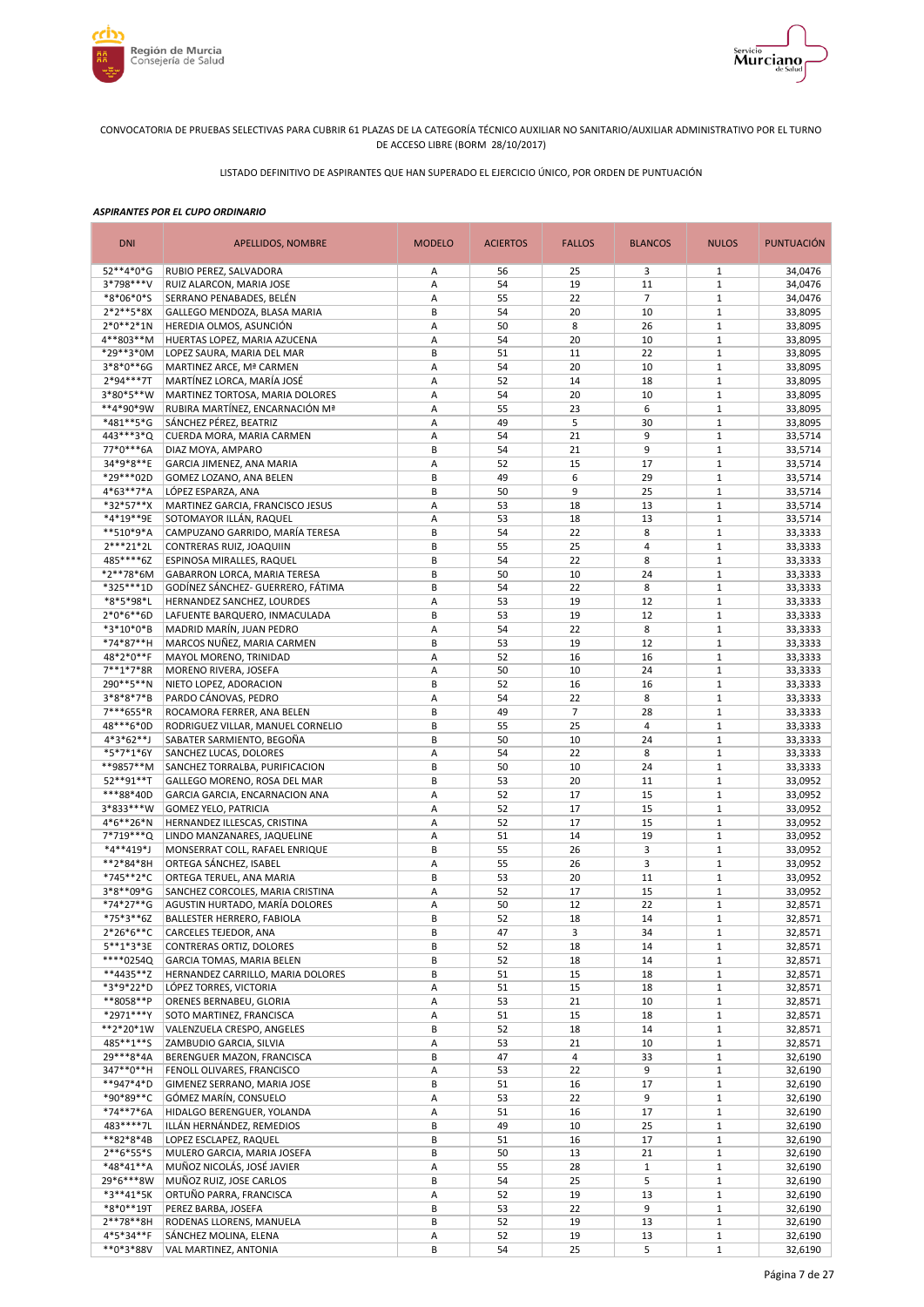



LISTADO DEFINITIVO DE ASPIRANTES QUE HAN SUPERADO EL EJERCICIO ÚNICO, POR ORDEN DE PUNTUACIÓN

| <b>DNI</b>               | APELLIDOS, NOMBRE                                              | <b>MODELO</b> | <b>ACIERTOS</b> | <b>FALLOS</b>           | <b>BLANCOS</b> | <b>NULOS</b>                 | <b>PUNTUACIÓN</b>  |
|--------------------------|----------------------------------------------------------------|---------------|-----------------|-------------------------|----------------|------------------------------|--------------------|
| 52**4*0*G                | RUBIO PEREZ, SALVADORA                                         | Α             | 56              | 25                      | 3              | $\mathbf{1}$                 | 34,0476            |
| 3*798***V                | RUIZ ALARCON, MARIA JOSE                                       | Α             | 54              | 19                      | 11             | $\mathbf{1}$                 | 34,0476            |
| *8*06*0*S                | SERRANO PENABADES, BELÉN                                       | Α             | 55              | 22                      | $\overline{7}$ | $\mathbf{1}$                 | 34,0476            |
| $2*2**5*8X$              | GALLEGO MENDOZA, BLASA MARIA                                   | B             | 54              | 20                      | 10             | $\mathbf{1}$                 | 33,8095            |
| $2*0**2*1N$<br>4**803**M | HEREDIA OLMOS, ASUNCIÓN                                        | Α             | 50<br>54        | 8                       | 26             | $\mathbf{1}$<br>$1\,$        | 33,8095            |
| *29**3*0M                | HUERTAS LOPEZ, MARIA AZUCENA<br>LOPEZ SAURA, MARIA DEL MAR     | А<br>B        | 51              | 20<br>11                | 10<br>22       | $\mathbf 1$                  | 33,8095<br>33,8095 |
| 3*8*0**6G                | MARTINEZ ARCE, Mª CARMEN                                       | Α             | 54              | 20                      | 10             | $1\,$                        | 33,8095            |
| 2*94***7T                | MARTÍNEZ LORCA, MARÍA JOSÉ                                     | Α             | 52              | 14                      | 18             | $\mathbf{1}$                 | 33,8095            |
| 3*80*5**W                | MARTINEZ TORTOSA, MARIA DOLORES                                | Α             | 54              | 20                      | 10             | $1\,$                        | 33,8095            |
| **4*90*9W                | RUBIRA MARTÍNEZ, ENCARNACIÓN Mª                                | Α             | 55              | 23                      | 6              | $\mathbf{1}$                 | 33,8095            |
| *481**5*G                | SÁNCHEZ PÉREZ, BEATRIZ                                         | Α             | 49              | 5                       | 30             | $\mathbf{1}$                 | 33,8095            |
| 443 *** 3* Q             | CUERDA MORA, MARIA CARMEN                                      | Α             | 54              | 21                      | 9              | $\mathbf{1}$                 | 33,5714            |
| 77*0***6A                | DIAZ MOYA, AMPARO                                              | B             | 54              | 21                      | 9              | $\mathbf{1}$                 | 33,5714            |
| 34*9*8**E                | GARCIA JIMENEZ, ANA MARIA                                      | Α             | 52              | 15                      | 17             | $\mathbf{1}$                 | 33,5714            |
| *29***02D                | GOMEZ LOZANO, ANA BELEN                                        | B             | 49              | 6                       | 29             | $1\,$                        | 33,5714            |
| 4*63**7*A                | LÓPEZ ESPARZA, ANA                                             | B             | 50              | 9                       | 25             | $\mathbf{1}$                 | 33,5714            |
| *32*57**X                | MARTINEZ GARCIA, FRANCISCO JESUS                               | A             | 53              | 18                      | 13             | $1\,$                        | 33,5714            |
| *4*19**9E                | SOTOMAYOR ILLÁN, RAQUEL                                        | A             | 53              | 18                      | 13             | $1\,$                        | 33,5714            |
| **510*9*A<br>2***21*2L   | CAMPUZANO GARRIDO, MARÍA TERESA                                | B<br>B        | 54<br>55        | 22<br>25                | 8<br>4         | $\mathbf{1}$<br>$1\,$        | 33,3333            |
| 485****6Z                | CONTRERAS RUIZ, JOAQUIIN<br>ESPINOSA MIRALLES, RAQUEL          | B             | 54              | 22                      | 8              | $\mathbf{1}$                 | 33,3333<br>33,3333 |
| *2**78*6M                | GABARRON LORCA, MARIA TERESA                                   | B             | 50              | 10                      | 24             | $1\,$                        | 33,3333            |
| *325***1D                | GODÍNEZ SÁNCHEZ- GUERRERO, FÁTIMA                              | B             | 54              | 22                      | 8              | $\mathbf{1}$                 | 33,3333            |
| *8*5*98*L                | HERNANDEZ SANCHEZ, LOURDES                                     | А             | 53              | 19                      | 12             | $1\,$                        | 33,3333            |
| $2*0*6**6D$              | LAFUENTE BARQUERO, INMACULADA                                  | B             | 53              | 19                      | 12             | $\mathbf{1}$                 | 33,3333            |
| *3*10*0*B                | MADRID MARÍN, JUAN PEDRO                                       | А             | 54              | 22                      | 8              | $\mathbf{1}$                 | 33,3333            |
| *74*87**H                | MARCOS NUÑEZ, MARIA CARMEN                                     | B             | 53              | 19                      | 12             | $1\,$                        | 33,3333            |
| 48*2*0**F                | MAYOL MORENO, TRINIDAD                                         | Α             | 52              | 16                      | 16             | $\mathbf{1}$                 | 33,3333            |
| 7**1*7*8R                | MORENO RIVERA, JOSEFA                                          | А             | 50              | 10                      | 24             | $\mathbf{1}$                 | 33,3333            |
| 290**5**N                | NIETO LOPEZ, ADORACION                                         | B             | 52              | 16                      | 16             | $1\,$                        | 33,3333            |
| 3*8*8*7*B                | PARDO CÁNOVAS, PEDRO                                           | Α             | 54              | 22                      | 8              | $\mathbf{1}$                 | 33,3333            |
| 7***655*R                | ROCAMORA FERRER, ANA BELEN                                     | B             | 49              | $\overline{7}$          | 28             | $1\,$                        | 33,3333            |
| 48***6*0D                | RODRIGUEZ VILLAR, MANUEL CORNELIO                              | B             | 55              | 25                      | 4              | $\mathbf{1}$                 | 33,3333            |
| $4*3*62**$ J             | SABATER SARMIENTO, BEGOÑA                                      | B             | 50              | 10                      | 24             | $1\,$                        | 33,3333            |
| *5*7*1*6Y                | SANCHEZ LUCAS, DOLORES                                         | Α             | 54              | 22                      | 8              | $\mathbf{1}$                 | 33,3333            |
| **9857**M<br>52**91**T   | SANCHEZ TORRALBA, PURIFICACION                                 | B<br>B        | 50<br>53        | 10<br>20                | 24<br>11       | $\mathbf{1}$<br>$\mathbf{1}$ | 33,3333<br>33,0952 |
| ***88*40D                | GALLEGO MORENO, ROSA DEL MAR<br>GARCIA GARCIA, ENCARNACION ANA | Α             | 52              | 17                      | 15             | $\mathbf{1}$                 | 33,0952            |
| 3*833***W                | <b>GOMEZ YELO, PATRICIA</b>                                    | Α             | 52              | 17                      | 15             | $1\,$                        | 33,0952            |
| 4*6**26*N                | HERNANDEZ ILLESCAS, CRISTINA                                   | Α             | 52              | 17                      | 15             | $\mathbf{1}$                 | 33,0952            |
| 7*719***Q                | LINDO MANZANARES, JAQUELINE                                    | Α             | 51              | 14                      | 19             | $\mathbf{1}$                 | 33,0952            |
| *4**419*J                | MONSERRAT COLL, RAFAEL ENRIQUE                                 | B             | 55              | 26                      | 3              | $1\,$                        | 33,0952            |
| **2*84*8H                | ORTEGA SÁNCHEZ, ISABEL                                         | A             | 55              | 26                      | 3              | $1\,$                        | 33,0952            |
| *745**2*C                | ORTEGA TERUEL, ANA MARIA                                       | B             | 53              | 20                      | 11             | $1\,$                        | 33,0952            |
| 3*8**09*G                | SANCHEZ CORCOLES, MARIA CRISTINA                               | Α             | 52              | 17                      | 15             | $1\,$                        | 33,0952            |
| *74*27**G                | AGUSTIN HURTADO, MARÍA DOLORES                                 | A             | 50              | 12                      | 22             | $\mathbf{1}$                 | 32,8571            |
| *75*3**6Z                | <b>BALLESTER HERRERO, FABIOLA</b>                              | B             | 52              | 18                      | 14             | $\mathbf{1}$                 | 32,8571            |
| $2*26*6**C$              | CARCELES TEJEDOR, ANA                                          | B             | 47              | 3                       | 34             | $\mathbf{1}$                 | 32,8571            |
| $5***1*3*3E$             | CONTRERAS ORTIZ, DOLORES                                       | B             | 52              | 18                      | 14             | $\mathbf{1}$                 | 32,8571            |
| ****0254Q                | <b>GARCIA TOMAS, MARIA BELEN</b>                               | B             | 52              | 18                      | 14             | $\mathbf{1}$                 | 32,8571            |
| **4435**Z<br>*3*9*22*D   | HERNANDEZ CARRILLO, MARIA DOLORES<br>LÓPEZ TORRES, VICTORIA    | В<br>А        | 51<br>51        | 15<br>15                | 18<br>18       | $\mathbf{1}$<br>$\mathbf{1}$ | 32,8571<br>32,8571 |
| **8058**P                | ORENES BERNABEU, GLORIA                                        | Α             | 53              | 21                      | 10             | $\mathbf{1}$                 | 32,8571            |
| *2971***Y                | SOTO MARTINEZ, FRANCISCA                                       | Α             | 51              | 15                      | 18             | $\mathbf{1}$                 | 32,8571            |
| **2*20*1W                | VALENZUELA CRESPO, ANGELES                                     | B             | 52              | 18                      | 14             | $\mathbf{1}$                 | 32,8571            |
| 485**1**S                | ZAMBUDIO GARCIA, SILVIA                                        | А             | 53              | 21                      | 10             | $\mathbf 1$                  | 32,8571            |
| 29***8*4A                | BERENGUER MAZON, FRANCISCA                                     | B             | 47              | $\overline{\mathbf{4}}$ | 33             | $\mathbf 1$                  | 32,6190            |
| 347**0**H                | FENOLL OLIVARES, FRANCISCO                                     | Α             | 53              | 22                      | 9              | $\mathbf{1}$                 | 32,6190            |
| **947*4*D                | GIMENEZ SERRANO, MARIA JOSE                                    | B             | 51              | 16                      | 17             | $\mathbf 1$                  | 32,6190            |
| *90*89**C                | GÓMEZ MARÍN, CONSUELO                                          | Α             | 53              | 22                      | 9              | $1\,$                        | 32,6190            |
| *74**7*6A                | HIDALGO BERENGUER, YOLANDA                                     | Α             | 51              | 16                      | 17             | $\mathbf{1}$                 | 32,6190            |
| 483****7L                | ILLÁN HERNÁNDEZ, REMEDIOS                                      | B             | 49              | 10                      | 25             | $1\,$                        | 32,6190            |
| **82*8*4B                | LOPEZ ESCLAPEZ, RAQUEL                                         | B             | 51              | 16                      | 17             | $\mathbf{1}$                 | 32,6190            |
| $2**6*55*5$              | MULERO GARCIA, MARIA JOSEFA                                    | B             | 50              | 13                      | 21             | $1\,$                        | 32,6190            |
| *48*41**A                | MUÑOZ NICOLÁS, JOSÉ JAVIER                                     | А             | 55              | 28                      | $1\,$          | $\mathbf{1}$                 | 32,6190            |
| 29*6***8W<br>*3**41*5K   | MUÑOZ RUIZ, JOSE CARLOS<br>ORTUÑO PARRA, FRANCISCA             | B<br>A        | 54<br>52        | 25<br>19                | 5<br>13        | $\mathbf{1}$<br>$\mathbf{1}$ | 32,6190<br>32,6190 |
| $*8*0**19T$              | PEREZ BARBA, JOSEFA                                            | B             | 53              | 22                      | 9              | $\mathbf 1$                  | 32,6190            |
| $2***78***8H$            | RODENAS LLORENS, MANUELA                                       | B             | 52              | 19                      | 13             | $\mathbf{1}$                 | 32,6190            |
| 4*5*34**F                | SÁNCHEZ MOLINA, ELENA                                          | A             | 52              | 19                      | 13             | $\mathbf 1$                  | 32,6190            |
| **0*3*88V                | VAL MARTINEZ, ANTONIA                                          | B             | 54              | 25                      | 5              | $\mathbf 1$                  | 32,6190            |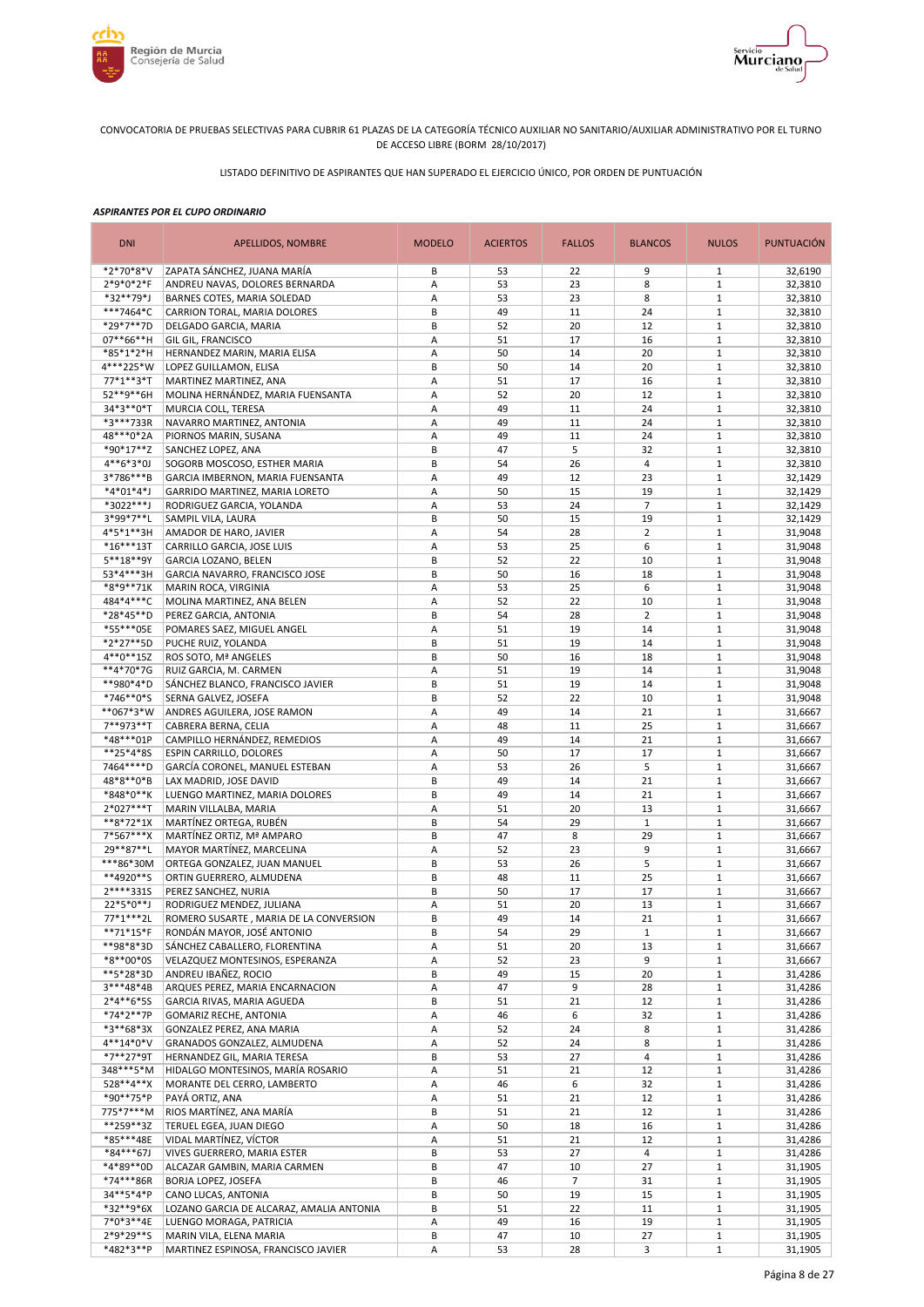



LISTADO DEFINITIVO DE ASPIRANTES QUE HAN SUPERADO EL EJERCICIO ÚNICO, POR ORDEN DE PUNTUACIÓN

| <b>DNI</b>               | APELLIDOS, NOMBRE                                                | <b>MODELO</b> | <b>ACIERTOS</b> | <b>FALLOS</b>  | <b>BLANCOS</b>     | <b>NULOS</b>                 | PUNTUACIÓN         |
|--------------------------|------------------------------------------------------------------|---------------|-----------------|----------------|--------------------|------------------------------|--------------------|
| *2*70*8*V                | ZAPATA SÁNCHEZ, JUANA MARÍA                                      | B             | 53              | 22             | 9                  | 1                            | 32,6190            |
| 2*9*0*2*F                | ANDREU NAVAS, DOLORES BERNARDA                                   | Α             | 53              | 23             | 8                  | $1\,$                        | 32,3810            |
| *32**79*J                | BARNES COTES, MARIA SOLEDAD                                      | Α             | 53              | 23             | 8                  | $\mathbf{1}$                 | 32,3810            |
| ***7464*C<br>*29*7**7D   | CARRION TORAL, MARIA DOLORES<br>DELGADO GARCIA, MARIA            | B<br>B        | 49<br>52        | 11<br>20       | 24<br>12           | $1\,$<br>$\mathbf{1}$        | 32,3810<br>32,3810 |
| 07**66**H                | GIL GIL, FRANCISCO                                               | Α             | 51              | 17             | 16                 | $1\,$                        | 32,3810            |
| *85*1*2*H                | HERNANDEZ MARIN, MARIA ELISA                                     | Α             | 50              | 14             | 20                 | $\mathbf{1}$                 | 32,3810            |
| 4***225*W                | LOPEZ GUILLAMON, ELISA                                           | B             | 50              | 14             | 20                 | $\mathbf{1}$                 | 32,3810            |
| 77*1**3*T                | MARTINEZ MARTINEZ, ANA                                           | Α             | 51              | 17             | 16                 | $\mathbf{1}$                 | 32,3810            |
| 52**9**6H                | MOLINA HERNÁNDEZ, MARIA FUENSANTA                                | Α             | 52              | 20             | 12                 | $\mathbf{1}$                 | 32,3810            |
| 34*3**0*T                | MURCIA COLL, TERESA                                              | Α             | 49              | 11             | 24                 | $\mathbf{1}$                 | 32,3810            |
| *3***733R                | NAVARRO MARTINEZ, ANTONIA                                        | Α             | 49              | 11             | 24                 | $\mathbf{1}$                 | 32,3810            |
| 48***0*2A                | PIORNOS MARIN, SUSANA                                            | Α             | 49              | 11             | 24                 | $1\,$                        | 32,3810            |
| *90*17**Z                | SANCHEZ LOPEZ, ANA                                               | B             | 47              | 5              | 32                 | $1\,$                        | 32,3810            |
| $4**6*3*0J$<br>3*786***B | SOGORB MOSCOSO, ESTHER MARIA<br>GARCIA IMBERNON, MARIA FUENSANTA | B<br>A        | 54<br>49        | 26<br>12       | 4<br>23            | $1\,$<br>$1\,$               | 32,3810<br>32,1429 |
| $*4*01*4*$               | GARRIDO MARTINEZ, MARIA LORETO                                   | A             | 50              | 15             | 19                 | $1\,$                        | 32,1429            |
| *3022***J                | RODRIGUEZ GARCIA, YOLANDA                                        | A             | 53              | 24             | $\overline{7}$     | $\mathbf{1}$                 | 32,1429            |
| 3*99*7**L                | SAMPIL VILA, LAURA                                               | B             | 50              | 15             | 19                 | $1\,$                        | 32,1429            |
| 4*5*1**3H                | AMADOR DE HARO, JAVIER                                           | A             | 54              | 28             | $\overline{2}$     | $\mathbf{1}$                 | 31,9048            |
| $*16***13T$              | CARRILLO GARCIA, JOSE LUIS                                       | А             | 53              | 25             | 6                  | $1\,$                        | 31,9048            |
| 5**18**9Y                | <b>GARCIA LOZANO, BELEN</b>                                      | B             | 52              | 22             | 10                 | $\mathbf{1}$                 | 31,9048            |
| 53*4***3H                | GARCIA NAVARRO, FRANCISCO JOSE                                   | B             | 50              | 16             | 18                 | $1\,$                        | 31,9048            |
| *8*9**71K                | MARIN ROCA, VIRGINIA                                             | Α             | 53              | 25             | 6                  | $1\,$                        | 31,9048            |
| 484*4***C                | MOLINA MARTINEZ, ANA BELEN                                       | Α             | 52              | 22             | 10                 | $\mathbf{1}$                 | 31,9048            |
| *28*45**D<br>*55***05E   | PEREZ GARCIA, ANTONIA                                            | B             | 54              | 28             | $\overline{2}$     | $1\,$                        | 31,9048            |
| *2*27**5D                | POMARES SAEZ, MIGUEL ANGEL<br>PUCHE RUIZ, YOLANDA                | А<br>B        | 51<br>51        | 19<br>19       | 14<br>14           | $\mathbf{1}$<br>$\mathbf{1}$ | 31,9048<br>31,9048 |
| 4**0**15Z                | ROS SOTO, Mª ANGELES                                             | B             | 50              | 16             | 18                 | $1\,$                        | 31,9048            |
| **4*70*7G                | RUIZ GARCIA, M. CARMEN                                           | Α             | 51              | 19             | 14                 | $\mathbf{1}$                 | 31,9048            |
| **980*4*D                | SÁNCHEZ BLANCO, FRANCISCO JAVIER                                 | B             | 51              | 19             | 14                 | $1\,$                        | 31,9048            |
| *746**0*S                | SERNA GALVEZ, JOSEFA                                             | B             | 52              | 22             | 10                 | $\mathbf{1}$                 | 31,9048            |
| **067*3*W                | ANDRES AGUILERA, JOSE RAMON                                      | Α             | 49              | 14             | 21                 | $\mathbf{1}$                 | 31,6667            |
| 7**973**T                | CABRERA BERNA, CELIA                                             | Α             | 48              | 11             | 25                 | $\mathbf{1}$                 | 31,6667            |
| *48***01P                | CAMPILLO HERNÁNDEZ, REMEDIOS                                     | Α             | 49              | 14             | 21                 | $\mathbf{1}$                 | 31,6667            |
| **25*4*8S                | ESPIN CARRILLO, DOLORES                                          | Α             | 50              | 17             | 17                 | $1\,$                        | 31,6667            |
| 7464 **** D              | GARCÍA CORONEL, MANUEL ESTEBAN                                   | Α             | 53              | 26             | 5                  | $\mathbf{1}$                 | 31,6667            |
| 48*8**0*B<br>*848*0**K   | LAX MADRID, JOSE DAVID<br>LUENGO MARTINEZ, MARIA DOLORES         | B<br>B        | 49<br>49        | 14<br>14       | 21<br>21           | $\mathbf{1}$<br>$\mathbf{1}$ | 31,6667<br>31,6667 |
| $2*027***$ T             | MARIN VILLALBA, MARIA                                            | А             | 51              | 20             | 13                 | $\mathbf{1}$                 | 31,6667            |
| **8*72*1X                | MARTÍNEZ ORTEGA, RUBÉN                                           | B             | 54              | 29             | $\mathbf{1}$       | $1\,$                        | 31,6667            |
| 7*567***X                | MARTÍNEZ ORTIZ, Mª AMPARO                                        | B             | 47              | 8              | 29                 | $1\,$                        | 31,6667            |
| 29**87**L                | MAYOR MARTÍNEZ, MARCELINA                                        | A             | 52              | 23             | 9                  | $\mathbf{1}$                 | 31,6667            |
| ***86*30M                | ORTEGA GONZALEZ, JUAN MANUEL                                     | B             | 53              | 26             | 5                  | $1\,$                        | 31,6667            |
| **4920**S                | ORTIN GUERRERO, ALMUDENA                                         | B             | 48              | 11             | 25                 | $1\,$                        | 31,6667            |
| 2****331S                | PEREZ SANCHEZ, NURIA                                             | B             | 50              | 17             | 17                 | $1\,$                        | 31,6667            |
| 22*5*0**J                | RODRIGUEZ MENDEZ, JULIANA                                        | Α             | 51              | 20             | 13                 | $1\,$                        | 31,6667            |
| 77*1***2L                | ROMERO SUSARTE, MARIA DE LA CONVERSION                           | B             | 49              | 14             | 21                 | $1\,$                        | 31,6667            |
| **71*15*F<br>**98*8*3D   | RONDÁN MAYOR, JOSÉ ANTONIO<br>SÁNCHEZ CABALLERO, FLORENTINA      | В<br>Α        | 54<br>51        | 29<br>20       | $\mathbf{1}$<br>13 | 1<br>$\mathbf{1}$            | 31,6667<br>31,6667 |
| *8**00*0S                | VELAZQUEZ MONTESINOS, ESPERANZA                                  | Α             | 52              | 23             | 9                  | $\mathbf{1}$                 | 31,6667            |
| **5*28*3D                | ANDREU IBAÑEZ, ROCIO                                             | B             | 49              | 15             | 20                 | $\mathbf{1}$                 | 31,4286            |
| $3***48*4B$              | ARQUES PEREZ, MARIA ENCARNACION                                  | Α             | 47              | 9              | 28                 | $\mathbf 1$                  | 31,4286            |
| $2*4**6*55$              | GARCIA RIVAS, MARIA AGUEDA                                       | B             | 51              | 21             | 12                 | $\mathbf{1}$                 | 31,4286            |
| *74*2**7P                | <b>GOMARIZ RECHE, ANTONIA</b>                                    | Α             | 46              | 6              | 32                 | $\mathbf{1}$                 | 31,4286            |
| *3**68*3X                | GONZALEZ PEREZ, ANA MARIA                                        | Α             | 52              | 24             | 8                  | $\mathbf 1$                  | 31,4286            |
| 4**14*0*V                | GRANADOS GONZALEZ, ALMUDENA                                      | Α             | 52              | 24             | 8                  | $1\,$                        | 31,4286            |
| *7**27*9T                | HERNANDEZ GIL, MARIA TERESA                                      | B             | 53              | 27             | 4                  | $\mathbf{1}$                 | 31,4286            |
| 348***5*M                | HIDALGO MONTESINOS, MARÍA ROSARIO                                | Α             | 51              | 21             | 12                 | $1\,$                        | 31,4286            |
| 528**4**X                | MORANTE DEL CERRO, LAMBERTO<br>PAYÁ ORTIZ, ANA                   | Α             | 46              | 6              | 32                 | $\mathbf{1}$                 | 31,4286            |
| *90**75*P<br>775*7***M   | RIOS MARTÍNEZ, ANA MARÍA                                         | Α<br>B        | 51<br>51        | 21<br>21       | 12<br>12           | $1\,$<br>$\mathbf{1}$        | 31,4286<br>31,4286 |
| **259**3Z                | TERUEL EGEA, JUAN DIEGO                                          | А             | 50              | 18             | 16                 | $\mathbf{1}$                 | 31,4286            |
| *85***48E                | VIDAL MARTÍNEZ, VÍCTOR                                           | А             | 51              | 21             | 12                 | $\mathbf{1}$                 | 31,4286            |
| *84***67J                | VIVES GUERRERO, MARIA ESTER                                      | B             | 53              | 27             | 4                  | $1\,$                        | 31,4286            |
| *4*89**0D                | ALCAZAR GAMBIN, MARIA CARMEN                                     | B             | 47              | 10             | 27                 | $\mathbf{1}$                 | 31,1905            |
| *74***86R                | BORJA LOPEZ, JOSEFA                                              | B             | 46              | $\overline{7}$ | 31                 | $1\,$                        | 31,1905            |
| 34**5*4*P                | CANO LUCAS, ANTONIA                                              | B             | 50              | 19             | 15                 | $\mathbf{1}$                 | 31,1905            |
| *32**9*6X                | LOZANO GARCIA DE ALCARAZ, AMALIA ANTONIA                         | B             | 51              | 22             | 11                 | $\mathbf 1$                  | 31,1905            |
| 7*0*3**4E                | LUENGO MORAGA, PATRICIA                                          | Α             | 49              | 16             | 19                 | $\mathbf{1}$                 | 31,1905            |
| 2*9*29**S<br>*482*3**P   | MARIN VILA, ELENA MARIA                                          | B             | 47              | 10             | 27                 | $\mathbf{1}$                 | 31,1905            |
|                          | MARTINEZ ESPINOSA, FRANCISCO JAVIER                              | A             | 53              | 28             | 3                  | $\mathbf{1}$                 | 31,1905            |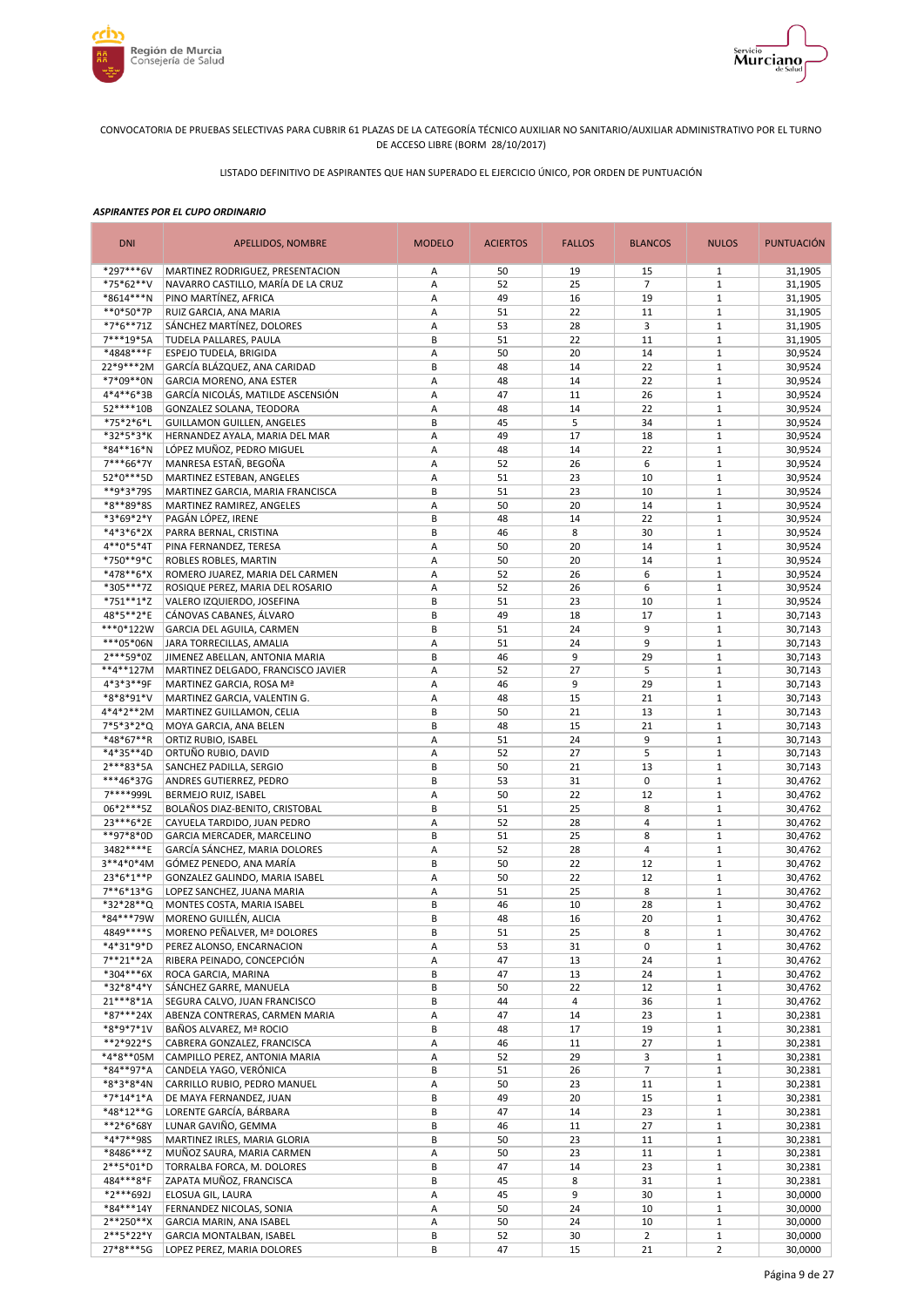



LISTADO DEFINITIVO DE ASPIRANTES QUE HAN SUPERADO EL EJERCICIO ÚNICO, POR ORDEN DE PUNTUACIÓN

| <b>DNI</b>               | APELLIDOS, NOMBRE                                       | <b>MODELO</b> | <b>ACIERTOS</b> | <b>FALLOS</b> | <b>BLANCOS</b>       | <b>NULOS</b>                  | <b>PUNTUACIÓN</b>  |
|--------------------------|---------------------------------------------------------|---------------|-----------------|---------------|----------------------|-------------------------------|--------------------|
| *297***6V                | MARTINEZ RODRIGUEZ, PRESENTACION                        | Α             | 50              | 19            | 15                   | $\mathbf{1}$                  | 31,1905            |
| *75*62**V                | NAVARRO CASTILLO, MARÍA DE LA CRUZ                      | Α             | 52              | 25            | 7                    | $\mathbf{1}$                  | 31,1905            |
| *8614***N                | PINO MARTÍNEZ, AFRICA                                   | Α             | 49              | 16            | 19                   | $\mathbf{1}$                  | 31,1905            |
| **0*50*7P<br>$*7*6**71Z$ | RUIZ GARCIA, ANA MARIA<br>SÁNCHEZ MARTÍNEZ, DOLORES     | Α<br>Α        | 51<br>53        | 22<br>28      | 11<br>3              | $\mathbf{1}$<br>$\mathbf{1}$  | 31,1905<br>31,1905 |
| 7***19*5A                | TUDELA PALLARES, PAULA                                  | B             | 51              | 22            | 11                   | $1\,$                         | 31,1905            |
| *4848***F                | ESPEJO TUDELA, BRIGIDA                                  | Α             | 50              | 20            | 14                   | $\mathbf 1$                   | 30,9524            |
| 22*9***2M                | GARCÍA BLÁZQUEZ, ANA CARIDAD                            | B             | 48              | 14            | 22                   | $1\,$                         | 30,9524            |
| *7*09**0N                | GARCIA MORENO, ANA ESTER                                | Α             | 48              | 14            | 22                   | $\mathbf{1}$                  | 30,9524            |
| 4*4**6*3B                | GARCÍA NICOLÁS, MATILDE ASCENSIÓN                       | Α             | 47              | 11            | 26                   | $1\,$                         | 30,9524            |
| 52****10B                | GONZALEZ SOLANA, TEODORA                                | Α             | 48              | 14            | 22                   | $\mathbf{1}$                  | 30,9524            |
| *75*2*6*L                | <b>GUILLAMON GUILLEN, ANGELES</b>                       | B             | 45              | 5             | 34                   | $\mathbf{1}$                  | 30,9524            |
| *32*5*3*K                | HERNANDEZ AYALA, MARIA DEL MAR                          | Α             | 49              | 17            | 18                   | $\mathbf{1}$                  | 30,9524            |
| *84**16*N<br>7***66*7Y   | LÓPEZ MUÑOZ, PEDRO MIGUEL<br>MANRESA ESTAÑ, BEGOÑA      | Α<br>Α        | 48<br>52        | 14<br>26      | 22<br>6              | $\mathbf{1}$<br>$1\,$         | 30,9524<br>30,9524 |
| 52*0***5D                | MARTINEZ ESTEBAN, ANGELES                               | Α             | 51              | 23            | 10                   | $1\,$                         | 30,9524            |
| **9*3*79S                | MARTINEZ GARCIA, MARIA FRANCISCA                        | B             | 51              | 23            | 10                   | $\mathbf{1}$                  | 30,9524            |
| *8**89*85                | MARTINEZ RAMIREZ, ANGELES                               | A             | 50              | 20            | 14                   | $1\,$                         | 30,9524            |
| *3*69*2*Y                | PAGÁN LÓPEZ, IRENE                                      | B             | 48              | 14            | 22                   | $1\,$                         | 30,9524            |
| *4*3*6*2X                | PARRA BERNAL, CRISTINA                                  | B             | 46              | 8             | 30                   | $\mathbf{1}$                  | 30,9524            |
| 4**0*5*4T                | PINA FERNANDEZ, TERESA                                  | A             | 50              | 20            | 14                   | $1\,$                         | 30,9524            |
| *750**9*C                | ROBLES ROBLES, MARTIN                                   | A             | 50              | 20            | 14                   | $\mathbf{1}$                  | 30,9524            |
| *478**6*X                | ROMERO JUAREZ, MARIA DEL CARMEN                         | A             | 52              | 26            | 6                    | $1\,$                         | 30,9524            |
| *305***7Z                | ROSIQUE PEREZ, MARIA DEL ROSARIO                        | A             | 52              | 26            | 6                    | $1\,$                         | 30,9524            |
| *751**1*Z                | VALERO IZQUIERDO, JOSEFINA                              | B             | 51              | 23            | 10                   | $1\,$                         | 30,9524            |
| 48*5**2*E<br>***0*122W   | CÁNOVAS CABANES, ÁLVARO<br>GARCIA DEL AGUILA, CARMEN    | B<br>B        | 49<br>51        | 18<br>24      | 17<br>9              | $\mathbf{1}$<br>$\mathbf{1}$  | 30,7143<br>30,7143 |
| ***05*06N                | JARA TORRECILLAS, AMALIA                                | Α             | 51              | 24            | 9                    | $1\,$                         | 30,7143            |
| 2***59*0Z                | JIMENEZ ABELLAN, ANTONIA MARIA                          | B             | 46              | 9             | 29                   | $\mathbf{1}$                  | 30,7143            |
| **4**127M                | MARTINEZ DELGADO, FRANCISCO JAVIER                      | Α             | 52              | 27            | 5                    | $\mathbf{1}$                  | 30,7143            |
| 4*3*3**9F                | MARTINEZ GARCIA, ROSA Mª                                | А             | 46              | 9             | 29                   | $1\,$                         | 30,7143            |
| *8*8*91*V                | MARTINEZ GARCIA, VALENTIN G.                            | Α             | 48              | 15            | 21                   | $\mathbf 1$                   | 30,7143            |
| 4*4*2**2M                | MARTINEZ GUILLAMON, CELIA                               | B             | 50              | 21            | 13                   | $1\,$                         | 30,7143            |
| 7*5*3*2*Q                | MOYA GARCIA, ANA BELEN                                  | B             | 48              | 15            | 21                   | $\mathbf{1}$                  | 30,7143            |
| *48*67**R                | ORTIZ RUBIO, ISABEL                                     | Α             | 51              | 24            | 9                    | $1\,$                         | 30,7143            |
| *4*35**4D                | ORTUÑO RUBIO, DAVID                                     | Α             | 52              | 27            | 5                    | $\mathbf{1}$                  | 30,7143            |
| 2***83*5A<br>***46*37G   | SANCHEZ PADILLA, SERGIO                                 | B<br>B        | 50<br>53        | 21<br>31      | 13<br>0              | $\mathbf{1}$<br>$\mathbf{1}$  | 30,7143<br>30,4762 |
| 7****999L                | ANDRES GUTIERREZ, PEDRO<br>BERMEJO RUIZ, ISABEL         | Α             | 50              | 22            | 12                   | $\mathbf{1}$                  | 30,4762            |
| 06*2***5Z                | BOLAÑOS DIAZ-BENITO, CRISTOBAL                          | B             | 51              | 25            | 8                    | $1\,$                         | 30,4762            |
| 23 *** 6 * 2E            | CAYUELA TARDIDO, JUAN PEDRO                             | Α             | 52              | 28            | 4                    | $1\,$                         | 30,4762            |
| **97*8*0D                | GARCIA MERCADER, MARCELINO                              | B             | 51              | 25            | 8                    | $1\,$                         | 30,4762            |
| 3482 **** E              | GARCÍA SÁNCHEZ, MARIA DOLORES                           | A             | 52              | 28            | 4                    | $1\,$                         | 30,4762            |
| $3**4*0*4M$              | GÓMEZ PENEDO, ANA MARÍA                                 | B             | 50              | 22            | 12                   | $1\,$                         | 30,4762            |
| 23*6*1**P                | GONZALEZ GALINDO, MARIA ISABEL                          | A             | 50              | 22            | 12                   | $1\,$                         | 30,4762            |
| 7**6*13*G                | LOPEZ SANCHEZ, JUANA MARIA                              | Α             | 51              | 25            | 8                    | $1\,$                         | 30,4762            |
| *32*28**Q                | MONTES COSTA, MARIA ISABEL                              | B             | 46              | 10            | 28                   | $1\,$                         | 30,4762            |
| *84***79W<br>4849****S   | MORENO GUILLÉN, ALICIA<br>MORENO PEÑALVER, Mª DOLORES   | B<br>B        | 48              | 16            | 20                   | $\mathbf{1}$                  | 30,4762            |
| *4*31*9*D                | PEREZ ALONSO, ENCARNACION                               | Α             | 51<br>53        | 25<br>31      | 8<br>0               | $\mathbf{1}$<br>$\mathbf{1}$  | 30,4762<br>30,4762 |
| $7***21***2A$            | RIBERA PEINADO, CONCEPCIÓN                              | Α             | 47              | 13            | 24                   | $\mathbf{1}$                  | 30,4762            |
| *304***6X                | ROCA GARCIA, MARINA                                     | В             | 47              | 13            | 24                   | $\mathbf{1}$                  | 30,4762            |
| *32*8*4*Y                | SÁNCHEZ GARRE, MANUELA                                  | B             | 50              | 22            | 12                   | $\mathbf{1}$                  | 30,4762            |
| $21***8*1A$              | SEGURA CALVO, JUAN FRANCISCO                            | В             | 44              | 4             | 36                   | $\mathbf{1}$                  | 30,4762            |
| *87***24X                | ABENZA CONTRERAS, CARMEN MARIA                          | Α             | 47              | 14            | 23                   | $\mathbf{1}$                  | 30,2381            |
| *8*9*7*1V                | BAÑOS ALVAREZ, Mª ROCIO                                 | B             | 48              | 17            | 19                   | $\mathbf 1$                   | 30,2381            |
| **2*922*S                | CABRERA GONZALEZ, FRANCISCA                             | А             | 46              | 11            | 27                   | $\mathbf 1$                   | 30,2381            |
| *4*8**05M                | CAMPILLO PEREZ, ANTONIA MARIA                           | Α             | 52              | 29            | 3                    | $\mathbf 1$                   | 30,2381            |
| *84**97*A                | CANDELA YAGO, VERÓNICA                                  | B             | 51              | 26            | $\overline{7}$       | $\mathbf{1}$                  | 30,2381            |
| *8*3*8*4N<br>*7*14*1*A   | CARRILLO RUBIO, PEDRO MANUEL<br>DE MAYA FERNANDEZ, JUAN | Α<br>B        | 50<br>49        | 23            | 11                   | $\mathbf 1$<br>$1\,$          | 30,2381<br>30,2381 |
| *48*12**G                | LORENTE GARCÍA, BÁRBARA                                 | B             | 47              | 20<br>14      | 15<br>23             | $\mathbf{1}$                  | 30,2381            |
| **2*6*68Y                | LUNAR GAVIÑO, GEMMA                                     | B             | 46              | 11            | 27                   | $1\,$                         | 30,2381            |
| *4*7**985                | MARTINEZ IRLES, MARIA GLORIA                            | B             | 50              | 23            | 11                   | $1\,$                         | 30,2381            |
| *8486***Z                | MUÑOZ SAURA, MARIA CARMEN                               | А             | 50              | 23            | 11                   | $1\,$                         | 30,2381            |
| 2**5*01*D                | TORRALBA FORCA, M. DOLORES                              | B             | 47              | 14            | 23                   | $\mathbf 1$                   | 30,2381            |
| 484***8*F                | ZAPATA MUÑOZ, FRANCISCA                                 | B             | 45              | 8             | 31                   | $1\,$                         | 30,2381            |
| $*2***692J$              | ELOSUA GIL, LAURA                                       | А             | 45              | 9             | 30                   | $\mathbf{1}$                  | 30,0000            |
| *84***14Y                | FERNANDEZ NICOLAS, SONIA                                | А             | 50              | 24            | 10                   | $\mathbf 1$                   | 30,0000            |
| $2***250***X$            | GARCIA MARIN, ANA ISABEL                                | А             | 50              | 24            | 10                   | $\mathbf{1}$                  | 30,0000            |
| 2**5*22*Y<br>27*8***5G   | GARCIA MONTALBAN, ISABEL<br>LOPEZ PEREZ, MARIA DOLORES  | B<br>B        | 52<br>47        | 30<br>15      | $\overline{2}$<br>21 | $\mathbf 1$<br>$\overline{2}$ | 30,0000<br>30,0000 |
|                          |                                                         |               |                 |               |                      |                               |                    |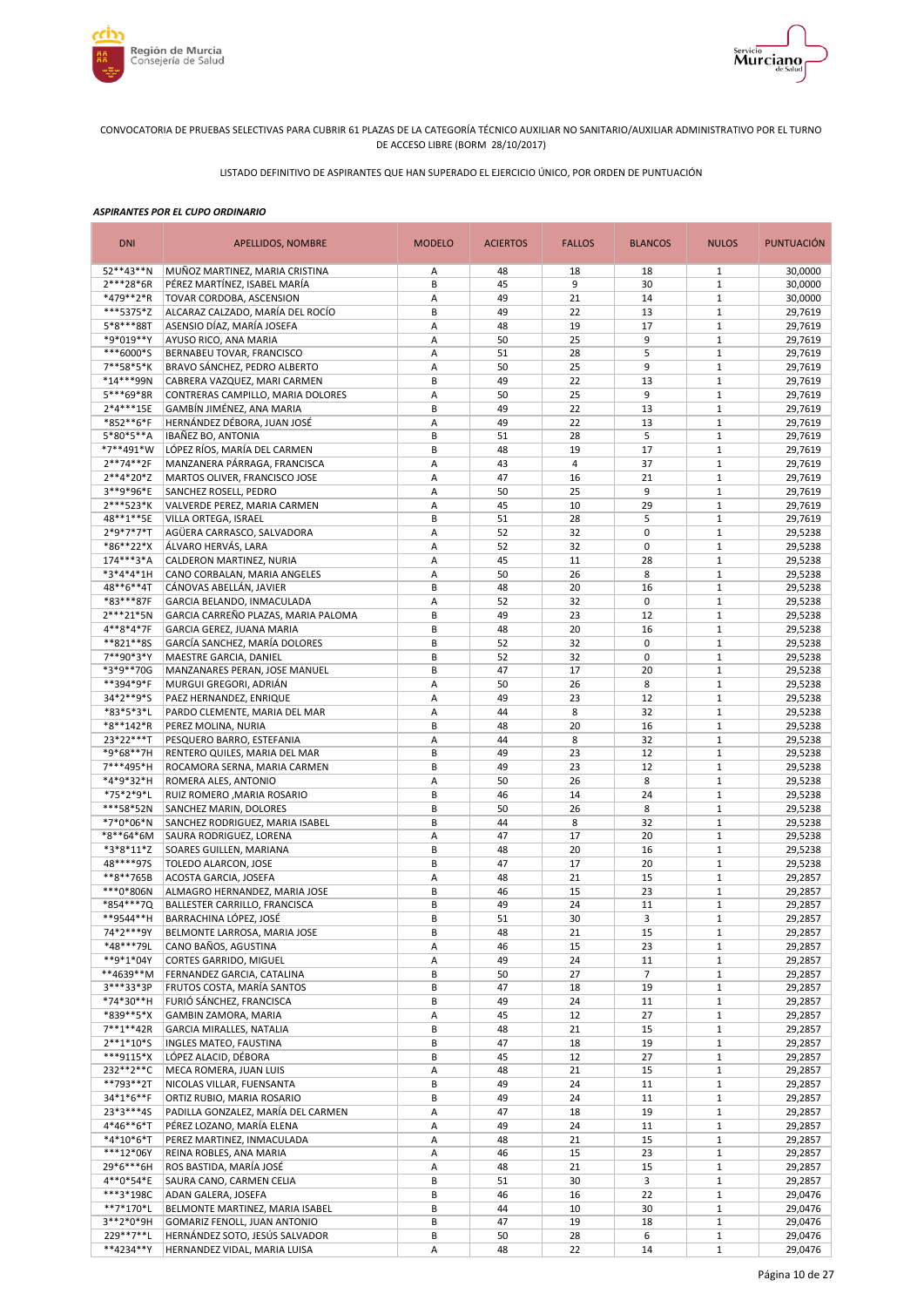



LISTADO DEFINITIVO DE ASPIRANTES QUE HAN SUPERADO EL EJERCICIO ÚNICO, POR ORDEN DE PUNTUACIÓN

| <b>DNI</b>             | <b>APELLIDOS, NOMBRE</b>                               | <b>MODELO</b> | <b>ACIERTOS</b> | <b>FALLOS</b>  | <b>BLANCOS</b> | <b>NULOS</b>               | <b>PUNTUACIÓN</b>  |
|------------------------|--------------------------------------------------------|---------------|-----------------|----------------|----------------|----------------------------|--------------------|
| 52**43**N              | MUÑOZ MARTINEZ, MARIA CRISTINA                         | Α             | 48              | 18             | 18             | $\mathbf{1}$               | 30,0000            |
| 2***28*6R              | PÉREZ MARTÍNEZ. ISABEL MARÍA                           | B             | 45              | 9              | 30             | $1\,$                      | 30,0000            |
| *479**2*R              | TOVAR CORDOBA, ASCENSION                               | А             | 49              | 21             | 14             | $\mathbf{1}$               | 30,0000            |
| ***5375*Z              | ALCARAZ CALZADO, MARÍA DEL ROCÍO                       | B             | 49              | 22             | 13             | $1\,$                      | 29,7619            |
| 5*8***88T<br>*9*019**Y | ASENSIO DÍAZ, MARÍA JOSEFA<br>AYUSO RICO, ANA MARIA    | А<br>Α        | 48<br>50        | 19<br>25       | 17<br>9        | $\,1\,$<br>$\,1\,$         | 29,7619<br>29,7619 |
| ***6000*S              | BERNABEU TOVAR, FRANCISCO                              | А             | 51              | 28             | 5              | $\,1\,$                    | 29,7619            |
| 7**58*5*K              | BRAVO SÁNCHEZ, PEDRO ALBERTO                           | A             | 50              | 25             | 9              | $1\,$                      | 29,7619            |
| *14***99N              | CABRERA VAZQUEZ, MARI CARMEN                           | B             | 49              | 22             | 13             | $\mathbf{1}$               | 29,7619            |
| 5***69*8R              | CONTRERAS CAMPILLO, MARIA DOLORES                      | A             | 50              | 25             | 9              | $\mathbf{1}$               | 29,7619            |
| 2*4***15E              | GAMBÍN JIMÉNEZ, ANA MARIA                              | B             | 49              | 22             | 13             | $1\,$                      | 29,7619            |
| *852**6*F              | HERNÁNDEZ DÉBORA, JUAN JOSÉ                            | Α             | 49              | 22             | 13             | $\mathbf{1}$               | 29,7619            |
| 5*80*5**A              | <b>IBAÑEZ BO, ANTONIA</b>                              | B             | 51              | 28             | 5              | $\mathbf 1$                | 29,7619            |
| *7**491*W              | LÓPEZ RÍOS, MARÍA DEL CARMEN                           | B             | 48              | 19             | 17             | $\mathbf{1}$               | 29,7619            |
| $2**74**2F$            | MANZANERA PÁRRAGA, FRANCISCA                           | Α             | 43              | $\overline{4}$ | 37             | $1\,$                      | 29,7619            |
| 2**4*20*Z              | MARTOS OLIVER, FRANCISCO JOSE                          | Α             | 47              | 16             | 21             | $1\,$                      | 29,7619            |
| 3**9*96*E<br>2***523*K | SANCHEZ ROSELL, PEDRO<br>VALVERDE PEREZ, MARIA CARMEN  | Α<br>Α        | 50<br>45        | 25<br>10       | 9<br>29        | $\mathbf 1$<br>$\mathbf 1$ | 29,7619<br>29,7619 |
| 48**1**5E              | VILLA ORTEGA, ISRAEL                                   | B             | 51              | 28             | 5              | $\mathbf 1$                | 29,7619            |
| 2*9*7*7*T              | AGÜERA CARRASCO, SALVADORA                             | A             | 52              | 32             | $\mathbf 0$    | $\mathbf{1}$               | 29,5238            |
| *86**22*X              | ÁLVARO HERVÁS, LARA                                    | Α             | 52              | 32             | $\mathbf 0$    | $1\,$                      | 29,5238            |
| 174***3*A              | CALDERON MARTINEZ, NURIA                               | A             | 45              | 11             | 28             | $\mathbf{1}$               | 29,5238            |
| *3*4*4*1H              | CANO CORBALAN, MARIA ANGELES                           | Α             | 50              | 26             | 8              | $1\,$                      | 29,5238            |
| 48**6**4T              | CÁNOVAS ABELLÁN, JAVIER                                | B             | 48              | 20             | 16             | $1\,$                      | 29,5238            |
| *83***87F              | GARCIA BELANDO, INMACULADA                             | А             | 52              | 32             | 0              | $1\,$                      | 29,5238            |
| $2***21*5N$            | GARCIA CARREÑO PLAZAS, MARIA PALOMA                    | B             | 49              | 23             | 12             | $1\,$                      | 29,5238            |
| 4**8*4*7F              | GARCIA GEREZ, JUANA MARIA                              | B             | 48              | 20             | 16             | $1\,$                      | 29,5238            |
| **821**85              | GARCÍA SANCHEZ, MARÍA DOLORES                          | В             | 52              | 32             | 0              | $1\,$                      | 29,5238            |
| 7**90*3*Y              | MAESTRE GARCIA, DANIEL                                 | B             | 52              | 32             | 0              | $1\,$                      | 29,5238            |
| *3*9**70G              | MANZANARES PERAN, JOSE MANUEL                          | B             | 47<br>50        | 17             | 20<br>8        | $1\,$<br>$\,1\,$           | 29,5238            |
| **394*9*F<br>34*2**9*S | MURGUI GREGORI, ADRIÁN<br>PAEZ HERNANDEZ, ENRIQUE      | Α<br>А        | 49              | 26<br>23       | 12             | $\mathbf{1}$               | 29,5238<br>29,5238 |
| *83*5*3*L              | PARDO CLEMENTE, MARIA DEL MAR                          | Α             | 44              | 8              | 32             | $1\,$                      | 29,5238            |
| *8**142*R              | PEREZ MOLINA, NURIA                                    | B             | 48              | 20             | 16             | $\mathbf{1}$               | 29,5238            |
| 23*22***T              | PESQUERO BARRO, ESTEFANIA                              | A             | 44              | 8              | 32             | $\mathbf{1}$               | 29,5238            |
| *9*68**7H              | RENTERO QUILES, MARIA DEL MAR                          | B             | 49              | 23             | 12             | $\mathbf 1$                | 29,5238            |
| 7***495*H              | ROCAMORA SERNA, MARIA CARMEN                           | B             | 49              | 23             | 12             | $\mathbf{1}$               | 29,5238            |
| *4*9*32*H              | ROMERA ALES, ANTONIO                                   | Α             | 50              | 26             | 8              | $1\,$                      | 29,5238            |
| *75*2*9*L              | RUIZ ROMERO, MARIA ROSARIO                             | B             | 46              | 14             | 24             | $\mathbf{1}$               | 29,5238            |
| ***58*52N              | SANCHEZ MARIN, DOLORES                                 | В             | 50              | 26             | 8              | $1\,$                      | 29,5238            |
| *7*0*06*N              | SANCHEZ RODRIGUEZ, MARIA ISABEL                        | B             | 44              | 8              | 32             | $1\,$                      | 29,5238            |
| *8**64*6M              | SAURA RODRIGUEZ, LORENA                                | Α<br>B        | 47<br>48        | 17<br>20       | 20<br>16       | $\mathbf 1$<br>$1\,$       | 29,5238<br>29,5238 |
| *3*8*11*Z<br>48****975 | SOARES GUILLEN, MARIANA<br>TOLEDO ALARCON, JOSE        | B             | 47              | 17             | 20             | $\mathbf 1$                | 29,5238            |
| **8**765B              | ACOSTA GARCIA, JOSEFA                                  | Α             | 48              | 21             | 15             | $\mathbf{1}$               | 29,2857            |
| ***0*806N              | ALMAGRO HERNANDEZ, MARIA JOSE                          | B             | 46              | 15             | 23             | $1\,$                      | 29,2857            |
| *854***7Q              | BALLESTER CARRILLO, FRANCISCA                          | B             | 49              | 24             | 11             | $\mathbf 1$                | 29,2857            |
| **9544**H              | BARRACHINA LÓPEZ, JOSÉ                                 | B             | 51              | 30             | $\overline{3}$ | $\mathbf{1}$               | 29.2857            |
| 74*2***9Y              | BELMONTE LARROSA, MARIA JOSE                           | В             | 48              | 21             | 15             | $\mathbf{1}$               | 29,2857            |
| *48***79L              | CANO BAÑOS, AGUSTINA                                   | А             | 46              | 15             | 23             | $\mathbf{1}$               | 29,2857            |
| **9*1*04Y              | CORTES GARRIDO, MIGUEL                                 | А             | 49              | 24             | 11             | $\mathbf{1}$               | 29,2857            |
| **4639**M              | FERNANDEZ GARCIA, CATALINA                             | В             | 50              | 27             | 7              | $\mathbf{1}$               | 29,2857            |
| 3***33*3P              | FRUTOS COSTA, MARÍA SANTOS<br>FURIÓ SÁNCHEZ, FRANCISCA | B<br>В        | 47              | 18<br>24       | 19             | $1\,$                      | 29,2857            |
| *74*30**H<br>*839**5*X | GAMBIN ZAMORA, MARIA                                   | Α             | 49<br>45        | 12             | 11<br>27       | $1\,$<br>$\mathbf{1}$      | 29,2857<br>29,2857 |
| $7***1***42R$          | GARCIA MIRALLES, NATALIA                               | B             | 48              | 21             | 15             | $1\,$                      | 29,2857            |
| $2**1*10*5$            | INGLES MATEO, FAUSTINA                                 | B             | 47              | 18             | 19             | $1\,$                      | 29,2857            |
| ***9115*X              | LÓPEZ ALACID, DÉBORA                                   | B             | 45              | 12             | 27             | $1\,$                      | 29,2857            |
| 232**2**C              | MECA ROMERA, JUAN LUIS                                 | Α             | 48              | 21             | 15             | $\mathbf 1$                | 29,2857            |
| **793**2T              | NICOLAS VILLAR, FUENSANTA                              | B             | 49              | 24             | 11             | $\mathbf{1}$               | 29,2857            |
| 34*1*6**F              | ORTIZ RUBIO, MARIA ROSARIO                             | B             | 49              | 24             | 11             | $\mathbf 1$                | 29,2857            |
| 23*3***4S              | PADILLA GONZALEZ, MARÍA DEL CARMEN                     | А             | 47              | 18             | 19             | $\mathbf{1}$               | 29,2857            |
| 4*46**6*T              | PÉREZ LOZANO, MARÍA ELENA                              | Α             | 49              | 24             | 11             | $\mathbf 1$                | 29,2857            |
| *4*10*6*T<br>***12*06Y | PEREZ MARTINEZ, INMACULADA<br>REINA ROBLES, ANA MARIA  | А<br>А        | 48              | 21<br>15       | 15<br>23       | $1\,$<br>$1\,$             | 29,2857<br>29,2857 |
| 29*6***6H              | ROS BASTIDA, MARÍA JOSÉ                                | Α             | 46<br>48        | 21             | 15             | $1\,$                      | 29,2857            |
| 4**0*54*E              | SAURA CANO, CARMEN CELIA                               | B             | 51              | 30             | 3              | $1\,$                      | 29,2857            |
| ***3*198C              | ADAN GALERA, JOSEFA                                    | B             | 46              | 16             | 22             | $\mathbf 1$                | 29,0476            |
| **7*170*L              | BELMONTE MARTINEZ, MARIA ISABEL                        | B             | 44              | 10             | 30             | $\,1\,$                    | 29,0476            |
| 3**2*0*9H              | GOMARIZ FENOLL, JUAN ANTONIO                           | B             | 47              | 19             | 18             | $1\,$                      | 29,0476            |
| 229 ** 7 ** L          | HERNÁNDEZ SOTO, JESÚS SALVADOR                         | B             | 50              | 28             | 6              | $\mathbf 1$                | 29,0476            |
| **4234**Y              | HERNANDEZ VIDAL, MARIA LUISA                           | А             | 48              | 22             | 14             | $\mathbf{1}$               | 29,0476            |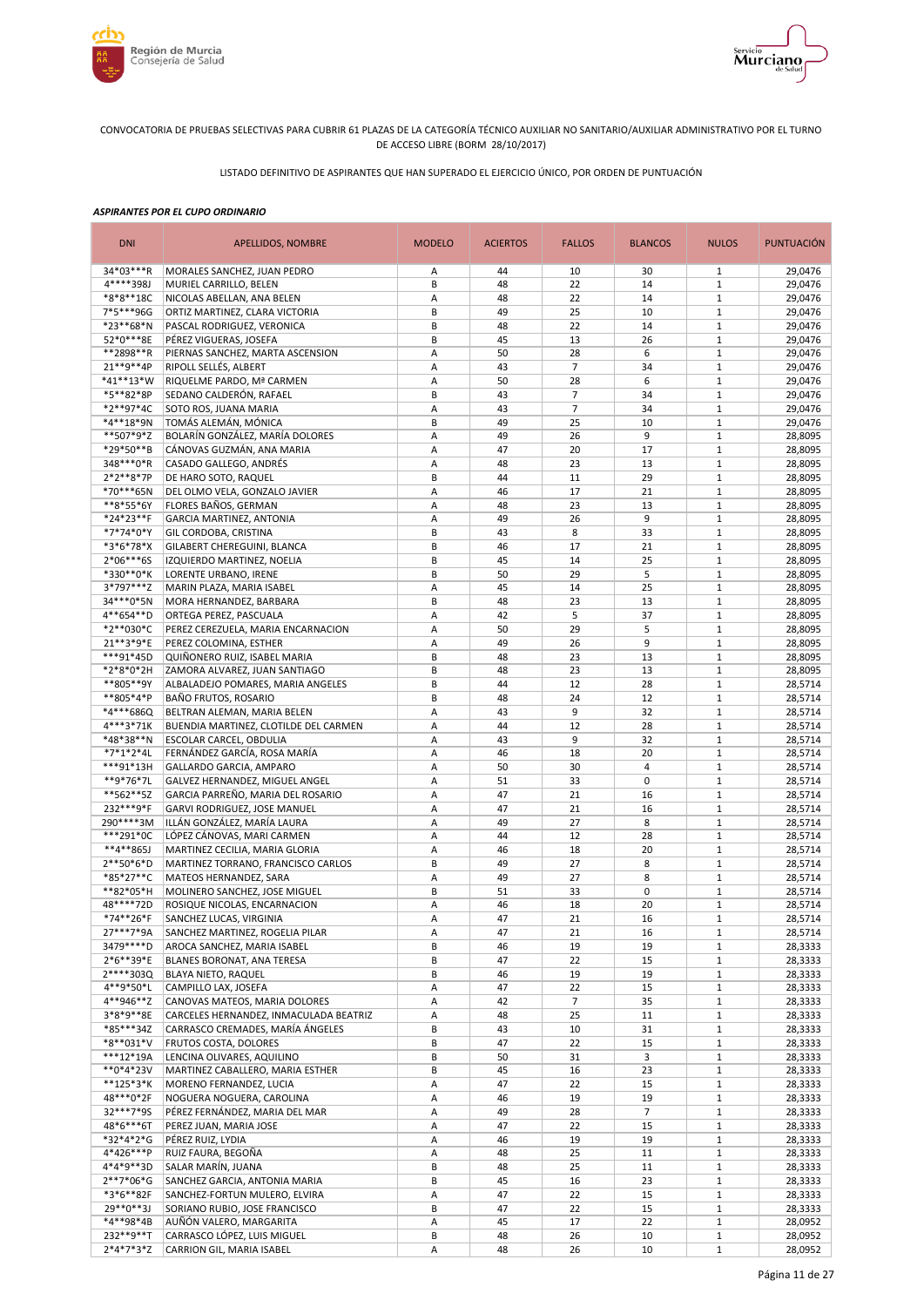



LISTADO DEFINITIVO DE ASPIRANTES QUE HAN SUPERADO EL EJERCICIO ÚNICO, POR ORDEN DE PUNTUACIÓN

| <b>DNI</b>             | <b>APELLIDOS, NOMBRE</b>                                         | <b>MODELO</b> | <b>ACIERTOS</b> | <b>FALLOS</b>  | <b>BLANCOS</b>       | <b>NULOS</b>                 | <b>PUNTUACIÓN</b>  |
|------------------------|------------------------------------------------------------------|---------------|-----------------|----------------|----------------------|------------------------------|--------------------|
| 34*03***R              | MORALES SANCHEZ, JUAN PEDRO                                      | Α             | 44              | 10             | 30                   | 1                            | 29,0476            |
| 4****398J              | MURIEL CARRILLO, BELEN                                           | B             | 48              | 22             | 14                   | $\mathbf{1}$                 | 29,0476            |
| *8*8**18C              | NICOLAS ABELLAN, ANA BELEN                                       | А             | 48              | 22             | 14                   | $\,1\,$                      | 29,0476            |
| 7*5***96G              | ORTIZ MARTINEZ, CLARA VICTORIA                                   | B             | 49              | 25             | 10                   | $\,1\,$                      | 29,0476            |
| *23**68*N<br>52*0***8E | PASCAL RODRIGUEZ, VERONICA<br>PÉREZ VIGUERAS, JOSEFA             | B<br>B        | 48<br>45        | 22<br>13       | 14<br>26             | $\mathbf 1$<br>$\mathbf 1$   | 29,0476<br>29,0476 |
| **2898**R              | PIERNAS SANCHEZ, MARTA ASCENSION                                 | A             | 50              | 28             | 6                    | $\mathbf{1}$                 | 29,0476            |
| 21**9**4P              | RIPOLL SELLÉS, ALBERT                                            | Α             | 43              | $\overline{7}$ | 34                   | $\mathbf 1$                  | 29,0476            |
| *41**13*W              | RIQUELME PARDO, Mª CARMEN                                        | Α             | 50              | 28             | 6                    | $\mathbf 1$                  | 29,0476            |
| *5**82*8P              | SEDANO CALDERÓN, RAFAEL                                          | B             | 43              | $\overline{7}$ | 34                   | $\mathbf{1}$                 | 29,0476            |
| *2**97*4C              | SOTO ROS, JUANA MARIA                                            | Α             | 43              | $\overline{7}$ | 34                   | $\mathbf 1$                  | 29,0476            |
| *4**18*9N              | TOMÁS ALEMÁN, MÓNICA                                             | B             | 49              | 25             | 10                   | $\mathbf{1}$                 | 29,0476            |
| **507*9*Z              | BOLARÍN GONZÁLEZ, MARÍA DOLORES                                  | Α             | 49              | 26             | 9                    | $1\,$                        | 28,8095            |
| *29*50**B<br>348***0*R | CÁNOVAS GUZMÁN, ANA MARIA<br>CASADO GALLEGO, ANDRÉS              | Α<br>Α        | 47<br>48        | 20<br>23       | 17<br>13             | $1\,$<br>$\mathbf 1$         | 28,8095<br>28,8095 |
| $2*2**8*7P$            | DE HARO SOTO, RAQUEL                                             | B             | 44              | 11             | 29                   | $\mathbf 1$                  | 28,8095            |
| *70***65N              | DEL OLMO VELA, GONZALO JAVIER                                    | A             | 46              | 17             | 21                   | $1\,$                        | 28,8095            |
| **8*55*6Y              | FLORES BAÑOS, GERMAN                                             | Α             | 48              | 23             | 13                   | $1\,$                        | 28,8095            |
| *24*23**F              | GARCIA MARTINEZ, ANTONIA                                         | A             | 49              | 26             | 9                    | $1\,$                        | 28,8095            |
| *7*74*0*Y              | GIL CORDOBA, CRISTINA                                            | B             | 43              | 8              | 33                   | $1\,$                        | 28,8095            |
| *3*6*78*X              | GILABERT CHEREGUINI, BLANCA                                      | B             | 46              | 17             | 21                   | $1\,$                        | 28,8095            |
| 2*06***6S              | IZQUIERDO MARTINEZ, NOELIA                                       | B             | 45              | 14             | 25                   | $\mathbf{1}$                 | 28,8095            |
| *330**0*K              | LORENTE URBANO, IRENE                                            | B             | 50              | 29             | 5                    | $1\,$                        | 28,8095            |
| 3*797***Z<br>34***0*5N | MARIN PLAZA, MARIA ISABEL<br>MORA HERNANDEZ, BARBARA             | Α<br>В        | 45<br>48        | 14<br>23       | 25<br>13             | $\mathbf{1}$<br>$1\,$        | 28,8095<br>28,8095 |
| 4**654**D              | ORTEGA PEREZ, PASCUALA                                           | А             | 42              | 5              | 37                   | $1\,$                        | 28,8095            |
| *2**030*C              | PEREZ CEREZUELA, MARIA ENCARNACION                               | Α             | 50              | 29             | 5                    | $\mathbf{1}$                 | 28,8095            |
| 21**3*9*E              | PEREZ COLOMINA, ESTHER                                           | Α             | 49              | 26             | 9                    | $\,1\,$                      | 28,8095            |
| ***91*45D              | QUIÑONERO RUIZ, ISABEL MARIA                                     | B             | 48              | 23             | 13                   | $\,1\,$                      | 28,8095            |
| *2*8*0*2H              | ZAMORA ALVAREZ, JUAN SANTIAGO                                    | B             | 48              | 23             | 13                   | $\mathbf 1$                  | 28,8095            |
| **805**9Y              | ALBALADEJO POMARES, MARIA ANGELES                                | B             | 44              | 12             | 28                   | $\mathbf 1$                  | 28,5714            |
| **805*4*P              | BAÑO FRUTOS, ROSARIO                                             | B             | 48              | 24             | 12                   | $\mathbf{1}$                 | 28,5714            |
| *4***686Q<br>4***3*71K | BELTRAN ALEMAN, MARIA BELEN                                      | Α<br>Α        | 43              | 9<br>12        | 32<br>28             | $1\,$<br>$\mathbf 1$         | 28,5714            |
| *48*38**N              | BUENDIA MARTINEZ, CLOTILDE DEL CARMEN<br>ESCOLAR CARCEL, OBDULIA | Α             | 44<br>43        | 9              | 32                   | $\mathbf{1}$                 | 28,5714<br>28,5714 |
| *7*1*2*4L              | FERNÁNDEZ GARCÍA, ROSA MARÍA                                     | Α             | 46              | 18             | 20                   | $\mathbf 1$                  | 28,5714            |
| ***91*13H              | GALLARDO GARCIA, AMPARO                                          | Α             | 50              | 30             | $\overline{4}$       | $\mathbf{1}$                 | 28,5714            |
| **9*76*7L              | GALVEZ HERNANDEZ, MIGUEL ANGEL                                   | Α             | 51              | 33             | $\mathbf 0$          | $\mathbf 1$                  | 28,5714            |
| **562**5Z              | GARCIA PARREÑO, MARIA DEL ROSARIO                                | Α             | 47              | 21             | 16                   | $1\,$                        | 28,5714            |
| 232***9*F              | GARVI RODRIGUEZ, JOSE MANUEL                                     | Α             | 47              | 21             | 16                   | $\mathbf 1$                  | 28,5714            |
| 290****3M              | ILLÁN GONZÁLEZ, MARÍA LAURA                                      | Α             | 49              | 27             | 8                    | $1\,$                        | 28,5714            |
| ***291*0C<br>**4**865J | LÓPEZ CÁNOVAS, MARI CARMEN<br>MARTINEZ CECILIA, MARIA GLORIA     | Α<br>Α        | 44<br>46        | 12<br>18       | 28<br>20             | $\mathbf 1$<br>$1\,$         | 28,5714<br>28,5714 |
| 2**50*6*D              | MARTINEZ TORRANO, FRANCISCO CARLOS                               | B             | 49              | 27             | 8                    | $1\,$                        | 28,5714            |
| *85*27**C              | MATEOS HERNANDEZ, SARA                                           | Α             | 49              | 27             | 8                    | $1\,$                        | 28,5714            |
| **82*05*H              | MOLINERO SANCHEZ, JOSE MIGUEL                                    | B             | 51              | 33             | $\mathbf 0$          | $1\,$                        | 28,5714            |
| 48****72D              | ROSIQUE NICOLAS, ENCARNACION                                     | Α             | 46              | 18             | 20                   | $1\,$                        | 28,5714            |
| *74**26*F              | SANCHEZ LUCAS, VIRGINIA                                          | A             | 47              | 21             | 16                   | $1\,$                        | 28,5714            |
| 27***7*9A              | SANCHEZ MARTINEZ, ROGELIA PILAR                                  | Α             | 47              | 21             | 16                   | $\mathbf{1}$                 | 28,5714            |
| 3479 **** D            | AROCA SANCHEZ, MARIA ISABEL                                      | В             | 46              | 19             | 19                   | $\mathbf{1}$                 | 28,3333            |
| 2*6**39*E<br>2****303Q | BLANES BORONAT, ANA TERESA<br><b>BLAYA NIETO, RAQUEL</b>         | В<br>B        | 47<br>46        | 22<br>19       | 15<br>19             | $\mathbf{1}$<br>$\mathbf{1}$ | 28,3333<br>28,3333 |
| 4**9*50*L              | CAMPILLO LAX, JOSEFA                                             | Α             | 47              | 22             | 15                   | $1\,$                        | 28,3333            |
| 4**946**Z              | CANOVAS MATEOS, MARIA DOLORES                                    | А             | 42              | $\overline{7}$ | 35                   | $\mathbf{1}$                 | 28,3333            |
| 3*8*9**8E              | CARCELES HERNANDEZ, INMACULADA BEATRIZ                           | А             | 48              | 25             | 11                   | $\mathbf{1}$                 | 28,3333            |
| *85***34Z              | CARRASCO CREMADES, MARÍA ÁNGELES                                 | B             | 43              | 10             | 31                   | $\mathbf 1$                  | 28,3333            |
| *8**031*V              | FRUTOS COSTA, DOLORES                                            | B             | 47              | 22             | 15                   | $\mathbf{1}$                 | 28,3333            |
| $***12*19A$            | LENCINA OLIVARES, AQUILINO                                       | B             | 50              | 31             | 3                    | $\mathbf{1}$                 | 28,3333            |
| **0*4*23V              | MARTINEZ CABALLERO, MARIA ESTHER                                 | B             | 45              | 16             | 23                   | $1\,$                        | 28,3333            |
| **125*3*K<br>48***0*2F | MORENO FERNANDEZ, LUCIA<br>NOGUERA NOGUERA, CAROLINA             | А             | 47              | 22             | 15                   | $\mathbf{1}$                 | 28,3333            |
| 32***7*9S              | PÉREZ FERNÁNDEZ, MARIA DEL MAR                                   | А<br>А        | 46<br>49        | 19<br>28       | 19<br>$\overline{7}$ | $\,1\,$<br>$\mathbf{1}$      | 28,3333<br>28,3333 |
| 48*6***6T              | PEREZ JUAN, MARIA JOSE                                           | Α             | 47              | 22             | 15                   | $\mathbf{1}$                 | 28,3333            |
| *32*4*2*G              | PÉREZ RUIZ, LYDIA                                                | Α             | 46              | 19             | 19                   | $\mathbf{1}$                 | 28,3333            |
| 4*426***P              | RUIZ FAURA, BEGOÑA                                               | Α             | 48              | 25             | 11                   | $1\,$                        | 28,3333            |
| 4*4*9**3D              | SALAR MARÍN, JUANA                                               | B             | 48              | 25             | 11                   | $\mathbf{1}$                 | 28,3333            |
| 2**7*06*G              | SANCHEZ GARCIA, ANTONIA MARIA                                    | B             | 45              | 16             | 23                   | $1\,$                        | 28,3333            |
| *3*6**82F              | SANCHEZ-FORTUN MULERO, ELVIRA                                    | А             | 47              | 22             | 15                   | $\mathbf{1}$                 | 28,3333            |
| 29**0**3J              | SORIANO RUBIO, JOSE FRANCISCO                                    | В             | 47              | 22             | 15                   | $1\,$                        | 28,3333            |
| *4**98*4B<br>232**9**T | AUÑÓN VALERO, MARGARITA<br>CARRASCO LÓPEZ, LUIS MIGUEL           | Α<br>В        | 45<br>48        | 17<br>26       | 22<br>10             | $\mathbf{1}$<br>$\mathbf{1}$ | 28,0952<br>28,0952 |
| $2*4*7*3*Z$            | CARRION GIL, MARIA ISABEL                                        | Α             | 48              | 26             | 10                   | $\mathbf{1}$                 | 28,0952            |
|                        |                                                                  |               |                 |                |                      |                              |                    |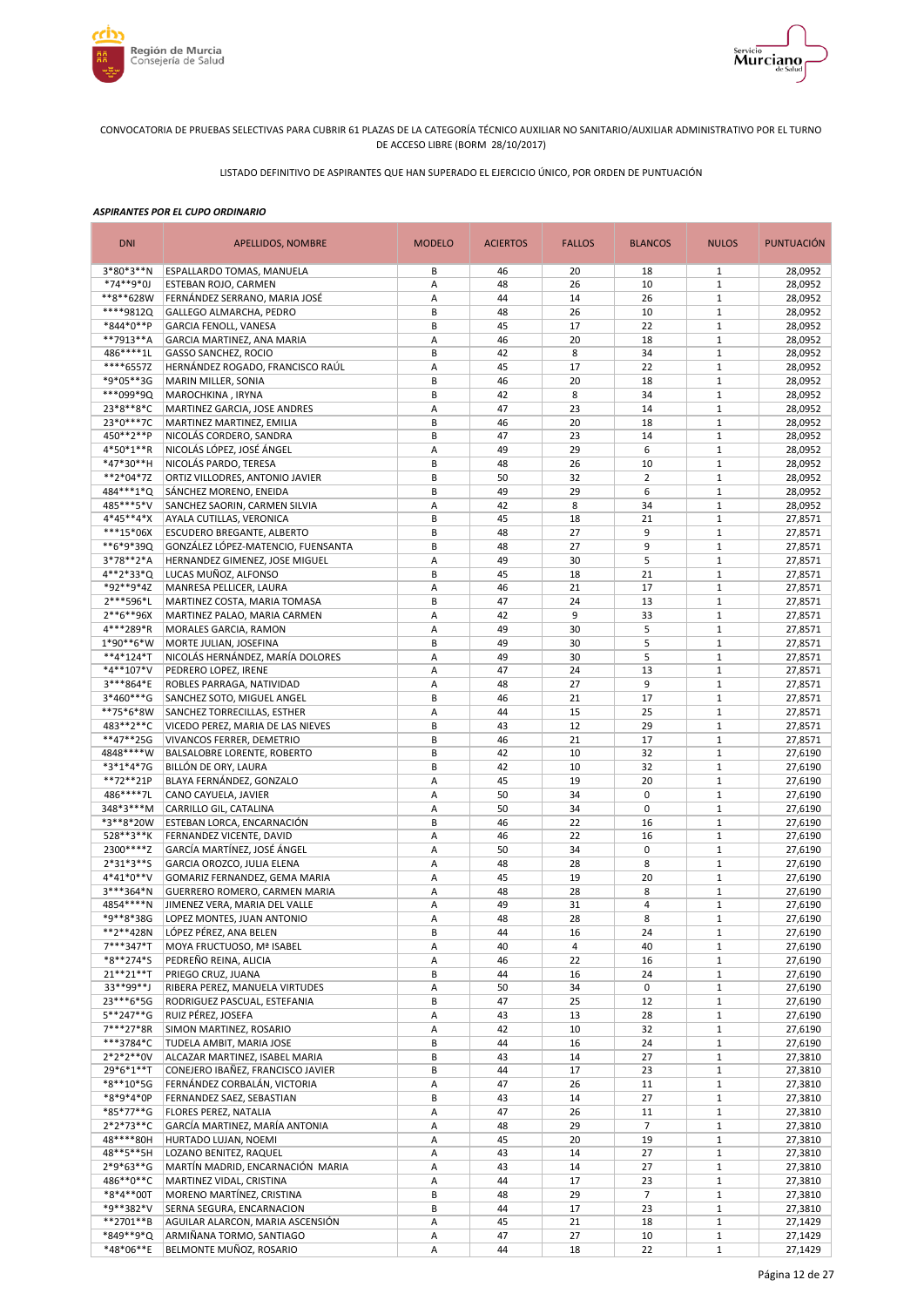



LISTADO DEFINITIVO DE ASPIRANTES QUE HAN SUPERADO EL EJERCICIO ÚNICO, POR ORDEN DE PUNTUACIÓN

| <b>DNI</b>               | APELLIDOS, NOMBRE                                             | <b>MODELO</b> | <b>ACIERTOS</b> | <b>FALLOS</b> | <b>BLANCOS</b> | <b>NULOS</b>                 | <b>PUNTUACIÓN</b>  |
|--------------------------|---------------------------------------------------------------|---------------|-----------------|---------------|----------------|------------------------------|--------------------|
| $3*80*3**N$              | ESPALLARDO TOMAS, MANUELA                                     | B             | 46              | 20            | 18             | 1                            | 28,0952            |
| *74**9*0J                | ESTEBAN ROJO, CARMEN                                          | Α             | 48              | 26            | 10             | $\mathbf{1}$                 | 28,0952            |
| **8**628W                | FERNÁNDEZ SERRANO, MARIA JOSÉ                                 | Α             | 44              | 14            | 26             | $1\,$                        | 28,0952            |
| ****9812Q                | GALLEGO ALMARCHA, PEDRO                                       | В             | 48              | 26            | 10             | $\mathbf{1}$                 | 28,0952            |
| *844*0**P                | <b>GARCIA FENOLL, VANESA</b><br>GARCIA MARTINEZ, ANA MARIA    | B             | 45<br>46        | 17<br>20      | 22             | $\mathbf{1}$<br>$1\,$        | 28,0952            |
| **7913**A<br>486****1L   | GASSO SANCHEZ, ROCIO                                          | Α<br>B        | 42              | 8             | 18<br>34       | $\mathbf 1$                  | 28,0952<br>28,0952 |
| ****6557Z                | HERNÁNDEZ ROGADO, FRANCISCO RAÚL                              | Α             | 45              | 17            | 22             | $1\,$                        | 28,0952            |
| *9*05**3G                | MARIN MILLER, SONIA                                           | B             | 46              | 20            | 18             | $\mathbf{1}$                 | 28,0952            |
| ***099*9Q                | MAROCHKINA, IRYNA                                             | B             | 42              | 8             | 34             | $\mathbf{1}$                 | 28,0952            |
| 23*8**8*C                | MARTINEZ GARCIA, JOSE ANDRES                                  | Α             | 47              | 23            | 14             | $\mathbf{1}$                 | 28,0952            |
| 23*0***7C                | MARTINEZ MARTINEZ, EMILIA                                     | B             | 46              | 20            | 18             | $\mathbf{1}$                 | 28,0952            |
| 450**2**P                | NICOLÁS CORDERO, SANDRA                                       | B             | 47              | 23            | 14             | $\mathbf{1}$                 | 28.0952            |
| 4*50*1**R                | NICOLÁS LÓPEZ, JOSÉ ÁNGEL                                     | Α             | 49              | 29            | 6              | $\mathbf{1}$                 | 28,0952            |
| *47*30**H                | NICOLÁS PARDO, TERESA                                         | B             | 48              | 26            | 10             | $\mathbf{1}$                 | 28,0952            |
| **2*04*7Z                | ORTIZ VILLODRES, ANTONIO JAVIER                               | B             | 50              | 32            | $\overline{2}$ | $\mathbf{1}$                 | 28,0952            |
| 484***1*Q                | SÁNCHEZ MORENO, ENEIDA                                        | B             | 49              | 29            | 6              | $\mathbf{1}$                 | 28,0952            |
| 485***5*V                | SANCHEZ SAORIN, CARMEN SILVIA                                 | A             | 42              | 8             | 34             | $1\,$                        | 28,0952            |
| 4*45**4*X<br>***15*06X   | AYALA CUTILLAS, VERONICA<br><b>ESCUDERO BREGANTE, ALBERTO</b> | B<br>B        | 45<br>48        | 18<br>27      | 21<br>9        | $1\,$<br>$\mathbf{1}$        | 27,8571<br>27,8571 |
| **6*9*39Q                | GONZÁLEZ LÓPEZ-MATENCIO, FUENSANTA                            | B             | 48              | 27            | 9              | $\mathbf{1}$                 | 27,8571            |
| 3*78**2*A                | HERNANDEZ GIMENEZ, JOSE MIGUEL                                | Α             | 49              | 30            | 5              | $\mathbf{1}$                 | 27,8571            |
| 4**2*33*Q                | LUCAS MUÑOZ, ALFONSO                                          | B             | 45              | 18            | 21             | $\mathbf{1}$                 | 27,8571            |
| *92**9*4Z                | MANRESA PELLICER, LAURA                                       | Α             | 46              | 21            | 17             | $1\,$                        | 27,8571            |
| 2***596*L                | MARTINEZ COSTA, MARIA TOMASA                                  | B             | 47              | 24            | 13             | $1\,$                        | 27,8571            |
| $2**6**96X$              | MARTINEZ PALAO, MARIA CARMEN                                  | Α             | 42              | 9             | 33             | $1\,$                        | 27,8571            |
| 4***289*R                | MORALES GARCIA, RAMON                                         | Α             | 49              | 30            | 5              | $\mathbf{1}$                 | 27,8571            |
| $1*90**6*W$              | MORTE JULIAN, JOSEFINA                                        | B             | 49              | 30            | 5              | $\mathbf{1}$                 | 27,8571            |
| **4*124*T                | NICOLÁS HERNÁNDEZ, MARÍA DOLORES                              | Α             | 49              | 30            | 5              | $\mathbf{1}$                 | 27,8571            |
| *4**107*V                | PEDRERO LOPEZ, IRENE                                          | Α             | 47              | 24            | 13             | $1\,$                        | 27,8571            |
| 3***864*E                | ROBLES PARRAGA, NATIVIDAD                                     | A             | 48              | 27            | 9              | $\mathbf{1}$                 | 27,8571            |
| $3*460***G$              | SANCHEZ SOTO, MIGUEL ANGEL                                    | B             | 46              | 21            | 17             | $1\,$                        | 27,8571            |
| **75*6*8W                | SANCHEZ TORRECILLAS, ESTHER                                   | Α             | 44              | 15            | 25             | $\mathbf{1}$                 | 27,8571            |
| 483**2**C                | VICEDO PEREZ, MARIA DE LAS NIEVES                             | B             | 43              | 12            | 29             | $1\,$                        | 27,8571            |
| **47**25G<br>4848****W   | VIVANCOS FERRER, DEMETRIO<br>BALSALOBRE LORENTE, ROBERTO      | B<br>B        | 46<br>42        | 21<br>10      | 17<br>32       | $\mathbf{1}$<br>$1\,$        | 27,8571<br>27,6190 |
| *3*1*4*7G                | BILLÓN DE ORY, LAURA                                          | B             | 42              | 10            | 32             | $\mathbf{1}$                 | 27,6190            |
| **72**21P                | BLAYA FERNÁNDEZ, GONZALO                                      | Α             | 45              | 19            | 20             | $1\,$                        | 27,6190            |
| 486****7L                | CANO CAYUELA, JAVIER                                          | Α             | 50              | 34            | 0              | $\mathbf{1}$                 | 27,6190            |
| 348*3***M                | CARRILLO GIL, CATALINA                                        | Α             | 50              | 34            | 0              | $\mathbf{1}$                 | 27,6190            |
| *3**8*20W                | ESTEBAN LORCA, ENCARNACIÓN                                    | B             | 46              | 22            | 16             | $\mathbf{1}$                 | 27,6190            |
| 528**3**K                | FERNANDEZ VICENTE, DAVID                                      | Α             | 46              | 22            | 16             | $\mathbf{1}$                 | 27,6190            |
| 2300****Z                | GARCÍA MARTÍNEZ, JOSÉ ÁNGEL                                   | A             | 50              | 34            | 0              | $\mathbf{1}$                 | 27,6190            |
| $2*31*3**S$              | GARCIA OROZCO, JULIA ELENA                                    | А             | 48              | 28            | 8              | $1\,$                        | 27,6190            |
| 4*41*0**V                | GOMARIZ FERNANDEZ, GEMA MARIA                                 | A             | 45              | 19            | 20             | $\mathbf{1}$                 | 27,6190            |
| 3***364*N                | GUERRERO ROMERO, CARMEN MARIA                                 | Α             | 48              | 28            | 8              | $\mathbf{1}$                 | 27,6190            |
| 4854 **** N              | JIMENEZ VERA, MARIA DEL VALLE                                 | Α             | 49              | 31            | 4              | $\mathbf{1}$                 | 27,6190            |
| *9**8*38G                | LOPEZ MONTES, JUAN ANTONIO                                    | A             | 48              | 28            | 8              | $\mathbf{1}$                 | 27,6190            |
| **2**428N<br>7***347*T   | LÓPEZ PÉREZ, ANA BELEN                                        | B             | 44              | 16            | 24             | $\mathbf{1}$                 | 27,6190            |
| *8**274*S                | MOYA FRUCTUOSO, Mª ISABEL<br>PEDREÑO REINA, ALICIA            | Α<br>Α        | 40<br>46        | 4<br>22       | 40<br>16       | $\mathbf{1}$<br>$\mathbf{1}$ | 27,6190<br>27,6190 |
| 21**21**T                | PRIEGO CRUZ, JUANA                                            | В             | 44              | 16            | 24             | $\mathbf{1}$                 | 27,6190            |
| 33**99**J                | RIBERA PEREZ, MANUELA VIRTUDES                                | Α             | 50              | 34            | 0              | $\mathbf{1}$                 | 27,6190            |
| 23***6*5G                | RODRIGUEZ PASCUAL, ESTEFANIA                                  | B             | 47              | 25            | 12             | $\mathbf{1}$                 | 27,6190            |
| 5**247**G                | RUIZ PÉREZ, JOSEFA                                            | Α             | 43              | 13            | 28             | $\mathbf{1}$                 | 27,6190            |
| 7***27*8R                | SIMON MARTINEZ, ROSARIO                                       | Α             | 42              | 10            | 32             | $\mathbf{1}$                 | 27,6190            |
| ***3784*C                | TUDELA AMBIT, MARIA JOSE                                      | B             | 44              | 16            | 24             | $\mathbf 1$                  | 27,6190            |
| $2*2*2**0V$              | ALCAZAR MARTINEZ, ISABEL MARIA                                | B             | 43              | 14            | 27             | $\mathbf{1}$                 | 27,3810            |
| 29*6*1**T                | CONEJERO IBAÑEZ, FRANCISCO JAVIER                             | В             | 44              | 17            | 23             | $\mathbf{1}$                 | 27,3810            |
| *8**10*5G                | FERNÁNDEZ CORBALÁN, VICTORIA                                  | Α             | 47              | 26            | 11             | $\mathbf{1}$                 | 27,3810            |
| *8*9*4*0P                | FERNANDEZ SAEZ, SEBASTIAN                                     | B             | 43              | 14            | 27             | $1\,$                        | 27,3810            |
| *85*77**G                | <b>FLORES PEREZ, NATALIA</b>                                  | Α             | 47              | 26            | 11             | $\mathbf{1}$                 | 27,3810            |
| $2*2*73**C$              | GARCÍA MARTINEZ, MARÍA ANTONIA                                | Α             | 48              | 29            | $\overline{7}$ | $1\,$                        | 27,3810            |
| 48****80H                | HURTADO LUJAN, NOEMI                                          | Α             | 45              | 20            | 19             | $\mathbf{1}$                 | 27,3810            |
| 48**5**5H<br>$2*9*63**G$ | LOZANO BENITEZ, RAQUEL                                        | Α             | 43              | 14            | 27             | $\mathbf{1}$                 | 27,3810            |
| 486**0**C                | MARTÍN MADRID, ENCARNACIÓN MARIA<br>MARTINEZ VIDAL, CRISTINA  | Α<br>А        | 43<br>44        | 14<br>17      | 27<br>23       | $\mathbf{1}$<br>$\mathbf{1}$ | 27,3810<br>27,3810 |
| *8*4**00T                | MORENO MARTÍNEZ, CRISTINA                                     | B             | 48              | 29            | $\overline{7}$ | $\mathbf{1}$                 | 27,3810            |
| *9**382*V                | SERNA SEGURA, ENCARNACION                                     | B             | 44              | 17            | 23             | $\mathbf 1$                  | 27,3810            |
| $**2701**B$              | AGUILAR ALARCON, MARIA ASCENSIÓN                              | А             | 45              | 21            | 18             | $\mathbf{1}$                 | 27,1429            |
| *849**9*Q                | ARMIÑANA TORMO, SANTIAGO                                      | А             | 47              | 27            | 10             | $\mathbf 1$                  | 27,1429            |
| *48*06**E                | BELMONTE MUÑOZ, ROSARIO                                       | Α             | 44              | 18            | 22             | $\mathbf 1$                  | 27,1429            |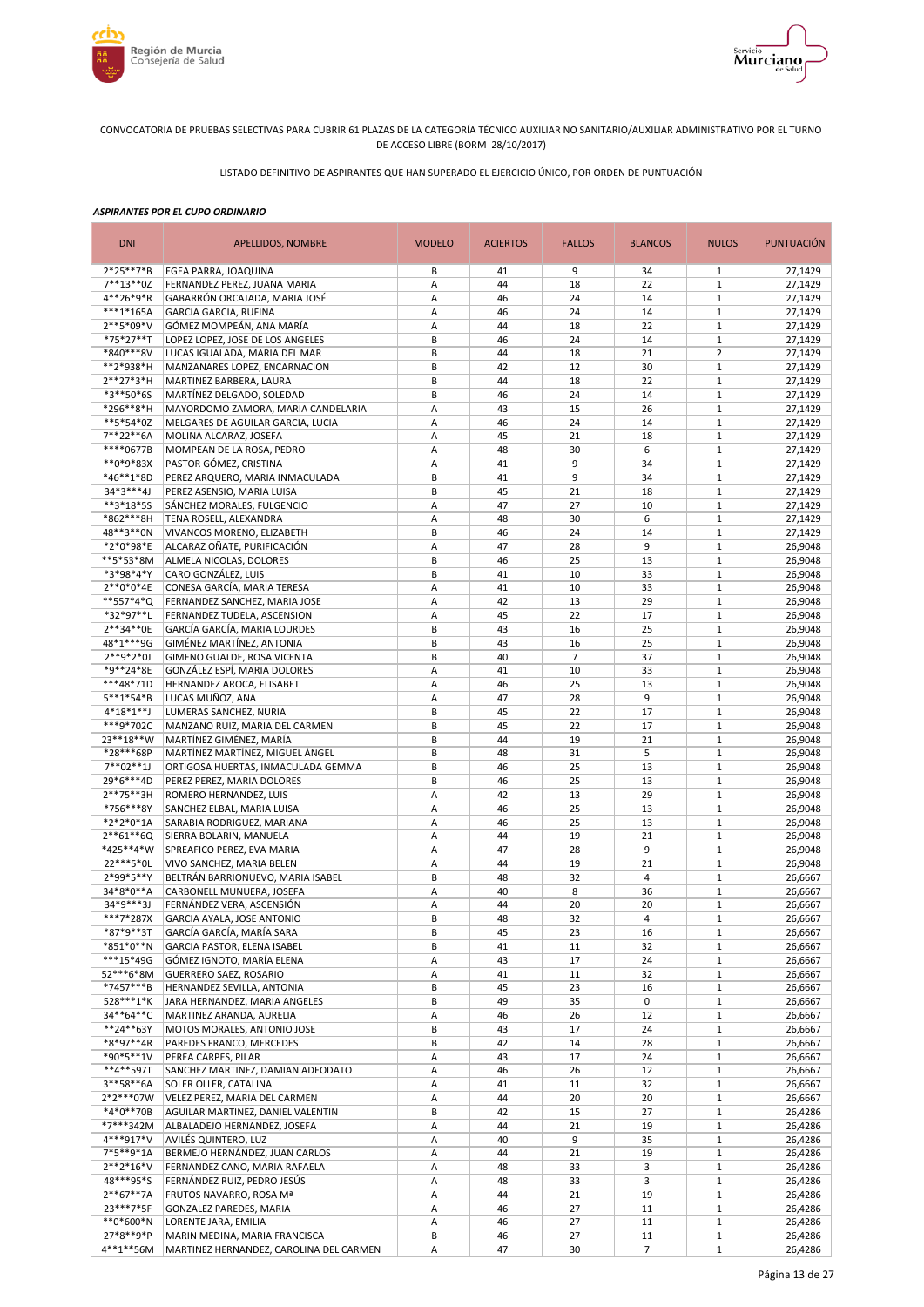



LISTADO DEFINITIVO DE ASPIRANTES QUE HAN SUPERADO EL EJERCICIO ÚNICO, POR ORDEN DE PUNTUACIÓN

| <b>DNI</b>                | APELLIDOS, NOMBRE                                                  | <b>MODELO</b> | <b>ACIERTOS</b> | <b>FALLOS</b>  | <b>BLANCOS</b>       | <b>NULOS</b>                 | <b>PUNTUACIÓN</b>  |
|---------------------------|--------------------------------------------------------------------|---------------|-----------------|----------------|----------------------|------------------------------|--------------------|
| 2*25**7*B                 | EGEA PARRA, JOAQUINA                                               | В             | 41              | 9              | 34                   | 1                            | 27,1429            |
| $7***13**0Z$              | FERNANDEZ PEREZ, JUANA MARIA                                       | Α             | 44              | 18             | 22                   | $\mathbf{1}$                 | 27,1429            |
| 4**26*9*R                 | GABARRÓN ORCAJADA, MARIA JOSÉ                                      | A             | 46              | 24             | 14                   | $\mathbf{1}$                 | 27,1429            |
| ***1*165A<br>2**5*09*V    | <b>GARCIA GARCIA, RUFINA</b>                                       | Α             | 46<br>44        | 24             | 14<br>22             | $1\,$<br>$1\,$               | 27,1429            |
| *75*27**T                 | GÓMEZ MOMPEÁN, ANA MARÍA<br>LOPEZ LOPEZ, JOSE DE LOS ANGELES       | Α<br>В        | 46              | 18<br>24       | 14                   | $\mathbf{1}$                 | 27,1429<br>27,1429 |
| *840***8V                 | LUCAS IGUALADA, MARIA DEL MAR                                      | В             | 44              | 18             | 21                   | $\overline{2}$               | 27,1429            |
| **2*938*H                 | MANZANARES LOPEZ, ENCARNACION                                      | B             | 42              | 12             | 30                   | $\mathbf{1}$                 | 27,1429            |
| $2**27*3*H$               | MARTINEZ BARBERA, LAURA                                            | B             | 44              | 18             | 22                   | $\mathbf 1$                  | 27,1429            |
| *3**50*6S                 | MARTÍNEZ DELGADO, SOLEDAD                                          | B             | 46              | 24             | 14                   | $1\,$                        | 27,1429            |
| *296**8*H                 | MAYORDOMO ZAMORA, MARIA CANDELARIA                                 | Α             | 43              | 15             | 26                   | $\mathbf{1}$                 | 27,1429            |
| **5*54*0Z                 | MELGARES DE AGUILAR GARCIA, LUCIA                                  | Α             | 46              | 24             | 14                   | $1\,$                        | 27,1429            |
| 7**22**6A                 | MOLINA ALCARAZ, JOSEFA                                             | A             | 45              | 21             | 18                   | $\mathbf{1}$                 | 27,1429            |
| ****0677B                 | MOMPEAN DE LA ROSA, PEDRO                                          | Α             | 48              | 30             | 6                    | $\mathbf{1}$                 | 27,1429            |
| **0*9*83X                 | PASTOR GÓMEZ, CRISTINA                                             | Α             | 41              | 9              | 34                   | $1\,$                        | 27,1429            |
| *46**1*8D<br>34*3***4J    | PEREZ ARQUERO, MARIA INMACULADA                                    | B<br>B        | 41<br>45        | 9<br>21        | 34                   | $\mathbf{1}$<br>$1\,$        | 27,1429            |
| **3*18*5S                 | PEREZ ASENSIO, MARIA LUISA<br>SÁNCHEZ MORALES, FULGENCIO           | Α             | 47              | 27             | 18<br>10             | $\mathbf{1}$                 | 27,1429<br>27,1429 |
| *862***8H                 | TENA ROSELL, ALEXANDRA                                             | Α             | 48              | 30             | 6                    | $\mathbf{1}$                 | 27,1429            |
| 48**3**0N                 | VIVANCOS MORENO, ELIZABETH                                         | B             | 46              | 24             | 14                   | $\mathbf{1}$                 | 27,1429            |
| *2*0*98*E                 | ALCARAZ OÑATE, PURIFICACIÓN                                        | А             | 47              | 28             | 9                    | $1\,$                        | 26,9048            |
| **5*53*8M                 | ALMELA NICOLAS, DOLORES                                            | B             | 46              | 25             | 13                   | $\mathbf{1}$                 | 26,9048            |
| *3*98*4*Y                 | CARO GONZÁLEZ, LUIS                                                | B             | 41              | 10             | 33                   | $1\,$                        | 26,9048            |
| 2**0*0*4E                 | CONESA GARCÍA, MARIA TERESA                                        | A             | 41              | 10             | 33                   | $\mathbf{1}$                 | 26,9048            |
| **557*4*Q                 | FERNANDEZ SANCHEZ, MARIA JOSE                                      | A             | 42              | 13             | 29                   | $\mathbf{1}$                 | 26,9048            |
| *32*97**L                 | FERNANDEZ TUDELA, ASCENSION                                        | A             | 45              | 22             | 17                   | $1\,$                        | 26,9048            |
| 2**34**0E                 | GARCÍA GARCÍA, MARIA LOURDES                                       | B             | 43              | 16             | 25                   | $1\,$                        | 26,9048            |
| 48*1***9G                 | GIMÉNEZ MARTÍNEZ, ANTONIA                                          | B             | 43              | 16             | 25                   | $1\,$                        | 26,9048            |
| $2**9*2*0J$               | GIMENO GUALDE, ROSA VICENTA                                        | B             | 40              | $\overline{7}$ | 37                   | $1\,$                        | 26,9048            |
| *9**24*8E                 | GONZÁLEZ ESPÍ, MARIA DOLORES                                       | Α             | 41              | 10             | 33                   | $1\,$                        | 26,9048            |
| ***48*71D                 | HERNANDEZ AROCA, ELISABET                                          | Α             | 46              | 25             | 13                   | $\mathbf{1}$                 | 26,9048            |
| 5**1*54*B                 | LUCAS MUÑOZ, ANA                                                   | Α             | 47              | 28             | 9                    | $1\,$                        | 26,9048            |
| $4*18*1**$ J<br>***9*702C | LUMERAS SANCHEZ, NURIA                                             | B<br>B        | 45<br>45        | 22<br>22       | 17<br>17             | $\mathbf{1}$<br>$1\,$        | 26,9048            |
| 23**18**W                 | MANZANO RUIZ, MARIA DEL CARMEN<br>MARTÍNEZ GIMÉNEZ, MARÍA          | B             | 44              | 19             | 21                   | $\mathbf{1}$                 | 26,9048<br>26,9048 |
| *28***68P                 | MARTÍNEZ MARTÍNEZ, MIGUEL ÁNGEL                                    | B             | 48              | 31             | 5                    | $1\,$                        | 26,9048            |
| $7**02**1J$               | ORTIGOSA HUERTAS, INMACULADA GEMMA                                 | B             | 46              | 25             | 13                   | $\mathbf{1}$                 | 26,9048            |
| 29*6***4D                 | PEREZ PEREZ, MARIA DOLORES                                         | B             | 46              | 25             | 13                   | $\mathbf{1}$                 | 26,9048            |
| 2**75**3H                 | ROMERO HERNANDEZ, LUIS                                             | A             | 42              | 13             | 29                   | $\mathbf{1}$                 | 26,9048            |
| *756***8Y                 | SANCHEZ ELBAL, MARIA LUISA                                         | Α             | 46              | 25             | 13                   | $1\,$                        | 26,9048            |
| *2*2*0*1A                 | SARABIA RODRIGUEZ, MARIANA                                         | Α             | 46              | 25             | 13                   | $\mathbf{1}$                 | 26,9048            |
| 2**61**6Q                 | SIERRA BOLARIN, MANUELA                                            | Α             | 44              | 19             | 21                   | $1\,$                        | 26.9048            |
| *425**4*W                 | SPREAFICO PEREZ, EVA MARIA                                         | Α             | 47              | 28             | 9                    | $\mathbf{1}$                 | 26,9048            |
| 22 *** 5 * 0L             | VIVO SANCHEZ, MARIA BELEN                                          | Α             | 44              | 19             | 21                   | $\mathbf{1}$                 | 26,9048            |
| 2*99*5**Y                 | BELTRÁN BARRIONUEVO, MARIA ISABEL                                  | B             | 48              | 32             | 4                    | $\mathbf{1}$                 | 26,6667            |
| 34*8*0**A                 | CARBONELL MUNUERA, JOSEFA                                          | Α             | 40              | 8              | 36                   | $\mathbf{1}$                 | 26,6667            |
| $34*9***31$<br>***7*287X  | FERNÁNDEZ VERA, ASCENSIÓN<br>GARCIA AYALA, JOSE ANTONIO            | A<br>B        | 44<br>48        | 20<br>32       | 20<br>$\overline{4}$ | $1\,$<br>$\mathbf{1}$        | 26,6667            |
| *87*9**3T                 |                                                                    | В             | 45              | 23             |                      | $\mathbf{1}$                 | 26,6667<br>26,6667 |
| *851*0**N                 | GARCÍA GARCÍA, MARÍA SARA<br>GARCIA PASTOR, ELENA ISABEL           | B             | 41              | 11             | 16<br>32             | $\mathbf{1}$                 | 26,6667            |
| ***15*49G                 | GÓMEZ IGNOTO, MARÍA ELENA                                          | Α             | 43              | 17             | 24                   | $\mathbf{1}$                 | 26,6667            |
| 52***6*8M                 | <b>GUERRERO SAEZ, ROSARIO</b>                                      | Α             | 41              | 11             | 32                   | $\mathbf{1}$                 | 26,6667            |
| *7457***B                 | HERNANDEZ SEVILLA, ANTONIA                                         | B             | 45              | 23             | 16                   | $\mathbf 1$                  | 26,6667            |
| 528***1*K                 | JARA HERNANDEZ, MARIA ANGELES                                      | В             | 49              | 35             | 0                    | $\mathbf{1}$                 | 26,6667            |
| 34**64**C                 | MARTINEZ ARANDA, AURELIA                                           | Α             | 46              | 26             | 12                   | $\mathbf{1}$                 | 26,6667            |
| **24**63Y                 | MOTOS MORALES, ANTONIO JOSE                                        | В             | 43              | 17             | 24                   | $\mathbf{1}$                 | 26,6667            |
| *8*97**4R                 | PAREDES FRANCO, MERCEDES                                           | В             | 42              | 14             | 28                   | $\mathbf{1}$                 | 26,6667            |
| *90*5**1V                 | PEREA CARPES, PILAR                                                | Α             | 43              | 17             | 24                   | $\mathbf{1}$                 | 26,6667            |
| **4**597T                 | SANCHEZ MARTINEZ, DAMIAN ADEODATO                                  | Α             | 46              | 26             | 12                   | $\mathbf{1}$                 | 26,6667            |
| 3**58**6A                 | SOLER OLLER, CATALINA                                              | Α             | 41              | 11             | 32                   | $\mathbf{1}$                 | 26,6667            |
| 2*2***07W<br>*4*0**70B    | VELEZ PEREZ, MARIA DEL CARMEN<br>AGUILAR MARTINEZ, DANIEL VALENTIN | Α             | 44<br>42        | 20             | 20<br>27             | $\mathbf{1}$<br>$\mathbf{1}$ | 26,6667            |
| *7***342M                 | ALBALADEJO HERNANDEZ, JOSEFA                                       | В<br>Α        | 44              | 15<br>21       | 19                   | $1\,$                        | 26,4286<br>26,4286 |
| 4***917*V                 | AVILÉS QUINTERO, LUZ                                               | Α             | 40              | 9              | 35                   | $\mathbf{1}$                 | 26,4286            |
| 7*5**9*1A                 | BERMEJO HERNÁNDEZ, JUAN CARLOS                                     | Α             | 44              | 21             | 19                   | $\mathbf{1}$                 | 26,4286            |
| $2**2*16*V$               | FERNANDEZ CANO, MARIA RAFAELA                                      | Α             | 48              | 33             | 3                    | $\mathbf{1}$                 | 26,4286            |
| 48***95*S                 | FERNÁNDEZ RUIZ, PEDRO JESÚS                                        | Α             | 48              | 33             | 3                    | $\mathbf{1}$                 | 26,4286            |
| $2**67**7A$               | FRUTOS NAVARRO, ROSA Mª                                            | Α             | 44              | 21             | 19                   | $\mathbf{1}$                 | 26,4286            |
| 23 *** 7* 5F              | GONZALEZ PAREDES, MARIA                                            | Α             | 46              | 27             | 11                   | $\mathbf{1}$                 | 26,4286            |
| **0*600*N                 | LORENTE JARA, EMILIA                                               | Α             | 46              | 27             | 11                   | $\mathbf{1}$                 | 26,4286            |
| 27*8**9*P                 | MARIN MEDINA, MARIA FRANCISCA                                      | B             | 46              | 27             | 11                   | $1\,$                        | 26,4286            |
| 4**1**56M                 | MARTINEZ HERNANDEZ, CAROLINA DEL CARMEN                            | Α             | 47              | 30             | $\overline{7}$       | $1\,$                        | 26,4286            |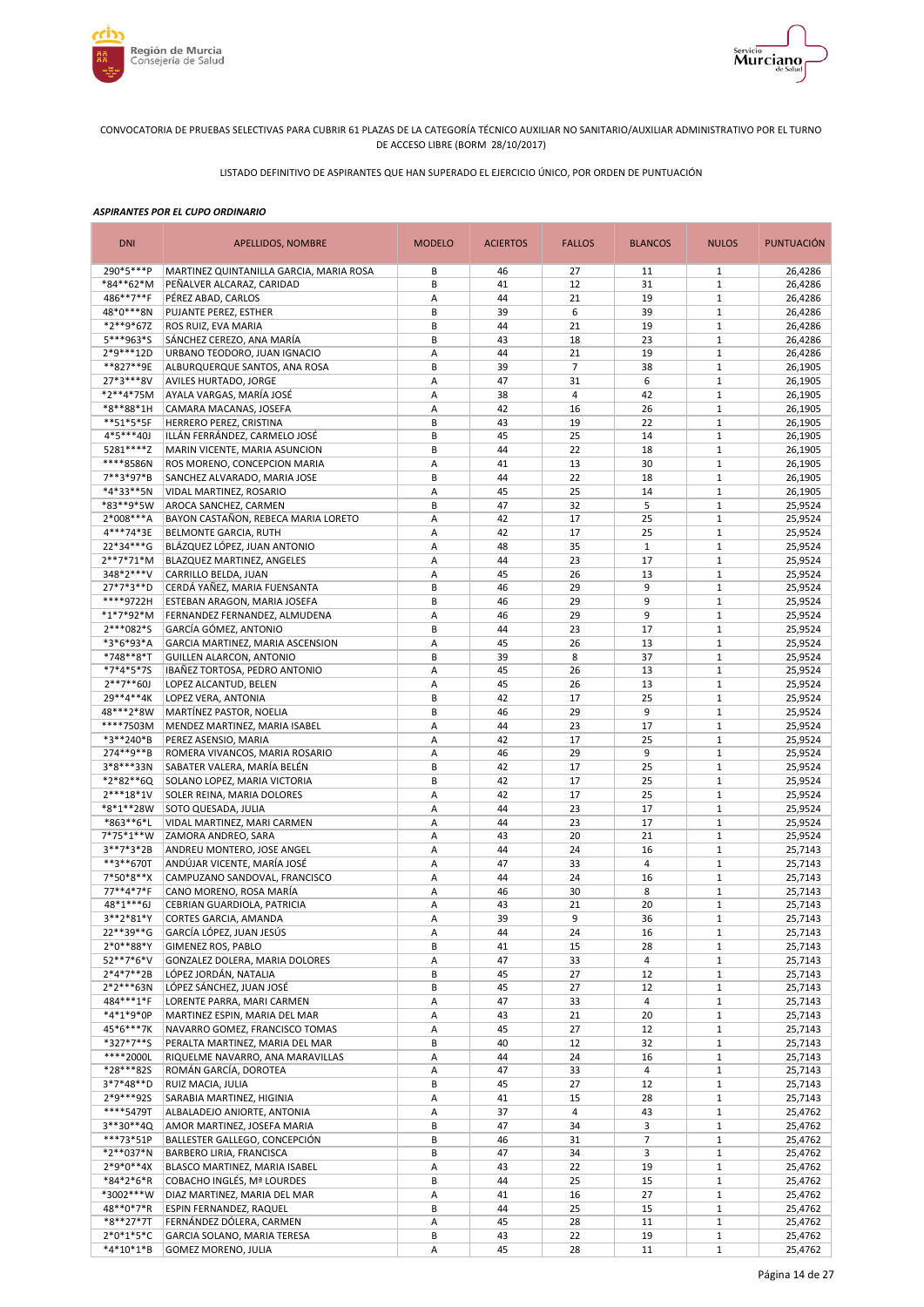



LISTADO DEFINITIVO DE ASPIRANTES QUE HAN SUPERADO EL EJERCICIO ÚNICO, POR ORDEN DE PUNTUACIÓN

| <b>DNI</b>               | APELLIDOS, NOMBRE                                            | <b>MODELO</b> | <b>ACIERTOS</b> | <b>FALLOS</b>                 | <b>BLANCOS</b>           | <b>NULOS</b>                 | <b>PUNTUACIÓN</b>  |
|--------------------------|--------------------------------------------------------------|---------------|-----------------|-------------------------------|--------------------------|------------------------------|--------------------|
| 290*5***P                | MARTINEZ QUINTANILLA GARCIA, MARIA ROSA                      | B             | 46              | 27                            | 11                       | 1                            | 26,4286            |
| *84**62*M                | PEÑALVER ALCARAZ, CARIDAD                                    | B             | 41              | 12                            | 31                       | $\mathbf{1}$                 | 26,4286            |
| 486**7**F                | PÉREZ ABAD, CARLOS                                           | Α             | 44              | 21                            | 19                       | $\mathbf{1}$                 | 26,4286            |
| 48*0***8N<br>*2**9*67Z   | PUJANTE PEREZ, ESTHER<br>ROS RUIZ, EVA MARIA                 | B<br>B        | 39<br>44        | 6<br>21                       | 39<br>19                 | $\mathbf{1}$<br>$\mathbf{1}$ | 26,4286<br>26,4286 |
| 5***963*S                | SÁNCHEZ CEREZO, ANA MARÍA                                    | B             | 43              | 18                            | 23                       | $1\,$                        | 26,4286            |
| 2*9***12D                | URBANO TEODORO, JUAN IGNACIO                                 | А             | 44              | 21                            | 19                       | $\mathbf{1}$                 | 26,4286            |
| **827**9E                | ALBURQUERQUE SANTOS, ANA ROSA                                | B             | 39              | $\overline{7}$                | 38                       | $1\,$                        | 26,1905            |
| 27*3***8V                | AVILES HURTADO, JORGE                                        | Α             | 47              | 31                            | 6                        | $\mathbf{1}$                 | 26,1905            |
| *2**4*75M                | AYALA VARGAS, MARÍA JOSÉ                                     | Α             | 38              | $\overline{4}$                | 42                       | $1\,$                        | 26,1905            |
| *8**88*1H                | CAMARA MACANAS, JOSEFA                                       | Α             | 42              | 16                            | 26                       | $\mathbf{1}$                 | 26,1905            |
| **51*5*5F                | HERRERO PEREZ, CRISTINA                                      | B             | 43              | 19                            | 22                       | $\mathbf{1}$                 | 26,1905            |
| $4*5***40J$              | ILLÁN FERRÁNDEZ, CARMELO JOSÉ                                | B             | 45              | 25                            | 14                       | $\mathbf{1}$                 | 26,1905            |
| 5281****Z<br>****8586N   | MARIN VICENTE, MARIA ASUNCION                                | B<br>Α        | 44<br>41        | 22<br>13                      | 18<br>30                 | $\mathbf{1}$<br>$\mathbf{1}$ | 26,1905            |
| 7**3*97*B                | ROS MORENO, CONCEPCION MARIA<br>SANCHEZ ALVARADO, MARIA JOSE | B             | 44              | 22                            | 18                       | $\mathbf{1}$                 | 26,1905<br>26,1905 |
| *4*33**5N                | VIDAL MARTINEZ, ROSARIO                                      | А             | 45              | 25                            | 14                       | $\mathbf{1}$                 | 26,1905            |
| *83**9*5W                | AROCA SANCHEZ, CARMEN                                        | B             | 47              | 32                            | 5                        | $1\,$                        | 25,9524            |
| 2*008***A                | BAYON CASTAÑON, REBECA MARIA LORETO                          | А             | 42              | 17                            | 25                       | $1\,$                        | 25,9524            |
| 4***74*3E                | BELMONTE GARCIA, RUTH                                        | A             | 42              | 17                            | 25                       | $\mathbf{1}$                 | 25,9524            |
| 22*34***G                | BLÁZQUEZ LÓPEZ, JUAN ANTONIO                                 | Α             | 48              | 35                            | $\mathbf{1}$             | $1\,$                        | 25,9524            |
| $2**7*71*M$              | BLAZQUEZ MARTINEZ, ANGELES                                   | A             | 44              | 23                            | 17                       | $\mathbf{1}$                 | 25,9524            |
| 348*2***V                | CARRILLO BELDA, JUAN                                         | А             | 45              | 26                            | 13                       | $1\,$                        | 25,9524            |
| 27*7*3**D                | CERDÁ YAÑEZ, MARIA FUENSANTA                                 | B             | 46              | 29                            | 9                        | $\mathbf{1}$                 | 25,9524            |
| ****9722H                | ESTEBAN ARAGON, MARIA JOSEFA                                 | B             | 46              | 29                            | 9                        | $1\,$                        | 25,9524            |
| $*1*7*92*M$<br>2***082*S | FERNANDEZ FERNANDEZ, ALMUDENA<br>GARCÍA GÓMEZ, ANTONIO       | A<br>B        | 46<br>44        | 29<br>23                      | 9<br>17                  | $\mathbf{1}$<br>$\mathbf{1}$ | 25,9524<br>25,9524 |
| *3*6*93*A                | GARCIA MARTINEZ, MARIA ASCENSION                             | Α             | 45              | 26                            | 13                       | $1\,$                        | 25,9524            |
| *748**8*T                | GUILLEN ALARCON, ANTONIO                                     | B             | 39              | 8                             | 37                       | $\mathbf{1}$                 | 25,9524            |
| *7*4*5*7S                | IBAÑEZ TORTOSA, PEDRO ANTONIO                                | Α             | 45              | 26                            | 13                       | $\mathbf{1}$                 | 25,9524            |
| $2***7**60J$             | LOPEZ ALCANTUD, BELEN                                        | А             | 45              | 26                            | 13                       | $1\,$                        | 25,9524            |
| 29**4**4K                | LOPEZ VERA, ANTONIA                                          | B             | 42              | 17                            | 25                       | $\mathbf{1}$                 | 25,9524            |
| 48***2*8W                | MARTÍNEZ PASTOR, NOELIA                                      | B             | 46              | 29                            | 9                        | $1\,$                        | 25,9524            |
| ****7503M                | MENDEZ MARTINEZ, MARIA ISABEL                                | Α             | 44              | 23                            | 17                       | $\mathbf{1}$                 | 25,9524            |
| *3**240*B                | PEREZ ASENSIO, MARIA                                         | Α             | 42              | 17                            | 25                       | $1\,$                        | 25,9524            |
| 274**9**B                | ROMERA VIVANCOS, MARIA ROSARIO                               | Α             | 46              | 29                            | 9                        | $\mathbf{1}$                 | 25,9524            |
| 3*8***33N<br>*2*82**6Q   | SABATER VALERA, MARÍA BELÉN                                  | B<br>B        | 42<br>42        | 17<br>17                      | 25<br>25                 | $\mathbf{1}$<br>$\mathbf{1}$ | 25,9524<br>25,9524 |
| 2***18*1V                | SOLANO LOPEZ, MARIA VICTORIA<br>SOLER REINA, MARIA DOLORES   | Α             | 42              | 17                            | 25                       | $\mathbf{1}$                 | 25,9524            |
| *8*1**28W                | SOTO QUESADA, JULIA                                          | Α             | 44              | 23                            | 17                       | $1\,$                        | 25,9524            |
| *863**6*L                | VIDAL MARTINEZ, MARI CARMEN                                  | Α             | 44              | 23                            | 17                       | $\mathbf{1}$                 | 25,9524            |
| 7*75*1**W                | ZAMORA ANDREO, SARA                                          | Α             | 43              | 20                            | 21                       | $\mathbf{1}$                 | 25,9524            |
| $3**7*3*2B$              | ANDREU MONTERO, JOSE ANGEL                                   | Α             | 44              | 24                            | 16                       | $\mathbf{1}$                 | 25,7143            |
| **3**670T                | ANDÚJAR VICENTE, MARÍA JOSÉ                                  | А             | 47              | 33                            | 4                        | $1\,$                        | 25,7143            |
| 7*50*8**X                | CAMPUZANO SANDOVAL, FRANCISCO                                | A             | 44              | 24                            | 16                       | $1\,$                        | 25,7143            |
| 77**4*7*F                | CANO MORENO, ROSA MARÍA                                      | Α             | 46              | 30                            | 8                        | $\mathbf{1}$                 | 25,7143            |
| $48*1***6J$              | CEBRIAN GUARDIOLA, PATRICIA                                  | A             | 43              | 21                            | 20                       | $\mathbf{1}$                 | 25,7143            |
| 3**2*81*Y                | CORTES GARCIA, AMANDA                                        | A             | 39              | 9                             | 36                       | $\mathbf{1}$                 | 25,7143            |
| 22**39**G<br>$2*0**88*Y$ | GARCÍA LÓPEZ, JUAN JESÚS<br>GIMENEZ ROS, PABLO               | Α<br>B        | 44<br>41        | 24<br>15                      | 16<br>28                 | $\mathbf{1}$<br>$\mathbf{1}$ | 25,7143<br>25,7143 |
| 52**7*6*V                | GONZALEZ DOLERA, MARIA DOLORES                               | Α             | 47              | 33                            | 4                        | $\mathbf{1}$                 | 25,7143            |
| $2*4*7**2B$              | LÓPEZ JORDÁN, NATALIA                                        | В             | 45              | 27                            | 12                       | $\mathbf{1}$                 | 25,7143            |
| $2*2***63N$              | LÓPEZ SÁNCHEZ, JUAN JOSÉ                                     | B             | 45              | 27                            | 12                       | $\mathbf{1}$                 | 25,7143            |
| 484***1*F                | LORENTE PARRA, MARI CARMEN                                   | Α             | 47              | 33                            | 4                        | $\mathbf{1}$                 | 25,7143            |
| *4*1*9*0P                | MARTINEZ ESPIN, MARIA DEL MAR                                | А             | 43              | 21                            | 20                       | $\mathbf{1}$                 | 25,7143            |
| 45*6***7K                | NAVARRO GOMEZ, FRANCISCO TOMAS                               | Α             | 45              | 27                            | 12                       | $\mathbf{1}$                 | 25,7143            |
| *327*7**S                | PERALTA MARTINEZ, MARIA DEL MAR                              | B             | 40              | 12                            | 32                       | $\mathbf 1$                  | 25,7143            |
| ****2000L                | RIQUELME NAVARRO, ANA MARAVILLAS                             | Α             | 44              | 24                            | 16                       | $\mathbf{1}$                 | 25,7143            |
| *28***825                | ROMÁN GARCÍA, DOROTEA                                        | Α             | 47              | 33                            | 4                        | $\mathbf{1}$                 | 25,7143            |
| 3*7*48**D                | RUIZ MACIA, JULIA                                            | B             | 45              | 27                            | 12                       | $\mathbf{1}$                 | 25,7143            |
| 2*9***92S<br>****5479T   | SARABIA MARTINEZ, HIGINIA<br>ALBALADEJO ANIORTE, ANTONIA     | Α<br>Α        | 41<br>37        | 15<br>$\overline{\mathbf{4}}$ | 28<br>43                 | $1\,$<br>$\mathbf{1}$        | 25,7143<br>25,4762 |
| 3**30**4Q                | AMOR MARTINEZ, JOSEFA MARIA                                  | B             | 47              | 34                            | 3                        | $1\,$                        | 25,4762            |
| ***73*51P                | BALLESTER GALLEGO, CONCEPCIÓN                                | B             | 46              | 31                            | $\overline{\phantom{a}}$ | $\mathbf{1}$                 | 25,4762            |
| *2**037*N                | BARBERO LIRIA, FRANCISCA                                     | B             | 47              | 34                            | 3                        | $1\,$                        | 25,4762            |
| $2*9*0**4X$              | BLASCO MARTINEZ, MARIA ISABEL                                | Α             | 43              | 22                            | 19                       | $\mathbf{1}$                 | 25,4762            |
| *84*2*6*R                | COBACHO INGLÉS, Mª LOURDES                                   | B             | 44              | 25                            | 15                       | $\mathbf{1}$                 | 25,4762            |
| *3002***W                | DIAZ MARTINEZ, MARIA DEL MAR                                 | A             | 41              | 16                            | 27                       | $\mathbf{1}$                 | 25,4762            |
| 48**0*7*R                | ESPIN FERNANDEZ, RAQUEL                                      | B             | 44              | 25                            | 15                       | $\mathbf 1$                  | 25,4762            |
| *8**27*7T                | FERNÁNDEZ DÓLERA, CARMEN                                     | А             | 45              | 28                            | 11                       | $\mathbf{1}$                 | 25,4762            |
| $2*0*1*5*C$              | GARCIA SOLANO, MARIA TERESA                                  | B             | 43              | 22                            | 19                       | $\mathbf 1$                  | 25,4762            |
| *4*10*1*B                | <b>GOMEZ MORENO, JULIA</b>                                   | А             | 45              | 28                            | 11                       | $\mathbf 1$                  | 25,4762            |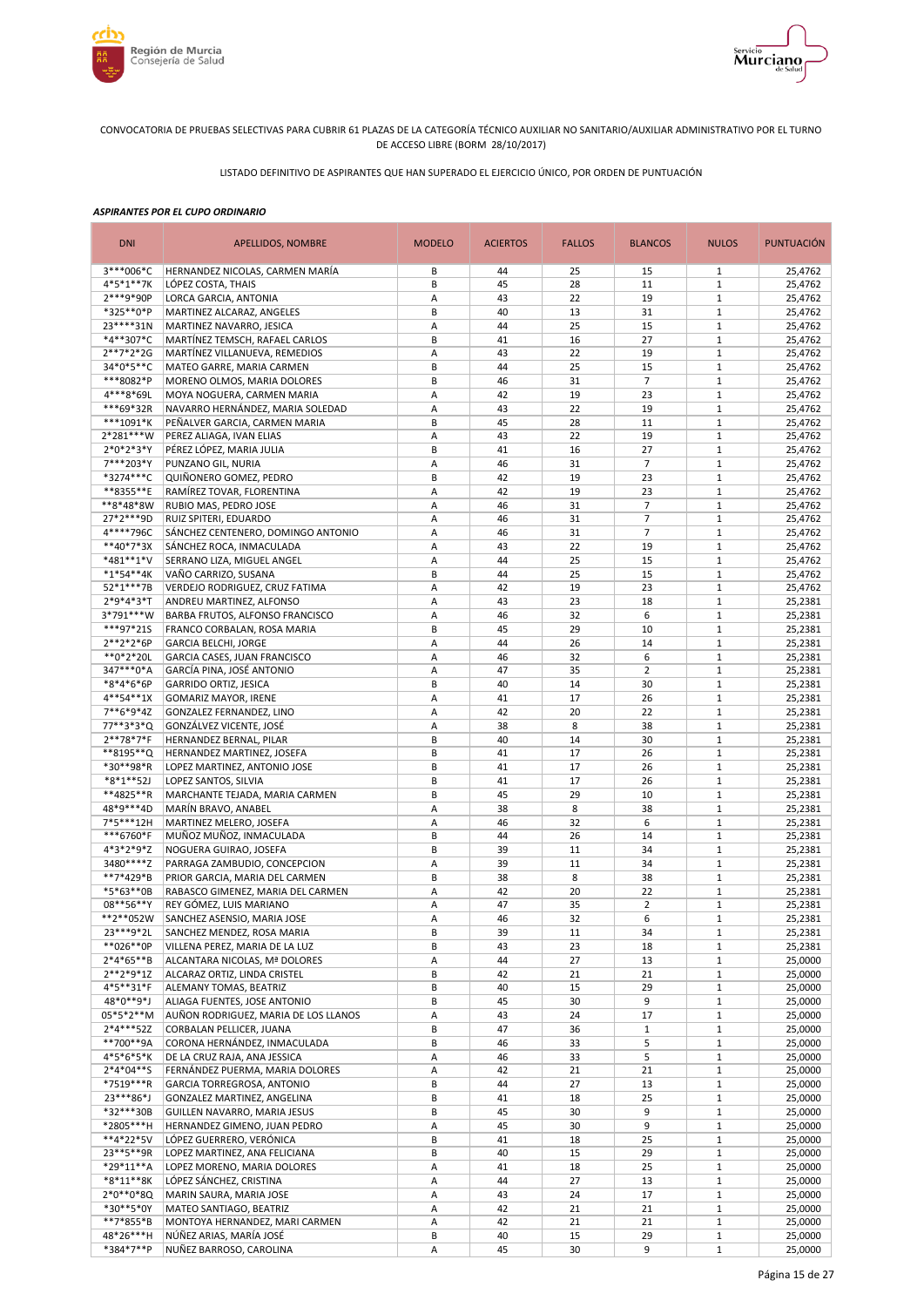



LISTADO DEFINITIVO DE ASPIRANTES QUE HAN SUPERADO EL EJERCICIO ÚNICO, POR ORDEN DE PUNTUACIÓN

| <b>DNI</b>             | <b>APELLIDOS, NOMBRE</b>                                  | <b>MODELO</b> | <b>ACIERTOS</b> | <b>FALLOS</b> | <b>BLANCOS</b>    | <b>NULOS</b>                | <b>PUNTUACIÓN</b>  |
|------------------------|-----------------------------------------------------------|---------------|-----------------|---------------|-------------------|-----------------------------|--------------------|
| 3***006*C              | HERNANDEZ NICOLAS, CARMEN MARÍA                           | В             | 44              | 25            | 15                | $\mathbf{1}$                | 25,4762            |
| 4*5*1**7K              | LÓPEZ COSTA, THAIS                                        | B             | 45              | 28            | 11                | $1\,$                       | 25,4762            |
| 2***9*90P              | LORCA GARCIA, ANTONIA                                     | А             | 43              | 22            | 19                | $1\,$                       | 25,4762            |
| *325**0*P<br>23****31N | MARTINEZ ALCARAZ, ANGELES<br>MARTINEZ NAVARRO, JESICA     | В<br>Α        | 40<br>44        | 13<br>25      | 31<br>15          | $1\,$<br>$1\,$              | 25,4762<br>25,4762 |
| *4**307*C              | MARTÍNEZ TEMSCH, RAFAEL CARLOS                            | B             | 41              | 16            | 27                | $1\,$                       | 25,4762            |
| $2**7*2*2G$            | MARTÍNEZ VILLANUEVA, REMEDIOS                             | Α             | 43              | 22            | 19                | $\,1\,$                     | 25,4762            |
| 34*0*5**C              | MATEO GARRE, MARIA CARMEN                                 | B             | 44              | 25            | 15                | $\mathbf 1$                 | 25,4762            |
| ***8082*P              | MORENO OLMOS, MARIA DOLORES                               | B             | 46              | 31            | $\overline{7}$    | $\mathbf 1$                 | 25,4762            |
| 4***8*69L              | MOYA NOGUERA, CARMEN MARIA                                | A             | 42              | 19            | 23                | $1\,$                       | 25,4762            |
| ***69*32R              | NAVARRO HERNÁNDEZ, MARIA SOLEDAD                          | Α             | 43              | 22            | 19                | $\mathbf 1$                 | 25,4762            |
| ***1091*K              | PEÑALVER GARCIA, CARMEN MARIA                             | B             | 45              | 28            | 11                | $\mathbf{1}$                | 25,4762            |
| 2*281***W              | PEREZ ALIAGA, IVAN ELIAS                                  | Α             | 43              | 22            | 19                | $\mathbf 1$                 | 25,4762            |
| $2*0*2*3*Y$            | PÉREZ LÓPEZ, MARIA JULIA                                  | B             | 41              | 16            | 27                | $\mathbf{1}$                | 25,4762            |
| 7***203*Y              | PUNZANO GIL, NURIA                                        | Α             | 46              | 31            | $\overline{7}$    | $\mathbf 1$                 | 25,4762            |
| *3274***C              | QUIÑONERO GOMEZ, PEDRO                                    | B<br>Α        | 42<br>42        | 19<br>19      | 23<br>23          | $\mathbf 1$<br>$\mathbf 1$  | 25,4762            |
| **8355**E<br>**8*48*8W | RAMÍREZ TOVAR, FLORENTINA<br>RUBIO MAS, PEDRO JOSE        | Α             | 46              | 31            | $\overline{7}$    | $1\,$                       | 25,4762<br>25,4762 |
| 27*2***9D              | RUIZ SPITERI, EDUARDO                                     | Α             | 46              | 31            | $\overline{7}$    | $\mathbf 1$                 | 25,4762            |
| 4****796C              | SÁNCHEZ CENTENERO, DOMINGO ANTONIO                        | A             | 46              | 31            | $\overline{7}$    | $\mathbf{1}$                | 25,4762            |
| **40*7*3X              | SÁNCHEZ ROCA, INMACULADA                                  | Α             | 43              | 22            | 19                | $1\,$                       | 25,4762            |
| *481**1*V              | SERRANO LIZA, MIGUEL ANGEL                                | A             | 44              | 25            | 15                | $\mathbf{1}$                | 25,4762            |
| $*1*54**4K$            | VAÑO CARRIZO, SUSANA                                      | B             | 44              | 25            | 15                | $1\,$                       | 25,4762            |
| 52*1***7B              | VERDEJO RODRIGUEZ, CRUZ FATIMA                            | Α             | 42              | 19            | 23                | $1\,$                       | 25,4762            |
| 2*9*4*3*T              | ANDREU MARTINEZ, ALFONSO                                  | А             | 43              | 23            | 18                | $1\,$                       | 25,2381            |
| 3*791***W              | BARBA FRUTOS, ALFONSO FRANCISCO                           | Α             | 46              | 32            | 6                 | $1\,$                       | 25,2381            |
| ***97*21S              | FRANCO CORBALAN, ROSA MARIA                               | B             | 45              | 29            | 10                | $1\,$                       | 25,2381            |
| $2**2*2*6P$            | <b>GARCIA BELCHI, JORGE</b>                               | Α             | 44              | 26            | 14                | $1\,$                       | 25,2381            |
| **0*2*20L              | GARCIA CASES, JUAN FRANCISCO                              | А             | 46              | 32            | 6                 | $1\,$                       | 25,2381            |
| 347***0*A              | GARCÍA PINA, JOSÉ ANTONIO                                 | Α             | 47              | 35            | $\overline{2}$    | $1\,$                       | 25,2381            |
| *8*4*6*6P<br>4**54**1X | <b>GARRIDO ORTIZ, JESICA</b>                              | B<br>Α        | 40<br>41        | 14<br>17      | 30<br>26          | $1\,$<br>$\,1\,$            | 25,2381            |
| 7**6*9*4Z              | <b>GOMARIZ MAYOR, IRENE</b><br>GONZALEZ FERNANDEZ, LINO   | Α             | 42              | 20            | 22                | $1\,$                       | 25,2381<br>25,2381 |
| 77**3*3*Q              | GONZÁLVEZ VICENTE, JOSÉ                                   | Α             | 38              | 8             | 38                | $\mathbf 1$                 | 25,2381            |
| 2**78*7*F              | HERNANDEZ BERNAL, PILAR                                   | B             | 40              | 14            | 30                | $1\,$                       | 25,2381            |
| **8195**Q              | HERNANDEZ MARTINEZ, JOSEFA                                | B             | 41              | 17            | 26                | $\mathbf 1$                 | 25,2381            |
| *30**98*R              | LOPEZ MARTINEZ, ANTONIO JOSE                              | B             | 41              | 17            | 26                | $\mathbf{1}$                | 25,2381            |
| *8*1**52J              | LOPEZ SANTOS, SILVIA                                      | B             | 41              | 17            | 26                | $\mathbf 1$                 | 25,2381            |
| **4825**R              | MARCHANTE TEJADA, MARIA CARMEN                            | B             | 45              | 29            | 10                | $\mathbf{1}$                | 25,2381            |
| 48*9***4D              | MARÍN BRAVO, ANABEL                                       | Α             | 38              | 8             | 38                | $\mathbf 1$                 | 25,2381            |
| 7*5***12H              | MARTINEZ MELERO, JOSEFA                                   | Α             | 46              | 32            | 6                 | $1\,$                       | 25,2381            |
| ***6760*F              | MUÑOZ MUÑOZ, INMACULADA                                   | B             | 44              | 26            | 14                | $\mathbf 1$                 | 25,2381            |
| 4*3*2*9*Z<br>3480****Z | NOGUERA GUIRAO, JOSEFA<br>PARRAGA ZAMBUDIO, CONCEPCION    | B<br>Α        | 39<br>39        | 11<br>11      | 34                | $\mathbf{1}$<br>$\mathbf 1$ | 25,2381            |
| **7*429*B              | PRIOR GARCIA, MARIA DEL CARMEN                            | B             | 38              | 8             | 34<br>38          | $\mathbf 1$                 | 25,2381<br>25,2381 |
| *5*63**0B              | RABASCO GIMENEZ, MARIA DEL CARMEN                         | Α             | 42              | 20            | 22                | $\mathbf 1$                 | 25,2381            |
| 08**56**Y              | REY GÓMEZ, LUIS MARIANO                                   | A             | 47              | 35            | $\overline{2}$    | $1\,$                       | 25,2381            |
| **2**052W              | SANCHEZ ASENSIO, MARIA JOSE                               | A             | 46              | 32            | 6                 | $\mathbf{1}$                | 25,2381            |
| 23 *** 9 * 2L          | SANCHEZ MENDEZ, ROSA MARIA                                | В             | 39              | 11            | 34                | $\mathbf{1}$                | 25,2381            |
| **026**0P              | VILLENA PEREZ, MARIA DE LA LUZ                            | В             | 43              | 23            | 18                | $\mathbf{1}$                | 25,2381            |
| $2*4*65**B$            | ALCANTARA NICOLAS, Mª DOLORES                             | Α             | 44              | 27            | 13                | $\mathbf{1}$                | 25,0000            |
| $2**2*9*1Z$            | ALCARAZ ORTIZ, LINDA CRISTEL                              | В             | 42              | 21            | 21                | $\mathbf{1}$                | 25,0000            |
| 4*5**31*F              | ALEMANY TOMAS, BEATRIZ                                    | В             | 40              | 15            | 29                | $1\,$                       | 25,0000            |
| 48*0**9*J              | ALIAGA FUENTES, JOSE ANTONIO                              | В             | 45              | 30            | 9                 | $1\,$                       | 25,0000            |
| 05*5*2**M              | AUÑON RODRIGUEZ, MARIA DE LOS LLANOS                      | Α             | 43              | 24            | 17                | $\mathbf{1}$                | 25,0000            |
| 2*4***52Z<br>**700**9A | CORBALAN PELLICER, JUANA<br>CORONA HERNÁNDEZ, INMACULADA  | B<br>B        | 47<br>46        | 36<br>33      | $\mathbf{1}$<br>5 | $1\,$<br>$\,1\,$            | 25,0000<br>25,0000 |
| 4*5*6*5*K              | DE LA CRUZ RAJA, ANA JESSICA                              | А             | 46              | 33            | 5                 | $1\,$                       | 25,0000            |
| $2*4*04**S$            | FERNÁNDEZ PUERMA, MARIA DOLORES                           | А             | 42              | 21            | 21                | $\mathbf{1}$                | 25,0000            |
| *7519***R              | GARCIA TORREGROSA, ANTONIO                                | B             | 44              | 27            | 13                | $1\,$                       | 25,0000            |
| 23***86*J              | GONZALEZ MARTINEZ, ANGELINA                               | B             | 41              | 18            | 25                | $\mathbf 1$                 | 25,0000            |
| *32***30B              | GUILLEN NAVARRO, MARIA JESUS                              | B             | 45              | 30            | 9                 | $\mathbf{1}$                | 25,0000            |
| *2805***H              | HERNANDEZ GIMENO, JUAN PEDRO                              | Α             | 45              | 30            | 9                 | $\mathbf{1}$                | 25,0000            |
| **4*22*5V              | LÓPEZ GUERRERO, VERÓNICA                                  | B             | 41              | 18            | 25                | $1\,$                       | 25,0000            |
| 23 ** 5 ** 9R          | LOPEZ MARTINEZ, ANA FELICIANA                             | В             | 40              | 15            | 29                | $\mathbf{1}$                | 25,0000            |
| *29*11**A              | LOPEZ MORENO, MARIA DOLORES                               | Α             | 41              | 18            | 25                | $\,1\,$                     | 25,0000            |
| *8*11**8K              | LÓPEZ SÁNCHEZ, CRISTINA                                   | А             | 44              | 27            | 13                | $1\,$                       | 25,0000            |
| $2*0**0*8Q$            | MARIN SAURA, MARIA JOSE                                   | Α             | 43              | 24            | 17                | $\,1\,$                     | 25,0000            |
| *30**5*0Y<br>**7*855*B | MATEO SANTIAGO, BEATRIZ<br>MONTOYA HERNANDEZ, MARI CARMEN | Α<br>А        | 42<br>42        | 21<br>21      | 21<br>21          | $\,1\,$<br>$\mathbf{1}$     | 25,0000<br>25,0000 |
| 48*26***H              | NÚÑEZ ARIAS, MARÍA JOSÉ                                   | В             | 40              | 15            | 29                | $\mathbf 1$                 | 25,0000            |
| *384*7**P              | NUÑEZ BARROSO, CAROLINA                                   | А             | 45              | 30            | 9                 | $\mathbf{1}$                | 25,0000            |
|                        |                                                           |               |                 |               |                   |                             |                    |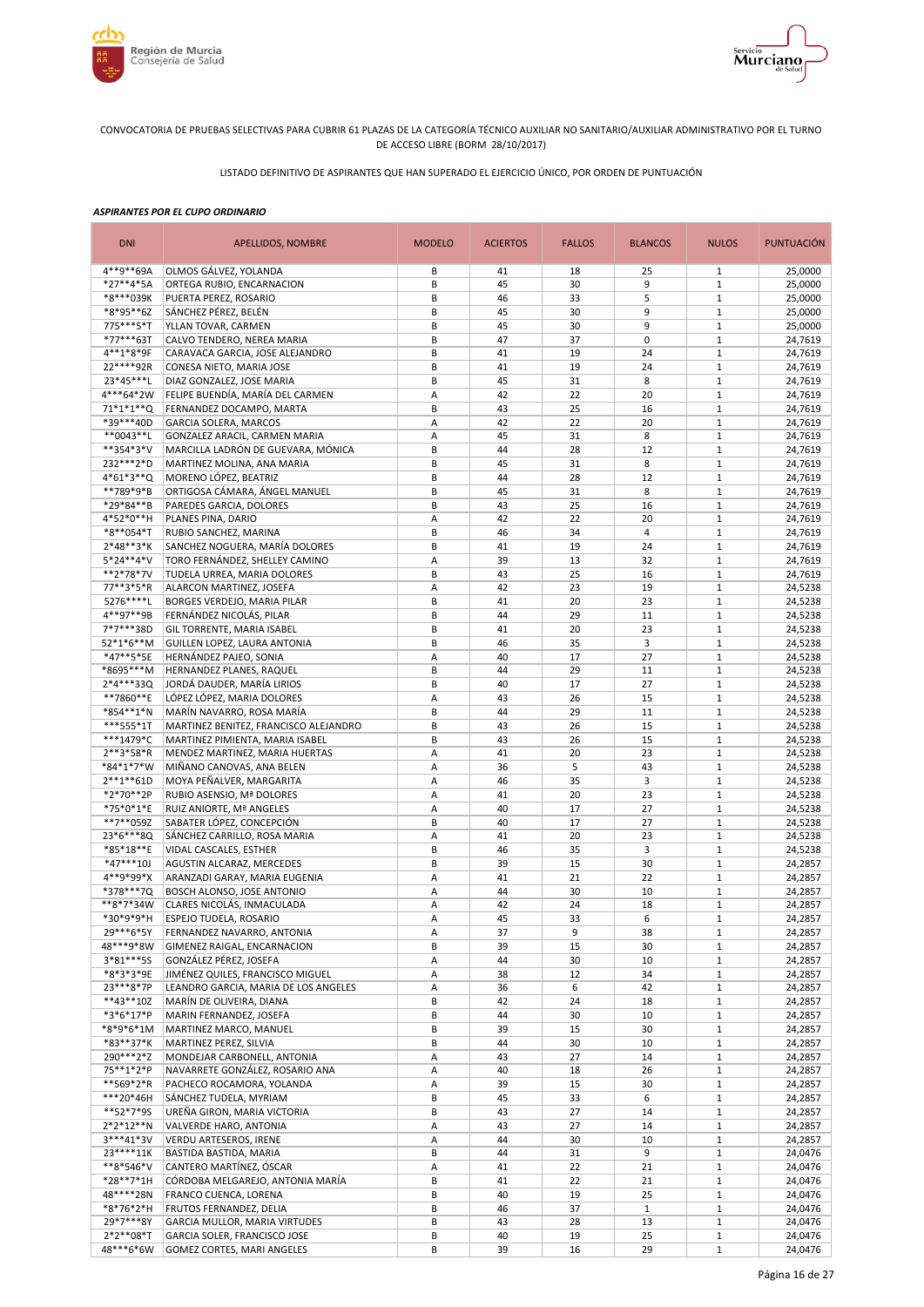



LISTADO DEFINITIVO DE ASPIRANTES QUE HAN SUPERADO EL EJERCICIO ÚNICO, POR ORDEN DE PUNTUACIÓN

| <b>DNI</b>             | APELLIDOS, NOMBRE                                                 | <b>MODELO</b> | <b>ACIERTOS</b> | <b>FALLOS</b> | <b>BLANCOS</b> | <b>NULOS</b>                 | <b>PUNTUACIÓN</b>  |
|------------------------|-------------------------------------------------------------------|---------------|-----------------|---------------|----------------|------------------------------|--------------------|
| 4**9**69A              | OLMOS GÁLVEZ, YOLANDA                                             | B             | 41              | 18            | 25             | 1                            | 25,0000            |
| *27**4*5A              | ORTEGA RUBIO, ENCARNACION                                         | B             | 45              | 30            | 9              | $1\,$                        | 25,0000            |
| *8***039K              | PUERTA PEREZ, ROSARIO                                             | B             | 46              | 33            | 5              | $\mathbf{1}$                 | 25,0000            |
| *8*95**6Z              | SÁNCHEZ PÉREZ, BELÉN                                              | B             | 45              | 30            | 9              | $1\,$                        | 25,0000            |
| 775***5*T<br>*77***63T | YLLAN TOVAR, CARMEN                                               | B<br>B        | 45<br>47        | 30<br>37      | 9<br>0         | $1\,$<br>$\mathbf{1}$        | 25,0000            |
| 4**1*8*9F              | CALVO TENDERO, NEREA MARIA<br>CARAVACA GARCIA, JOSE ALEJANDRO     | B             | 41              | 19            | 24             | $1\,$                        | 24,7619<br>24,7619 |
| 22 **** 92R            | CONESA NIETO, MARIA JOSE                                          | B             | 41              | 19            | 24             | $1\,$                        | 24,7619            |
| 23*45***L              | DIAZ GONZALEZ, JOSE MARIA                                         | B             | 45              | 31            | 8              | $\mathbf{1}$                 | 24,7619            |
| 4***64*2W              | FELIPE BUENDÍA, MARÍA DEL CARMEN                                  | А             | 42              | 22            | 20             | $1\,$                        | 24,7619            |
| 71*1*1**Q              | FERNANDEZ DOCAMPO, MARTA                                          | B             | 43              | 25            | 16             | $\mathbf{1}$                 | 24,7619            |
| *39***40D              | <b>GARCIA SOLERA, MARCOS</b>                                      | Α             | 42              | 22            | 20             | $1\,$                        | 24,7619            |
| **0043**L              | GONZALEZ ARACIL, CARMEN MARIA                                     | A             | 45              | 31            | 8              | $\mathbf{1}$                 | 24,7619            |
| **354*3*V              | MARCILLA LADRÓN DE GUEVARA, MÓNICA                                | B             | 44              | 28            | 12             | $\mathbf{1}$                 | 24,7619            |
| 232 *** 2*D            | MARTINEZ MOLINA, ANA MARIA                                        | B             | 45              | 31            | 8              | $\mathbf{1}$                 | 24,7619            |
| 4*61*3**Q              | MORENO LÓPEZ, BEATRIZ                                             | B             | 44              | 28            | 12             | $\mathbf{1}$                 | 24,7619            |
| **789*9*B              | ORTIGOSA CÁMARA, ÁNGEL MANUEL                                     | B             | 45              | 31            | 8              | $1\,$                        | 24,7619            |
| *29*84**B              | PAREDES GARCIA, DOLORES                                           | B             | 43              | 25            | 16             | $\mathbf{1}$                 | 24,7619            |
| 4*52*0**H<br>*8**054*T | PLANES PINA, DARIO<br>RUBIO SANCHEZ, MARINA                       | Α<br>B        | 42<br>46        | 22<br>34      | 20<br>4        | $1\,$<br>$\mathbf{1}$        | 24,7619<br>24,7619 |
| $2*48**3*K$            | SANCHEZ NOGUERA, MARÍA DOLORES                                    | B             | 41              | 19            | 24             | $1\,$                        | 24,7619            |
| 5*24**4*V              | TORO FERNÁNDEZ, SHELLEY CAMINO                                    | A             | 39              | 13            | 32             | $1\,$                        | 24,7619            |
| **2*78*7V              | TUDELA URREA, MARIA DOLORES                                       | B             | 43              | 25            | 16             | $1\,$                        | 24,7619            |
| 77**3*5*R              | ALARCON MARTINEZ, JOSEFA                                          | A             | 42              | 23            | 19             | $\mathbf{1}$                 | 24,5238            |
| 5276****L              | BORGES VERDEJO, MARIA PILAR                                       | B             | 41              | 20            | 23             | $1\,$                        | 24,5238            |
| 4**97**9B              | FERNÁNDEZ NICOLÁS, PILAR                                          | B             | 44              | 29            | 11             | $\mathbf 1$                  | 24,5238            |
| 7*7***38D              | GIL TORRENTE, MARIA ISABEL                                        | B             | 41              | 20            | 23             | $1\,$                        | 24,5238            |
| $52*1*6**M$            | GUILLEN LOPEZ, LAURA ANTONIA                                      | B             | 46              | 35            | 3              | $\mathbf{1}$                 | 24,5238            |
| *47**5*5E              | HERNÁNDEZ PAJEO, SONIA                                            | Α             | 40              | 17            | 27             | $1\,$                        | 24,5238            |
| *8695***M              | HERNANDEZ PLANES, RAQUEL                                          | B             | 44              | 29            | 11             | $1\,$                        | 24,5238            |
| 2*4***33Q              | JORDÁ DAUDER, MARÍA LIRIOS                                        | B             | 40              | 17            | 27             | $\mathbf{1}$                 | 24,5238            |
| **7860**E              | LÓPEZ LÓPEZ, MARIA DOLORES                                        | A             | 43              | 26            | 15             | $1\,$                        | 24,5238            |
| *854**1*N              | MARÍN NAVARRO, ROSA MARÍA                                         | B             | 44              | 29            | 11             | $1\,$                        | 24,5238            |
| ***555*1T<br>***1479*C | MARTINEZ BENITEZ, FRANCISCO ALEJANDRO                             | B<br>B        | 43<br>43        | 26<br>26      | 15<br>15       | $\mathbf{1}$<br>$1\,$        | 24,5238            |
| $2***3*58*R$           | MARTINEZ PIMIENTA, MARIA ISABEL<br>MENDEZ MARTINEZ, MARIA HUERTAS | Α             | 41              | 20            | 23             | $\mathbf{1}$                 | 24,5238<br>24,5238 |
| *84*1*7*W              | MIÑANO CANOVAS, ANA BELEN                                         | А             | 36              | 5             | 43             | $1\,$                        | 24,5238            |
| $2***1**61D$           | MOYA PEÑALVER, MARGARITA                                          | Α             | 46              | 35            | 3              | $\mathbf{1}$                 | 24,5238            |
| *2*70**2P              | RUBIO ASENSIO, Mª DOLORES                                         | Α             | 41              | 20            | 23             | $1\,$                        | 24,5238            |
| *75*0*1*E              | RUIZ ANIORTE, Mª ANGELES                                          | Α             | 40              | 17            | 27             | $\mathbf{1}$                 | 24,5238            |
| **7**059Z              | SABATER LÓPEZ, CONCEPCIÓN                                         | B             | 40              | 17            | 27             | $\mathbf{1}$                 | 24,5238            |
| 23*6***8Q              | SÁNCHEZ CARRILLO, ROSA MARIA                                      | Α             | 41              | 20            | 23             | $\mathbf{1}$                 | 24,5238            |
| *85*18**E              | VIDAL CASCALES, ESTHER                                            | B             | 46              | 35            | 3              | $\mathbf{1}$                 | 24,5238            |
| $*47***10J$            | AGUSTIN ALCARAZ, MERCEDES                                         | B             | 39              | 15            | 30             | $1\,$                        | 24,2857            |
| 4**9*99*X              | ARANZADI GARAY, MARIA EUGENIA                                     | Α             | 41              | 21            | 22             | $\mathbf{1}$                 | 24,2857            |
| *378***7Q              | BOSCH ALONSO, JOSE ANTONIO                                        | А             | 44              | 30            | 10             | $\mathbf{1}$                 | 24,2857            |
| **8*7*34W<br>*30*9*9*H | CLARES NICOLÁS, INMACULADA                                        | A             | 42              | 24            | 18<br>6        | $1\,$                        | 24,2857            |
| 29***6*5Y              | ESPEJO TUDELA, ROSARIO<br>FERNANDEZ NAVARRO, ANTONIA              | A<br>Α        | 45<br>37        | 33<br>9       | 38             | $\mathbf{1}$<br>$\mathbf{1}$ | 24,2857<br>24,2857 |
| 48***9*8W              | GIMENEZ RAIGAL, ENCARNACION                                       | B             | 39              | 15            | 30             | $\mathbf{1}$                 | 24,2857            |
| 3*81***5S              | GONZÁLEZ PÉREZ, JOSEFA                                            | Α             | 44              | 30            | 10             | $\mathbf{1}$                 | 24,2857            |
| *8*3*3*9E              | JIMÉNEZ QUILES, FRANCISCO MIGUEL                                  | А             | 38              | 12            | 34             | $\mathbf{1}$                 | 24,2857            |
| 23 *** 8 * 7 P         | LEANDRO GARCIA, MARIA DE LOS ANGELES                              | А             | 36              | 6             | 42             | $\mathbf 1$                  | 24,2857            |
| $**43**10Z$            | MARÍN DE OLIVEIRA, DIANA                                          | B             | 42              | 24            | 18             | $\mathbf 1$                  | 24,2857            |
| $*3*6*17*P$            | MARIN FERNANDEZ, JOSEFA                                           | B             | 44              | 30            | 10             | $\mathbf{1}$                 | 24,2857            |
| *8*9*6*1M              | MARTINEZ MARCO, MANUEL                                            | В             | 39              | 15            | 30             | $\mathbf{1}$                 | 24,2857            |
| *83**37*K              | MARTINEZ PEREZ, SILVIA                                            | B             | 44              | 30            | 10             | $\mathbf{1}$                 | 24,2857            |
| 290***2*Z              | MONDEJAR CARBONELL, ANTONIA                                       | Α             | 43              | 27            | 14             | $\mathbf{1}$                 | 24,2857            |
| 75**1*2*P              | NAVARRETE GONZÁLEZ, ROSARIO ANA                                   | А             | 40              | 18            | 26             | $\mathbf 1$                  | 24,2857            |
| **569*2*R              | PACHECO ROCAMORA, YOLANDA                                         | Α             | 39              | 15            | 30             | $\mathbf{1}$<br>$\mathbf 1$  | 24,2857            |
| ***20*46H<br>**52*7*9S | SÁNCHEZ TUDELA, MYRIAM<br>UREÑA GIRON, MARIA VICTORIA             | B<br>В        | 45<br>43        | 33<br>27      | 6<br>14        | $\mathbf 1$                  | 24,2857<br>24,2857 |
| 2*2*12**N              | VALVERDE HARO, ANTONIA                                            | Α             | 43              | 27            | 14             | $1\,$                        | 24,2857            |
| $3***41*3V$            | VERDU ARTESEROS, IRENE                                            | Α             | 44              | 30            | 10             | $\mathbf 1$                  | 24,2857            |
| 23****11K              | BASTIDA BASTIDA, MARIA                                            | B             | 44              | 31            | 9              | $1\,$                        | 24,0476            |
| **8*546*V              | CANTERO MARTÍNEZ, ÓSCAR                                           | Α             | 41              | 22            | 21             | $\mathbf{1}$                 | 24,0476            |
| *28**7*1H              | CÓRDOBA MELGAREJO, ANTONIA MARÍA                                  | B             | 41              | 22            | 21             | $1\,$                        | 24,0476            |
| 48****28N              | FRANCO CUENCA, LORENA                                             | B             | 40              | 19            | 25             | $\mathbf{1}$                 | 24,0476            |
| *8*76*2*H              | FRUTOS FERNANDEZ, DELIA                                           | B             | 46              | 37            | $\mathbf{1}$   | $\mathbf{1}$                 | 24,0476            |
| 29*7***8Y              | GARCIA MULLOR, MARIA VIRTUDES                                     | B             | 43              | 28            | 13             | $\mathbf{1}$                 | 24,0476            |
| $2*2**08*T$            | GARCIA SOLER, FRANCISCO JOSE                                      | B             | 40              | 19            | 25             | $1\,$                        | 24,0476            |
| 48***6*6W              | GOMEZ CORTES, MARI ANGELES                                        | B             | 39              | 16            | 29             | $\mathbf 1$                  | 24,0476            |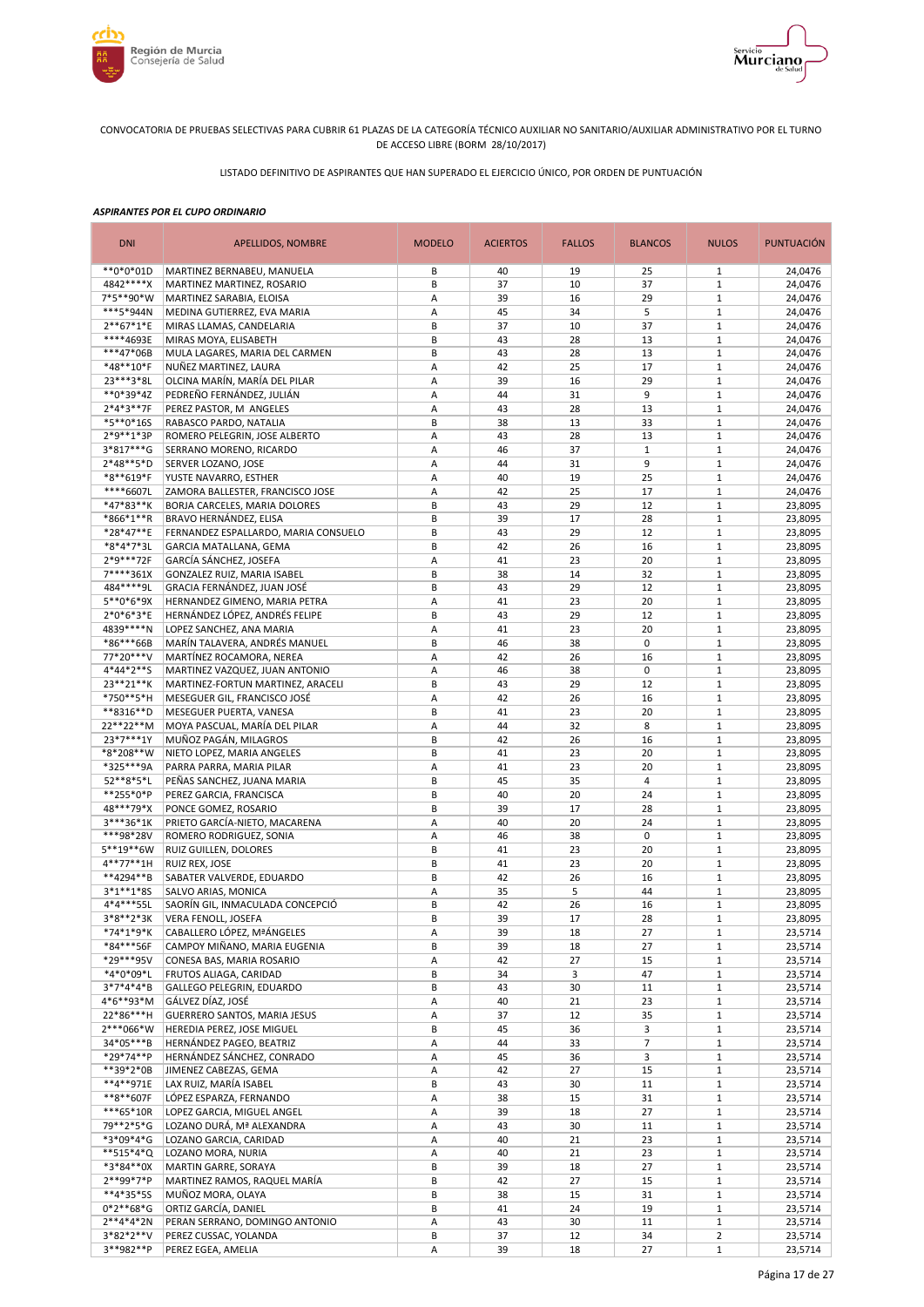



LISTADO DEFINITIVO DE ASPIRANTES QUE HAN SUPERADO EL EJERCICIO ÚNICO, POR ORDEN DE PUNTUACIÓN

| <b>DNI</b>               | APELLIDOS, NOMBRE                                         | <b>MODELO</b> | <b>ACIERTOS</b> | <b>FALLOS</b> | <b>BLANCOS</b> | <b>NULOS</b>                 | <b>PUNTUACIÓN</b>  |
|--------------------------|-----------------------------------------------------------|---------------|-----------------|---------------|----------------|------------------------------|--------------------|
| **0*0*01D                | MARTINEZ BERNABEU, MANUELA                                | B             | 40              | 19            | 25             | 1                            | 24,0476            |
| 4842 **** X              | MARTINEZ MARTINEZ, ROSARIO                                | B             | 37              | 10            | 37             | $1\,$                        | 24,0476            |
| 7*5**90*W                | MARTINEZ SARABIA, ELOISA                                  | Α             | 39              | 16            | 29             | $\mathbf{1}$                 | 24,0476            |
| ***5*944N<br>$2**67*1*E$ | MEDINA GUTIERREZ, EVA MARIA<br>MIRAS LLAMAS, CANDELARIA   | А<br>B        | 45<br>37        | 34<br>10      | 5<br>37        | $1\,$<br>$\mathbf{1}$        | 24,0476<br>24,0476 |
| ****4693E                | MIRAS MOYA, ELISABETH                                     | B             | 43              | 28            | 13             | $1\,$                        | 24,0476            |
| ***47*06B                | MULA LAGARES, MARIA DEL CARMEN                            | B             | 43              | 28            | 13             | $\mathbf{1}$                 | 24,0476            |
| *48**10*F                | NUÑEZ MARTINEZ, LAURA                                     | Α             | 42              | 25            | 17             | $\mathbf{1}$                 | 24,0476            |
| 23 *** 3 * 8L            | OLCINA MARÍN, MARÍA DEL PILAR                             | Α             | 39              | 16            | 29             | $\mathbf{1}$                 | 24,0476            |
| **0*39*4Z                | PEDREÑO FERNÁNDEZ, JULIÁN                                 | Α             | 44              | 31            | 9              | $\mathbf{1}$                 | 24,0476            |
| $2*4*3**7F$              | PEREZ PASTOR, M ANGELES                                   | Α             | 43              | 28            | 13             | $1\,$                        | 24,0476            |
| *5**0*16S                | RABASCO PARDO, NATALIA                                    | B             | 38              | 13            | 33             | $\mathbf{1}$                 | 24,0476            |
| 2*9**1*3P                | ROMERO PELEGRIN, JOSE ALBERTO                             | Α             | 43              | 28            | 13             | $1\,$                        | 24,0476            |
| 3*817***G                | SERRANO MORENO, RICARDO                                   | A             | 46              | 37            | $\mathbf{1}$   | $1\,$                        | 24,0476            |
| 2*48**5*D<br>*8**619*F   | SERVER LOZANO, JOSE                                       | A<br>A        | 44<br>40        | 31<br>19      | 9<br>25        | $1\,$<br>$\mathbf{1}$        | 24,0476            |
| ****6607L                | YUSTE NAVARRO, ESTHER<br>ZAMORA BALLESTER, FRANCISCO JOSE | A             | 42              | 25            | 17             | $1\,$                        | 24,0476<br>24,0476 |
| *47*83**K                | BORJA CARCELES, MARIA DOLORES                             | B             | 43              | 29            | 12             | $\mathbf{1}$                 | 23,8095            |
| *866*1**R                | BRAVO HERNÁNDEZ, ELISA                                    | B             | 39              | 17            | 28             | $1\,$                        | 23,8095            |
| *28*47**E                | FERNANDEZ ESPALLARDO, MARIA CONSUELO                      | B             | 43              | 29            | 12             | $\mathbf{1}$                 | 23,8095            |
| *8*4*7*3L                | GARCIA MATALLANA, GEMA                                    | B             | 42              | 26            | 16             | $1\,$                        | 23,8095            |
| 2*9***72F                | GARCÍA SÁNCHEZ, JOSEFA                                    | A             | 41              | 23            | 20             | $\mathbf{1}$                 | 23,8095            |
| 7****361X                | GONZALEZ RUIZ, MARIA ISABEL                               | B             | 38              | 14            | 32             | $1\,$                        | 23,8095            |
| 484 **** 9L              | GRACIA FERNÁNDEZ, JUAN JOSÉ                               | B             | 43              | 29            | 12             | $1\,$                        | 23,8095            |
| 5**0*6*9X                | HERNANDEZ GIMENO, MARIA PETRA                             | Α             | 41              | 23            | 20             | $\mathbf{1}$                 | 23,8095            |
| $2*0*6*3*E$              | HERNÁNDEZ LÓPEZ, ANDRÉS FELIPE                            | B             | 43              | 29            | 12             | $1\,$                        | 23,8095            |
| 4839 **** N              | LOPEZ SANCHEZ, ANA MARIA                                  | А             | 41              | 23            | 20             | $1\,$                        | 23,8095            |
| *86***66B                | MARÍN TALAVERA, ANDRÉS MANUEL                             | B             | 46              | 38            | 0              | $\mathbf{1}$                 | 23,8095            |
| 77*20***V                | MARTÍNEZ ROCAMORA, NEREA                                  | Α             | 42              | 26            | 16             | $1\,$                        | 23,8095            |
| 4*44*2**S                | MARTINEZ VAZQUEZ, JUAN ANTONIO                            | Α             | 46              | 38            | 0              | $\mathbf{1}$                 | 23,8095            |
| 23**21**K<br>*750**5*H   | MARTINEZ-FORTUN MARTINEZ, ARACELI                         | B             | 43              | 29            | 12             | $1\,$<br>$\mathbf{1}$        | 23,8095            |
| **8316**D                | MESEGUER GIL, FRANCISCO JOSÉ<br>MESEGUER PUERTA, VANESA   | Α<br>B        | 42<br>41        | 26<br>23      | 16<br>20       | $\mathbf{1}$                 | 23,8095<br>23,8095 |
| 22**22**M                | MOYA PASCUAL, MARÍA DEL PILAR                             | Α             | 44              | 32            | 8              | $\mathbf{1}$                 | 23,8095            |
| 23*7***1Y                | MUÑOZ PAGÁN, MILAGROS                                     | B             | 42              | 26            | 16             | $\mathbf{1}$                 | 23,8095            |
| *8*208**W                | NIETO LOPEZ, MARIA ANGELES                                | B             | 41              | 23            | 20             | $1\,$                        | 23,8095            |
| *325***9A                | PARRA PARRA, MARIA PILAR                                  | Α             | 41              | 23            | 20             | $\mathbf{1}$                 | 23,8095            |
| 52**8*5*L                | PEÑAS SANCHEZ, JUANA MARIA                                | B             | 45              | 35            | 4              | $1\,$                        | 23,8095            |
| **255*0*P                | PEREZ GARCIA, FRANCISCA                                   | B             | 40              | 20            | 24             | $1\,$                        | 23,8095            |
| 48***79*X                | PONCE GOMEZ, ROSARIO                                      | B             | 39              | 17            | 28             | $1\,$                        | 23,8095            |
| 3***36*1K                | PRIETO GARCÍA-NIETO, MACARENA                             | A             | 40              | 20            | 24             | $1\,$                        | 23,8095            |
| ***98*28V                | ROMERO RODRIGUEZ, SONIA                                   | A             | 46              | 38            | 0              | $1\,$                        | 23,8095            |
| 5**19**6W                | RUIZ GUILLEN, DOLORES                                     | B             | 41              | 23            | 20             | $\mathbf{1}$                 | 23,8095            |
| 4**77**1H                | RUIZ REX, JOSE                                            | B             | 41              | 23            | 20             | $1\,$                        | 23,8095            |
| **4294**B<br>3*1**1*8S   | SABATER VALVERDE, EDUARDO                                 | B             | 42<br>35        | 26<br>5       | 16<br>44       | $1\,$<br>$1\,$               | 23,8095<br>23,8095 |
| 4*4***55L                | SALVO ARIAS, MONICA<br>SAORÍN GIL, INMACULADA CONCEPCIÓ   | А<br>B        | 42              | 26            | 16             | $1\,$                        | 23,8095            |
| 3*8**2*3K                | <b>VERA FENOLL, JOSEFA</b>                                | B             | 39              | 17            | 28             | $1\,$                        | 23.8095            |
| *74*1*9*K                | CABALLERO LÓPEZ, MªÁNGELES                                | Α             | 39              | 18            | 27             | $\mathbf{1}$                 | 23,5714            |
| *84***56F                | CAMPOY MIÑANO, MARIA EUGENIA                              | В             | 39              | 18            | 27             | $\mathbf{1}$                 | 23,5714            |
| *29***95V                | CONESA BAS, MARIA ROSARIO                                 | Α             | 42              | 27            | 15             | $\mathbf{1}$                 | 23,5714            |
| *4*0*09*L                | FRUTOS ALIAGA, CARIDAD                                    | В             | 34              | 3             | 47             | $\mathbf{1}$                 | 23,5714            |
| $3*7*4*4*B$              | GALLEGO PELEGRIN, EDUARDO                                 | B             | 43              | 30            | 11             | $\mathbf 1$                  | 23,5714            |
| 4*6**93*M                | GÁLVEZ DÍAZ, JOSÉ                                         | Α             | 40              | 21            | 23             | $\mathbf{1}$                 | 23,5714            |
| 22*86***H                | GUERRERO SANTOS, MARIA JESUS                              | A             | 37              | 12            | 35             | $\mathbf 1$                  | 23,5714            |
| 2***066*W                | HEREDIA PEREZ, JOSE MIGUEL                                | В             | 45              | 36            | 3              | $\mathbf{1}$                 | 23,5714            |
| 34*05***B                | HERNÁNDEZ PAGEO, BEATRIZ                                  | Α             | 44              | 33            | $\overline{7}$ | $\mathbf{1}$                 | 23,5714            |
| *29*74**P                | HERNÁNDEZ SÁNCHEZ, CONRADO                                | Α             | 45              | 36            | 3              | $\mathbf{1}$                 | 23,5714            |
| **39*2*0B                | JIMENEZ CABEZAS, GEMA                                     | Α             | 42              | 27            | 15             | $\mathbf{1}$                 | 23,5714            |
| **4**971E<br>**8**607F   | LAX RUIZ, MARÍA ISABEL<br>LÓPEZ ESPARZA, FERNANDO         | B             | 43              | 30            | 11             | $\mathbf{1}$<br>$\mathbf{1}$ | 23,5714            |
| ***65*10R                | LOPEZ GARCIA, MIGUEL ANGEL                                | Α<br>Α        | 38<br>39        | 15<br>18      | 31<br>27       | $\mathbf{1}$                 | 23,5714<br>23,5714 |
| 79**2*5*G                | LOZANO DURÁ, Mª ALEXANDRA                                 | Α             | 43              | 30            | 11             | $\mathbf{1}$                 | 23,5714            |
| *3*09*4*G                | LOZANO GARCIA, CARIDAD                                    | Α             | 40              | 21            | 23             | $\mathbf{1}$                 | 23,5714            |
| **515*4*Q                | LOZANO MORA, NURIA                                        | Α             | 40              | 21            | 23             | $\mathbf 1$                  | 23,5714            |
| *3*84**0X                | MARTIN GARRE, SORAYA                                      | B             | 39              | 18            | 27             | $\mathbf{1}$                 | 23,5714            |
| 2**99*7*P                | MARTINEZ RAMOS, RAQUEL MARÍA                              | B             | 42              | 27            | 15             | $\mathbf{1}$                 | 23,5714            |
| **4*35*5\$               | MUÑOZ MORA, OLAYA                                         | B             | 38              | 15            | 31             | $\mathbf{1}$                 | 23,5714            |
| $0*2**68*G$              | ORTIZ GARCÍA, DANIEL                                      | B             | 41              | 24            | 19             | $\mathbf 1$                  | 23,5714            |
| $2**4*4*2N$              | PERAN SERRANO, DOMINGO ANTONIO                            | А             | 43              | 30            | 11             | $\mathbf{1}$                 | 23,5714            |
| 3*82*2**V                | PEREZ CUSSAC, YOLANDA                                     | B             | 37              | 12            | 34             | $\overline{2}$               | 23,5714            |
| 3**982**P                | PEREZ EGEA, AMELIA                                        | А             | 39              | 18            | 27             | $\mathbf{1}$                 | 23,5714            |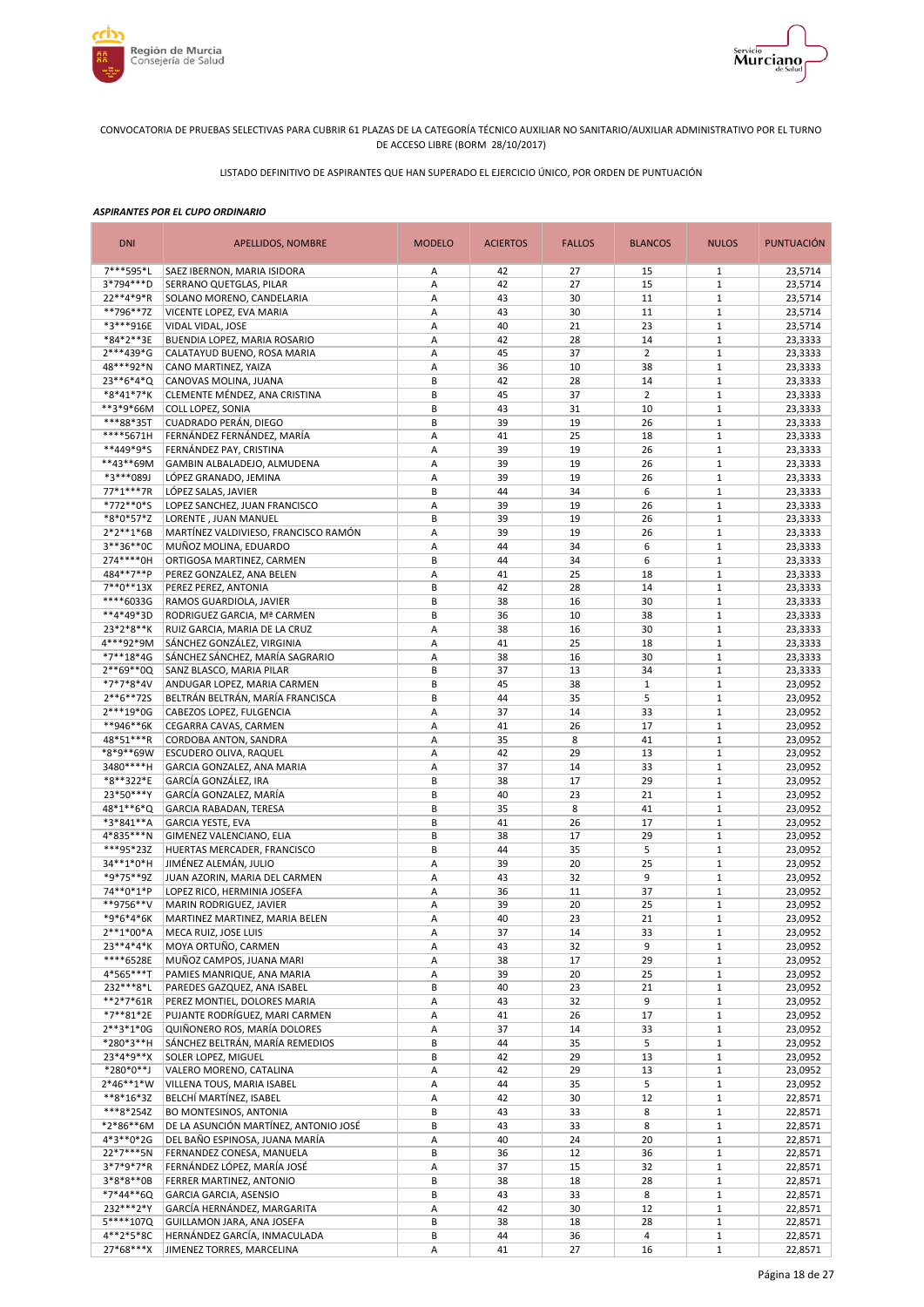



LISTADO DEFINITIVO DE ASPIRANTES QUE HAN SUPERADO EL EJERCICIO ÚNICO, POR ORDEN DE PUNTUACIÓN

| <b>DNI</b>               | APELLIDOS, NOMBRE                                           | <b>MODELO</b> | <b>ACIERTOS</b> | <b>FALLOS</b> | <b>BLANCOS</b> | <b>NULOS</b>                 | <b>PUNTUACIÓN</b>  |
|--------------------------|-------------------------------------------------------------|---------------|-----------------|---------------|----------------|------------------------------|--------------------|
| 7***595*L                | SAEZ IBERNON, MARIA ISIDORA                                 | Α             | 42              | 27            | 15             | 1                            | 23,5714            |
| 3*794***D                | SERRANO QUETGLAS, PILAR                                     | Α             | 42              | 27            | 15             | $1\,$                        | 23,5714            |
| 22**4*9*R                | SOLANO MORENO, CANDELARIA                                   | A             | 43              | 30            | 11             | $\mathbf{1}$                 | 23,5714            |
| **796**7Z<br>*3***916E   | VICENTE LOPEZ, EVA MARIA<br>VIDAL VIDAL, JOSE               | Α<br>Α        | 43<br>40        | 30<br>21      | 11<br>23       | $1\,$<br>$1\,$               | 23,5714<br>23,5714 |
| *84*2**3E                | BUENDIA LOPEZ, MARIA ROSARIO                                | Α             | 42              | 28            | 14             | $\mathbf{1}$                 | 23,3333            |
| 2***439*G                | CALATAYUD BUENO, ROSA MARIA                                 | A             | 45              | 37            | $\overline{2}$ | $1\,$                        | 23,3333            |
| 48***92*N                | CANO MARTINEZ, YAIZA                                        | А             | 36              | 10            | 38             | $1\,$                        | 23,3333            |
| 23**6*4*Q                | CANOVAS MOLINA, JUANA                                       | B             | 42              | 28            | 14             | $\mathbf{1}$                 | 23,3333            |
| *8*41*7*K                | CLEMENTE MÉNDEZ, ANA CRISTINA                               | B             | 45              | 37            | $\overline{2}$ | $1\,$                        | 23,3333            |
| **3*9*66M                | COLL LOPEZ, SONIA                                           | B             | 43              | 31            | 10             | $\mathbf{1}$                 | 23,3333            |
| ***88*35T                | CUADRADO PERÁN, DIEGO                                       | B             | 39              | 19            | 26             | $1\,$                        | 23,3333            |
| ****5671H                | FERNÁNDEZ FERNÁNDEZ, MARÍA                                  | Α             | 41              | 25            | 18             | $\mathbf{1}$                 | 23,3333            |
| **449*9*S<br>**43**69M   | FERNÁNDEZ PAY, CRISTINA                                     | Α             | 39<br>39        | 19<br>19      | 26             | $\mathbf{1}$<br>$\mathbf{1}$ | 23,3333            |
| *3***089J                | GAMBIN ALBALADEJO, ALMUDENA<br>LÓPEZ GRANADO, JEMINA        | Α<br>Α        | 39              | 19            | 26<br>26       | $\mathbf{1}$                 | 23,3333<br>23,3333 |
| 77*1***7R                | LÓPEZ SALAS, JAVIER                                         | B             | 44              | 34            | 6              | $1\,$                        | 23,3333            |
| *772**0*S                | LOPEZ SANCHEZ, JUAN FRANCISCO                               | Α             | 39              | 19            | 26             | $\mathbf{1}$                 | 23,3333            |
| *8*0*57*Z                | LORENTE, JUAN MANUEL                                        | B             | 39              | 19            | 26             | $\mathbf{1}$                 | 23,3333            |
| $2*2**1*6B$              | MARTÍNEZ VALDIVIESO, FRANCISCO RAMÓN                        | A             | 39              | 19            | 26             | $\mathbf{1}$                 | 23,3333            |
| 3**36**0C                | MUÑOZ MOLINA, EDUARDO                                       | A             | 44              | 34            | 6              | $1\,$                        | 23,3333            |
| 274 **** 0H              | ORTIGOSA MARTINEZ, CARMEN                                   | B             | 44              | 34            | 6              | $1\,$                        | 23,3333            |
| 484**7**P                | PEREZ GONZALEZ, ANA BELEN                                   | A             | 41              | 25            | 18             | $1\,$                        | 23,3333            |
| $7**0**13X$              | PEREZ PEREZ, ANTONIA                                        | B             | 42              | 28            | 14             | $\mathbf{1}$                 | 23,3333            |
| ****6033G                | RAMOS GUARDIOLA, JAVIER                                     | B             | 38              | 16            | 30             | $1\,$                        | 23,3333            |
| **4*49*3D<br>23*2*8**K   | RODRIGUEZ GARCIA, Mª CARMEN                                 | B<br>Α        | 36<br>38        | 10<br>16      | 38<br>30       | $1\,$<br>$1\,$               | 23,3333<br>23,3333 |
| 4***92*9M                | RUIZ GARCIA, MARIA DE LA CRUZ<br>SÁNCHEZ GONZÁLEZ, VIRGINIA | A             | 41              | 25            | 18             | $\mathbf{1}$                 | 23,3333            |
| *7**18*4G                | SÁNCHEZ SÁNCHEZ, MARÍA SAGRARIO                             | А             | 38              | 16            | 30             | $1\,$                        | 23,3333            |
| 2**69**0Q                | SANZ BLASCO, MARIA PILAR                                    | B             | 37              | 13            | 34             | $1\,$                        | 23,3333            |
| *7*7*8*4V                | ANDUGAR LOPEZ, MARIA CARMEN                                 | B             | 45              | 38            | $\mathbf{1}$   | $\mathbf{1}$                 | 23,0952            |
| $2**6**725$              | BELTRÁN BELTRÁN, MARÍA FRANCISCA                            | B             | 44              | 35            | 5              | $1\,$                        | 23,0952            |
| 2***19*0G                | CABEZOS LOPEZ, FULGENCIA                                    | Α             | 37              | 14            | 33             | $1\,$                        | 23,0952            |
| **946**6K                | CEGARRA CAVAS, CARMEN                                       | A             | 41              | 26            | 17             | $\mathbf{1}$                 | 23,0952            |
| 48*51***R                | CORDOBA ANTON, SANDRA                                       | А             | 35              | 8             | 41             | $1\,$                        | 23,0952            |
| *8*9**69W                | ESCUDERO OLIVA, RAQUEL                                      | Α             | 42              | 29            | 13             | $\mathbf{1}$                 | 23,0952            |
| 3480****H                | GARCIA GONZALEZ, ANA MARIA                                  | А<br>B        | 37              | 14            | 33             | $1\,$<br>$\mathbf{1}$        | 23,0952            |
| *8**322*E<br>23*50***Y   | GARCÍA GONZÁLEZ, IRA<br>GARCÍA GONZALEZ, MARÍA              | B             | 38<br>40        | 17<br>23      | 29<br>21       | $1\,$                        | 23,0952<br>23,0952 |
| 48*1**6*Q                | GARCIA RABADAN, TERESA                                      | B             | 35              | 8             | 41             | $\mathbf{1}$                 | 23,0952            |
| *3*841**A                | <b>GARCIA YESTE, EVA</b>                                    | B             | 41              | 26            | 17             | $\mathbf{1}$                 | 23,0952            |
| 4*835***N                | GIMENEZ VALENCIANO, ELIA                                    | B             | 38              | 17            | 29             | $\mathbf{1}$                 | 23,0952            |
| ***95*23Z                | HUERTAS MERCADER, FRANCISCO                                 | B             | 44              | 35            | 5              | $\mathbf{1}$                 | 23,0952            |
| 34**1*0*H                | JIMÉNEZ ALEMÁN, JULIO                                       | Α             | 39              | 20            | 25             | $1\,$                        | 23,0952            |
| *9*75**9Z                | JUAN AZORIN, MARIA DEL CARMEN                               | Α             | 43              | 32            | 9              | $\mathbf{1}$                 | 23,0952            |
| 74**0*1*P                | LOPEZ RICO, HERMINIA JOSEFA                                 | А             | 36              | 11            | 37             | $\mathbf{1}$                 | 23,0952            |
| **9756**V                | MARIN RODRIGUEZ, JAVIER                                     | A             | 39              | 20            | 25             | $1\,$                        | 23,0952            |
| *9*6*4*6K                | MARTINEZ MARTINEZ, MARIA BELEN                              | A             | 40              | 23            | 21             | $\mathbf{1}$                 | 23,0952            |
| 2**1*00*A<br>23**4*4*K   | MECA RUIZ, JOSE LUIS<br>MOYA ORTUÑO, CARMEN                 | Α<br>А        | 37<br>43        | 14<br>32      | 33<br>9        | $\mathbf{1}$<br>$\mathbf{1}$ | 23,0952<br>23,0952 |
| ****6528E                | MUÑOZ CAMPOS, JUANA MARI                                    | Α             | 38              | 17            | 29             | $\mathbf{1}$                 | 23,0952            |
| 4*565***T                | PAMIES MANRIQUE, ANA MARIA                                  | А             | 39              | 20            | 25             | $\mathbf{1}$                 | 23,0952            |
| 232***8*L                | PAREDES GAZQUEZ, ANA ISABEL                                 | B             | 40              | 23            | 21             | $\mathbf 1$                  | 23,0952            |
| $**2*7*61R$              | PEREZ MONTIEL, DOLORES MARIA                                | А             | 43              | 32            | 9              | $\mathbf 1$                  | 23,0952            |
| *7**81*2E                | PUJANTE RODRÍGUEZ, MARI CARMEN                              | А             | 41              | 26            | 17             | $\mathbf{1}$                 | 23,0952            |
| $2***3*1*0G$             | QUIÑONERO ROS, MARÍA DOLORES                                | Α             | 37              | 14            | 33             | $\mathbf{1}$                 | 23,0952            |
| *280*3**H                | SÁNCHEZ BELTRÁN, MARÍA REMEDIOS                             | B             | 44              | 35            | 5              | $\mathbf{1}$                 | 23,0952            |
| 23*4*9**X                | SOLER LOPEZ, MIGUEL                                         | В             | 42              | 29            | 13             | $\mathbf{1}$                 | 23,0952            |
| *280*0**J                | VALERO MORENO, CATALINA                                     | Α             | 42              | 29            | 13             | $\mathbf 1$                  | 23,0952            |
| $2*46**1*W$              | VILLENA TOUS, MARIA ISABEL                                  | Α             | 44              | 35            | 5              | $\mathbf{1}$                 | 23,0952            |
| $**8*16*3Z$<br>***8*254Z | BELCHÍ MARTÍNEZ, ISABEL<br>BO MONTESINOS, ANTONIA           | A<br>B        | 42<br>43        | 30<br>33      | 12<br>8        | $\mathbf 1$<br>$\mathbf 1$   | 22,8571<br>22,8571 |
| *2*86**6M                | DE LA ASUNCIÓN MARTÍNEZ, ANTONIO JOSÉ                       | B             | 43              | 33            | 8              | $\mathbf{1}$                 | 22,8571            |
| 4*3**0*2G                | DEL BAÑO ESPINOSA, JUANA MARÍA                              | А             | 40              | 24            | 20             | $\mathbf 1$                  | 22,8571            |
| 22*7***5N                | FERNANDEZ CONESA, MANUELA                                   | B             | 36              | 12            | 36             | $\mathbf{1}$                 | 22,8571            |
| 3*7*9*7*R                | FERNÁNDEZ LÓPEZ, MARÍA JOSÉ                                 | Α             | 37              | 15            | 32             | $\mathbf{1}$                 | 22,8571            |
| $3*8*8**0B$              | FERRER MARTINEZ, ANTONIO                                    | B             | 38              | 18            | 28             | $1\,$                        | 22,8571            |
| *7*44**6Q                | GARCIA GARCIA, ASENSIO                                      | B             | 43              | 33            | 8              | $\mathbf{1}$                 | 22,8571            |
| 232***2*Y                | GARCÍA HERNÁNDEZ, MARGARITA                                 | А             | 42              | 30            | 12             | $1\,$                        | 22,8571            |
| 5****107Q                | GUILLAMON JARA, ANA JOSEFA                                  | B             | 38              | 18            | 28             | $\mathbf{1}$                 | 22,8571            |
| 4**2*5*8C                | HERNÁNDEZ GARCÍA, INMACULADA                                | B             | 44              | 36            | 4              | $\mathbf{1}$                 | 22,8571            |
| 27*68***X                | JIMENEZ TORRES, MARCELINA                                   | A             | 41              | 27            | 16             | $\mathbf 1$                  | 22,8571            |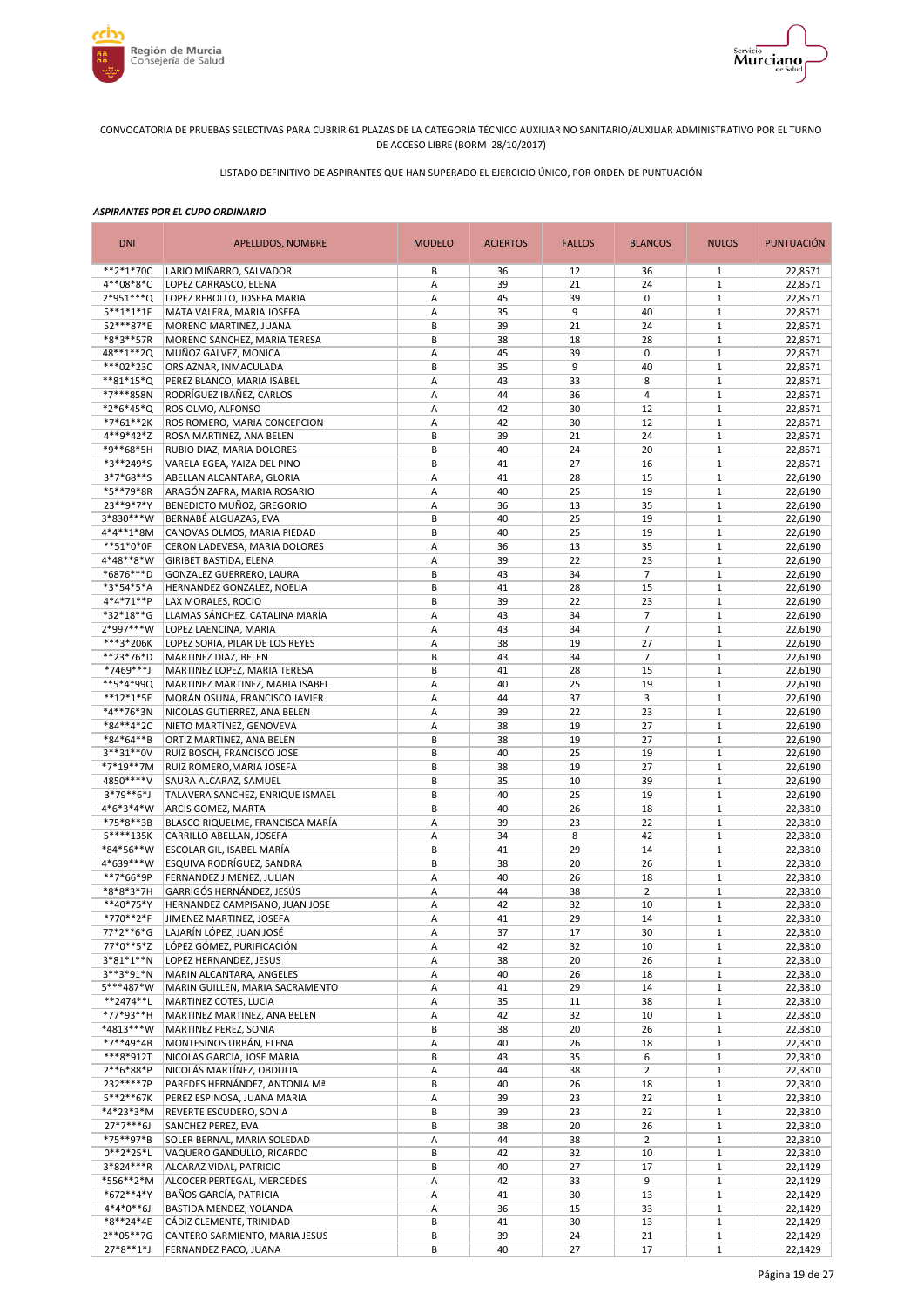



LISTADO DEFINITIVO DE ASPIRANTES QUE HAN SUPERADO EL EJERCICIO ÚNICO, POR ORDEN DE PUNTUACIÓN

| <b>DNI</b>             | <b>APELLIDOS, NOMBRE</b>                                      | <b>MODELO</b> | <b>ACIERTOS</b> | <b>FALLOS</b> | <b>BLANCOS</b> | <b>NULOS</b>                 | <b>PUNTUACIÓN</b>  |
|------------------------|---------------------------------------------------------------|---------------|-----------------|---------------|----------------|------------------------------|--------------------|
| $**2*1*70C$            | LARIO MIÑARRO, SALVADOR                                       | В             | 36              | 12            | 36             | 1                            | 22,8571            |
| 4**08*8*C              | LOPEZ CARRASCO, ELENA                                         | Α             | 39              | 21            | 24             | $\mathbf{1}$                 | 22,8571            |
| 2*951***Q              | LOPEZ REBOLLO, JOSEFA MARIA                                   | А             | 45              | 39            | $\mathbf 0$    | $\,1\,$                      | 22,8571            |
| $5***1*1*1F$           | MATA VALERA, MARIA JOSEFA                                     | Α             | 35              | 9             | 40             | $\,1\,$                      | 22,8571            |
| 52***87*E              | MORENO MARTINEZ, JUANA                                        | B             | 39              | 21            | 24             | $\mathbf 1$                  | 22,8571            |
| *8*3**57R              | MORENO SANCHEZ, MARIA TERESA                                  | B             | 38              | 18            | 28             | $\mathbf 1$                  | 22,8571            |
| 48**1**2Q              | MUÑOZ GALVEZ, MONICA                                          | A             | 45              | 39            | $\mathbf 0$    | $\mathbf{1}$                 | 22,8571            |
| ***02*23C              | ORS AZNAR, INMACULADA                                         | B             | 35              | 9             | 40             | $\mathbf 1$                  | 22,8571            |
| $**81*15*Q$            | PEREZ BLANCO, MARIA ISABEL                                    | Α             | 43              | 33            | 8              | $\mathbf 1$                  | 22,8571            |
| *7***858N              | RODRÍGUEZ IBAÑEZ, CARLOS                                      | Α             | 44              | 36            | $\overline{4}$ | $\mathbf{1}$                 | 22,8571            |
| *2*6*45*Q              | ROS OLMO, ALFONSO                                             | Α             | 42              | 30            | 12             | $\mathbf 1$                  | 22,8571            |
| *7*61**2K              | ROS ROMERO, MARIA CONCEPCION                                  | Α             | 42              | 30            | 12             | $\mathbf{1}$                 | 22,8571            |
| 4**9*42*Z              | ROSA MARTINEZ, ANA BELEN                                      | B             | 39              | 21            | 24             | $1\,$                        | 22,8571            |
| *9**68*5H              | RUBIO DIAZ, MARIA DOLORES                                     | B             | 40              | 24            | 20             | $1\,$                        | 22,8571            |
| *3**249*S              | VARELA EGEA, YAIZA DEL PINO                                   | B             | 41              | 27            | 16             | $\mathbf 1$                  | 22,8571            |
| $3*7*68**S$            | ABELLAN ALCANTARA, GLORIA                                     | Α             | 41              | 28            | 15             | $\mathbf 1$                  | 22,6190            |
| *5**79*8R              | ARAGÓN ZAFRA, MARIA ROSARIO                                   | A             | 40              | 25            | 19             | $1\,$                        | 22,6190            |
| 23**9*7*Y              | BENEDICTO MUÑOZ, GREGORIO                                     | Α             | 36              | 13            | 35             | $1\,$                        | 22,6190            |
| 3*830***W              | BERNABÉ ALGUAZAS, EVA                                         | B             | 40              | 25            | 19             | $1\,$                        | 22,6190            |
| 4*4**1*8M              | CANOVAS OLMOS, MARIA PIEDAD                                   | B             | 40              | 25            | 19             | $1\,$                        | 22,6190            |
| **51*0*0F              | CERON LADEVESA, MARIA DOLORES                                 | А             | 36              | 13            | 35             | $1\,$                        | 22,6190            |
| 4*48**8*W              | GIRIBET BASTIDA, ELENA                                        | А             | 39              | 22            | 23             | $\mathbf{1}$                 | 22,6190            |
| *6876***D              | GONZALEZ GUERRERO, LAURA                                      | B             | 43              | 34            | $\overline{7}$ | $1\,$                        | 22,6190            |
| *3*54*5*A              | HERNANDEZ GONZALEZ, NOELIA                                    | B             | 41              | 28            | 15             | $\mathbf{1}$                 | 22,6190            |
| 4*4*71**P              | LAX MORALES, ROCIO                                            | B             | 39              | 22            | 23             | $1\,$                        | 22,6190            |
| *32*18**G              | LLAMAS SÁNCHEZ, CATALINA MARÍA                                | А             | 43              | 34            | $\overline{7}$ | $1\,$                        | 22,6190            |
| 2*997***W              | LOPEZ LAENCINA, MARIA                                         | Α             | 43              | 34            | $\overline{7}$ | $\mathbf{1}$                 | 22,6190            |
| ***3*206K              | LOPEZ SORIA, PILAR DE LOS REYES                               | Α             | 38              | 19            | 27             | $\,1\,$                      | 22,6190            |
| **23*76*D              | MARTINEZ DIAZ, BELEN                                          | B<br>B        | 43              | 34            | $\overline{7}$ | $\,1\,$<br>$\mathbf 1$       | 22,6190            |
| *7469***J<br>**5*4*99Q | MARTINEZ LOPEZ, MARIA TERESA                                  | A             | 41<br>40        | 28<br>25      | 15<br>19       | $\mathbf 1$                  | 22,6190            |
|                        | MARTINEZ MARTINEZ, MARIA ISABEL                               | A             | 44              |               | 3              | $\mathbf{1}$                 | 22,6190            |
| **12*1*5E<br>*4**76*3N | MORÁN OSUNA, FRANCISCO JAVIER<br>NICOLAS GUTIERREZ, ANA BELEN | Α             | 39              | 37<br>22      | 23             | $1\,$                        | 22,6190<br>22,6190 |
| *84**4*2C              | NIETO MARTÍNEZ, GENOVEVA                                      | Α             | 38              | 19            | 27             | $\mathbf{1}$                 | 22,6190            |
| *84*64**B              | ORTIZ MARTINEZ, ANA BELEN                                     | B             | 38              | 19            | 27             | $\mathbf{1}$                 | 22,6190            |
| 3**31**0V              | RUIZ BOSCH, FRANCISCO JOSE                                    | B             | 40              | 25            | 19             | $\mathbf 1$                  | 22,6190            |
| *7*19**7M              | RUIZ ROMERO, MARIA JOSEFA                                     | B             | 38              | 19            | 27             | $\mathbf{1}$                 | 22,6190            |
| 4850****V              | SAURA ALCARAZ, SAMUEL                                         | В             | 35              | 10            | 39             | $\mathbf 1$                  | 22,6190            |
| 3*79**6*J              | TALAVERA SANCHEZ, ENRIQUE ISMAEL                              | B             | 40              | 25            | 19             | $1\,$                        | 22,6190            |
| 4*6*3*4*W              | ARCIS GOMEZ, MARTA                                            | B             | 40              | 26            | 18             | $\mathbf 1$                  | 22,3810            |
| *75*8**3B              | BLASCO RIQUELME, FRANCISCA MARÍA                              | Α             | 39              | 23            | 22             | $\mathbf 1$                  | 22,3810            |
| 5****135K              | CARRILLO ABELLAN, JOSEFA                                      | Α             | 34              | 8             | 42             | $\mathbf 1$                  | 22,3810            |
| *84*56**W              | ESCOLAR GIL, ISABEL MARÍA                                     | B             | 41              | 29            | 14             | $1\,$                        | 22,3810            |
| 4*639***W              | ESQUIVA RODRÍGUEZ, SANDRA                                     | B             | 38              | 20            | 26             | $1\,$                        | 22,3810            |
| **7*66*9P              | FERNANDEZ JIMENEZ, JULIAN                                     | А             | 40              | 26            | 18             | $1\,$                        | 22,3810            |
| *8*8*3*7H              | GARRIGÓS HERNÁNDEZ, JESÚS                                     | А             | 44              | 38            | $\overline{2}$ | $1\,$                        | 22,3810            |
| **40*75*Y              | HERNANDEZ CAMPISANO, JUAN JOSE                                | А             | 42              | 32            | 10             | $1\,$                        | 22,3810            |
| *770**2*F              | JIMENEZ MARTINEZ, JOSEFA                                      | Α             | 41              | 29            | 14             | $1\,$                        | 22,3810            |
| 77*2**6*G              | LAJARÍN LÓPEZ, JUAN JOSÉ                                      | Α             | 37              | 17            | 30             | $\mathbf{1}$                 | 22,3810            |
| 77*0**5*Z              | LÓPEZ GÓMEZ, PURIFICACIÓN                                     | А             | 42              | 32            | 10             | $\mathbf{1}$                 | 22,3810            |
| 3*81*1**N              | LOPEZ HERNANDEZ, JESUS                                        | Α             | 38              | 20            | 26             | $\mathbf{1}$                 | 22,3810            |
| 3**3*91*N              | MARIN ALCANTARA, ANGELES                                      | Α             | 40              | 26            | 18             | $\mathbf{1}$                 | 22,3810            |
| 5***487*W              | MARIN GUILLEN, MARIA SACRAMENTO                               | Α             | 41              | 29            | 14             | $\,1\,$                      | 22,3810            |
| **2474**L              | MARTINEZ COTES, LUCIA                                         | Α             | 35              | 11            | 38             | $\mathbf{1}$                 | 22,3810            |
| *77*93**H              | MARTINEZ MARTINEZ, ANA BELEN                                  | А             | 42              | 32            | 10             | $1\,$                        | 22,3810            |
| *4813***W              | MARTINEZ PEREZ, SONIA                                         | B             | 38              | 20            | 26             | $1\,$                        | 22,3810            |
| *7**49*4B              | MONTESINOS URBÁN, ELENA                                       | А             | 40              | 26            | 18             | $\mathbf{1}$                 | 22,3810            |
| ***8*912T              | NICOLAS GARCIA, JOSE MARIA                                    | B             | 43              | 35            | 6              | $1\,$                        | 22,3810            |
| 2**6*88*P              | NICOLÁS MARTÍNEZ, OBDULIA                                     | А             | 44              | 38            | $\overline{2}$ | $1\,$                        | 22,3810            |
| 232 **** 7P            | PAREDES HERNÁNDEZ, ANTONIA Mª                                 | B             | 40              | 26            | 18             | $1\,$                        | 22,3810            |
| 5**2**67K              | PEREZ ESPINOSA, JUANA MARIA                                   | Α             | 39              | 23            | 22             | $1\,$                        | 22,3810            |
| *4*23*3*M              | REVERTE ESCUDERO, SONIA                                       | B             | 39              | 23            | 22             | $\mathbf{1}$                 | 22,3810            |
| $27*7***6J$            | SANCHEZ PEREZ, EVA                                            | В             | 38              | 20            | 26             | $\mathbf{1}$                 | 22,3810            |
| *75**97*B              | SOLER BERNAL, MARIA SOLEDAD                                   | Α             | 44              | 38            | $\overline{2}$ | $1\,$                        | 22,3810            |
| $0***2*25*L$           | VAQUERO GANDULLO, RICARDO                                     | B             | 42              | 32            | 10             | $\mathbf 1$                  | 22,3810            |
| 3*824***R              | ALCARAZ VIDAL, PATRICIO                                       | B             | 40              | 27            | 17             | $\mathbf{1}$                 | 22,1429            |
| *556**2*M              | ALCOCER PERTEGAL, MERCEDES                                    | Α             | 42              | 33            | 9              | $\mathbf{1}$                 | 22,1429            |
| *672**4*Y              | BAÑOS GARCÍA, PATRICIA                                        | Α             | 41              | 30            | 13             | $\mathbf{1}$                 | 22,1429            |
| $4*4*0**6J$            | BASTIDA MENDEZ, YOLANDA                                       | А             | 36              | 15            | 33             | $1\,$                        | 22,1429            |
| *8**24*4E<br>2**05**7G | CÁDIZ CLEMENTE, TRINIDAD                                      | В             | 41              | 30            | 13             | $\mathbf{1}$                 | 22,1429            |
| $27*8**1*J$            | CANTERO SARMIENTO, MARIA JESUS<br>FERNANDEZ PACO, JUANA       | В<br>В        | 39<br>40        | 24            | 21             | $\mathbf{1}$<br>$\mathbf{1}$ | 22,1429            |
|                        |                                                               |               |                 | 27            | 17             |                              | 22,1429            |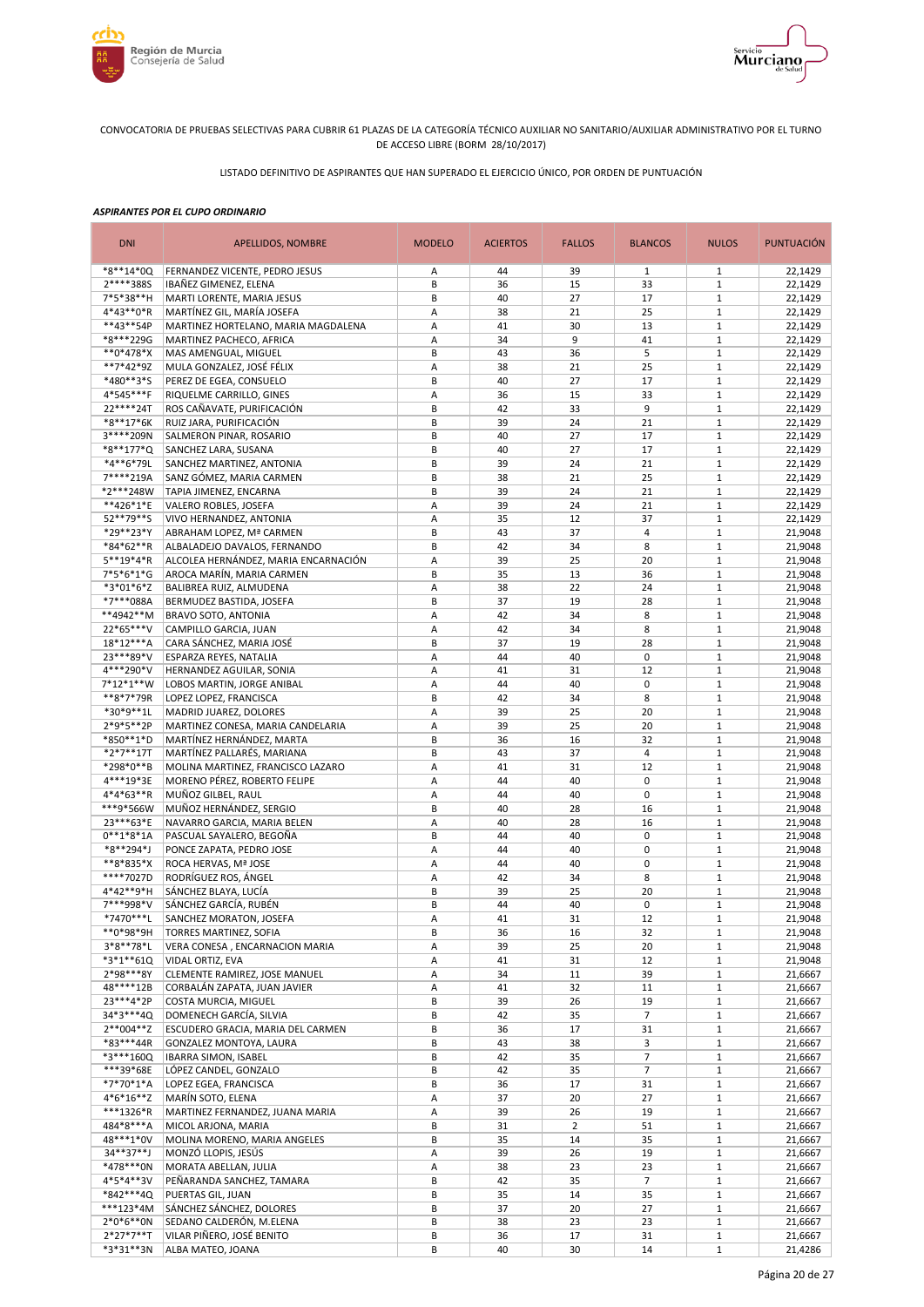



LISTADO DEFINITIVO DE ASPIRANTES QUE HAN SUPERADO EL EJERCICIO ÚNICO, POR ORDEN DE PUNTUACIÓN

| <b>DNI</b>               | APELLIDOS, NOMBRE                                                 | <b>MODELO</b> | <b>ACIERTOS</b> | <b>FALLOS</b>  | <b>BLANCOS</b> | <b>NULOS</b>                 | <b>PUNTUACIÓN</b>  |
|--------------------------|-------------------------------------------------------------------|---------------|-----------------|----------------|----------------|------------------------------|--------------------|
| *8**14*00                | FERNANDEZ VICENTE, PEDRO JESUS                                    | Α             | 44              | 39             | $\mathbf{1}$   | $\mathbf{1}$                 | 22,1429            |
| 2****388S                | IBAÑEZ GIMENEZ, ELENA                                             | B             | 36              | 15             | 33             | $\mathbf{1}$                 | 22,1429            |
| 7*5*38**H                | MARTI LORENTE, MARIA JESUS                                        | B             | 40              | 27             | 17             | $1\,$                        | 22,1429            |
| 4*43**0*R<br>**43**54P   | MARTÍNEZ GIL, MARÍA JOSEFA<br>MARTINEZ HORTELANO, MARIA MAGDALENA | Α<br>А        | 38<br>41        | 21<br>30       | 25<br>13       | $\mathbf{1}$<br>$\mathbf{1}$ | 22,1429<br>22,1429 |
| *8***229G                | MARTINEZ PACHECO, AFRICA                                          | А             | 34              | 9              | 41             | $1\,$                        | 22,1429            |
| $**0*478*X$              | MAS AMENGUAL, MIGUEL                                              | B             | 43              | 36             | 5              | $\mathbf 1$                  | 22,1429            |
| **7*42*9Z                | MULA GONZALEZ, JOSÉ FÉLIX                                         | Α             | 38              | 21             | 25             | $1\,$                        | 22,1429            |
| *480**3*S                | PEREZ DE EGEA, CONSUELO                                           | B             | 40              | 27             | 17             | $\mathbf{1}$                 | 22,1429            |
| 4*545***F                | RIQUELME CARRILLO, GINES                                          | Α             | 36              | 15             | 33             | $\mathbf{1}$                 | 22,1429            |
| 22 **** 24T              | ROS CAÑAVATE, PURIFICACIÓN                                        | B             | 42              | 33             | 9              | $\mathbf{1}$                 | 22,1429            |
| *8**17*6K                | RUIZ JARA, PURIFICACIÓN                                           | B             | 39              | 24             | 21             | $\mathbf{1}$                 | 22,1429            |
| 3****209N                | SALMERON PINAR, ROSARIO                                           | B             | 40              | 27             | 17             | $\mathbf{1}$                 | 22,1429            |
| *8**177*Q<br>*4**6*79L   | SANCHEZ LARA, SUSANA<br>SANCHEZ MARTINEZ, ANTONIA                 | B<br>B        | 40<br>39        | 27<br>24       | 17<br>21       | $\mathbf{1}$<br>$1\,$        | 22,1429<br>22,1429 |
| 7****219A                | SANZ GÓMEZ, MARIA CARMEN                                          | B             | 38              | 21             | 25             | $\mathbf{1}$                 | 22,1429            |
| *2***248W                | TAPIA JIMENEZ, ENCARNA                                            | B             | 39              | 24             | 21             | $1\,$                        | 22,1429            |
| **426*1*E                | VALERO ROBLES, JOSEFA                                             | A             | 39              | 24             | 21             | $1\,$                        | 22,1429            |
| 52**79**S                | VIVO HERNANDEZ, ANTONIA                                           | А             | 35              | 12             | 37             | $1\,$                        | 22,1429            |
| *29**23*Y                | ABRAHAM LOPEZ, Mª CARMEN                                          | B             | 43              | 37             | 4              | $\mathbf{1}$                 | 21,9048            |
| *84*62**R                | ALBALADEJO DAVALOS, FERNANDO                                      | B             | 42              | 34             | 8              | $\mathbf{1}$                 | 21,9048            |
| 5**19*4*R                | ALCOLEA HERNÁNDEZ, MARIA ENCARNACIÓN                              | A             | 39              | 25             | 20             | $\mathbf{1}$                 | 21,9048            |
| $7*5*6*1*G$              | AROCA MARÍN, MARIA CARMEN                                         | B             | 35              | 13             | 36             | $\mathbf{1}$                 | 21,9048            |
| *3*01*6*Z                | BALIBREA RUIZ, ALMUDENA                                           | Α             | 38              | 22             | 24             | $1\,$                        | 21,9048            |
| *7***088A                | BERMUDEZ BASTIDA, JOSEFA                                          | B             | 37              | 19             | 28             | $1\,$                        | 21,9048            |
| **4942**M<br>22*65***V   | BRAVO SOTO, ANTONIA<br>CAMPILLO GARCIA, JUAN                      | Α<br>Α        | 42<br>42        | 34<br>34       | 8<br>8         | $1\,$<br>$1\,$               | 21,9048<br>21,9048 |
| $18*12***A$              | CARA SÁNCHEZ, MARIA JOSÉ                                          | B             | 37              | 19             | 28             | $1\,$                        | 21,9048            |
| 23 *** 89 * V            | ESPARZA REYES, NATALIA                                            | Α             | 44              | 40             | 0              | $1\,$                        | 21,9048            |
| 4***290*V                | HERNANDEZ AGUILAR, SONIA                                          | А             | 41              | 31             | 12             | $1\,$                        | 21,9048            |
| 7*12*1**W                | LOBOS MARTIN, JORGE ANIBAL                                        | А             | 44              | 40             | 0              | $\mathbf{1}$                 | 21,9048            |
| **8*7*79R                | LOPEZ LOPEZ, FRANCISCA                                            | B             | 42              | 34             | 8              | $\mathbf 1$                  | 21,9048            |
| *30*9**1L                | MADRID JUAREZ, DOLORES                                            | Α             | 39              | 25             | 20             | $\mathbf{1}$                 | 21,9048            |
| 2*9*5**2P                | MARTINEZ CONESA, MARIA CANDELARIA                                 | Α             | 39              | 25             | 20             | $1\,$                        | 21,9048            |
| *850**1*D                | MARTÍNEZ HERNÁNDEZ, MARTA                                         | B             | 36              | 16             | 32             | $\mathbf{1}$                 | 21,9048            |
| *2*7**17T                | MARTÍNEZ PALLARÉS, MARIANA                                        | B             | 43              | 37             | 4              | $1\,$                        | 21,9048            |
| *298*0**B<br>4***19*3E   | MOLINA MARTINEZ, FRANCISCO LAZARO                                 | A             | 41              | 31             | 12<br>0        | $\mathbf{1}$<br>$1\,$        | 21,9048<br>21,9048 |
| 4*4*63**R                | MORENO PÉREZ, ROBERTO FELIPE<br>MUÑOZ GILBEL, RAUL                | Α<br>Α        | 44<br>44        | 40<br>40       | 0              | $\mathbf{1}$                 | 21,9048            |
| ***9*566W                | MUÑOZ HERNÁNDEZ, SERGIO                                           | B             | 40              | 28             | 16             | $1\,$                        | 21,9048            |
| 23***63*E                | NAVARRO GARCIA, MARIA BELEN                                       | Α             | 40              | 28             | 16             | $\mathbf{1}$                 | 21,9048            |
| $0**1*8*1A$              | PASCUAL SAYALERO, BEGOÑA                                          | B             | 44              | 40             | 0              | $\mathbf{1}$                 | 21,9048            |
| *8**294*J                | PONCE ZAPATA, PEDRO JOSE                                          | A             | 44              | 40             | $\mathbf 0$    | $\mathbf{1}$                 | 21,9048            |
| **8*835*X                | ROCA HERVAS, Mª JOSE                                              | А             | 44              | 40             | $\mathbf 0$    | $1\,$                        | 21,9048            |
| ****7027D                | RODRÍGUEZ ROS, ÁNGEL                                              | A             | 42              | 34             | 8              | $\mathbf{1}$                 | 21,9048            |
| 4*42**9*H                | SÁNCHEZ BLAYA, LUCÍA                                              | B             | 39              | 25             | 20             | $1\,$                        | 21,9048            |
| 7***998*V                | SÁNCHEZ GARCÍA, RUBÉN                                             | B             | 44              | 40             | 0              | $\mathbf{1}$                 | 21,9048            |
| *7470***L                | SANCHEZ MORATON, JOSEFA                                           | A             | 41              | 31             | 12             | $\mathbf{1}$                 | 21,9048            |
| **0*98*9H<br>$3*8**78*L$ | TORRES MARTINEZ, SOFIA<br>VERA CONESA, ENCARNACION MARIA          | В<br>Α        | 36<br>39        | 16<br>25       | 32<br>20       | $\mathbf{1}$<br>$\mathbf{1}$ | 21,9048<br>21,9048 |
| *3*1**61Q                | VIDAL ORTIZ, EVA                                                  | Α             | 41              | 31             | 12             | $\mathbf{1}$                 | 21,9048            |
| 2*98***8Y                | CLEMENTE RAMIREZ, JOSE MANUEL                                     | Α             | 34              | 11             | 39             | $\mathbf{1}$                 | 21,6667            |
| 48****12B                | CORBALÁN ZAPATA, JUAN JAVIER                                      | Α             | 41              | 32             | 11             | $\mathbf{1}$                 | 21,6667            |
| 23 *** 4 * 2P            | COSTA MURCIA, MIGUEL                                              | В             | 39              | 26             | 19             | $\mathbf{1}$                 | 21,6667            |
| 34*3***4Q                | DOMENECH GARCÍA, SILVIA                                           | В             | 42              | 35             | 7              | $\mathbf{1}$                 | 21,6667            |
| 2**004**Z                | ESCUDERO GRACIA, MARIA DEL CARMEN                                 | B             | 36              | 17             | 31             | $\mathbf{1}$                 | 21,6667            |
| *83***44R                | GONZALEZ MONTOYA, LAURA                                           | В             | 43              | 38             | 3              | $\mathbf 1$                  | 21,6667            |
| $*3***160Q$              | <b>IBARRA SIMON, ISABEL</b>                                       | B             | 42              | 35             | $\overline{7}$ | $\mathbf{1}$                 | 21,6667            |
| ***39*68E                | LÓPEZ CANDEL, GONZALO                                             | В             | 42              | 35             | $\overline{7}$ | $\mathbf{1}$                 | 21,6667            |
| *7*70*1*A                | LOPEZ EGEA, FRANCISCA                                             | B             | 36              | 17             | 31             | $\mathbf{1}$                 | 21,6667            |
| $4*6*16**Z$<br>***1326*R | MARÍN SOTO, ELENA<br>MARTINEZ FERNANDEZ, JUANA MARIA              | Α<br>Α        | 37<br>39        | 20<br>26       | 27<br>19       | $\mathbf{1}$<br>$\mathbf{1}$ | 21,6667<br>21,6667 |
| 484*8***A                | MICOL ARJONA, MARIA                                               | B             | 31              | $\overline{2}$ | 51             | $\mathbf{1}$                 | 21,6667            |
| 48***1*0V                | MOLINA MORENO, MARIA ANGELES                                      | B             | 35              | 14             | 35             | $\mathbf{1}$                 | 21,6667            |
| 34**37**J                | MONZÓ LLOPIS, JESÚS                                               | Α             | 39              | 26             | 19             | $\mathbf{1}$                 | 21,6667            |
| *478***0N                | MORATA ABELLAN, JULIA                                             | Α             | 38              | 23             | 23             | $\mathbf{1}$                 | 21,6667            |
| 4*5*4**3V                | PEÑARANDA SANCHEZ, TAMARA                                         | B             | 42              | 35             | $\overline{7}$ | $\mathbf{1}$                 | 21,6667            |
| *842***4Q                | PUERTAS GIL, JUAN                                                 | B             | 35              | 14             | 35             | $\mathbf{1}$                 | 21,6667            |
| ***123*4M                | SÁNCHEZ SÁNCHEZ, DOLORES                                          | B             | 37              | 20             | 27             | $\mathbf 1$                  | 21,6667            |
| $2*0*6**0N$              | SEDANO CALDERÓN, M.ELENA                                          | B             | 38              | 23             | 23             | $\mathbf{1}$                 | 21,6667            |
| $2*27*7**T$              | VILAR PIÑERO, JOSÉ BENITO                                         | B             | 36              | 17             | 31             | $\mathbf 1$                  | 21,6667            |
| *3*31**3N                | ALBA MATEO, JOANA                                                 | В             | 40              | 30             | 14             | $\mathbf 1$                  | 21,4286            |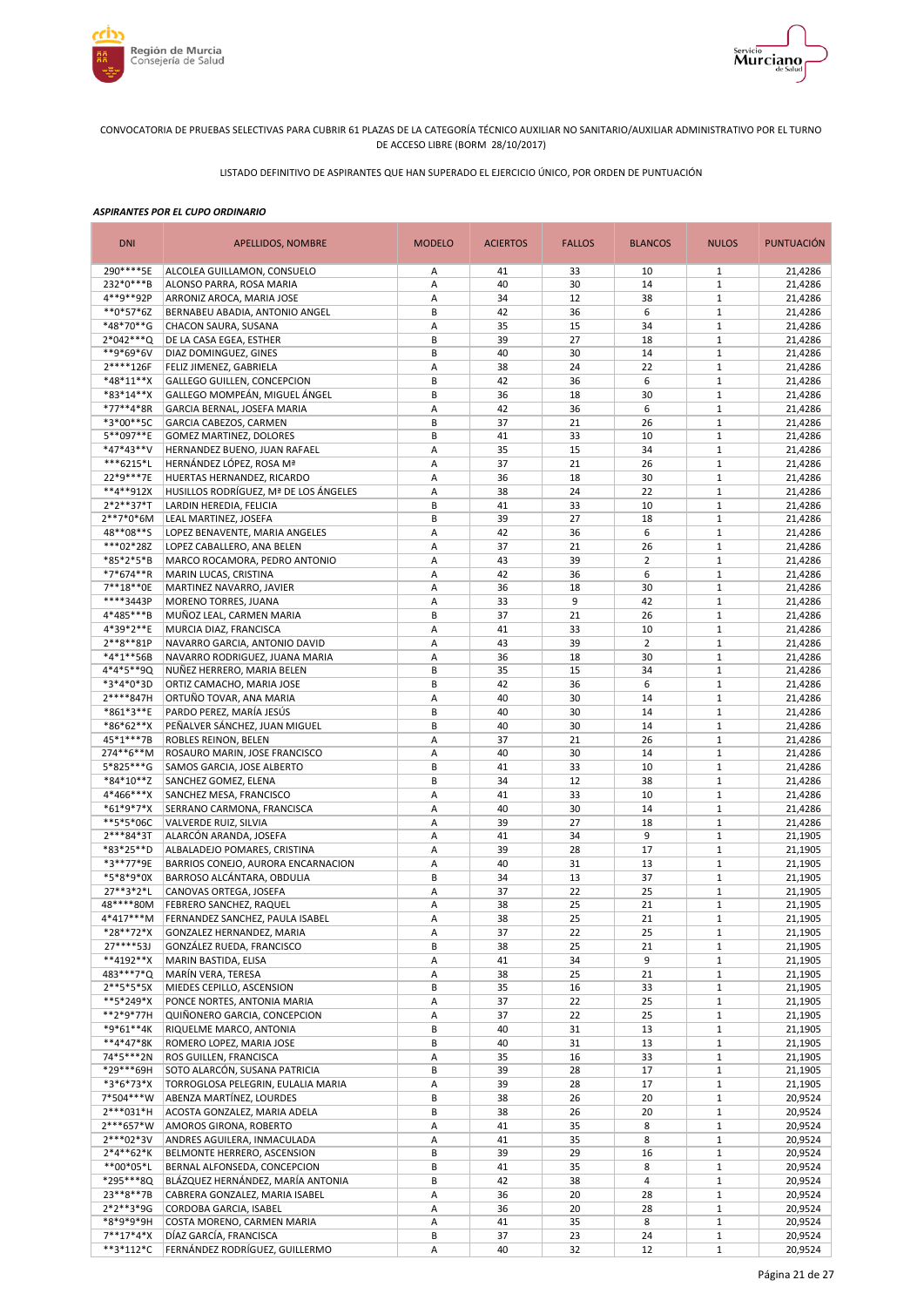



LISTADO DEFINITIVO DE ASPIRANTES QUE HAN SUPERADO EL EJERCICIO ÚNICO, POR ORDEN DE PUNTUACIÓN

| <b>DNI</b>                 | <b>APELLIDOS, NOMBRE</b>                                     | <b>MODELO</b> | <b>ACIERTOS</b> | <b>FALLOS</b> | <b>BLANCOS</b> | <b>NULOS</b>                 | <b>PUNTUACIÓN</b>  |
|----------------------------|--------------------------------------------------------------|---------------|-----------------|---------------|----------------|------------------------------|--------------------|
| 290****5E                  | ALCOLEA GUILLAMON, CONSUELO                                  | Α             | 41              | 33            | 10             | 1                            | 21,4286            |
| 232*0***B                  | ALONSO PARRA, ROSA MARIA                                     | Α             | 40              | 30            | 14             | $\mathbf{1}$                 | 21,4286            |
| 4**9**92P                  | ARRONIZ AROCA, MARIA JOSE                                    | Α             | 34              | 12            | 38             | $\mathbf{1}$                 | 21,4286            |
| $**0*57*6Z$<br>*48*70**G   | BERNABEU ABADIA, ANTONIO ANGEL                               | B             | 42              | 36            | 6<br>34        | $\mathbf{1}$<br>$\mathbf{1}$ | 21,4286            |
| $2*042***Q$                | CHACON SAURA, SUSANA<br>DE LA CASA EGEA, ESTHER              | Α<br>B        | 35<br>39        | 15<br>27      | 18             | $1\,$                        | 21,4286<br>21,4286 |
| **9*69*6V                  | DIAZ DOMINGUEZ, GINES                                        | B             | 40              | 30            | 14             | $\mathbf{1}$                 | 21,4286            |
| 2****126F                  | FELIZ JIMENEZ, GABRIELA                                      | А             | 38              | 24            | 22             | $1\,$                        | 21,4286            |
| $*48*11**X$                | GALLEGO GUILLEN, CONCEPCION                                  | B             | 42              | 36            | 6              | $\mathbf{1}$                 | 21,4286            |
| *83*14**X                  | GALLEGO MOMPEÁN, MIGUEL ÁNGEL                                | B             | 36              | 18            | 30             | $1\,$                        | 21,4286            |
| *77**4*8R                  | GARCIA BERNAL, JOSEFA MARIA                                  | Α             | 42              | 36            | 6              | $\mathbf{1}$                 | 21,4286            |
| *3*00**5C                  | GARCIA CABEZOS, CARMEN                                       | B             | 37              | 21            | 26             | $\mathbf{1}$                 | 21,4286            |
| 5**097**E                  | GOMEZ MARTINEZ, DOLORES                                      | B             | 41              | 33            | 10             | $\mathbf{1}$                 | 21,4286            |
| *47*43**V                  | HERNANDEZ BUENO, JUAN RAFAEL                                 | Α             | 35              | 15            | 34             | $\mathbf{1}$                 | 21,4286            |
| ***6215*L                  | HERNÁNDEZ LÓPEZ, ROSA Mª                                     | Α             | 37              | 21            | 26             | $\mathbf{1}$                 | 21,4286            |
| 22*9***7E                  | HUERTAS HERNANDEZ, RICARDO                                   | Α             | 36              | 18            | 30             | $\mathbf{1}$                 | 21,4286            |
| **4**912X                  | HUSILLOS RODRÍGUEZ, Mª DE LOS ÁNGELES                        | А             | 38              | 24            | 22             | $\mathbf{1}$                 | 21,4286            |
| $2*2**37*T$<br>$2**7*0*6M$ | LARDIN HEREDIA, FELICIA                                      | B             | 41              | 33            | 10             | $1\,$                        | 21,4286            |
| 48**08**S                  | LEAL MARTINEZ, JOSEFA                                        | B<br>A        | 39<br>42        | 27<br>36      | 18<br>6        | $1\,$<br>$\mathbf{1}$        | 21,4286            |
| ***02*28Z                  | LOPEZ BENAVENTE, MARIA ANGELES<br>LOPEZ CABALLERO, ANA BELEN | Α             | 37              | 21            | 26             | $1\,$                        | 21,4286<br>21,4286 |
| *85*2*5*B                  | MARCO ROCAMORA, PEDRO ANTONIO                                | A             | 43              | 39            | $\overline{2}$ | $\mathbf{1}$                 | 21,4286            |
| *7*674**R                  | MARIN LUCAS, CRISTINA                                        | А             | 42              | 36            | 6              | $1\,$                        | 21,4286            |
| 7**18**0E                  | MARTINEZ NAVARRO, JAVIER                                     | A             | 36              | 18            | 30             | $\mathbf{1}$                 | 21,4286            |
| ****3443P                  | MORENO TORRES, JUANA                                         | А             | 33              | 9             | 42             | $1\,$                        | 21,4286            |
| 4*485***B                  | MUÑOZ LEAL, CARMEN MARIA                                     | B             | 37              | 21            | 26             | $\mathbf{1}$                 | 21,4286            |
| 4*39*2**E                  | MURCIA DIAZ, FRANCISCA                                       | Α             | 41              | 33            | 10             | $\mathbf{1}$                 | 21,4286            |
| $2***8**81P$               | NAVARRO GARCIA, ANTONIO DAVID                                | Α             | 43              | 39            | $\overline{2}$ | $1\,$                        | 21,4286            |
| *4*1**56B                  | NAVARRO RODRIGUEZ, JUANA MARIA                               | Α             | 36              | 18            | 30             | $\mathbf{1}$                 | 21,4286            |
| 4*4*5**9Q                  | NUÑEZ HERRERO, MARIA BELEN                                   | B             | 35              | 15            | 34             | $\mathbf{1}$                 | 21,4286            |
| *3*4*0*3D                  | ORTIZ CAMACHO, MARIA JOSE                                    | B             | 42              | 36            | 6              | $1\,$                        | 21,4286            |
| 2****847H                  | ORTUÑO TOVAR, ANA MARIA                                      | А             | 40              | 30            | 14             | $\mathbf{1}$                 | 21,4286            |
| *861*3**E                  | PARDO PEREZ, MARÍA JESÚS                                     | B             | 40              | 30            | 14             | $1\,$                        | 21,4286            |
| *86*62**X                  | PEÑALVER SÁNCHEZ, JUAN MIGUEL                                | B             | 40              | 30            | 14             | $\mathbf{1}$                 | 21,4286            |
| 45*1***7B<br>274**6**M     | ROBLES REINON, BELEN<br>ROSAURO MARIN, JOSE FRANCISCO        | Α<br>Α        | 37<br>40        | 21<br>30      | 26<br>14       | $1\,$<br>$\mathbf{1}$        | 21,4286<br>21,4286 |
| 5*825***G                  | SAMOS GARCIA, JOSE ALBERTO                                   | B             | 41              | 33            | 10             | $\mathbf{1}$                 | 21,4286            |
| *84*10**Z                  | SANCHEZ GOMEZ, ELENA                                         | B             | 34              | 12            | 38             | $\mathbf{1}$                 | 21,4286            |
| 4*466***X                  | SANCHEZ MESA, FRANCISCO                                      | Α             | 41              | 33            | 10             | $\mathbf{1}$                 | 21,4286            |
| $*61*9*7*X$                | SERRANO CARMONA, FRANCISCA                                   | Α             | 40              | 30            | 14             | $\mathbf{1}$                 | 21,4286            |
| **5*5*06C                  | VALVERDE RUIZ, SILVIA                                        | Α             | 39              | 27            | 18             | $\mathbf{1}$                 | 21,4286            |
| 2***84*3T                  | ALARCÓN ARANDA, JOSEFA                                       | Α             | 41              | 34            | 9              | $\mathbf{1}$                 | 21,1905            |
| *83*25**D                  | ALBALADEJO POMARES, CRISTINA                                 | Α             | 39              | 28            | 17             | $\mathbf{1}$                 | 21,1905            |
| *3**77*9E                  | BARRIOS CONEJO, AURORA ENCARNACION                           | A             | 40              | 31            | 13             | $1\,$                        | 21,1905            |
| *5*8*9*0X                  | BARROSO ALCÁNTARA, OBDULIA                                   | B             | 34              | 13            | 37             | $\mathbf{1}$                 | 21,1905            |
| 27**3*2*L                  | CANOVAS ORTEGA, JOSEFA                                       | Α             | 37              | 22            | 25             | $\mathbf{1}$                 | 21,1905            |
| 48****80M                  | FEBRERO SANCHEZ, RAQUEL                                      | Α             | 38              | 25            | 21             | $\mathbf{1}$                 | 21,1905            |
| 4*417***M                  | FERNANDEZ SANCHEZ. PAULA ISABEL                              | A             | 38              | 25            | 21             | $\mathbf{1}$                 | 21,1905            |
| *28**72*X<br>27****53J     | GONZALEZ HERNANDEZ, MARIA<br>GONZÁLEZ RUEDA, FRANCISCO       | Α<br>B        | 37<br>38        | 22<br>25      | 25<br>21       | $\mathbf{1}$<br>$\mathbf{1}$ | 21,1905<br>21,1905 |
| **4192**X                  | MARIN BASTIDA, ELISA                                         | Α             | 41              | 34            | 9              | $\mathbf{1}$                 | 21,1905            |
| 483***7*Q                  | MARÍN VERA, TERESA                                           | Α             | 38              | 25            | 21             | $\mathbf{1}$                 | 21,1905            |
| $2***5*5*5X$               | MIEDES CEPILLO, ASCENSION                                    | B             | 35              | 16            | 33             | $\mathbf{1}$                 | 21,1905            |
| **5*249*X                  | PONCE NORTES, ANTONIA MARIA                                  | Α             | 37              | 22            | 25             | $\mathbf{1}$                 | 21,1905            |
| **2*9*77H                  | QUIÑONERO GARCIA, CONCEPCION                                 | Α             | 37              | 22            | 25             | $\mathbf{1}$                 | 21,1905            |
| *9*61**4K                  | RIQUELME MARCO, ANTONIA                                      | B             | 40              | 31            | 13             | $\mathbf{1}$                 | 21,1905            |
| **4*47*8K                  | ROMERO LOPEZ, MARIA JOSE                                     | B             | 40              | 31            | 13             | $\mathbf 1$                  | 21,1905            |
| 74*5***2N                  | ROS GUILLEN, FRANCISCA                                       | Α             | 35              | 16            | 33             | $\mathbf 1$                  | 21,1905            |
| *29***69H                  | SOTO ALARCÓN, SUSANA PATRICIA                                | B             | 39              | 28            | 17             | $\mathbf{1}$                 | 21,1905            |
| *3*6*73*X                  | TORROGLOSA PELEGRIN, EULALIA MARIA                           | Α             | 39              | 28            | 17             | $\mathbf 1$                  | 21,1905            |
| 7*504***W                  | ABENZA MARTÍNEZ, LOURDES                                     | B             | 38              | 26            | 20             | $1\,$                        | 20,9524            |
| 2***031*H                  | ACOSTA GONZALEZ, MARIA ADELA                                 | B             | 38              | 26            | 20             | $\mathbf{1}$                 | 20,9524            |
| 2***657*W                  | AMOROS GIRONA, ROBERTO                                       | Α             | 41              | 35            | 8              | $1\,$                        | 20,9524            |
| 2***02*3V<br>$2*4**62*K$   | ANDRES AGUILERA, INMACULADA<br>BELMONTE HERRERO, ASCENSION   | Α<br>B        | 41<br>39        | 35<br>29      | 8<br>16        | $1\,$<br>$1\,$               | 20,9524<br>20,9524 |
| **00*05*L                  | BERNAL ALFONSEDA, CONCEPCION                                 | B             | 41              | 35            | 8              | $\mathbf{1}$                 | 20,9524            |
| *295***8Q                  | BLÁZQUEZ HERNÁNDEZ, MARÍA ANTONIA                            | B             | 42              | 38            | 4              | $\mathbf{1}$                 | 20,9524            |
| 23**8**7B                  | CABRERA GONZALEZ, MARIA ISABEL                               | А             | 36              | 20            | 28             | $\mathbf{1}$                 | 20,9524            |
| $2*2**3*9G$                | CORDOBA GARCIA, ISABEL                                       | А             | 36              | 20            | 28             | $\mathbf 1$                  | 20,9524            |
| *8*9*9*9H                  | COSTA MORENO, CARMEN MARIA                                   | А             | 41              | 35            | 8              | $\mathbf{1}$                 | 20,9524            |
| $7**17*4*X$                | DÍAZ GARCÍA, FRANCISCA                                       | B             | 37              | 23            | 24             | $\mathbf 1$                  | 20,9524            |
| **3*112*C                  | FERNÁNDEZ RODRÍGUEZ, GUILLERMO                               | А             | 40              | 32            | 12             | $\mathbf 1$                  | 20,9524            |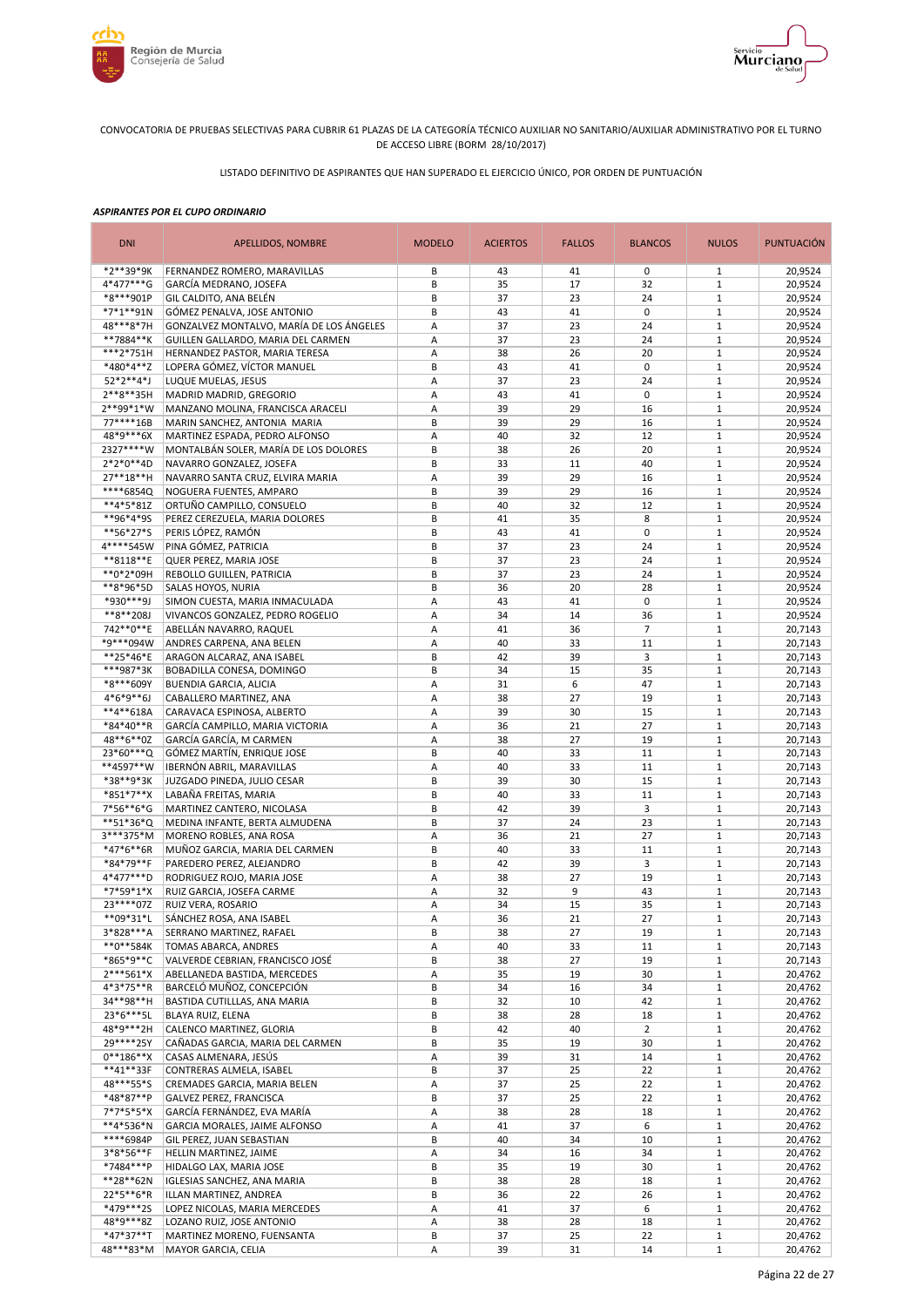



LISTADO DEFINITIVO DE ASPIRANTES QUE HAN SUPERADO EL EJERCICIO ÚNICO, POR ORDEN DE PUNTUACIÓN

| <b>DNI</b>             | APELLIDOS, NOMBRE                                                       | <b>MODELO</b> | <b>ACIERTOS</b> | <b>FALLOS</b> | <b>BLANCOS</b> | <b>NULOS</b>                 | <b>PUNTUACIÓN</b>  |
|------------------------|-------------------------------------------------------------------------|---------------|-----------------|---------------|----------------|------------------------------|--------------------|
| *2**39*9K              | FERNANDEZ ROMERO, MARAVILLAS                                            | B             | 43              | 41            | 0              | 1                            | 20,9524            |
| 4*477***G              | GARCÍA MEDRANO, JOSEFA                                                  | B             | 35              | 17            | 32             | $\mathbf{1}$                 | 20,9524            |
| *8***901P              | GIL CALDITO, ANA BELÉN                                                  | B             | 37              | 23            | 24             | $1\,$                        | 20,9524            |
| *7*1**91N<br>48***8*7H | GÓMEZ PENALVA, JOSE ANTONIO<br>GONZALVEZ MONTALVO, MARÍA DE LOS ÁNGELES | В<br>Α        | 43<br>37        | 41<br>23      | 0<br>24        | $\mathbf{1}$<br>$\mathbf{1}$ | 20,9524<br>20,9524 |
| **7884**K              | GUILLEN GALLARDO, MARIA DEL CARMEN                                      | Α             | 37              | 23            | 24             | $\mathbf{1}$                 | 20,9524            |
| ***2*751H              | HERNANDEZ PASTOR, MARIA TERESA                                          | А             | 38              | 26            | 20             | $\mathbf{1}$                 | 20,9524            |
| *480*4**Z              | LOPERA GÓMEZ, VÍCTOR MANUEL                                             | B             | 43              | 41            | 0              | $1\,$                        | 20,9524            |
| 52*2**4*J              | LUQUE MUELAS, JESUS                                                     | Α             | 37              | 23            | 24             | $\mathbf{1}$                 | 20,9524            |
| 2**8**35H              | MADRID MADRID, GREGORIO                                                 | Α             | 43              | 41            | 0              | $\mathbf{1}$                 | 20,9524            |
| 2**99*1*W              | MANZANO MOLINA, FRANCISCA ARACELI                                       | Α             | 39              | 29            | 16             | $\mathbf{1}$                 | 20,9524            |
| 77****16B              | MARIN SANCHEZ, ANTONIA MARIA                                            | B             | 39              | 29            | 16             | $\mathbf{1}$                 | 20,9524            |
| 48*9***6X              | MARTINEZ ESPADA, PEDRO ALFONSO                                          | Α             | 40              | 32            | 12             | $\mathbf{1}$                 | 20,9524            |
| 2327****W              | MONTALBÁN SOLER, MARÍA DE LOS DOLORES                                   | B             | 38              | 26            | 20             | $\mathbf{1}$                 | 20,9524            |
| 2*2*0**4D<br>27**18**H | NAVARRO GONZALEZ, JOSEFA                                                | B             | 33<br>39        | 11<br>29      | 40             | $1\,$                        | 20,9524            |
| ****6854Q              | NAVARRO SANTA CRUZ, ELVIRA MARIA<br>NOGUERA FUENTES, AMPARO             | Α<br>B        | 39              | 29            | 16<br>16       | $\mathbf{1}$<br>$\mathbf{1}$ | 20,9524<br>20,9524 |
| **4*5*81Z              | ORTUÑO CAMPILLO, CONSUELO                                               | B             | 40              | 32            | 12             | $1\,$                        | 20,9524            |
| **96*4*9S              | PEREZ CEREZUELA, MARIA DOLORES                                          | B             | 41              | 35            | 8              | $1\,$                        | 20,9524            |
| **56*27*S              | PERIS LÓPEZ, RAMÓN                                                      | B             | 43              | 41            | 0              | $\mathbf{1}$                 | 20,9524            |
| 4****545W              | PINA GÓMEZ, PATRICIA                                                    | B             | 37              | 23            | 24             | $\mathbf{1}$                 | 20,9524            |
| **8118**E              | QUER PEREZ, MARIA JOSE                                                  | B             | 37              | 23            | 24             | $\mathbf{1}$                 | 20,9524            |
| **0*2*09H              | REBOLLO GUILLEN, PATRICIA                                               | B             | 37              | 23            | 24             | $\mathbf{1}$                 | 20,9524            |
| **8*96*5D              | SALAS HOYOS, NURIA                                                      | B             | 36              | 20            | 28             | $1\,$                        | 20,9524            |
| *930***9J              | SIMON CUESTA, MARIA INMACULADA                                          | Α             | 43              | 41            | 0              | $1\,$                        | 20,9524            |
| **8**208J              | VIVANCOS GONZALEZ, PEDRO ROGELIO                                        | A             | 34              | 14            | 36             | $1\,$                        | 20,9524            |
| 742**0**E<br>*9***094W | ABELLÁN NAVARRO, RAQUEL<br>ANDRES CARPENA, ANA BELEN                    | Α<br>Α        | 41<br>40        | 36<br>33      | 7<br>11        | $1\,$<br>$1\,$               | 20,7143<br>20,7143 |
| **25*46*E              | ARAGON ALCARAZ, ANA ISABEL                                              | B             | 42              | 39            | 3              | $1\,$                        | 20,7143            |
| ***987*3K              | BOBADILLA CONESA, DOMINGO                                               | B             | 34              | 15            | 35             | $1\,$                        | 20,7143            |
| *8***609Y              | <b>BUENDIA GARCIA, ALICIA</b>                                           | A             | 31              | 6             | 47             | $\mathbf{1}$                 | 20,7143            |
| $4*6*9**6J$            | CABALLERO MARTINEZ, ANA                                                 | A             | 38              | 27            | 19             | $1\,$                        | 20,7143            |
| **4**618A              | CARAVACA ESPINOSA, ALBERTO                                              | Α             | 39              | 30            | 15             | $\mathbf{1}$                 | 20,7143            |
| *84*40**R              | GARCÍA CAMPILLO, MARIA VICTORIA                                         | Α             | 36              | 21            | 27             | $1\,$                        | 20,7143            |
| 48**6**0Z              | GARCÍA GARCÍA, M CARMEN                                                 | Α             | 38              | 27            | 19             | $\mathbf{1}$                 | 20,7143            |
| 23*60***Q              | GÓMEZ MARTÍN, ENRIQUE JOSE                                              | B             | 40              | 33            | 11             | $1\,$                        | 20,7143            |
| **4597**W              | IBERNÓN ABRIL, MARAVILLAS                                               | Α             | 40              | 33            | 11             | $\mathbf{1}$                 | 20,7143            |
| *38**9*3K<br>*851*7**X | JUZGADO PINEDA, JULIO CESAR<br>LABAÑA FREITAS, MARIA                    | B<br>B        | 39<br>40        | 30<br>33      | 15<br>11       | $1\,$<br>$\mathbf{1}$        | 20,7143<br>20,7143 |
| 7*56**6*G              | MARTINEZ CANTERO, NICOLASA                                              | B             | 42              | 39            | 3              | $\mathbf{1}$                 | 20,7143            |
| **51*36*Q              | MEDINA INFANTE, BERTA ALMUDENA                                          | B             | 37              | 24            | 23             | $\mathbf{1}$                 | 20,7143            |
| 3***375*M              | MORENO ROBLES, ANA ROSA                                                 | Α             | 36              | 21            | 27             | $\mathbf{1}$                 | 20,7143            |
| *47*6**6R              | MUÑOZ GARCIA, MARIA DEL CARMEN                                          | B             | 40              | 33            | 11             | $\mathbf{1}$                 | 20,7143            |
| *84*79**F              | PAREDERO PEREZ, ALEJANDRO                                               | B             | 42              | 39            | 3              | $1\,$                        | 20,7143            |
| 4*477***D              | RODRIGUEZ ROJO, MARIA JOSE                                              | A             | 38              | 27            | 19             | $\mathbf{1}$                 | 20,7143            |
| *7*59*1*X              | RUIZ GARCIA, JOSEFA CARME                                               | Α             | 32              | 9             | 43             | $\mathbf{1}$                 | 20,7143            |
| 23 **** 072            | RUIZ VERA, ROSARIO                                                      | Α             | 34              | 15            | 35             | $\mathbf{1}$                 | 20,7143            |
| **09*31*L              | SÁNCHEZ ROSA, ANA ISABEL                                                | A             | 36              | 21            | 27             | $\mathbf{1}$                 | 20,7143            |
| 3*828***A<br>**0**584K | SERRANO MARTINEZ, RAFAEL<br><b>TOMAS ABARCA, ANDRES</b>                 | В<br>Α        | 38<br>40        | 27<br>33      | 19<br>11       | $\mathbf{1}$<br>$\mathbf{1}$ | 20,7143<br>20,7143 |
| *865*9**C              | VALVERDE CEBRIAN, FRANCISCO JOSÉ                                        | B             | 38              | 27            | 19             | $\mathbf{1}$                 | 20,7143            |
| $2***561*X$            | ABELLANEDA BASTIDA, MERCEDES                                            | Α             | 35              | 19            | 30             | $\mathbf{1}$                 | 20,4762            |
| 4*3*75**R              | BARCELÓ MUÑOZ, CONCEPCIÓN                                               | B             | 34              | 16            | 34             | $\mathbf{1}$                 | 20,4762            |
| 34**98**H              | BASTIDA CUTILLLAS, ANA MARIA                                            | В             | 32              | 10            | 42             | $\mathbf{1}$                 | 20,4762            |
| 23*6***5L              | BLAYA RUIZ, ELENA                                                       | В             | 38              | 28            | 18             | $\mathbf{1}$                 | 20,4762            |
| 48*9***2H              | CALENCO MARTINEZ, GLORIA                                                | B             | 42              | 40            | $\overline{2}$ | $\mathbf{1}$                 | 20,4762            |
| 29****25Y              | CAÑADAS GARCIA, MARIA DEL CARMEN                                        | B             | 35              | 19            | 30             | $\mathbf 1$                  | 20,4762            |
| $0***186***X$          | CASAS ALMENARA, JESÚS                                                   | Α             | 39              | 31            | 14             | $\mathbf{1}$                 | 20,4762            |
| **41**33F              | CONTRERAS ALMELA, ISABEL                                                | B             | 37              | 25            | 22             | $\mathbf{1}$                 | 20,4762            |
| 48***55*S<br>*48*87**P | CREMADES GARCIA, MARIA BELEN                                            | Α<br>B        | 37<br>37        | 25<br>25      | 22<br>22       | $\mathbf{1}$<br>$\mathbf{1}$ | 20,4762<br>20,4762 |
| $7*7*5*5*X$            | GALVEZ PEREZ, FRANCISCA<br>GARCÍA FERNÁNDEZ, EVA MARÍA                  | Α             | 38              | 28            | 18             | $\mathbf{1}$                 | 20,4762            |
| **4*536*N              | GARCIA MORALES, JAIME ALFONSO                                           | Α             | 41              | 37            | 6              | $\mathbf{1}$                 | 20,4762            |
| ****6984P              | GIL PEREZ, JUAN SEBASTIAN                                               | B             | 40              | 34            | 10             | $\mathbf{1}$                 | 20,4762            |
| $3*8*56**F$            | HELLIN MARTINEZ, JAIME                                                  | Α             | 34              | 16            | 34             | $\mathbf{1}$                 | 20,4762            |
| *7484***P              | HIDALGO LAX, MARIA JOSE                                                 | B             | 35              | 19            | 30             | $\mathbf{1}$                 | 20,4762            |
| **28**62N              | IGLESIAS SANCHEZ, ANA MARIA                                             | B             | 38              | 28            | 18             | $\mathbf{1}$                 | 20,4762            |
| 22*5**6*R              | ILLAN MARTINEZ, ANDREA                                                  | B             | 36              | 22            | 26             | $\mathbf{1}$                 | 20,4762            |
| *479***25              | LOPEZ NICOLAS, MARIA MERCEDES                                           | А             | 41              | 37            | 6              | $\mathbf 1$                  | 20,4762            |
| 48*9***8Z              | LOZANO RUIZ, JOSE ANTONIO                                               | А             | 38              | 28            | 18             | $\mathbf{1}$                 | 20,4762            |
| *47*37**T<br>48***83*M | MARTINEZ MORENO, FUENSANTA                                              | B             | 37              | 25            | 22             | $\mathbf 1$                  | 20,4762            |
|                        | <b>MAYOR GARCIA, CELIA</b>                                              | Α             | 39              | 31            | 14             | $\mathbf 1$                  | 20,4762            |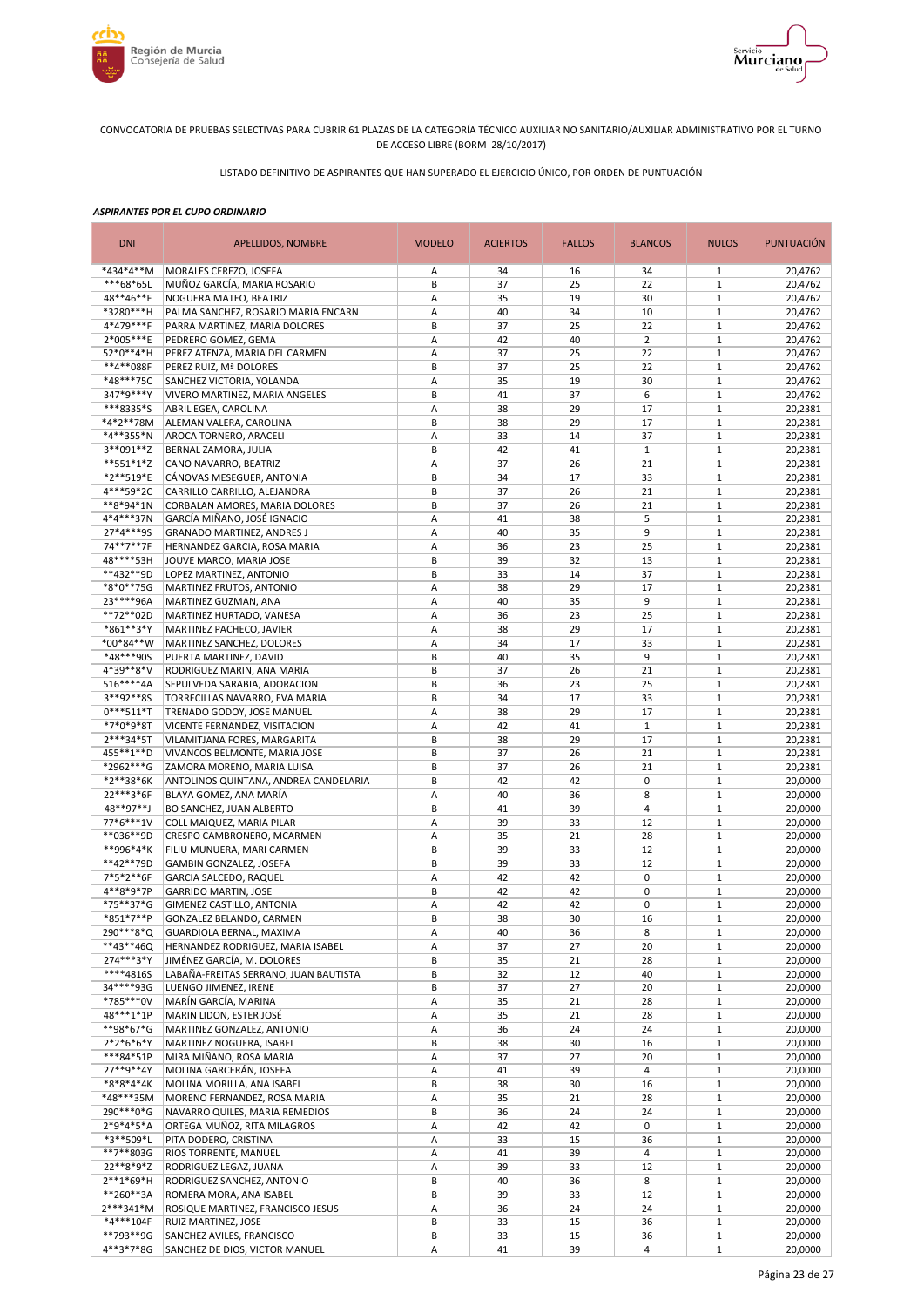



LISTADO DEFINITIVO DE ASPIRANTES QUE HAN SUPERADO EL EJERCICIO ÚNICO, POR ORDEN DE PUNTUACIÓN

| <b>DNI</b>               | APELLIDOS, NOMBRE                                                    | <b>MODELO</b> | <b>ACIERTOS</b> | <b>FALLOS</b> | <b>BLANCOS</b>     | <b>NULOS</b>                 | <b>PUNTUACIÓN</b>  |
|--------------------------|----------------------------------------------------------------------|---------------|-----------------|---------------|--------------------|------------------------------|--------------------|
| *434*4**M                | MORALES CEREZO, JOSEFA                                               | Α             | 34              | 16            | 34                 | $\mathbf{1}$                 | 20,4762            |
| ***68*65L                | MUÑOZ GARCÍA, MARIA ROSARIO                                          | B             | 37              | 25            | 22                 | $\mathbf{1}$                 | 20,4762            |
| 48**46**F                | NOGUERA MATEO, BEATRIZ                                               | Α             | 35              | 19            | 30                 | $1\,$                        | 20,4762            |
| *3280***H<br>4*479***F   | PALMA SANCHEZ, ROSARIO MARIA ENCARN<br>PARRA MARTINEZ, MARIA DOLORES | Α<br>B        | 40<br>37        | 34<br>25      | 10<br>22           | $\mathbf{1}$<br>$\mathbf{1}$ | 20,4762<br>20,4762 |
| 2*005***E                | PEDRERO GOMEZ, GEMA                                                  | Α             | 42              | 40            | $\overline{2}$     | $1\,$                        | 20,4762            |
| 52*0**4*H                | PEREZ ATENZA, MARIA DEL CARMEN                                       | Α             | 37              | 25            | 22                 | $\mathbf 1$                  | 20,4762            |
| **4**088F                | PEREZ RUIZ, Mª DOLORES                                               | B             | 37              | 25            | 22                 | $1\,$                        | 20,4762            |
| *48***75C                | SANCHEZ VICTORIA, YOLANDA                                            | Α             | 35              | 19            | 30                 | $\mathbf{1}$                 | 20.4762            |
| 347*9***Y                | VIVERO MARTINEZ, MARIA ANGELES                                       | B             | 41              | 37            | 6                  | $1\,$                        | 20,4762            |
| ***8335*S                | ABRIL EGEA, CAROLINA                                                 | Α             | 38              | 29            | 17                 | $\mathbf{1}$                 | 20,2381            |
| *4*2**78M                | ALEMAN VALERA, CAROLINA                                              | B             | 38              | 29            | 17                 | $\mathbf{1}$                 | 20,2381            |
| *4**355*N                | AROCA TORNERO, ARACELI                                               | Α             | 33              | 14            | 37                 | $\mathbf{1}$                 | 20,2381            |
| 3**091**Z                | BERNAL ZAMORA, JULIA                                                 | B             | 42              | 41            | $\mathbf{1}$       | $\mathbf{1}$                 | 20,2381            |
| **551*1*Z                | CANO NAVARRO, BEATRIZ                                                | Α             | 37              | 26            | 21                 | $\mathbf{1}$                 | 20,2381            |
| *2**519*E<br>4***59*2C   | CÁNOVAS MESEGUER, ANTONIA<br>CARRILLO CARRILLO, ALEJANDRA            | B<br>B        | 34<br>37        | 17<br>26      | 33<br>21           | $\mathbf{1}$<br>$\mathbf{1}$ | 20,2381<br>20,2381 |
| **8*94*1N                | CORBALAN AMORES, MARIA DOLORES                                       | B             | 37              | 26            | 21                 | $1\,$                        | 20,2381            |
| 4*4***37N                | GARCÍA MIÑANO, JOSÉ IGNACIO                                          | A             | 41              | 38            | 5                  | $1\,$                        | 20,2381            |
| 27*4***9S                | <b>GRANADO MARTINEZ, ANDRES J</b>                                    | A             | 40              | 35            | 9                  | $\mathbf{1}$                 | 20,2381            |
| 74**7**7F                | HERNANDEZ GARCIA, ROSA MARIA                                         | Α             | 36              | 23            | 25                 | $1\,$                        | 20,2381            |
| 48****53H                | JOUVE MARCO, MARIA JOSE                                              | B             | 39              | 32            | 13                 | $\mathbf{1}$                 | 20,2381            |
| **432**9D                | LOPEZ MARTINEZ, ANTONIO                                              | B             | 33              | 14            | 37                 | $1\,$                        | 20,2381            |
| *8*0**75G                | MARTINEZ FRUTOS, ANTONIO                                             | A             | 38              | 29            | 17                 | $1\,$                        | 20,2381            |
| 23 **** 96A              | MARTINEZ GUZMAN, ANA                                                 | Α             | 40              | 35            | 9                  | $1\,$                        | 20,2381            |
| **72**02D                | MARTINEZ HURTADO, VANESA                                             | A             | 36              | 23            | 25                 | $\mathbf{1}$                 | 20,2381            |
| *861**3*Y                | MARTINEZ PACHECO, JAVIER                                             | Α             | 38              | 29            | 17                 | $\mathbf{1}$                 | 20,2381            |
| *00*84**W                | MARTINEZ SANCHEZ, DOLORES                                            | Α             | 34              | 17            | 33                 | $1\,$                        | 20,2381            |
| *48***905                | PUERTA MARTINEZ, DAVID                                               | B             | 40              | 35            | 9                  | $\mathbf{1}$                 | 20,2381            |
| 4*39**8*V                | RODRIGUEZ MARIN, ANA MARIA                                           | B             | 37              | 26            | 21                 | $\mathbf{1}$                 | 20,2381            |
| 516****4A                | SEPULVEDA SARABIA, ADORACION                                         | B             | 36              | 23            | 25                 | $1\,$                        | 20,2381            |
| 3**92**8S                | TORRECILLAS NAVARRO, EVA MARIA                                       | B             | 34              | 17            | 33                 | $\mathbf{1}$                 | 20,2381            |
| $0***511*T$              | TRENADO GODOY, JOSE MANUEL                                           | А             | 38              | 29            | 17                 | $1\,$                        | 20,2381            |
| *7*0*9*8T<br>2***34*5T   | VICENTE FERNANDEZ, VISITACION                                        | Α<br>B        | 42<br>38        | 41<br>29      | $\mathbf{1}$<br>17 | $\mathbf{1}$<br>$1\,$        | 20,2381            |
| 455**1**D                | VILAMITJANA FORES, MARGARITA<br>VIVANCOS BELMONTE, MARIA JOSE        | B             | 37              | 26            | 21                 | $\mathbf{1}$                 | 20,2381<br>20,2381 |
| *2962***G                | ZAMORA MORENO, MARIA LUISA                                           | B             | 37              | 26            | 21                 | $\mathbf{1}$                 | 20,2381            |
| *2**38*6K                | ANTOLINOS QUINTANA, ANDREA CANDELARIA                                | B             | 42              | 42            | 0                  | $\mathbf{1}$                 | 20,0000            |
| 22***3*6F                | BLAYA GOMEZ, ANA MARÍA                                               | Α             | 40              | 36            | 8                  | $\mathbf{1}$                 | 20,0000            |
| 48**97**J                | BO SANCHEZ, JUAN ALBERTO                                             | B             | 41              | 39            | 4                  | $\mathbf{1}$                 | 20,0000            |
| 77*6***1V                | COLL MAIQUEZ, MARIA PILAR                                            | Α             | 39              | 33            | 12                 | $\mathbf{1}$                 | 20,0000            |
| **036**9D                | CRESPO CAMBRONERO, MCARMEN                                           | Α             | 35              | 21            | 28                 | $\mathbf{1}$                 | 20,0000            |
| **996*4*K                | FILIU MUNUERA, MARI CARMEN                                           | B             | 39              | 33            | 12                 | $\mathbf{1}$                 | 20,0000            |
| **42**79D                | GAMBIN GONZALEZ, JOSEFA                                              | B             | 39              | 33            | 12                 | $1\,$                        | 20,0000            |
| 7*5*2**6F                | GARCIA SALCEDO, RAQUEL                                               | Α             | 42              | 42            | 0                  | $1\,$                        | 20,0000            |
| 4**8*9*7P                | <b>GARRIDO MARTIN, JOSE</b>                                          | B             | 42              | 42            | 0                  | $\mathbf{1}$                 | 20,0000            |
| *75**37*G                | GIMENEZ CASTILLO, ANTONIA                                            | Α             | 42              | 42            | 0                  | $1\,$                        | 20,0000            |
| *851*7**P                | GONZALEZ BELANDO, CARMEN                                             | B             | 38              | 30            | 16                 | $\mathbf{1}$                 | 20,0000            |
| 290***8*Q                | GUARDIOLA BERNAL, MAXIMA                                             | Α             | 40              | 36            | 8                  | $\mathbf{1}$                 | 20,0000            |
| $**43**46Q$<br>274***3*Y | HERNANDEZ RODRIGUEZ, MARIA ISABEL<br>JIMÉNEZ GARCÍA. M. DOLORES      | Α             | 37              | 27            | 20                 | $\mathbf{1}$                 | 20,0000            |
| ****48165                | LABAÑA-FREITAS SERRANO, JUAN BAUTISTA                                | B<br>B        | 35<br>32        | 21<br>12      | 28<br>40           | $\mathbf{1}$<br>$1\,$        | 20,0000<br>20,0000 |
| 34****93G                | LUENGO JIMENEZ, IRENE                                                | B             | 37              | 27            | 20                 | $1\,$                        | 20,0000            |
| *785***0V                | MARÍN GARCÍA, MARINA                                                 | Α             | 35              | 21            | 28                 | $1\,$                        | 20,0000            |
| 48***1*1P                | MARIN LIDON, ESTER JOSÉ                                              | A             | 35              | 21            | 28                 | $1\,$                        | 20,0000            |
| **98*67*G                | MARTINEZ GONZALEZ, ANTONIO                                           | Α             | 36              | 24            | 24                 | $\mathbf 1$                  | 20,0000            |
| $2*2*6*6*Y$              | MARTINEZ NOGUERA, ISABEL                                             | B             | 38              | 30            | 16                 | $\mathbf 1$                  | 20,0000            |
| ***84*51P                | MIRA MIÑANO, ROSA MARIA                                              | Α             | 37              | 27            | 20                 | $\mathbf 1$                  | 20,0000            |
| 27**9**4Y                | MOLINA GARCERÁN, JOSEFA                                              | Α             | 41              | 39            | 4                  | $1\,$                        | 20,0000            |
| *8*8*4*4K                | MOLINA MORILLA, ANA ISABEL                                           | B             | 38              | 30            | 16                 | $\mathbf 1$                  | 20,0000            |
| *48***35M                | MORENO FERNANDEZ, ROSA MARIA                                         | А             | 35              | 21            | 28                 | $1\,$                        | 20,0000            |
| 290***0*G                | NAVARRO QUILES, MARIA REMEDIOS                                       | B             | 36              | 24            | 24                 | $1\,$                        | 20,0000            |
| $2*9*4*5*A$              | ORTEGA MUÑOZ, RITA MILAGROS                                          | Α             | 42              | 42            | 0                  | $1\,$                        | 20,0000            |
| *3**509*L                | PITA DODERO, CRISTINA                                                | Α             | 33              | 15            | 36                 | $1\,$                        | 20,0000            |
| **7**803G                | RIOS TORRENTE, MANUEL                                                | А             | 41              | 39            | 4                  | $1\,$                        | 20,0000            |
| 22**8*9*Z                | RODRIGUEZ LEGAZ, JUANA                                               | А             | 39              | 33            | 12                 | $1\,$                        | 20,0000            |
| 2**1*69*H<br>**260**3A   | RODRIGUEZ SANCHEZ, ANTONIO                                           | B<br>B        | 40              | 36            | 8                  | $\mathbf{1}$<br>$1\,$        | 20,0000            |
| $2***341*M$              | ROMERA MORA, ANA ISABEL<br>ROSIQUE MARTINEZ, FRANCISCO JESUS         | A             | 39<br>36        | 33<br>24      | 12<br>24           | $\mathbf 1$                  | 20,0000<br>20,0000 |
| *4***104F                | RUIZ MARTINEZ, JOSE                                                  | B             | 33              | 15            | 36                 | $\mathbf{1}$                 | 20,0000            |
| **793**9G                | SANCHEZ AVILES, FRANCISCO                                            | B             | 33              | 15            | 36                 | $\mathbf 1$                  | 20,0000            |
| 4**3*7*8G                | SANCHEZ DE DIOS, VICTOR MANUEL                                       | A             | 41              | 39            | 4                  | $\mathbf 1$                  | 20,0000            |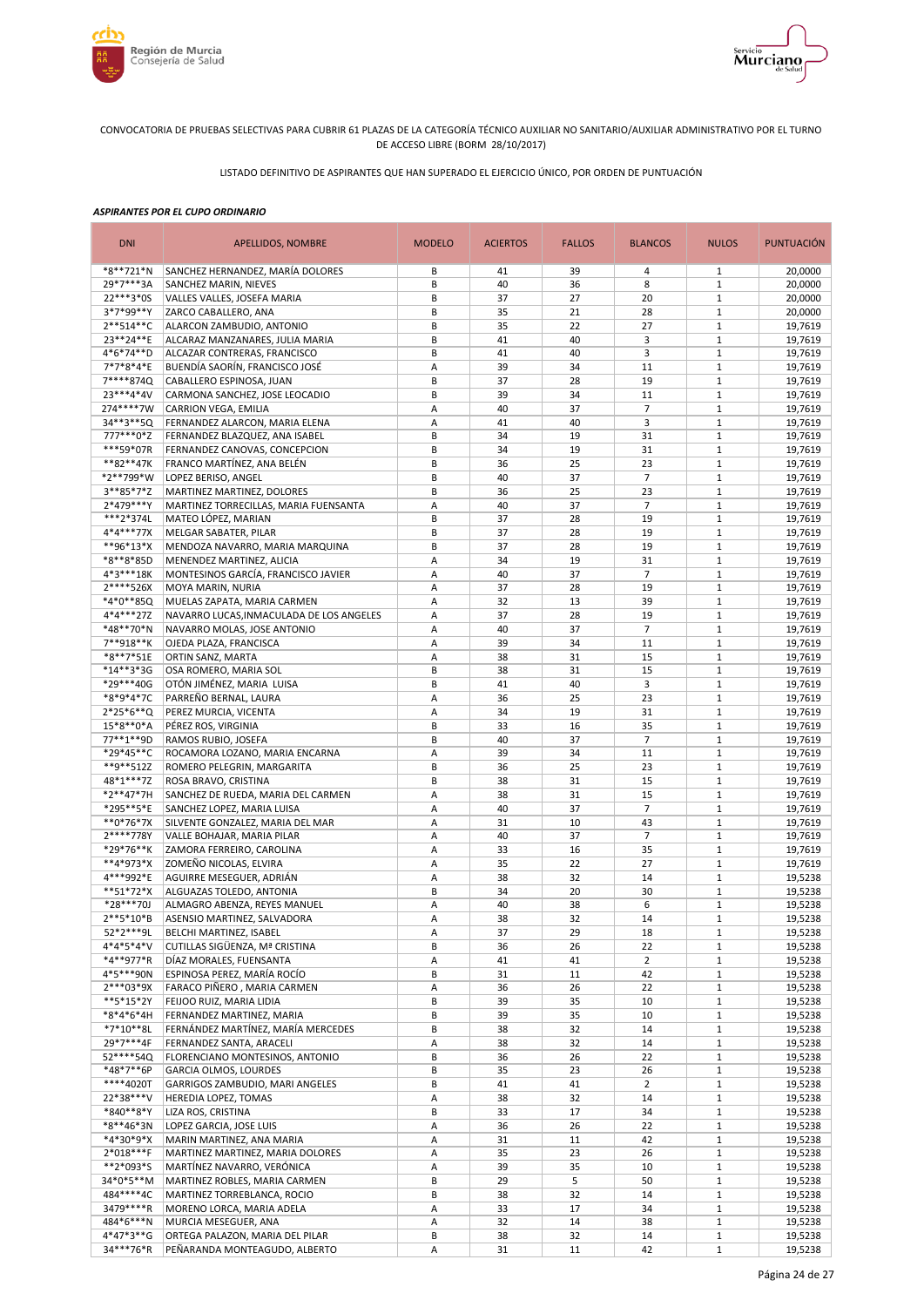



LISTADO DEFINITIVO DE ASPIRANTES QUE HAN SUPERADO EL EJERCICIO ÚNICO, POR ORDEN DE PUNTUACIÓN

| <b>DNI</b>               | APELLIDOS, NOMBRE                                                | <b>MODELO</b> | <b>ACIERTOS</b> | <b>FALLOS</b> | <b>BLANCOS</b>       | <b>NULOS</b>                 | <b>PUNTUACIÓN</b>  |
|--------------------------|------------------------------------------------------------------|---------------|-----------------|---------------|----------------------|------------------------------|--------------------|
| *8**721*N                | SANCHEZ HERNANDEZ, MARÍA DOLORES                                 | B             | 41              | 39            | 4                    | $\mathbf{1}$                 | 20,0000            |
| 29*7***3A                | SANCHEZ MARIN, NIEVES                                            | B             | 40              | 36            | 8                    | $\mathbf{1}$                 | 20,0000            |
| 22***3*0S                | VALLES VALLES, JOSEFA MARIA                                      | B             | 37              | 27            | 20                   | $\mathbf{1}$                 | 20,0000            |
| 3*7*99**Y                | ZARCO CABALLERO, ANA                                             | B             | 35              | 21            | 28                   | $\mathbf{1}$<br>$\mathbf{1}$ | 20,0000            |
| 2**514**C<br>23**24**E   | ALARCON ZAMBUDIO, ANTONIO<br>ALCARAZ MANZANARES, JULIA MARIA     | B<br>B        | 35<br>41        | 22<br>40      | 27<br>3              | $1\,$                        | 19,7619<br>19,7619 |
| 4*6*74**D                | ALCAZAR CONTRERAS, FRANCISCO                                     | B             | 41              | 40            | 3                    | $\mathbf{1}$                 | 19,7619            |
| 7*7*8*4*E                | BUENDÍA SAORÍN, FRANCISCO JOSÉ                                   | Α             | 39              | 34            | 11                   | $1\,$                        | 19,7619            |
| 7****874Q                | CABALLERO ESPINOSA, JUAN                                         | B             | 37              | 28            | 19                   | $\mathbf{1}$                 | 19,7619            |
| 23***4*4V                | CARMONA SANCHEZ, JOSE LEOCADIO                                   | B             | 39              | 34            | 11                   | $1\,$                        | 19,7619            |
| 274****7W                | CARRION VEGA, EMILIA                                             | Α             | 40              | 37            | $\overline{7}$       | $\mathbf{1}$                 | 19,7619            |
| 34**3**5Q                | FERNANDEZ ALARCON, MARIA ELENA                                   | Α             | 41              | 40            | 3                    | $\mathbf{1}$                 | 19.7619            |
| 777***0*Z                | FERNANDEZ BLAZQUEZ, ANA ISABEL                                   | B             | 34              | 19            | 31                   | $\mathbf{1}$                 | 19,7619            |
| ***59*07R                | FERNANDEZ CANOVAS, CONCEPCION                                    | B             | 34              | 19            | 31                   | $\mathbf{1}$                 | 19,7619            |
| **82**47K                | FRANCO MARTÍNEZ, ANA BELÉN                                       | B             | 36              | 25            | 23                   | $\mathbf{1}$                 | 19,7619            |
| *2**799*W                | LOPEZ BERISO, ANGEL                                              | B             | 40              | 37            | $\overline{7}$       | $\mathbf{1}$                 | 19,7619            |
| 3**85*7*Z<br>2*479***Y   | MARTINEZ MARTINEZ, DOLORES                                       | B<br>A        | 36<br>40        | 25<br>37      | 23<br>$\overline{7}$ | $\mathbf{1}$<br>$\mathbf{1}$ | 19,7619<br>19,7619 |
| ***2*374L                | MARTINEZ TORRECILLAS, MARIA FUENSANTA<br>MATEO LÓPEZ, MARIAN     | B             | 37              | 28            | 19                   | $1\,$                        | 19,7619            |
| $4*4***77X$              | MELGAR SABATER, PILAR                                            | B             | 37              | 28            | 19                   | $\mathbf{1}$                 | 19,7619            |
| **96*13*X                | MENDOZA NAVARRO, MARIA MARQUINA                                  | B             | 37              | 28            | 19                   | $\mathbf{1}$                 | 19,7619            |
| $*8**8*85D$              | MENENDEZ MARTINEZ, ALICIA                                        | A             | 34              | 19            | 31                   | $\mathbf{1}$                 | 19,7619            |
| 4*3***18K                | MONTESINOS GARCÍA, FRANCISCO JAVIER                              | A             | 40              | 37            | $\overline{7}$       | $1\,$                        | 19,7619            |
| 2****526X                | MOYA MARIN, NURIA                                                | A             | 37              | 28            | 19                   | $\mathbf{1}$                 | 19,7619            |
| *4*0**85Q                | MUELAS ZAPATA, MARIA CARMEN                                      | Α             | 32              | 13            | 39                   | $1\,$                        | 19,7619            |
| 4*4***27Z                | NAVARRO LUCAS, INMACULADA DE LOS ANGELES                         | A             | 37              | 28            | 19                   | $\mathbf{1}$                 | 19.7619            |
| *48**70*N                | NAVARRO MOLAS, JOSE ANTONIO                                      | Α             | 40              | 37            | 7                    | $\mathbf{1}$                 | 19,7619            |
| 7**918**K                | OJEDA PLAZA, FRANCISCA                                           | Α             | 39              | 34            | 11                   | $\mathbf{1}$                 | 19,7619            |
| *8**7*51E                | ORTIN SANZ, MARTA                                                | Α             | 38              | 31            | 15                   | $\mathbf{1}$                 | 19,7619            |
| *14**3*3G                | OSA ROMERO, MARIA SOL                                            | B             | 38              | 31            | 15                   | $\mathbf{1}$                 | 19,7619            |
| *29***40G                | OTÓN JIMÉNEZ, MARIA LUISA                                        | B             | 41              | 40            | 3                    | $1\,$                        | 19,7619            |
| *8*9*4*7C<br>$2*25*6**Q$ | PARREÑO BERNAL, LAURA                                            | Α             | 36<br>34        | 25<br>19      | 23<br>31             | $\mathbf{1}$<br>$1\,$        | 19,7619<br>19,7619 |
| 15*8**0*A                | PEREZ MURCIA, VICENTA<br>PÉREZ ROS, VIRGINIA                     | А<br>B        | 33              | 16            | 35                   | $\mathbf{1}$                 | 19,7619            |
| 77**1**9D                | RAMOS RUBIO, JOSEFA                                              | B             | 40              | 37            | $\overline{7}$       | $1\,$                        | 19,7619            |
| *29*45**C                | ROCAMORA LOZANO, MARIA ENCARNA                                   | Α             | 39              | 34            | 11                   | $\mathbf{1}$                 | 19,7619            |
| **9**512Z                | ROMERO PELEGRIN, MARGARITA                                       | B             | 36              | 25            | 23                   | $\mathbf{1}$                 | 19,7619            |
| 48*1***7Z                | ROSA BRAVO, CRISTINA                                             | B             | 38              | 31            | 15                   | $\mathbf{1}$                 | 19,7619            |
| *2**47*7H                | SANCHEZ DE RUEDA, MARIA DEL CARMEN                               | Α             | 38              | 31            | 15                   | $\mathbf{1}$                 | 19,7619            |
| *295**5*E                | SANCHEZ LOPEZ, MARIA LUISA                                       | Α             | 40              | 37            | $\overline{7}$       | $1\,$                        | 19,7619            |
| **0*76*7X                | SILVENTE GONZALEZ, MARIA DEL MAR                                 | Α             | 31              | 10            | 43                   | $\mathbf{1}$                 | 19,7619            |
| 2****778Y                | VALLE BOHAJAR, MARIA PILAR                                       | Α             | 40              | 37            | $\overline{7}$       | $\mathbf{1}$                 | 19,7619            |
| *29*76**K                | ZAMORA FERREIRO, CAROLINA                                        | A             | 33              | 16            | 35                   | $\mathbf{1}$                 | 19,7619            |
| **4*973*X                | ZOMEÑO NICOLAS, ELVIRA                                           | А             | 35<br>38        | 22            | 27                   | $1\,$<br>$\mathbf{1}$        | 19,7619            |
| 4***992*E<br>**51*72*X   | AGUIRRE MESEGUER, ADRIÁN<br>ALGUAZAS TOLEDO, ANTONIA             | A<br>B        | 34              | 32<br>20      | 14<br>30             | $\mathbf{1}$                 | 19,5238<br>19,5238 |
| *28***70J                | ALMAGRO ABENZA, REYES MANUEL                                     | A             | 40              | 38            | 6                    | $\mathbf{1}$                 | 19,5238            |
| 2**5*10*B                | ASENSIO MARTINEZ, SALVADORA                                      | A             | 38              | 32            | 14                   | $\mathbf{1}$                 | 19,5238            |
| 52*2***9L                | BELCHI MARTINEZ, ISABEL                                          | Α             | 37              | 29            | 18                   | $\mathbf{1}$                 | 19,5238            |
| $4*4*5*4*V$              | CUTILLAS SIGÜENZA, Mª CRISTINA                                   | B             | 36              | 26            | 22                   | $\mathbf{1}$                 | 19,5238            |
| *4**977*R                | DÍAZ MORALES, FUENSANTA                                          | Α             | 41              | 41            | $\overline{2}$       | $\mathbf{1}$                 | 19,5238            |
| 4*5***90N                | ESPINOSA PEREZ, MARÍA ROCÍO                                      | В             | 31              | 11            | 42                   | $\mathbf{1}$                 | 19,5238            |
| $2***03*9X$              | FARACO PIÑERO, MARIA CARMEN                                      | Α             | 36              | 26            | 22                   | $\mathbf{1}$                 | 19,5238            |
| **5*15*2Y                | FEIJOO RUIZ, MARIA LIDIA                                         | В             | 39              | 35            | 10                   | $\mathbf{1}$                 | 19,5238            |
| *8*4*6*4H                | FERNANDEZ MARTINEZ, MARIA                                        | B             | 39              | 35            | 10                   | $\mathbf{1}$                 | 19,5238            |
| $*7*10**8L$              | FERNÁNDEZ MARTÍNEZ, MARÍA MERCEDES                               | B             | 38              | 32            | 14                   | $\mathbf{1}$                 | 19,5238            |
| 29*7***4F<br>52****54Q   | FERNANDEZ SANTA, ARACELI                                         | Α             | 38              | 32            | 14                   | $\mathbf 1$<br>$\mathbf{1}$  | 19,5238            |
| *48*7**6P                | FLORENCIANO MONTESINOS, ANTONIO<br><b>GARCIA OLMOS, LOURDES</b>  | B<br>B        | 36<br>35        | 26<br>23      | 22<br>26             | $\mathbf{1}$                 | 19,5238<br>19,5238 |
| ****4020T                | GARRIGOS ZAMBUDIO, MARI ANGELES                                  | B             | 41              | 41            | $\overline{2}$       | $\mathbf{1}$                 | 19,5238            |
| 22*38***V                | HEREDIA LOPEZ, TOMAS                                             | А             | 38              | 32            | 14                   | $1\,$                        | 19,5238            |
| *840**8*Y                | LIZA ROS, CRISTINA                                               | B             | 33              | 17            | 34                   | $\mathbf{1}$                 | 19,5238            |
| *8**46*3N                | LOPEZ GARCIA, JOSE LUIS                                          | Α             | 36              | 26            | 22                   | $1\,$                        | 19,5238            |
| *4*30*9*X                | MARIN MARTINEZ, ANA MARIA                                        | Α             | 31              | 11            | 42                   | $\mathbf{1}$                 | 19,5238            |
| $2*018***F$              | MARTINEZ MARTINEZ, MARIA DOLORES                                 | Α             | 35              | 23            | 26                   | $\mathbf{1}$                 | 19,5238            |
| **2*093*S                | MARTÍNEZ NAVARRO, VERÓNICA                                       | Α             | 39              | 35            | 10                   | $\mathbf{1}$                 | 19,5238            |
| 34*0*5**M                | MARTINEZ ROBLES, MARIA CARMEN                                    | B             | 29              | 5             | 50                   | $\mathbf{1}$                 | 19,5238            |
| 484****4C                | MARTINEZ TORREBLANCA, ROCIO                                      | B             | 38              | 32            | 14                   | $\mathbf{1}$                 | 19,5238            |
| 3479****R                | MORENO LORCA, MARIA ADELA                                        | А             | 33              | 17            | 34                   | $\mathbf 1$                  | 19,5238            |
| 484*6***N                | MURCIA MESEGUER, ANA                                             | А             | 32              | 14            | 38                   | $\mathbf{1}$                 | 19,5238            |
| 4*47*3**G<br>34***76*R   | ORTEGA PALAZON, MARIA DEL PILAR<br>PEÑARANDA MONTEAGUDO, ALBERTO | B<br>А        | 38<br>31        | 32<br>11      | 14<br>42             | $\mathbf 1$<br>$\mathbf 1$   | 19,5238<br>19,5238 |
|                          |                                                                  |               |                 |               |                      |                              |                    |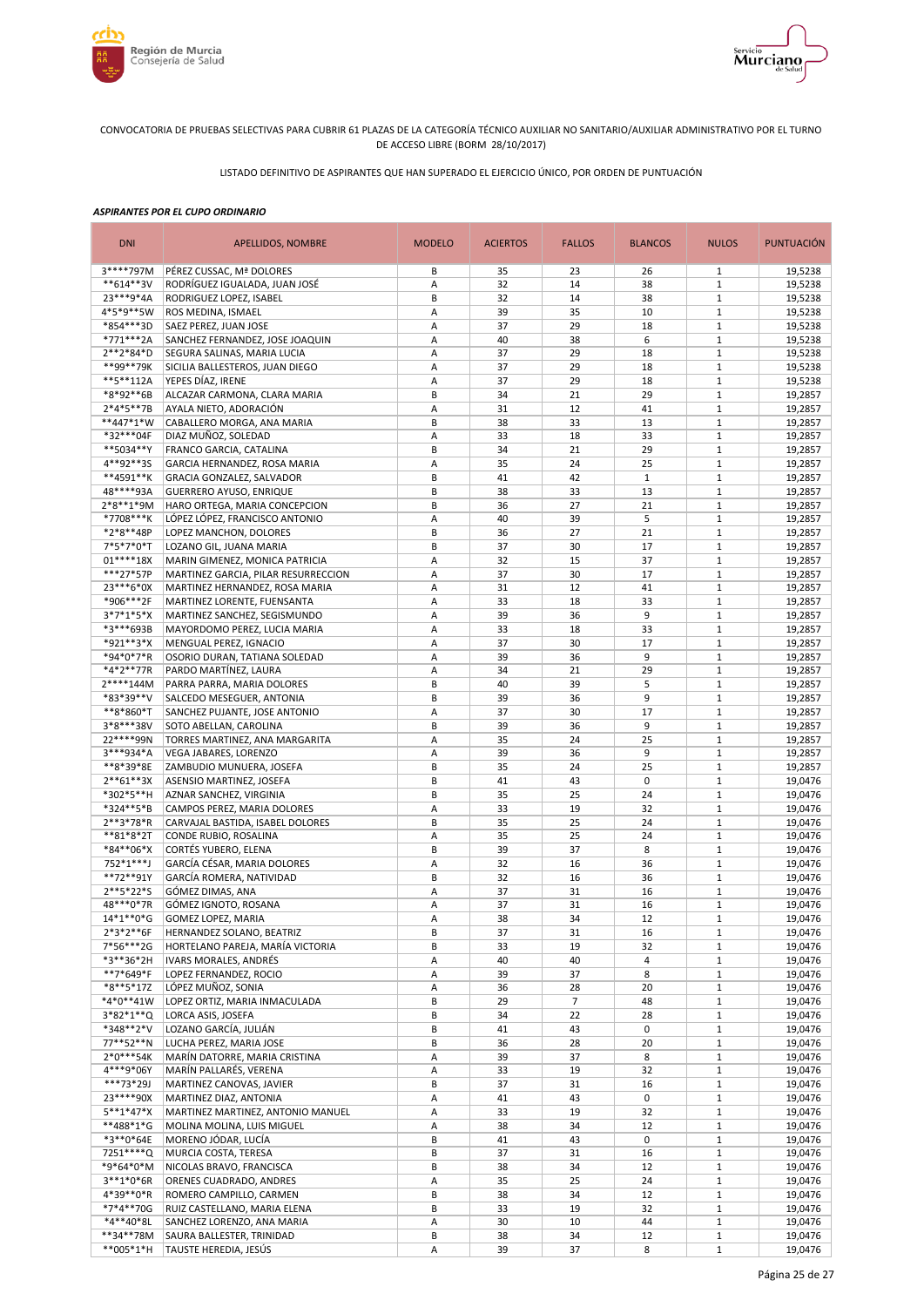



LISTADO DEFINITIVO DE ASPIRANTES QUE HAN SUPERADO EL EJERCICIO ÚNICO, POR ORDEN DE PUNTUACIÓN

| <b>DNI</b>                | APELLIDOS, NOMBRE                                        | <b>MODELO</b> | <b>ACIERTOS</b> | <b>FALLOS</b>        | <b>BLANCOS</b> | <b>NULOS</b>                 | <b>PUNTUACIÓN</b>  |
|---------------------------|----------------------------------------------------------|---------------|-----------------|----------------------|----------------|------------------------------|--------------------|
| 3****797M                 | PÉREZ CUSSAC, Mª DOLORES                                 | В             | 35              | 23                   | 26             | 1                            | 19,5238            |
| **614**3V                 | RODRÍGUEZ IGUALADA, JUAN JOSÉ                            | Α             | 32              | 14                   | 38             | $\mathbf{1}$                 | 19,5238            |
| 23 *** 9 * 4A             | RODRIGUEZ LOPEZ, ISABEL                                  | B             | 32              | 14                   | 38             | $\mathbf{1}$                 | 19,5238            |
| 4*5*9**5W<br>*854***3D    | ROS MEDINA, ISMAEL                                       | Α             | 39<br>37        | 35<br>29             | 10<br>18       | $1\,$<br>$1\,$               | 19,5238            |
| *771***2A                 | SAEZ PEREZ, JUAN JOSE<br>SANCHEZ FERNANDEZ, JOSE JOAQUIN | Α<br>Α        | 40              | 38                   | 6              | $\mathbf{1}$                 | 19,5238<br>19,5238 |
| 2**2*84*D                 | SEGURA SALINAS, MARIA LUCIA                              | A             | 37              | 29                   | 18             | $1\,$                        | 19,5238            |
| **99**79K                 | SICILIA BALLESTEROS, JUAN DIEGO                          | Α             | 37              | 29                   | 18             | $\mathbf{1}$                 | 19,5238            |
| **5**112A                 | YEPES DÍAZ, IRENE                                        | А             | 37              | 29                   | 18             | $\mathbf{1}$                 | 19,5238            |
| *8*92**6B                 | ALCAZAR CARMONA, CLARA MARIA                             | B             | 34              | 21                   | 29             | $1\,$                        | 19,2857            |
| $2*4*5**7B$               | AYALA NIETO, ADORACIÓN                                   | Α             | 31              | 12                   | 41             | $\mathbf{1}$                 | 19,2857            |
| **447*1*W                 | CABALLERO MORGA, ANA MARIA                               | B             | 38              | 33                   | 13             | $\mathbf{1}$                 | 19,2857            |
| *32***04F                 | DIAZ MUÑOZ, SOLEDAD                                      | Α             | 33              | 18                   | 33             | $\mathbf{1}$                 | 19,2857            |
| **5034**Y                 | FRANCO GARCIA, CATALINA                                  | B             | 34              | 21                   | 29             | $\mathbf{1}$                 | 19,2857            |
| 4**92**35                 | GARCIA HERNANDEZ, ROSA MARIA                             | Α             | 35              | 24                   | 25             | $\mathbf{1}$                 | 19,2857            |
| **4591**K                 | GRACIA GONZALEZ, SALVADOR                                | B             | 41              | 42                   | $\mathbf{1}$   | $\mathbf{1}$                 | 19,2857            |
| 48****93A                 | <b>GUERRERO AYUSO, ENRIQUE</b>                           | B             | 38              | 33                   | 13             | $1\,$                        | 19,2857            |
| $2*8**1*9M$               | HARO ORTEGA, MARIA CONCEPCION                            | B             | 36              | 27                   | 21             | $\mathbf{1}$                 | 19,2857            |
| *7708***K<br>*2*8**48P    | LÓPEZ LÓPEZ, FRANCISCO ANTONIO<br>LOPEZ MANCHON, DOLORES | Α<br>B        | 40<br>36        | 39<br>27             | 5<br>21        | $\mathbf{1}$<br>$\mathbf{1}$ | 19,2857<br>19,2857 |
| 7*5*7*0*T                 | LOZANO GIL, JUANA MARIA                                  | B             | 37              | 30                   | 17             | $1\,$                        | 19,2857            |
| $01****18X$               | MARIN GIMENEZ, MONICA PATRICIA                           | A             | 32              | 15                   | 37             | $\mathbf{1}$                 | 19,2857            |
| ***27*57P                 | MARTINEZ GARCIA, PILAR RESURRECCION                      | А             | 37              | 30                   | 17             | $1\,$                        | 19,2857            |
| 23***6*0X                 | MARTINEZ HERNANDEZ, ROSA MARIA                           | Α             | 31              | 12                   | 41             | $\mathbf{1}$                 | 19,2857            |
| *906***2F                 | MARTINEZ LORENTE, FUENSANTA                              | A             | 33              | 18                   | 33             | $\mathbf{1}$                 | 19,2857            |
| $3*7*1*5*X$               | MARTINEZ SANCHEZ, SEGISMUNDO                             | A             | 39              | 36                   | 9              | $1\,$                        | 19,2857            |
| *3***693B                 | MAYORDOMO PEREZ, LUCIA MARIA                             | Α             | 33              | 18                   | 33             | $1\,$                        | 19,2857            |
| *921**3*X                 | MENGUAL PEREZ, IGNACIO                                   | A             | 37              | 30                   | 17             | $1\,$                        | 19,2857            |
| *94*0*7*R                 | OSORIO DURAN, TATIANA SOLEDAD                            | Α             | 39              | 36                   | 9              | $1\,$                        | 19,2857            |
| *4*2**77R                 | PARDO MARTÍNEZ, LAURA                                    | Α             | 34              | 21                   | 29             | $1\,$                        | 19,2857            |
| 2****144M                 | PARRA PARRA, MARIA DOLORES                               | В             | 40              | 39                   | 5              | $\mathbf{1}$                 | 19,2857            |
| *83*39**V                 | SALCEDO MESEGUER, ANTONIA                                | В             | 39              | 36                   | 9              | $1\,$                        | 19,2857            |
| **8*860*T                 | SANCHEZ PUJANTE, JOSE ANTONIO                            | Α             | 37              | 30                   | 17             | $\mathbf{1}$                 | 19,2857            |
| 3*8***38V                 | SOTO ABELLAN, CAROLINA                                   | B             | 39              | 36                   | 9              | $1\,$                        | 19,2857            |
| 22 **** 99N               | TORRES MARTINEZ, ANA MARGARITA                           | А             | 35              | 24                   | 25             | $\mathbf{1}$                 | 19,2857            |
| 3***934*A                 | VEGA JABARES, LORENZO                                    | Α             | 39              | 36                   | 9              | $1\,$                        | 19,2857            |
| **8*39*8E<br>$2**61**3X$  | ZAMBUDIO MUNUERA, JOSEFA                                 | B             | 35<br>41        | 24                   | 25<br>0        | $\mathbf{1}$<br>$\mathbf{1}$ | 19,2857            |
| *302*5**H                 | ASENSIO MARTINEZ, JOSEFA                                 | B<br>B        | 35              | 43<br>25             | 24             | $\mathbf{1}$                 | 19,0476<br>19,0476 |
| *324**5*B                 | AZNAR SANCHEZ, VIRGINIA<br>CAMPOS PEREZ, MARIA DOLORES   | Α             | 33              | 19                   | 32             | $1\,$                        | 19,0476            |
| 2**3*78*R                 | CARVAJAL BASTIDA, ISABEL DOLORES                         | B             | 35              | 25                   | 24             | $\mathbf{1}$                 | 19,0476            |
| **81*8*2T                 | CONDE RUBIO, ROSALINA                                    | Α             | 35              | 25                   | 24             | $1\,$                        | 19,0476            |
| *84**06*X                 | CORTÉS YUBERO, ELENA                                     | B             | 39              | 37                   | 8              | $\mathbf{1}$                 | 19,0476            |
| 752*1***J                 | GARCÍA CÉSAR, MARIA DOLORES                              | Α             | 32              | 16                   | 36             | $\mathbf{1}$                 | 19,0476            |
| **72**91Y                 | GARCÍA ROMERA, NATIVIDAD                                 | B             | 32              | 16                   | 36             | $\mathbf{1}$                 | 19,0476            |
| 2**5*22*S                 | GÓMEZ DIMAS, ANA                                         | Α             | 37              | 31                   | 16             | $\mathbf{1}$                 | 19,0476            |
| 48***0*7R                 | GÓMEZ IGNOTO, ROSANA                                     | A             | 37              | 31                   | 16             | $1\,$                        | 19,0476            |
| 14*1**0*G                 | GOMEZ LOPEZ, MARIA                                       | A             | 38              | 34                   | 12             | $\mathbf{1}$                 | 19,0476            |
| $2*3*2**6F$               | HERNANDEZ SOLANO, BEATRIZ                                | B             | 37              | 31                   | 16             | $\mathbf{1}$                 | 19,0476            |
| 7*56***2G                 | HORTELANO PAREJA, MARÍA VICTORIA                         | B             | 33              | 19                   | 32             | $\mathbf{1}$                 | 19,0476            |
| *3**36*2H                 | IVARS MORALES, ANDRÉS                                    | Α             | 40              | 40                   | 4              | $\mathbf{1}$                 | 19,0476            |
| **7*649*F<br>*8**5*17Z    | LOPEZ FERNANDEZ, ROCIO                                   | Α             | 39              | 37                   | 8              | $\mathbf{1}$                 | 19,0476            |
| *4*0**41W                 | LÓPEZ MUÑOZ, SONIA<br>LOPEZ ORTIZ, MARIA INMACULADA      | Α<br>B        | 36<br>29        | 28<br>$\overline{7}$ | 20<br>48       | $\mathbf 1$<br>$\mathbf{1}$  | 19,0476<br>19,0476 |
| $3*82*1**Q$               | LORCA ASIS. JOSEFA                                       | B             | 34              | 22                   | 28             | $\mathbf{1}$                 | 19,0476            |
| *348**2*V                 | LOZANO GARCÍA, JULIÁN                                    | В             | 41              | 43                   | 0              | $\mathbf{1}$                 | 19,0476            |
| 77**52**N                 | LUCHA PEREZ, MARIA JOSE                                  | B             | 36              | 28                   | 20             | $\mathbf{1}$                 | 19,0476            |
| $2*0***54K$               | MARÍN DATORRE, MARIA CRISTINA                            | Α             | 39              | 37                   | 8              | $\mathbf{1}$                 | 19,0476            |
| 4***9*06Y                 | MARÍN PALLARÉS, VERENA                                   | А             | 33              | 19                   | 32             | $\mathbf 1$                  | 19,0476            |
| ***73*29J                 | MARTINEZ CANOVAS, JAVIER                                 | B             | 37              | 31                   | 16             | $\mathbf{1}$                 | 19,0476            |
| 23****90X                 | MARTINEZ DIAZ, ANTONIA                                   | Α             | 41              | 43                   | 0              | $\mathbf 1$                  | 19,0476            |
| $5***1*47*X$              | MARTINEZ MARTINEZ, ANTONIO MANUEL                        | Α             | 33              | 19                   | 32             | $\mathbf{1}$                 | 19,0476            |
| **488*1*G                 | MOLINA MOLINA, LUIS MIGUEL                               | Α             | 38              | 34                   | 12             | $\mathbf{1}$                 | 19,0476            |
| *3**0*64E                 | MORENO JÓDAR, LUCÍA                                      | B             | 41              | 43                   | 0              | $\mathbf{1}$                 | 19,0476            |
| 7251****Q                 | MURCIA COSTA, TERESA                                     | B             | 37              | 31                   | 16             | $1\,$                        | 19,0476            |
| *9*64*0*M                 | NICOLAS BRAVO, FRANCISCA                                 | B             | 38              | 34                   | 12             | $\mathbf{1}$                 | 19,0476            |
| $3***1*0*6R$              | ORENES CUADRADO, ANDRES                                  | Α             | 35              | 25                   | 24             | $1\,$                        | 19,0476            |
| 4*39**0*R                 | ROMERO CAMPILLO, CARMEN                                  | B             | 38              | 34                   | 12             | $\mathbf{1}$                 | 19,0476            |
| *7*4**70G                 | RUIZ CASTELLANO, MARIA ELENA                             | B             | 33              | 19                   | 32             | $1\,$                        | 19,0476            |
| *4**40*8L<br>$***34**78M$ | SANCHEZ LORENZO, ANA MARIA<br>SAURA BALLESTER, TRINIDAD  | Α<br>B        | 30<br>38        | 10<br>34             | 44<br>12       | $\mathbf{1}$<br>$\mathbf 1$  | 19,0476<br>19,0476 |
| **005*1*H                 | TAUSTE HEREDIA, JESÚS                                    | Α             | 39              | 37                   | 8              | $\mathbf 1$                  | 19,0476            |
|                           |                                                          |               |                 |                      |                |                              |                    |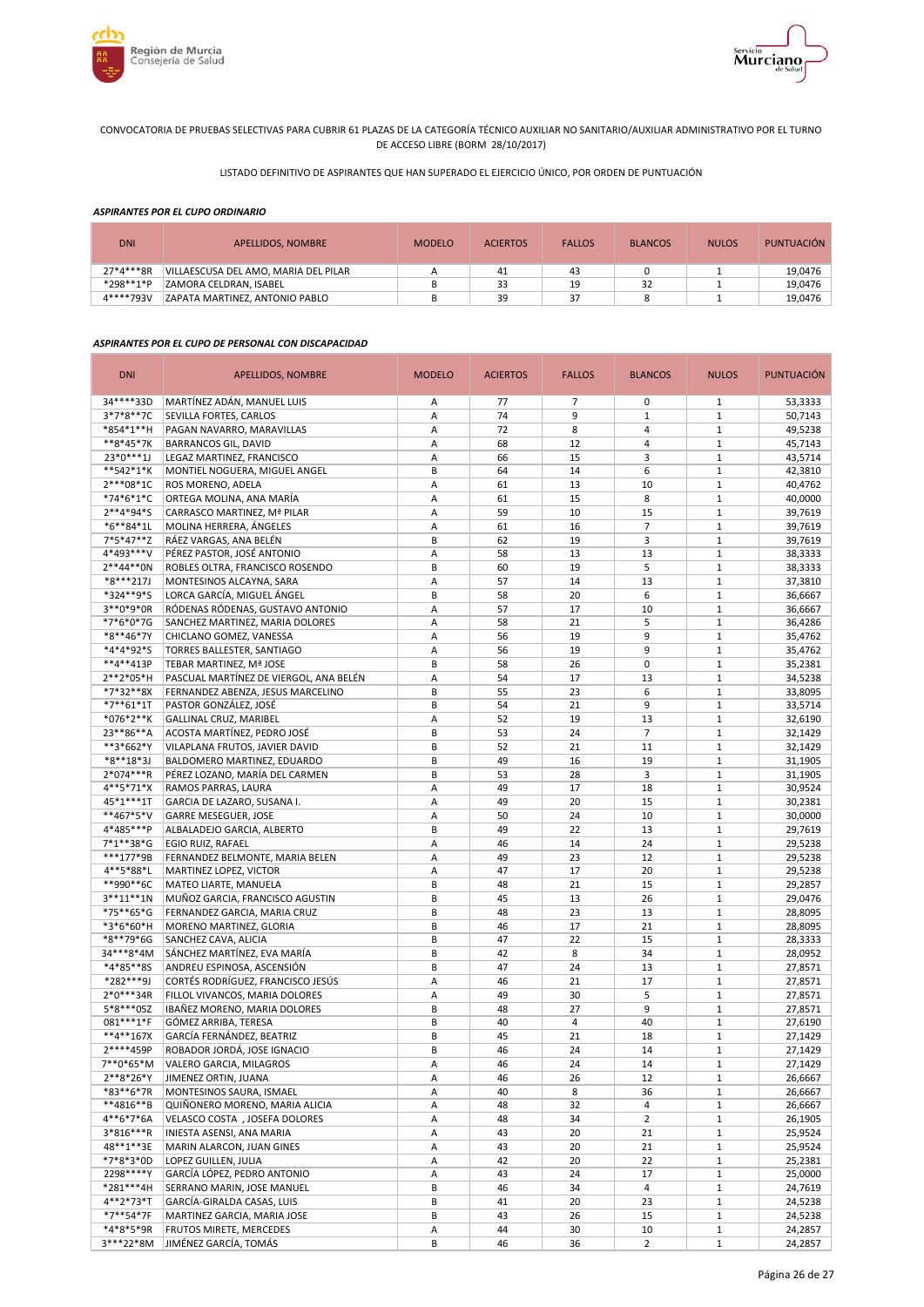



# LISTADO DEFINITIVO DE ASPIRANTES QUE HAN SUPERADO EL EJERCICIO ÚNICO, POR ORDEN DE PUNTUACIÓN

# *ASPIRANTES POR EL CUPO ORDINARIO*

| <b>DNI</b> | APELLIDOS, NOMBRE                    | <b>MODELO</b> | <b>ACIERTOS</b> | <b>FALLOS</b> | <b>BLANCOS</b> | <b>NULOS</b> | <b>PUNTUACIÓN</b> |
|------------|--------------------------------------|---------------|-----------------|---------------|----------------|--------------|-------------------|
| 27*4***8R  | VILLAESCUSA DEL AMO. MARIA DEL PILAR |               | 41              | 43            |                |              | 19.0476           |
| *298**1*P  | ZAMORA CELDRAN. ISABEL               |               | 33              |               | 32             |              | 19.0476           |
| 4****793V  | ZAPATA MARTINEZ, ANTONIO PABLO       |               | 39              | 27            |                |              | 19,0476           |

## *ASPIRANTES POR EL CUPO DE PERSONAL CON DISCAPACIDAD*

| <b>DNI</b> | <b>APELLIDOS, NOMBRE</b> | <b>MODELO</b> | <b>ACIERTOS</b> | <b>FALLOS</b>           | <b>BLANCOS</b>          | <b>NULOS</b>                | PUNTUACIÓN         |
|------------|--------------------------|---------------|-----------------|-------------------------|-------------------------|-----------------------------|--------------------|
|            |                          | Α             | 77              | $\overline{7}$          | 0                       | $\mathbf{1}$                | 53,3333            |
|            |                          | A             | 74              | 9                       | $\mathbf 1$             | $\mathbf{1}$                | 50,7143            |
|            |                          | А             | 72              | 8                       | $\sqrt{4}$              | $\mathbf{1}$                | 49,5238            |
|            |                          | Α             | 68              | 12                      | $\pmb{4}$               | $\mathbf{1}$                | 45,7143            |
|            |                          | Α             | 66              | 15                      | 3                       | $\mathbf{1}$                | 43,5714            |
|            |                          | B             | 64              | 14                      | 6                       | $\mathbf{1}$                | 42,3810            |
|            |                          | Α             | 61              | 13                      | 10                      | $\mathbf{1}$                | 40,4762            |
|            |                          | А             | 61              | 15                      | 8                       | $1\,$                       | 40,0000            |
|            |                          | Α             | 59              | 10                      | 15                      | $1\,$                       | 39,7619            |
|            |                          | А             | 61              | 16                      | $\sqrt{ }$              | $1\,$                       | 39,7619            |
|            |                          | B             | 62              | 19                      | 3                       | $\mathbf{1}$                | 39,7619            |
|            |                          | А             | 58              | 13                      | 13                      | $1\,$                       | 38,3333            |
|            |                          | B             | 60              | 19                      | 5                       | $\mathbf 1$                 | 38,3333            |
|            |                          | A             | 57              | 14                      | 13                      | $1\,$                       | 37,3810            |
|            |                          | B             | 58              | 20                      | 6                       | $\mathbf 1$                 | 36,6667            |
|            |                          | Α             | 57              | 17                      | 10                      | $\mathbf{1}$                | 36,6667            |
|            |                          | Α             | 58              | 21                      | 5                       | $\mathbf 1$                 | 36,4286            |
|            |                          | Α             | 56              | 19                      | 9                       | $1\,$                       | 35,4762            |
|            |                          | Α             | 56              | 19                      | 9                       | $\mathbf 1$                 | 35,4762            |
|            |                          | B             | 58              | 26                      | $\pmb{0}$               | $\mathbf{1}$                | 35,2381            |
|            |                          | А             | 54              | 17                      | 13                      | $\mathbf 1$                 | 34,5238            |
|            |                          | B             | 55              | 23                      | 6                       | $\mathbf{1}$                | 33,8095            |
|            |                          | B             | 54              | 21                      | 9                       | $\mathbf 1$                 | 33,5714            |
|            |                          | A             | 52              | 19                      | 13                      | $\mathbf{1}$                | 32,6190            |
|            |                          | B             | 53              | 24                      | $\boldsymbol{7}$        | $\mathbf 1$                 | 32,1429            |
|            |                          | B             | 52              | 21                      | 11                      | $\mathbf{1}$                | 32,1429            |
|            |                          | B             | 49              | 16                      | 19                      | $1\,$                       | 31,1905            |
|            |                          | B             | 53              | 28                      | 3                       | $1\,$                       | 31,1905            |
|            |                          | А             | 49              | 17                      | 18                      | $\mathbf{1}$                | 30,9524            |
|            |                          | А             | 49              | 20                      | 15                      | $1\,$                       | 30,2381            |
|            |                          | А             | 50              | 24                      | 10                      | $\mathbf{1}$                | 30,0000            |
|            |                          | B             | 49              | 22                      | 13                      | $1\,$                       | 29,7619            |
|            |                          | Α             | 46              | 14                      | 24                      | $\mathbf{1}$                | 29,5238            |
|            |                          | А             | 49              | 23                      | 12                      | $\,1\,$                     | 29,5238            |
|            |                          | А             | 47              | 17                      | 20                      | $\mathbf{1}$                | 29,5238            |
|            |                          | B             | 48              | 21                      | 15                      | $1\,$                       | 29,2857            |
|            |                          | B             | 45              | 13                      | 26                      | $1\,$                       | 29,0476            |
|            |                          | B             | 48              | 23                      | 13                      | $\mathbf 1$                 | 28,8095            |
|            |                          | B             | 46              | 17                      | 21                      | $\mathbf{1}$                | 28,8095            |
|            |                          | B             | 47              | 22                      | 15                      | $\mathbf 1$                 | 28,3333            |
|            |                          | B             | 42              | 8                       | 34                      | $\mathbf{1}$                | 28,0952            |
|            |                          | B             | 47              | 24                      | 13                      | $\mathbf 1$                 | 27,8571            |
|            |                          | А             | 46              | 21                      | 17                      | $\mathbf 1$                 | 27,8571<br>27,8571 |
|            |                          | Α             | 49<br>48        | 30<br>27                | 5<br>9                  | $\mathbf 1$<br>$\mathbf{1}$ |                    |
|            |                          | В<br>B        | 40              | $\overline{\mathbf{4}}$ | 40                      | $1\,$                       | 27,8571<br>27,6190 |
|            |                          | В             |                 | 21                      | 18                      | $1\,$                       |                    |
|            |                          | B             | 45<br>46        | 24                      | 14                      | $\mathbf{1}$                | 27,1429<br>27,1429 |
|            |                          | Α             | 46              | 24                      | 14                      | $1\,$                       | 27,1429            |
|            |                          | А             | 46              | 26                      | 12                      | $\mathbf{1}$                | 26,6667            |
|            |                          | Α             | 40              | 8                       | 36                      | $\mathbf{1}$                | 26,6667            |
|            |                          | Α             | 48              | 32                      | $\overline{\mathbf{4}}$ | $\mathbf{1}$                | 26,6667            |
|            |                          | Α             | 48              | 34                      | $\mathbf 2$             | $\mathbf{1}$                | 26,1905            |
|            |                          | Α             | 43              | 20                      | 21                      | $\mathbf{1}$                | 25,9524            |
|            |                          | А             | 43              | 20                      | 21                      | $\mathbf{1}$                | 25,9524            |
|            |                          | Α             | 42              | 20                      | 22                      | $\mathbf{1}$                | 25,2381            |
| 22985033Y  |                          | Α             | 43              | 24                      | 17                      | $1\,$                       | 25,0000            |
| 52817494H  |                          | B             | 46              | 34                      | 4                       | $1\,$                       | 24,7619            |
| 48520731T  |                          | B             | 41              | 20                      | 23                      | $\mathbf{1}$                | 24,5238            |
| 27445447F  |                          | B             | 43              | 26                      | 15                      | $1\,$                       | 24,5238            |
| 34785569R  |                          | Α             | 44              | 30                      | 10                      | $\mathbf{1}$                | 24,2857            |
| 35092278M  |                          | B             | 46              | 36                      | $\overline{2}$          | $\mathbf{1}$                | 24,2857            |
|            |                          |               |                 |                         |                         |                             |                    |